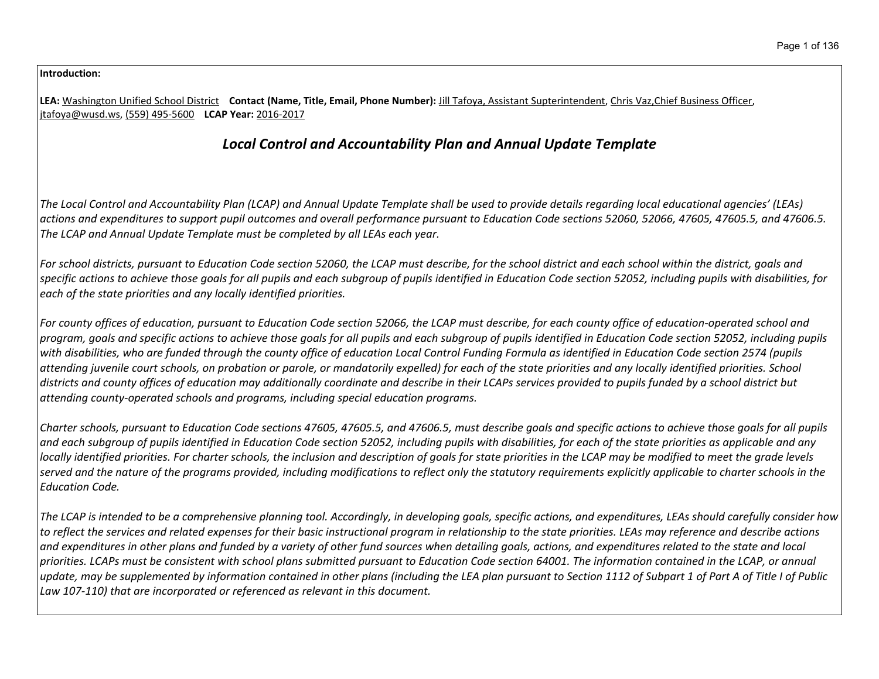#### **Introduction:**

**LEA:** Washington Unified School District **Contact (Name, Title, Email, Phone Number):** Jill Tafoya, Assistant Supterintendent, Chris Vaz,Chief Business Officer, jtafoya@wusd.ws, (559) 495-5600 **LCAP Year:** 2016-2017

# *Local Control and Accountability Plan and Annual Update Template*

The Local Control and Accountability Plan (LCAP) and Annual Update Template shall be used to provide details regarding local educational agencies' (LEAs) actions and expenditures to support pupil outcomes and overall performance pursuant to Education Code sections 52060, 52066, 47605, 47605.5, and 47606.5. *The LCAP and Annual Update Template must be completed by all LEAs each year.*

For school districts, pursuant to Education Code section 52060, the LCAP must describe, for the school district and each school within the district, goals and specific actions to achieve those goals for all pupils and each subgroup of pupils identified in Education Code section 52052, including pupils with disabilities, for *each of the state priorities and any locally identified priorities.*

For county offices of education, pursuant to Education Code section 52066, the LCAP must describe, for each county office of education-operated school and program, goals and specific actions to achieve those goals for all pupils and each subaroup of pupils identified in Education Code section 52052, including pupils with disabilities, who are funded through the county office of education Local Control Funding Formula as identified in Education Code section 2574 (pupils attending juvenile court schools, on probation or parole, or mandatorily expelled) for each of the state priorities and any locally identified priorities. School districts and county offices of education may additionally coordinate and describe in their LCAPs services provided to pupils funded by a school district but *attending county-operated schools and programs, including special education programs.*

Charter schools, pursuant to Education Code sections 47605, 47605.5, and 47606.5, must describe goals and specific actions to achieve those goals for all pupils and each subgroup of pupils identified in Education Code section 52052, including pupils with disabilities, for each of the state priorities as applicable and any locally identified priorities. For charter schools, the inclusion and description of goals for state priorities in the LCAP may be modified to meet the grade levels served and the nature of the programs provided, including modifications to reflect only the statutory requirements explicitly applicable to charter schools in the *Education Code.*

The LCAP is intended to be a comprehensive planning tool. Accordingly, in developing goals, specific actions, and expenditures, LEAs should carefully consider how to reflect the services and related expenses for their basic instructional program in relationship to the state priorities. LEAs may reference and describe actions and expenditures in other plans and funded by a variety of other fund sources when detailing goals, actions, and expenditures related to the state and local priorities. LCAPs must be consistent with school plans submitted pursuant to Education Code section 64001. The information contained in the LCAP, or annual update, may be supplemented by information contained in other plans (including the LEA plan pursuant to Section 1112 of Subpart 1 of Part A of Title I of Public *Law 107-110) that are incorporated or referenced as relevant in this document.*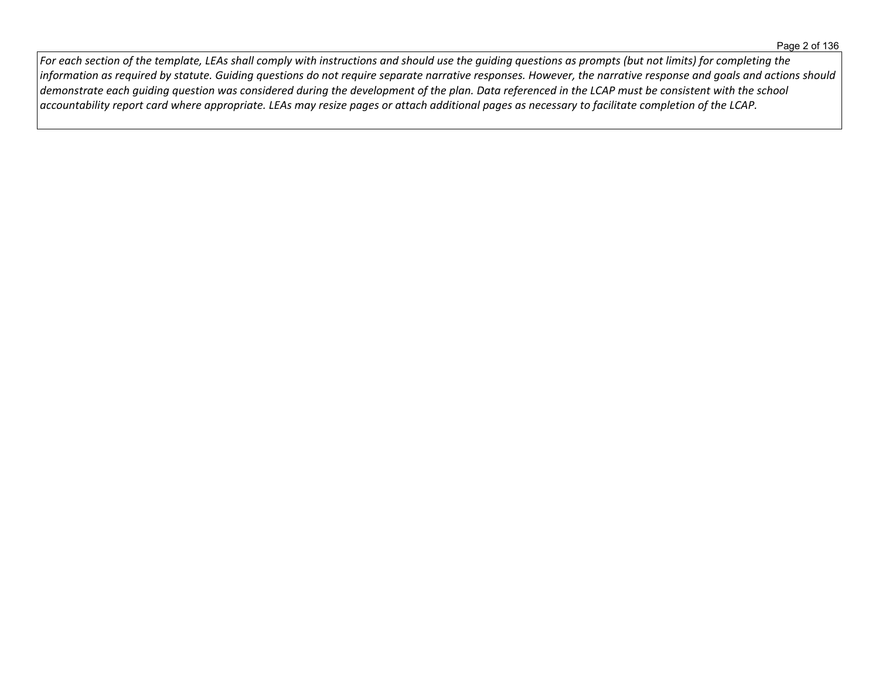For each section of the template, LEAs shall comply with instructions and should use the guiding questions as prompts (but not limits) for completing the information as required by statute. Guiding questions do not require separate narrative responses. However, the narrative response and goals and actions should demonstrate each guiding question was considered during the development of the plan. Data referenced in the LCAP must be consistent with the school  $\vert$  accountability report card where appropriate. LEAs may resize pages or attach additional pages as necessary to facilitate completion of the LCAP.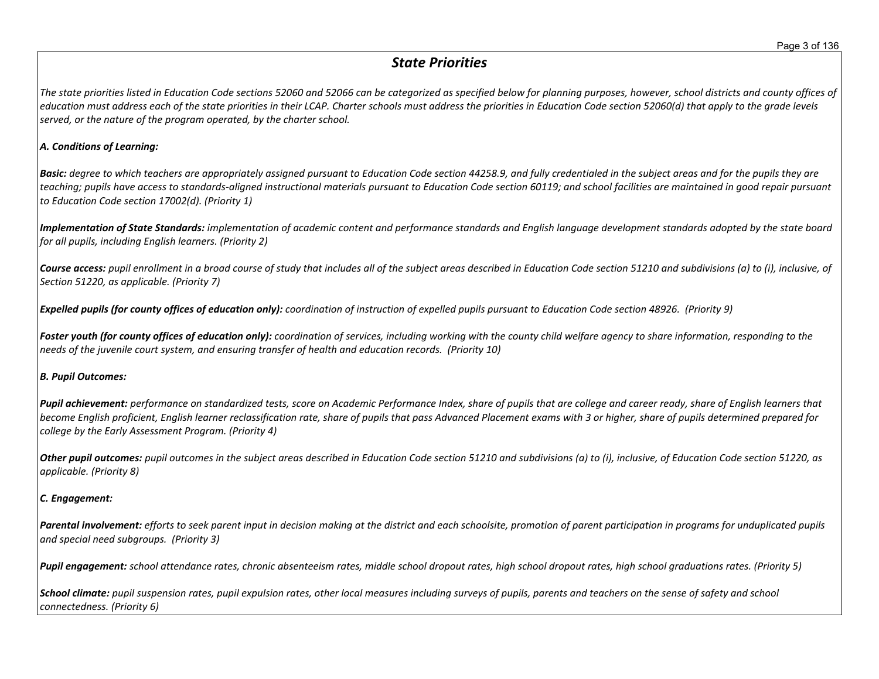# *State Priorities*

The state priorities listed in Education Code sections 52060 and 52066 can be categorized as specified below for planning purposes, however, school districts and county offices of education must address each of the state priorities in their LCAP. Charter schools must address the priorities in Education Code section 52060(d) that apply to the grade levels *served, or the nature of the program operated, by the charter school.*

#### *A. Conditions of Learning:*

**Basic:** degree to which teachers are appropriately assigned pursuant to Education Code section 44258.9, and fully credentialed in the subject areas and for the pupils they are teaching; pupils have access to standards-aligned instructional materials pursuant to Education Code section 60119; and school facilities are maintained in good repair pursuant *to Education Code section 17002(d). (Priority 1)*

Implementation of State Standards: implementation of academic content and performance standards and English language development standards adopted by the state board *for all pupils, including English learners. (Priority 2)*

Course access: pupil enrollment in a broad course of study that includes all of the subject areas described in Education Code section 51210 and subdivisions (a) to (i), inclusive, of *Section 51220, as applicable. (Priority 7)*

Expelled pupils (for county offices of education only): coordination of instruction of expelled pupils pursuant to Education Code section 48926. (Priority 9)

Foster youth (for county offices of education only): coordination of services, including working with the county child welfare agency to share information, responding to the *needs of the juvenile court system, and ensuring transfer of health and education records. (Priority 10)*

#### *B. Pupil Outcomes:*

Pupil achievement: performance on standardized tests, score on Academic Performance Index, share of pupils that are college and career ready, share of English learners that become English proficient, English learner reclassification rate, share of pupils that pass Advanced Placement exams with 3 or higher, share of pupils determined prepared for *college by the Early Assessment Program. (Priority 4)*

Other pupil outcomes: pupil outcomes in the subject areas described in Education Code section 51210 and subdivisions (a) to (i), inclusive, of Education Code section 51220, as *applicable. (Priority 8)* 

#### *C. Engagement:*

Parental involvement: efforts to seek parent input in decision making at the district and each schoolsite, promotion of parent participation in programs for unduplicated pupils *and special need subgroups. (Priority 3)*

Pupil engagement: school attendance rates, chronic absenteeism rates, middle school dropout rates, high school dropout rates, high school graduations rates. (Priority 5)

School climate: pupil suspension rates, pupil expulsion rates, other local measures including surveys of pupils, parents and teachers on the sense of safety and school *connectedness. (Priority 6)*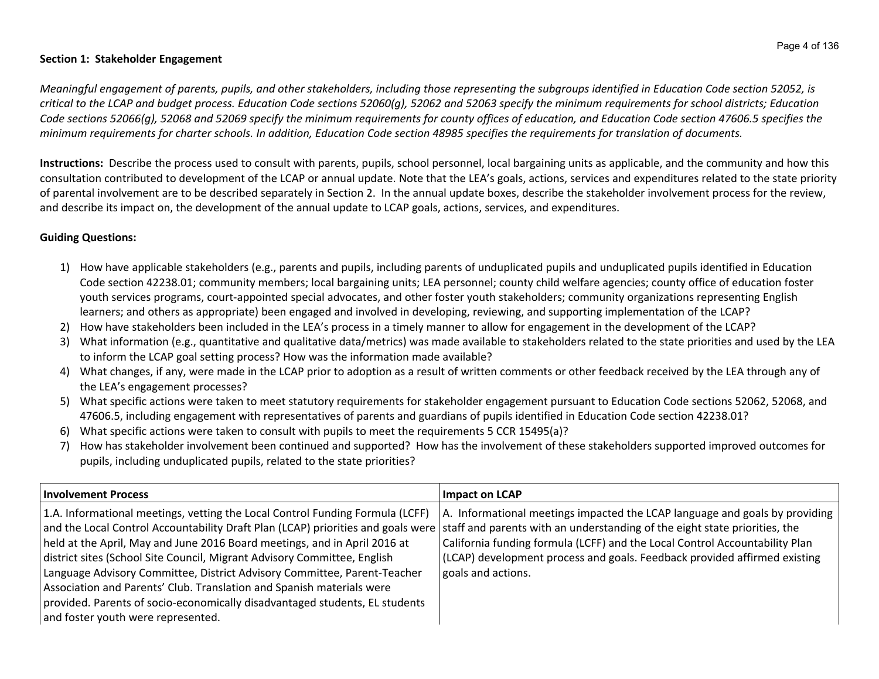#### **Section 1: Stakeholder Engagement**

Meaningful engagement of parents, pupils, and other stakeholders, including those representing the subgroups identified in Education Code section 52052, is critical to the LCAP and budget process. Education Code sections 52060(g), 52062 and 52063 specify the minimum requirements for school districts; Education Code sections 52066(g), 52068 and 52069 specify the minimum requirements for county offices of education, and Education Code section 47606.5 specifies the minimum requirements for charter schools. In addition, Education Code section 48985 specifies the requirements for translation of documents.

**Instructions:** Describe the process used to consult with parents, pupils, school personnel, local bargaining units as applicable, and the community and how this consultation contributed to development of the LCAP or annual update. Note that the LEA's goals, actions, services and expenditures related to the state priority of parental involvement are to be described separately in Section 2. In the annual update boxes, describe the stakeholder involvement process for the review, and describe its impact on, the development of the annual update to LCAP goals, actions, services, and expenditures.

#### **Guiding Questions:**

- 1) How have applicable stakeholders (e.g., parents and pupils, including parents of unduplicated pupils and unduplicated pupils identified in Education Code section 42238.01; community members; local bargaining units; LEA personnel; county child welfare agencies; county office of education foster youth services programs, court-appointed special advocates, and other foster youth stakeholders; community organizations representing English learners; and others as appropriate) been engaged and involved in developing, reviewing, and supporting implementation of the LCAP?
- 2) How have stakeholders been included in the LEA's process in a timely manner to allow for engagement in the development of the LCAP?
- 3) What information (e.g., quantitative and qualitative data/metrics) was made available to stakeholders related to the state priorities and used by the LEA to inform the LCAP goal setting process? How was the information made available?
- 4) What changes, if any, were made in the LCAP prior to adoption as a result of written comments or other feedback received by the LEA through any of the LEA's engagement processes?
- 5) What specific actions were taken to meet statutory requirements for stakeholder engagement pursuant to Education Code sections 52062, 52068, and 47606.5, including engagement with representatives of parents and guardians of pupils identified in Education Code section 42238.01?
- 6) What specific actions were taken to consult with pupils to meet the requirements 5 CCR 15495(a)?
- 7) How has stakeholder involvement been continued and supported? How has the involvement of these stakeholders supported improved outcomes for pupils, including unduplicated pupils, related to the state priorities?

| <b>Involvement Process</b>                                                                                                                                                                                                                                                                                                                                                                                                                                                                                                                                                                                                                                                                     | <b>Impact on LCAP</b>                                                                                                                                                                                                                                         |
|------------------------------------------------------------------------------------------------------------------------------------------------------------------------------------------------------------------------------------------------------------------------------------------------------------------------------------------------------------------------------------------------------------------------------------------------------------------------------------------------------------------------------------------------------------------------------------------------------------------------------------------------------------------------------------------------|---------------------------------------------------------------------------------------------------------------------------------------------------------------------------------------------------------------------------------------------------------------|
| 1.A. Informational meetings, vetting the Local Control Funding Formula (LCFF)<br>and the Local Control Accountability Draft Plan (LCAP) priorities and goals were staff and parents with an understanding of the eight state priorities, the $\overline{ }$<br>held at the April, May and June 2016 Board meetings, and in April 2016 at<br>district sites (School Site Council, Migrant Advisory Committee, English<br>Language Advisory Committee, District Advisory Committee, Parent-Teacher<br>Association and Parents' Club. Translation and Spanish materials were<br>provided. Parents of socio-economically disadvantaged students, EL students<br>and foster youth were represented. | A. Informational meetings impacted the LCAP language and goals by providing<br>California funding formula (LCFF) and the Local Control Accountability Plan<br>(LCAP) development process and goals. Feedback provided affirmed existing<br>goals and actions. |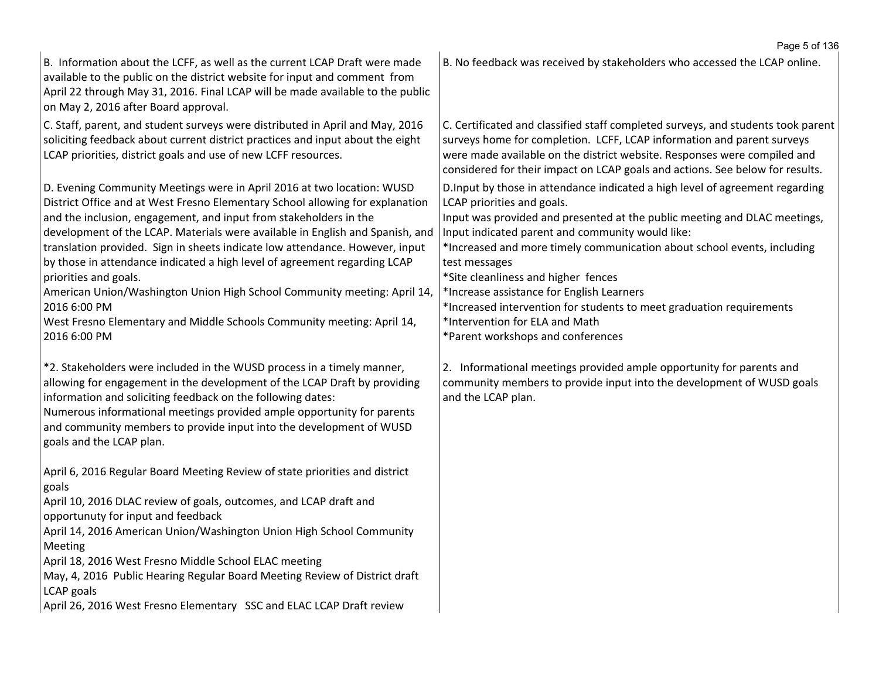|                                                                                                                                                                                                                                                                                                                                                                                                                                                                                                                                                                                                                                                                                           | Page 5 of 136                                                                                                                                                                                                                                                                                                                                                                                                                                                                                                                                                               |
|-------------------------------------------------------------------------------------------------------------------------------------------------------------------------------------------------------------------------------------------------------------------------------------------------------------------------------------------------------------------------------------------------------------------------------------------------------------------------------------------------------------------------------------------------------------------------------------------------------------------------------------------------------------------------------------------|-----------------------------------------------------------------------------------------------------------------------------------------------------------------------------------------------------------------------------------------------------------------------------------------------------------------------------------------------------------------------------------------------------------------------------------------------------------------------------------------------------------------------------------------------------------------------------|
| B. Information about the LCFF, as well as the current LCAP Draft were made<br>available to the public on the district website for input and comment from<br>April 22 through May 31, 2016. Final LCAP will be made available to the public<br>on May 2, 2016 after Board approval.                                                                                                                                                                                                                                                                                                                                                                                                        | B. No feedback was received by stakeholders who accessed the LCAP online.                                                                                                                                                                                                                                                                                                                                                                                                                                                                                                   |
| C. Staff, parent, and student surveys were distributed in April and May, 2016<br>soliciting feedback about current district practices and input about the eight<br>LCAP priorities, district goals and use of new LCFF resources.                                                                                                                                                                                                                                                                                                                                                                                                                                                         | C. Certificated and classified staff completed surveys, and students took parent<br>surveys home for completion. LCFF, LCAP information and parent surveys<br>were made available on the district website. Responses were compiled and<br>considered for their impact on LCAP goals and actions. See below for results.                                                                                                                                                                                                                                                     |
| D. Evening Community Meetings were in April 2016 at two location: WUSD<br>District Office and at West Fresno Elementary School allowing for explanation<br>and the inclusion, engagement, and input from stakeholders in the<br>development of the LCAP. Materials were available in English and Spanish, and<br>translation provided. Sign in sheets indicate low attendance. However, input<br>by those in attendance indicated a high level of agreement regarding LCAP<br>priorities and goals.<br>American Union/Washington Union High School Community meeting: April 14,<br>2016 6:00 PM<br>West Fresno Elementary and Middle Schools Community meeting: April 14,<br>2016 6:00 PM | D. Input by those in attendance indicated a high level of agreement regarding<br>LCAP priorities and goals.<br>Input was provided and presented at the public meeting and DLAC meetings,<br>Input indicated parent and community would like:<br>*Increased and more timely communication about school events, including<br>test messages<br>*Site cleanliness and higher fences<br>*Increase assistance for English Learners<br>*Increased intervention for students to meet graduation requirements<br>*Intervention for ELA and Math<br>*Parent workshops and conferences |
| *2. Stakeholders were included in the WUSD process in a timely manner,<br>allowing for engagement in the development of the LCAP Draft by providing<br>information and soliciting feedback on the following dates:<br>Numerous informational meetings provided ample opportunity for parents<br>and community members to provide input into the development of WUSD<br>goals and the LCAP plan.                                                                                                                                                                                                                                                                                           | 2. Informational meetings provided ample opportunity for parents and<br>community members to provide input into the development of WUSD goals<br>and the LCAP plan.                                                                                                                                                                                                                                                                                                                                                                                                         |
| April 6, 2016 Regular Board Meeting Review of state priorities and district<br>goals<br>April 10, 2016 DLAC review of goals, outcomes, and LCAP draft and<br>opportunuty for input and feedback<br>April 14, 2016 American Union/Washington Union High School Community<br>Meeting<br>April 18, 2016 West Fresno Middle School ELAC meeting<br>May, 4, 2016 Public Hearing Regular Board Meeting Review of District draft<br>LCAP goals<br>April 26, 2016 West Fresno Elementary SSC and ELAC LCAP Draft review                                                                                                                                                                           |                                                                                                                                                                                                                                                                                                                                                                                                                                                                                                                                                                             |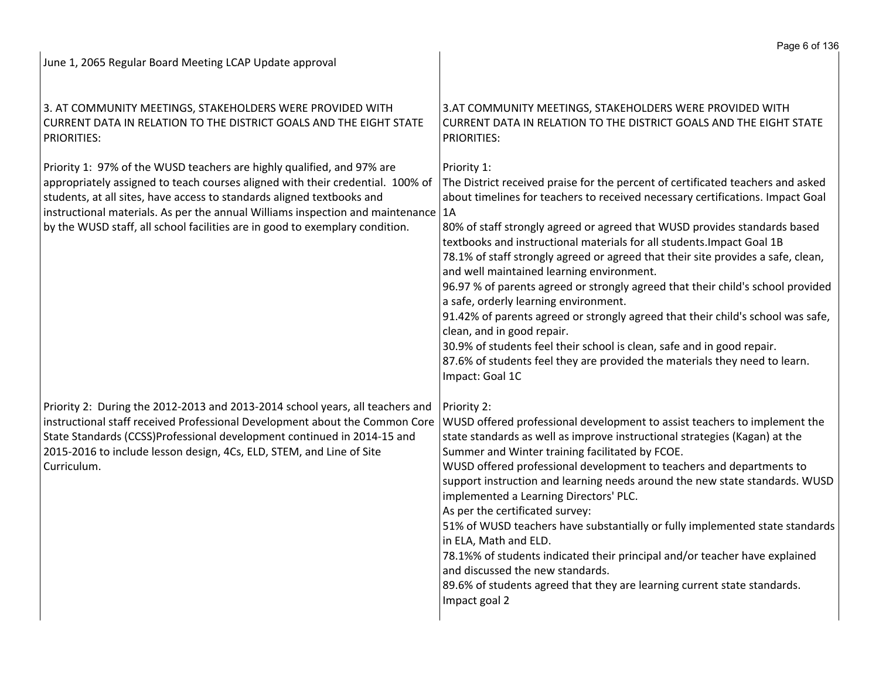|                                                                                                                                                                                                                                                                                                                                                                                                      | Page 6 of 136                                                                                                                                                                                                                                                                                                                                                                                                                                                                                                                                                                                                                                                                                                                                                                                                                                                                                          |
|------------------------------------------------------------------------------------------------------------------------------------------------------------------------------------------------------------------------------------------------------------------------------------------------------------------------------------------------------------------------------------------------------|--------------------------------------------------------------------------------------------------------------------------------------------------------------------------------------------------------------------------------------------------------------------------------------------------------------------------------------------------------------------------------------------------------------------------------------------------------------------------------------------------------------------------------------------------------------------------------------------------------------------------------------------------------------------------------------------------------------------------------------------------------------------------------------------------------------------------------------------------------------------------------------------------------|
| June 1, 2065 Regular Board Meeting LCAP Update approval                                                                                                                                                                                                                                                                                                                                              |                                                                                                                                                                                                                                                                                                                                                                                                                                                                                                                                                                                                                                                                                                                                                                                                                                                                                                        |
| 3. AT COMMUNITY MEETINGS, STAKEHOLDERS WERE PROVIDED WITH<br>CURRENT DATA IN RELATION TO THE DISTRICT GOALS AND THE EIGHT STATE<br><b>PRIORITIES:</b>                                                                                                                                                                                                                                                | 3.AT COMMUNITY MEETINGS, STAKEHOLDERS WERE PROVIDED WITH<br>CURRENT DATA IN RELATION TO THE DISTRICT GOALS AND THE EIGHT STATE<br><b>PRIORITIES:</b>                                                                                                                                                                                                                                                                                                                                                                                                                                                                                                                                                                                                                                                                                                                                                   |
| Priority 1: 97% of the WUSD teachers are highly qualified, and 97% are<br>appropriately assigned to teach courses aligned with their credential. 100% of<br>students, at all sites, have access to standards aligned textbooks and<br>instructional materials. As per the annual Williams inspection and maintenance<br>by the WUSD staff, all school facilities are in good to exemplary condition. | Priority 1:<br>The District received praise for the percent of certificated teachers and asked<br>about timelines for teachers to received necessary certifications. Impact Goal<br>1A<br>80% of staff strongly agreed or agreed that WUSD provides standards based<br>textbooks and instructional materials for all students. Impact Goal 1B<br>78.1% of staff strongly agreed or agreed that their site provides a safe, clean,<br>and well maintained learning environment.<br>96.97 % of parents agreed or strongly agreed that their child's school provided<br>a safe, orderly learning environment.<br>91.42% of parents agreed or strongly agreed that their child's school was safe,<br>clean, and in good repair.<br>30.9% of students feel their school is clean, safe and in good repair.<br>87.6% of students feel they are provided the materials they need to learn.<br>Impact: Goal 1C |
| Priority 2: During the 2012-2013 and 2013-2014 school years, all teachers and<br>instructional staff received Professional Development about the Common Core<br>State Standards (CCSS)Professional development continued in 2014-15 and<br>2015-2016 to include lesson design, 4Cs, ELD, STEM, and Line of Site<br>Curriculum.                                                                       | Priority 2:<br>WUSD offered professional development to assist teachers to implement the<br>state standards as well as improve instructional strategies (Kagan) at the<br>Summer and Winter training facilitated by FCOE.<br>WUSD offered professional development to teachers and departments to<br>support instruction and learning needs around the new state standards. WUSD<br>implemented a Learning Directors' PLC.<br>As per the certificated survey:<br>51% of WUSD teachers have substantially or fully implemented state standards<br>in ELA, Math and ELD.<br>78.1%% of students indicated their principal and/or teacher have explained<br>and discussed the new standards.<br>89.6% of students agreed that they are learning current state standards.<br>Impact goal 2                                                                                                                  |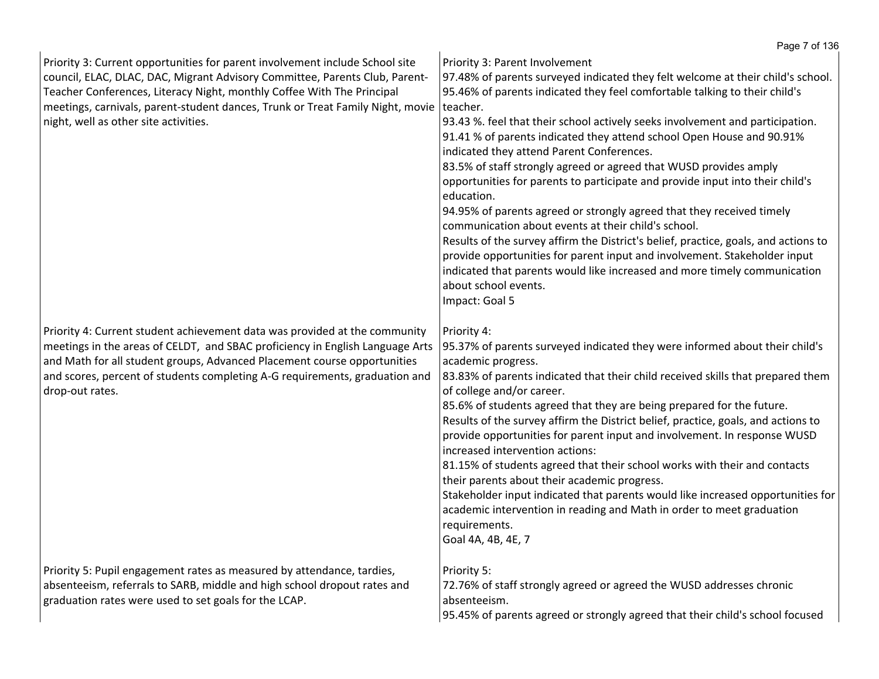| Priority 3: Current opportunities for parent involvement include School site<br>council, ELAC, DLAC, DAC, Migrant Advisory Committee, Parents Club, Parent-<br>Teacher Conferences, Literacy Night, monthly Coffee With The Principal<br>meetings, carnivals, parent-student dances, Trunk or Treat Family Night, movie<br>night, well as other site activities. | Priority 3: Parent Involvement<br>97.48% of parents surveyed indicated they felt welcome at their child's school.<br>95.46% of parents indicated they feel comfortable talking to their child's<br>teacher.<br>93.43 %. feel that their school actively seeks involvement and participation.<br>91.41 % of parents indicated they attend school Open House and 90.91%<br>indicated they attend Parent Conferences.<br>83.5% of staff strongly agreed or agreed that WUSD provides amply<br>opportunities for parents to participate and provide input into their child's<br>education.<br>94.95% of parents agreed or strongly agreed that they received timely<br>communication about events at their child's school.<br>Results of the survey affirm the District's belief, practice, goals, and actions to<br>provide opportunities for parent input and involvement. Stakeholder input<br>indicated that parents would like increased and more timely communication<br>about school events.<br>Impact: Goal 5 |
|------------------------------------------------------------------------------------------------------------------------------------------------------------------------------------------------------------------------------------------------------------------------------------------------------------------------------------------------------------------|-------------------------------------------------------------------------------------------------------------------------------------------------------------------------------------------------------------------------------------------------------------------------------------------------------------------------------------------------------------------------------------------------------------------------------------------------------------------------------------------------------------------------------------------------------------------------------------------------------------------------------------------------------------------------------------------------------------------------------------------------------------------------------------------------------------------------------------------------------------------------------------------------------------------------------------------------------------------------------------------------------------------|
| Priority 4: Current student achievement data was provided at the community<br>meetings in the areas of CELDT, and SBAC proficiency in English Language Arts<br>and Math for all student groups, Advanced Placement course opportunities<br>and scores, percent of students completing A-G requirements, graduation and<br>drop-out rates.                        | Priority 4:<br>95.37% of parents surveyed indicated they were informed about their child's<br>academic progress.<br>83.83% of parents indicated that their child received skills that prepared them<br>of college and/or career.<br>85.6% of students agreed that they are being prepared for the future.<br>Results of the survey affirm the District belief, practice, goals, and actions to<br>provide opportunities for parent input and involvement. In response WUSD<br>increased intervention actions:<br>81.15% of students agreed that their school works with their and contacts<br>their parents about their academic progress.<br>Stakeholder input indicated that parents would like increased opportunities for<br>academic intervention in reading and Math in order to meet graduation<br>requirements.<br>Goal 4A, 4B, 4E, 7                                                                                                                                                                     |
| Priority 5: Pupil engagement rates as measured by attendance, tardies,<br>absenteeism, referrals to SARB, middle and high school dropout rates and<br>graduation rates were used to set goals for the LCAP.                                                                                                                                                      | Priority 5:<br>72.76% of staff strongly agreed or agreed the WUSD addresses chronic<br>absenteeism.<br>95.45% of parents agreed or strongly agreed that their child's school focused                                                                                                                                                                                                                                                                                                                                                                                                                                                                                                                                                                                                                                                                                                                                                                                                                              |

Page 7 of 136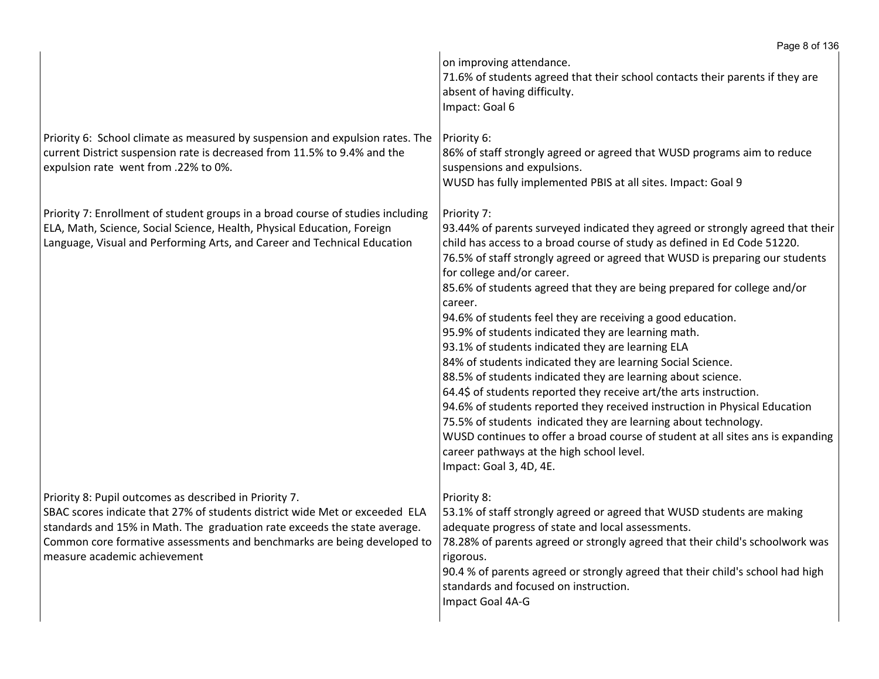|                                                                                                                                                                                                                                                                                                                               | Page 8 of 136                                                                                                                                                                                                                                                                                                                                                                                                                                                                                                                                                                                                                                                                                                                                                                                                                                                                                                                                                                                                                                                              |
|-------------------------------------------------------------------------------------------------------------------------------------------------------------------------------------------------------------------------------------------------------------------------------------------------------------------------------|----------------------------------------------------------------------------------------------------------------------------------------------------------------------------------------------------------------------------------------------------------------------------------------------------------------------------------------------------------------------------------------------------------------------------------------------------------------------------------------------------------------------------------------------------------------------------------------------------------------------------------------------------------------------------------------------------------------------------------------------------------------------------------------------------------------------------------------------------------------------------------------------------------------------------------------------------------------------------------------------------------------------------------------------------------------------------|
|                                                                                                                                                                                                                                                                                                                               | on improving attendance.<br>71.6% of students agreed that their school contacts their parents if they are<br>absent of having difficulty.<br>Impact: Goal 6                                                                                                                                                                                                                                                                                                                                                                                                                                                                                                                                                                                                                                                                                                                                                                                                                                                                                                                |
| Priority 6: School climate as measured by suspension and expulsion rates. The<br>current District suspension rate is decreased from 11.5% to 9.4% and the<br>expulsion rate went from .22% to 0%.                                                                                                                             | Priority 6:<br>86% of staff strongly agreed or agreed that WUSD programs aim to reduce<br>suspensions and expulsions.<br>WUSD has fully implemented PBIS at all sites. Impact: Goal 9                                                                                                                                                                                                                                                                                                                                                                                                                                                                                                                                                                                                                                                                                                                                                                                                                                                                                      |
| Priority 7: Enrollment of student groups in a broad course of studies including<br>ELA, Math, Science, Social Science, Health, Physical Education, Foreign<br>Language, Visual and Performing Arts, and Career and Technical Education                                                                                        | Priority 7:<br>93.44% of parents surveyed indicated they agreed or strongly agreed that their<br>child has access to a broad course of study as defined in Ed Code 51220.<br>76.5% of staff strongly agreed or agreed that WUSD is preparing our students<br>for college and/or career.<br>85.6% of students agreed that they are being prepared for college and/or<br>career.<br>94.6% of students feel they are receiving a good education.<br>95.9% of students indicated they are learning math.<br>93.1% of students indicated they are learning ELA<br>84% of students indicated they are learning Social Science.<br>88.5% of students indicated they are learning about science.<br>64.4\$ of students reported they receive art/the arts instruction.<br>94.6% of students reported they received instruction in Physical Education<br>75.5% of students indicated they are learning about technology.<br>WUSD continues to offer a broad course of student at all sites ans is expanding<br>career pathways at the high school level.<br>Impact: Goal 3, 4D, 4E. |
| Priority 8: Pupil outcomes as described in Priority 7.<br>SBAC scores indicate that 27% of students district wide Met or exceeded ELA<br>standards and 15% in Math. The graduation rate exceeds the state average.<br>Common core formative assessments and benchmarks are being developed to<br>measure academic achievement | Priority 8:<br>53.1% of staff strongly agreed or agreed that WUSD students are making<br>adequate progress of state and local assessments.<br>78.28% of parents agreed or strongly agreed that their child's schoolwork was<br>rigorous.<br>90.4 % of parents agreed or strongly agreed that their child's school had high<br>standards and focused on instruction.<br>Impact Goal 4A-G                                                                                                                                                                                                                                                                                                                                                                                                                                                                                                                                                                                                                                                                                    |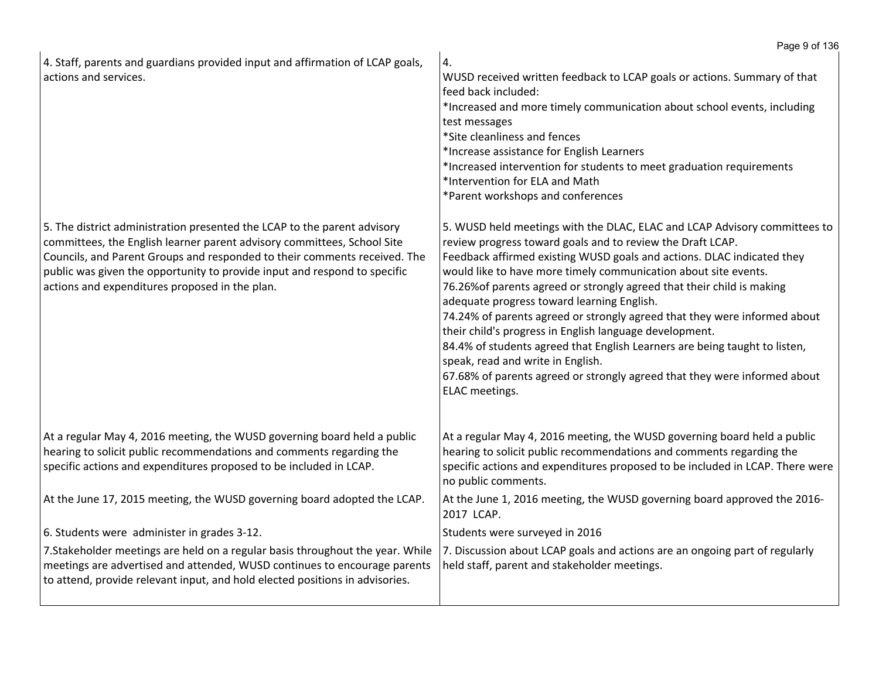| 4. Staff, parents and guardians provided input and affirmation of LCAP goals,<br>actions and services.<br>5. The district administration presented the LCAP to the parent advisory<br>committees, the English learner parent advisory committees, School Site<br>Councils, and Parent Groups and responded to their comments received. The<br>public was given the opportunity to provide input and respond to specific<br>actions and expenditures proposed in the plan. | 4.<br>WUSD received written feedback to LCAP goals or actions. Summary of that<br>feed back included:<br>*Increased and more timely communication about school events, including<br>test messages<br>*Site cleanliness and fences<br>*Increase assistance for English Learners<br>*Increased intervention for students to meet graduation requirements<br>*Intervention for ELA and Math<br>*Parent workshops and conferences<br>5. WUSD held meetings with the DLAC, ELAC and LCAP Advisory committees to<br>review progress toward goals and to review the Draft LCAP.<br>Feedback affirmed existing WUSD goals and actions. DLAC indicated they<br>would like to have more timely communication about site events.<br>76.26% of parents agreed or strongly agreed that their child is making<br>adequate progress toward learning English.<br>74.24% of parents agreed or strongly agreed that they were informed about<br>their child's progress in English language development.<br>84.4% of students agreed that English Learners are being taught to listen,<br>speak, read and write in English.<br>67.68% of parents agreed or strongly agreed that they were informed about<br>ELAC meetings. |
|---------------------------------------------------------------------------------------------------------------------------------------------------------------------------------------------------------------------------------------------------------------------------------------------------------------------------------------------------------------------------------------------------------------------------------------------------------------------------|---------------------------------------------------------------------------------------------------------------------------------------------------------------------------------------------------------------------------------------------------------------------------------------------------------------------------------------------------------------------------------------------------------------------------------------------------------------------------------------------------------------------------------------------------------------------------------------------------------------------------------------------------------------------------------------------------------------------------------------------------------------------------------------------------------------------------------------------------------------------------------------------------------------------------------------------------------------------------------------------------------------------------------------------------------------------------------------------------------------------------------------------------------------------------------------------------------|
| At a regular May 4, 2016 meeting, the WUSD governing board held a public<br>hearing to solicit public recommendations and comments regarding the<br>specific actions and expenditures proposed to be included in LCAP.                                                                                                                                                                                                                                                    | At a regular May 4, 2016 meeting, the WUSD governing board held a public<br>hearing to solicit public recommendations and comments regarding the<br>specific actions and expenditures proposed to be included in LCAP. There were<br>no public comments.                                                                                                                                                                                                                                                                                                                                                                                                                                                                                                                                                                                                                                                                                                                                                                                                                                                                                                                                                |
| At the June 17, 2015 meeting, the WUSD governing board adopted the LCAP.                                                                                                                                                                                                                                                                                                                                                                                                  | At the June 1, 2016 meeting, the WUSD governing board approved the 2016-<br>2017 LCAP.                                                                                                                                                                                                                                                                                                                                                                                                                                                                                                                                                                                                                                                                                                                                                                                                                                                                                                                                                                                                                                                                                                                  |
| 6. Students were administer in grades 3-12.                                                                                                                                                                                                                                                                                                                                                                                                                               | Students were surveyed in 2016                                                                                                                                                                                                                                                                                                                                                                                                                                                                                                                                                                                                                                                                                                                                                                                                                                                                                                                                                                                                                                                                                                                                                                          |
| 7. Stakeholder meetings are held on a regular basis throughout the year. While<br>meetings are advertised and attended, WUSD continues to encourage parents<br>to attend, provide relevant input, and hold elected positions in advisories.                                                                                                                                                                                                                               | 7. Discussion about LCAP goals and actions are an ongoing part of regularly<br>held staff, parent and stakeholder meetings.                                                                                                                                                                                                                                                                                                                                                                                                                                                                                                                                                                                                                                                                                                                                                                                                                                                                                                                                                                                                                                                                             |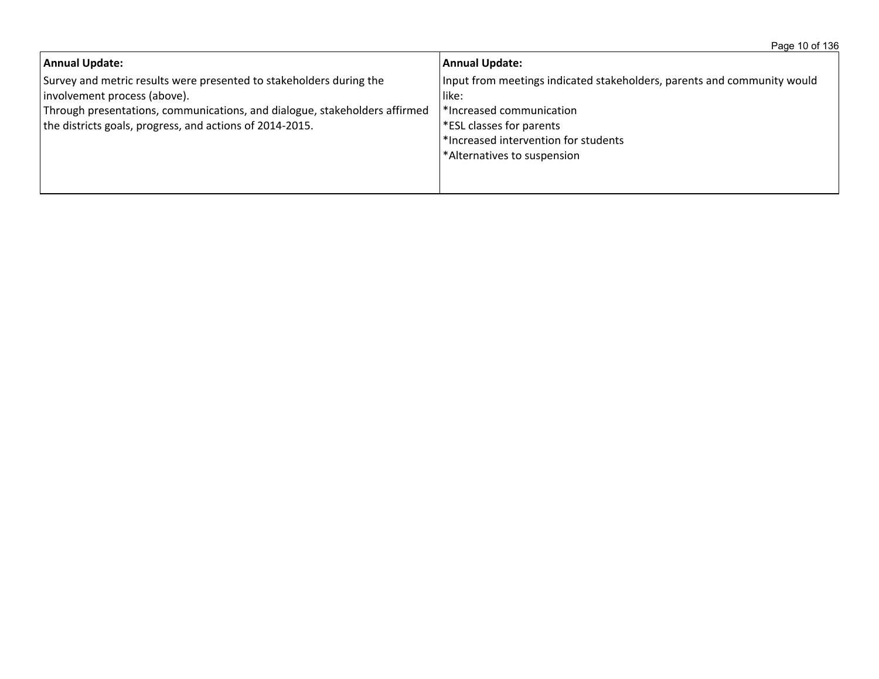|                                                                                                                                                                                                                                               | Page 10 of 136                                                                                                                                                                                                  |
|-----------------------------------------------------------------------------------------------------------------------------------------------------------------------------------------------------------------------------------------------|-----------------------------------------------------------------------------------------------------------------------------------------------------------------------------------------------------------------|
| Annual Update:                                                                                                                                                                                                                                | <b>Annual Update:</b>                                                                                                                                                                                           |
| Survey and metric results were presented to stakeholders during the<br>involvement process (above).<br>Through presentations, communications, and dialogue, stakeholders affirmed<br>the districts goals, progress, and actions of 2014-2015. | Input from meetings indicated stakeholders, parents and community would<br>like:<br>*Increased communication<br>*ESL classes for parents<br>*Increased intervention for students<br>*Alternatives to suspension |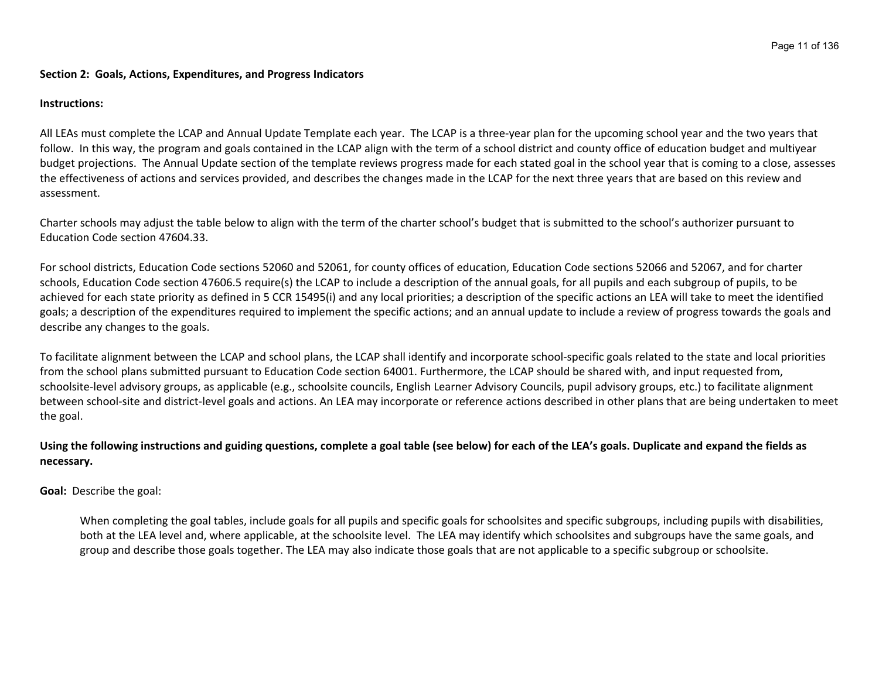#### **Section 2: Goals, Actions, Expenditures, and Progress Indicators**

#### **Instructions:**

All LEAs must complete the LCAP and Annual Update Template each year. The LCAP is a three-year plan for the upcoming school year and the two years that follow. In this way, the program and goals contained in the LCAP align with the term of a school district and county office of education budget and multiyear budget projections. The Annual Update section of the template reviews progress made for each stated goal in the school year that is coming to a close, assesses the effectiveness of actions and services provided, and describes the changes made in the LCAP for the next three years that are based on this review and assessment.

Charter schools may adjust the table below to align with the term of the charter school's budget that is submitted to the school's authorizer pursuant to Education Code section 47604.33.

For school districts, Education Code sections 52060 and 52061, for county offices of education, Education Code sections 52066 and 52067, and for charter schools, Education Code section 47606.5 require(s) the LCAP to include a description of the annual goals, for all pupils and each subgroup of pupils, to be achieved for each state priority as defined in 5 CCR 15495(i) and any local priorities; a description of the specific actions an LEA will take to meet the identified goals; a description of the expenditures required to implement the specific actions; and an annual update to include a review of progress towards the goals and describe any changes to the goals.

To facilitate alignment between the LCAP and school plans, the LCAP shall identify and incorporate school-specific goals related to the state and local priorities from the school plans submitted pursuant to Education Code section 64001. Furthermore, the LCAP should be shared with, and input requested from, schoolsite-level advisory groups, as applicable (e.g., schoolsite councils, English Learner Advisory Councils, pupil advisory groups, etc.) to facilitate alignment between school-site and district-level goals and actions. An LEA may incorporate or reference actions described in other plans that are being undertaken to meet the goal.

### Using the following instructions and guiding questions, complete a goal table (see below) for each of the LEA's goals. Duplicate and expand the fields as **necessary.**

**Goal:** Describe the goal:

When completing the goal tables, include goals for all pupils and specific goals for schoolsites and specific subgroups, including pupils with disabilities, both at the LEA level and, where applicable, at the schoolsite level. The LEA may identify which schoolsites and subgroups have the same goals, and group and describe those goals together. The LEA may also indicate those goals that are not applicable to a specific subgroup or schoolsite.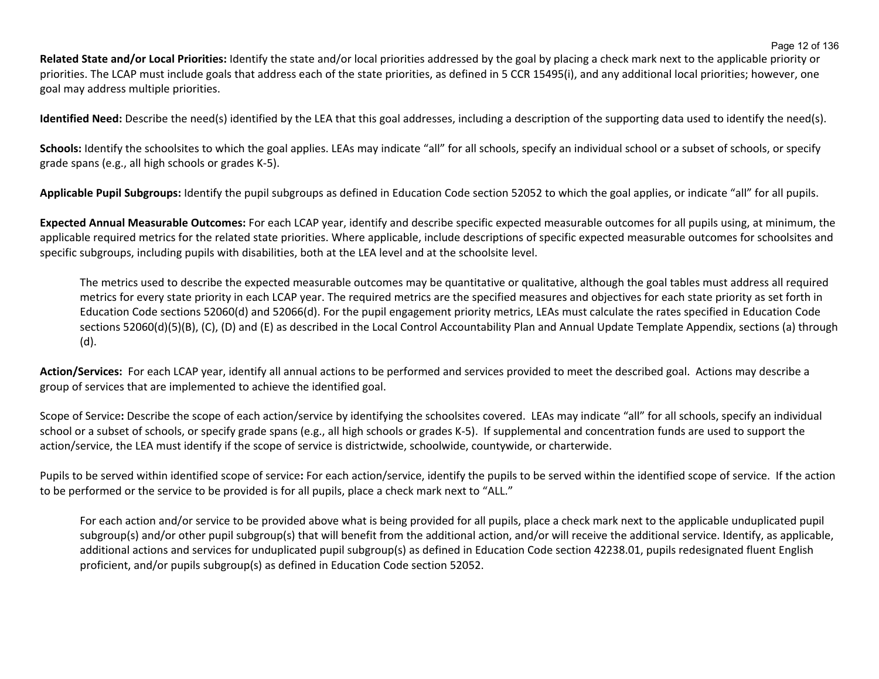Page 12 of 136

**Related State and/or Local Priorities:** Identify the state and/or local priorities addressed by the goal by placing a check mark next to the applicable priority or priorities. The LCAP must include goals that address each of the state priorities, as defined in 5 CCR 15495(i), and any additional local priorities; however, one goal may address multiple priorities.

**Identified Need:** Describe the need(s) identified by the LEA that this goal addresses, including a description of the supporting data used to identify the need(s).

Schools: Identify the schoolsites to which the goal applies. LEAs may indicate "all" for all schools, specify an individual school or a subset of schools, or specify grade spans (e.g., all high schools or grades K-5).

**Applicable Pupil Subgroups:** Identify the pupil subgroups as defined in Education Code section 52052 to which the goal applies, or indicate "all" for all pupils.

**Expected Annual Measurable Outcomes:** For each LCAP year, identify and describe specific expected measurable outcomes for all pupils using, at minimum, the applicable required metrics for the related state priorities. Where applicable, include descriptions of specific expected measurable outcomes for schoolsites and specific subgroups, including pupils with disabilities, both at the LEA level and at the schoolsite level.

The metrics used to describe the expected measurable outcomes may be quantitative or qualitative, although the goal tables must address all required metrics for every state priority in each LCAP year. The required metrics are the specified measures and objectives for each state priority as set forth in Education Code sections 52060(d) and 52066(d). For the pupil engagement priority metrics, LEAs must calculate the rates specified in Education Code sections 52060(d)(5)(B), (C), (D) and (E) as described in the Local Control Accountability Plan and Annual Update Template Appendix, sections (a) through (d).

**Action/Services:** For each LCAP year, identify all annual actions to be performed and services provided to meet the described goal. Actions may describe a group of services that are implemented to achieve the identified goal.

Scope of Service**:** Describe the scope of each action/service by identifying the schoolsites covered. LEAs may indicate "all" for all schools, specify an individual school or a subset of schools, or specify grade spans (e.g., all high schools or grades K-5). If supplemental and concentration funds are used to support the action/service, the LEA must identify if the scope of service is districtwide, schoolwide, countywide, or charterwide.

Pupils to be served within identified scope of service**:** For each action/service, identify the pupils to be served within the identified scope of service. If the action to be performed or the service to be provided is for all pupils, place a check mark next to "ALL."

For each action and/or service to be provided above what is being provided for all pupils, place a check mark next to the applicable unduplicated pupil subgroup(s) and/or other pupil subgroup(s) that will benefit from the additional action, and/or will receive the additional service. Identify, as applicable, additional actions and services for unduplicated pupil subgroup(s) as defined in Education Code section 42238.01, pupils redesignated fluent English proficient, and/or pupils subgroup(s) as defined in Education Code section 52052.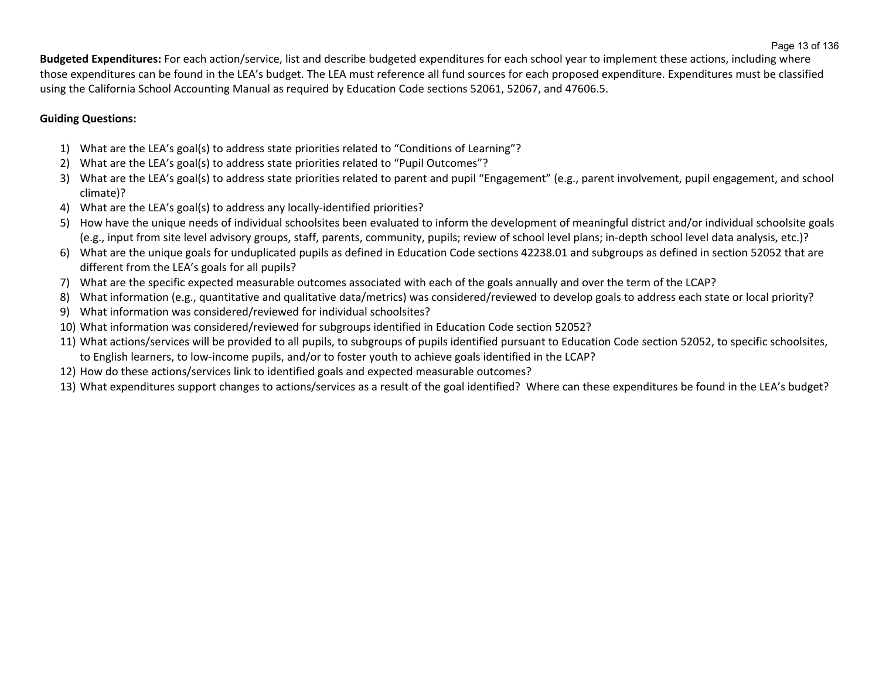**Budgeted Expenditures:** For each action/service, list and describe budgeted expenditures for each school year to implement these actions, including where those expenditures can be found in the LEA's budget. The LEA must reference all fund sources for each proposed expenditure. Expenditures must be classified using the California School Accounting Manual as required by Education Code sections 52061, 52067, and 47606.5.

### **Guiding Questions:**

- 1) What are the LEA's goal(s) to address state priorities related to "Conditions of Learning"?
- 2) What are the LEA's goal(s) to address state priorities related to "Pupil Outcomes"?
- 3) What are the LEA's goal(s) to address state priorities related to parent and pupil "Engagement" (e.g., parent involvement, pupil engagement, and school climate)?
- 4) What are the LEA's goal(s) to address any locally-identified priorities?
- 5) How have the unique needs of individual schoolsites been evaluated to inform the development of meaningful district and/or individual schoolsite goals (e.g., input from site level advisory groups, staff, parents, community, pupils; review of school level plans; in-depth school level data analysis, etc.)?
- 6) What are the unique goals for unduplicated pupils as defined in Education Code sections 42238.01 and subgroups as defined in section 52052 that are different from the LEA's goals for all pupils?
- 7) What are the specific expected measurable outcomes associated with each of the goals annually and over the term of the LCAP?
- 8) What information (e.g., quantitative and qualitative data/metrics) was considered/reviewed to develop goals to address each state or local priority?
- 9) What information was considered/reviewed for individual schoolsites?
- 10) What information was considered/reviewed for subgroups identified in Education Code section 52052?
- 11) What actions/services will be provided to all pupils, to subgroups of pupils identified pursuant to Education Code section 52052, to specific schoolsites, to English learners, to low-income pupils, and/or to foster youth to achieve goals identified in the LCAP?
- 12) How do these actions/services link to identified goals and expected measurable outcomes?
- 13) What expenditures support changes to actions/services as a result of the goal identified? Where can these expenditures be found in the LEA's budget?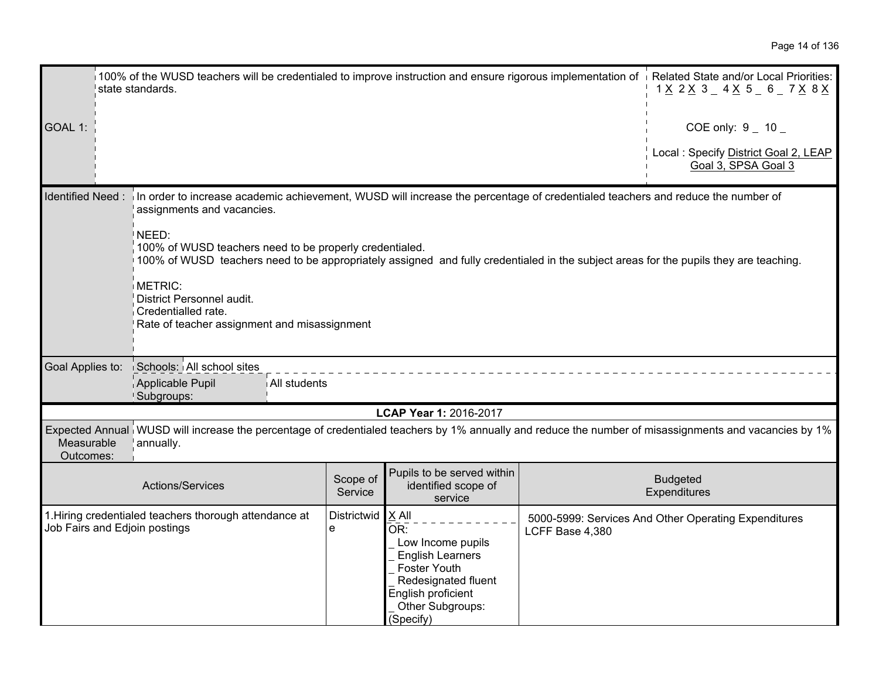|                                                                                                                                                                                                                                                                                                                                                                                                                                                                                                                                                               | 100% of the WUSD teachers will be credentialed to improve instruction and ensure rigorous implementation of Related State and/or Local Priorities:<br>state standards.<br>$1 \times 2 \times 3 = 4 \times 5 = 6 = 7 \times 8 \times 1$ |                     |                                                                                                                                                                                     |                 |                                                             |
|---------------------------------------------------------------------------------------------------------------------------------------------------------------------------------------------------------------------------------------------------------------------------------------------------------------------------------------------------------------------------------------------------------------------------------------------------------------------------------------------------------------------------------------------------------------|----------------------------------------------------------------------------------------------------------------------------------------------------------------------------------------------------------------------------------------|---------------------|-------------------------------------------------------------------------------------------------------------------------------------------------------------------------------------|-----------------|-------------------------------------------------------------|
| GOAL 1:                                                                                                                                                                                                                                                                                                                                                                                                                                                                                                                                                       |                                                                                                                                                                                                                                        |                     |                                                                                                                                                                                     |                 | COE only: $9 - 10$                                          |
|                                                                                                                                                                                                                                                                                                                                                                                                                                                                                                                                                               |                                                                                                                                                                                                                                        |                     |                                                                                                                                                                                     |                 | Local: Specify District Goal 2, LEAP<br>Goal 3, SPSA Goal 3 |
| Identified Need:<br>In order to increase academic achievement, WUSD will increase the percentage of credentialed teachers and reduce the number of<br>assignments and vacancies.<br>NEED:<br>100% of WUSD teachers need to be properly credentialed.<br>100% of WUSD teachers need to be appropriately assigned and fully credentialed in the subject areas for the pupils they are teaching.<br>METRIC:<br>District Personnel audit.<br>Credentialled rate.<br>Rate of teacher assignment and misassignment<br>Schools: All school sites<br>Goal Applies to: |                                                                                                                                                                                                                                        |                     |                                                                                                                                                                                     |                 |                                                             |
| Applicable Pupil<br>All students<br>Subgroups:                                                                                                                                                                                                                                                                                                                                                                                                                                                                                                                |                                                                                                                                                                                                                                        |                     |                                                                                                                                                                                     |                 |                                                             |
| LCAP Year 1: 2016-2017                                                                                                                                                                                                                                                                                                                                                                                                                                                                                                                                        |                                                                                                                                                                                                                                        |                     |                                                                                                                                                                                     |                 |                                                             |
| Expected Annual WUSD will increase the percentage of credentialed teachers by 1% annually and reduce the number of misassignments and vacancies by 1%<br>Measurable<br>annually.<br>Outcomes:                                                                                                                                                                                                                                                                                                                                                                 |                                                                                                                                                                                                                                        |                     |                                                                                                                                                                                     |                 |                                                             |
|                                                                                                                                                                                                                                                                                                                                                                                                                                                                                                                                                               | Actions/Services                                                                                                                                                                                                                       | Scope of<br>Service | Pupils to be served within<br>identified scope of<br>service                                                                                                                        |                 | <b>Budgeted</b><br>Expenditures                             |
| Job Fairs and Edjoin postings                                                                                                                                                                                                                                                                                                                                                                                                                                                                                                                                 | 1. Hiring credentialed teachers thorough attendance at                                                                                                                                                                                 | Districtwid<br>e    | $X$ All<br>$\overline{\mathsf{OR}}$ :<br>Low Income pupils<br><b>English Learners</b><br>Foster Youth<br>Redesignated fluent<br>English proficient<br>Other Subgroups:<br>(Specify) | LCFF Base 4,380 | 5000-5999: Services And Other Operating Expenditures        |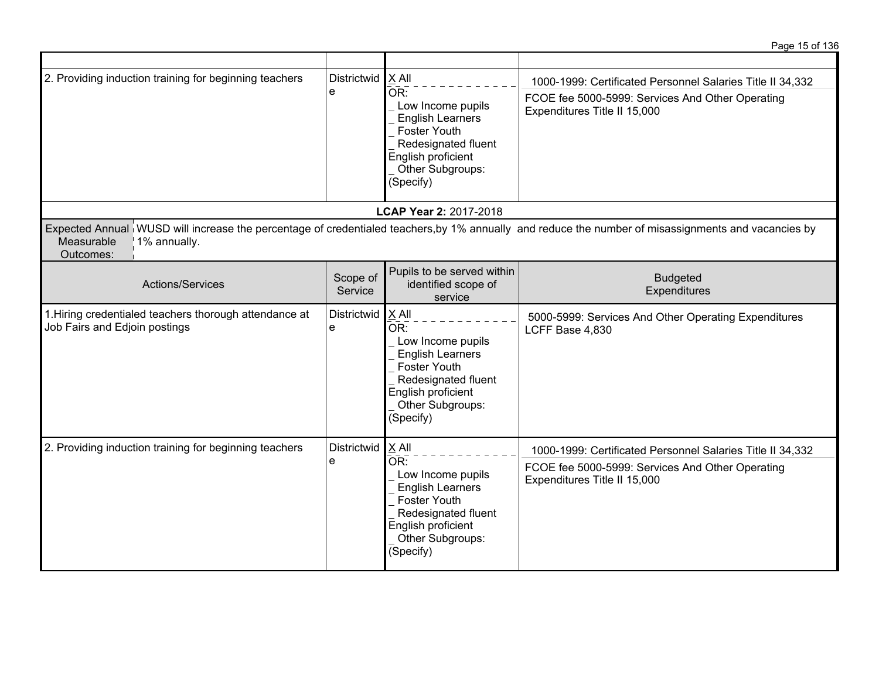| 2. Providing induction training for beginning teachers                                  | Districtwid<br>e    | $X$ All<br>$\bar{\mathsf{OR}}$ :<br>Low Income pupils<br><b>English Learners</b><br><b>Foster Youth</b><br>Redesignated fluent<br>English proficient<br>Other Subgroups:<br>(Specify) | 1000-1999: Certificated Personnel Salaries Title II 34,332<br>FCOE fee 5000-5999: Services And Other Operating<br>Expenditures Title II 15,000      |
|-----------------------------------------------------------------------------------------|---------------------|---------------------------------------------------------------------------------------------------------------------------------------------------------------------------------------|-----------------------------------------------------------------------------------------------------------------------------------------------------|
|                                                                                         |                     | LCAP Year 2: 2017-2018                                                                                                                                                                |                                                                                                                                                     |
| Measurable<br>1% annually.<br>Outcomes:                                                 |                     |                                                                                                                                                                                       | Expected Annual WUSD will increase the percentage of credentialed teachers, by 1% annually and reduce the number of misassignments and vacancies by |
| Actions/Services                                                                        | Scope of<br>Service | Pupils to be served within<br>identified scope of<br>service                                                                                                                          | <b>Budgeted</b><br>Expenditures                                                                                                                     |
| 1. Hiring credentialed teachers thorough attendance at<br>Job Fairs and Edjoin postings | Districtwid<br>e    | $X$ All<br>OR:<br>Low Income pupils<br><b>English Learners</b><br><b>Foster Youth</b><br>Redesignated fluent<br>English proficient<br>Other Subgroups:<br>(Specify)                   | 5000-5999: Services And Other Operating Expenditures<br>LCFF Base 4,830                                                                             |
| 2. Providing induction training for beginning teachers                                  | Districtwid<br>e    | X All<br>OR:<br>Low Income pupils<br><b>English Learners</b><br>Foster Youth<br>Redesignated fluent<br>English proficient<br>Other Subgroups:<br>(Specify)                            | 1000-1999: Certificated Personnel Salaries Title II 34,332<br>FCOE fee 5000-5999: Services And Other Operating<br>Expenditures Title II 15,000      |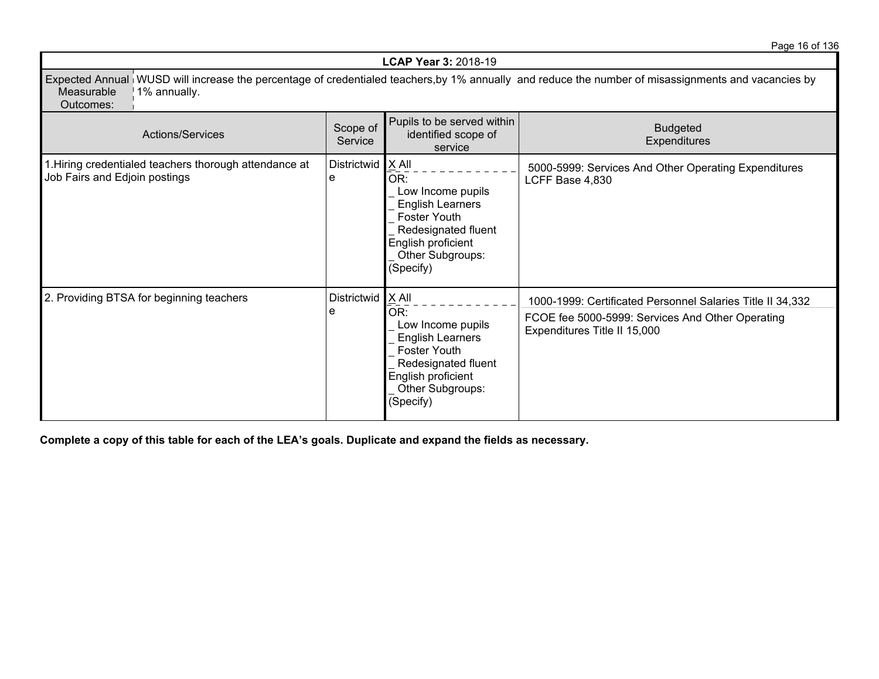Page 16 of 136

| <b>LCAP Year 3: 2018-19</b>                                                                                                                                                                    |                     |                                                                                                                                                                   |                                                                                                                                                |  |
|------------------------------------------------------------------------------------------------------------------------------------------------------------------------------------------------|---------------------|-------------------------------------------------------------------------------------------------------------------------------------------------------------------|------------------------------------------------------------------------------------------------------------------------------------------------|--|
| Expected Annual WUSD will increase the percentage of credentialed teachers, by 1% annually and reduce the number of misassignments and vacancies by<br>Measurable<br>1% annually.<br>Outcomes: |                     |                                                                                                                                                                   |                                                                                                                                                |  |
| <b>Actions/Services</b>                                                                                                                                                                        | Scope of<br>Service | Pupils to be served within<br>identified scope of<br>service                                                                                                      | <b>Budgeted</b><br>Expenditures                                                                                                                |  |
| 1. Hiring credentialed teachers thorough attendance at<br>Job Fairs and Edjoin postings                                                                                                        | Districtwid<br>e    | X aii<br>OR:<br>Low Income pupils<br><b>English Learners</b><br><b>Foster Youth</b><br>Redesignated fluent<br>English proficient<br>Other Subgroups:<br>(Specify) | 5000-5999: Services And Other Operating Expenditures<br>LCFF Base 4,830                                                                        |  |
| 2. Providing BTSA for beginning teachers                                                                                                                                                       | Districtwid<br>е    | X All<br>OR:<br>Low Income pupils<br><b>English Learners</b><br>Foster Youth<br>Redesignated fluent<br>English proficient<br>Other Subgroups:<br>(Specify)        | 1000-1999: Certificated Personnel Salaries Title II 34,332<br>FCOE fee 5000-5999: Services And Other Operating<br>Expenditures Title II 15,000 |  |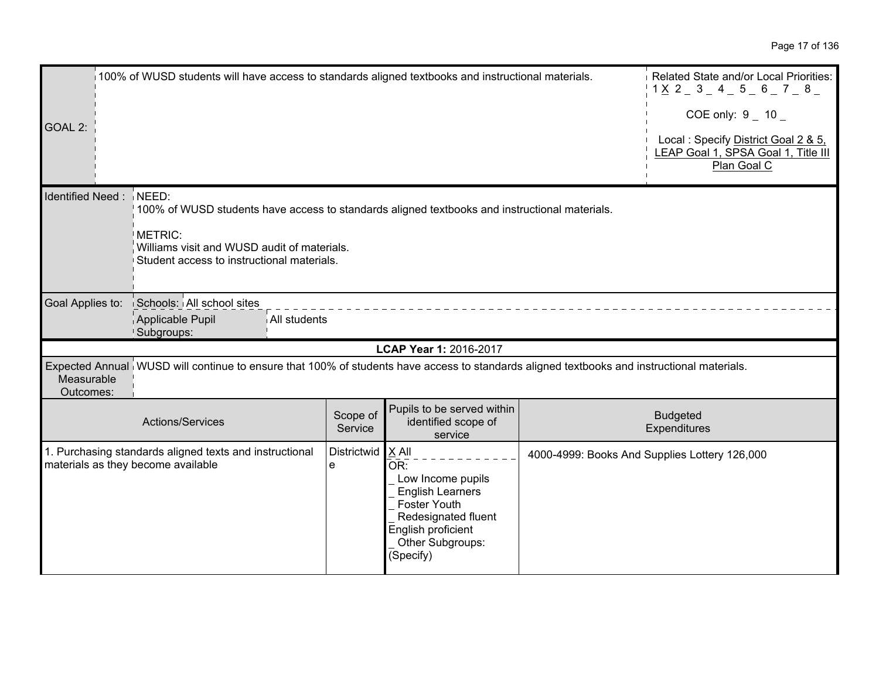|                         | Related State and/or Local Priorities:<br>100% of WUSD students will have access to standards aligned textbooks and instructional materials.<br>$1 \times 2 = 3 = 4 = 5 = 6 = 7 = 8 = 1$                                               |                     |                                                                                                                                                                   |  |                                                                                           |
|-------------------------|----------------------------------------------------------------------------------------------------------------------------------------------------------------------------------------------------------------------------------------|---------------------|-------------------------------------------------------------------------------------------------------------------------------------------------------------------|--|-------------------------------------------------------------------------------------------|
|                         |                                                                                                                                                                                                                                        |                     |                                                                                                                                                                   |  | COE only: $9 - 10$                                                                        |
| GOAL 2:                 |                                                                                                                                                                                                                                        |                     |                                                                                                                                                                   |  | Local: Specify District Goal 2 & 5,<br>LEAP Goal 1, SPSA Goal 1, Title III<br>Plan Goal C |
|                         | Identified Need: NEED:<br>100% of WUSD students have access to standards aligned textbooks and instructional materials.<br><b>METRIC:</b><br>Williams visit and WUSD audit of materials.<br>Student access to instructional materials. |                     |                                                                                                                                                                   |  |                                                                                           |
|                         |                                                                                                                                                                                                                                        |                     |                                                                                                                                                                   |  |                                                                                           |
|                         | Schools: All school sites<br>Goal Applies to:<br>Applicable Pupil<br>All students<br>Subgroups:                                                                                                                                        |                     |                                                                                                                                                                   |  |                                                                                           |
| LCAP Year 1: 2016-2017  |                                                                                                                                                                                                                                        |                     |                                                                                                                                                                   |  |                                                                                           |
| Measurable<br>Outcomes: | Expected Annual WUSD will continue to ensure that 100% of students have access to standards aligned textbooks and instructional materials.                                                                                             |                     |                                                                                                                                                                   |  |                                                                                           |
|                         | Actions/Services                                                                                                                                                                                                                       | Scope of<br>Service | Pupils to be served within<br>identified scope of<br>service                                                                                                      |  | <b>Budgeted</b><br>Expenditures                                                           |
|                         | Purchasing standards aligned texts and instructional<br>materials as they become available                                                                                                                                             | Districtwid<br>e    | X All<br>OR:<br>Low Income pupils<br><b>English Learners</b><br><b>Foster Youth</b><br>Redesignated fluent<br>English proficient<br>Other Subgroups:<br>(Specify) |  | 4000-4999: Books And Supplies Lottery 126,000                                             |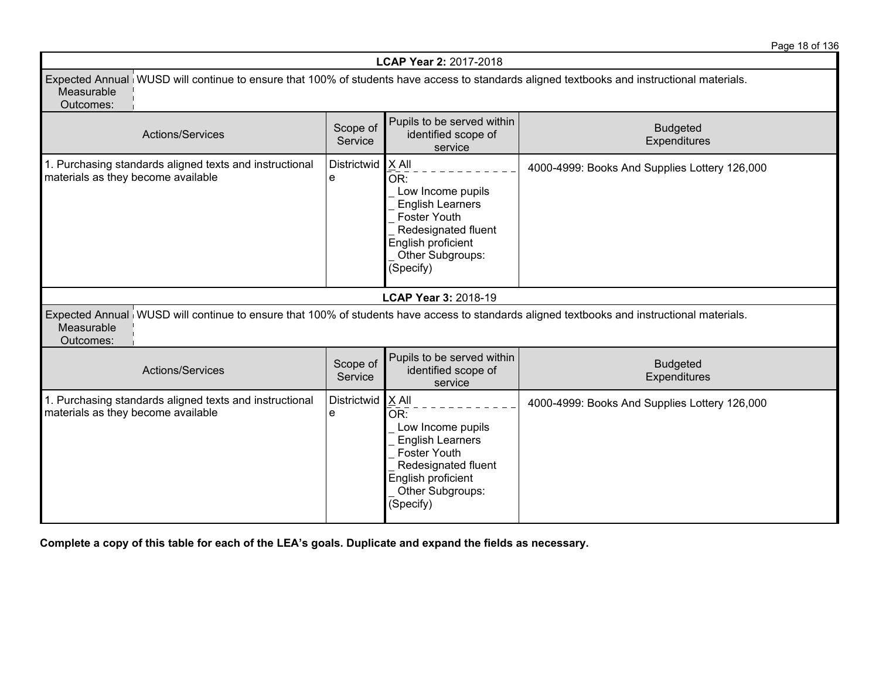Page 18 of 136

| LCAP Year 2: 2017-2018                                                                                                                                                |                          |                                                                                                                                                              |                                               |  |
|-----------------------------------------------------------------------------------------------------------------------------------------------------------------------|--------------------------|--------------------------------------------------------------------------------------------------------------------------------------------------------------|-----------------------------------------------|--|
| Expected Annual WUSD will continue to ensure that 100% of students have access to standards aligned textbooks and instructional materials.<br>Measurable<br>Outcomes: |                          |                                                                                                                                                              |                                               |  |
| <b>Actions/Services</b>                                                                                                                                               | Scope of<br>Service      | Pupils to be served within<br>identified scope of<br>service                                                                                                 | <b>Budgeted</b><br>Expenditures               |  |
| 1. Purchasing standards aligned texts and instructional<br>materials as they become available                                                                         | Districtwid   X All<br>e | OR:<br>Low Income pupils<br><b>English Learners</b><br>Foster Youth<br>Redesignated fluent<br>English proficient<br>Other Subgroups:<br>(Specify)            | 4000-4999: Books And Supplies Lottery 126,000 |  |
|                                                                                                                                                                       |                          | LCAP Year 3: 2018-19                                                                                                                                         |                                               |  |
| Expected Annual WUSD will continue to ensure that 100% of students have access to standards aligned textbooks and instructional materials.<br>Measurable<br>Outcomes: |                          |                                                                                                                                                              |                                               |  |
| Actions/Services                                                                                                                                                      | Scope of<br>Service      | Pupils to be served within<br>identified scope of<br>service                                                                                                 | <b>Budgeted</b><br>Expenditures               |  |
| 1. Purchasing standards aligned texts and instructional<br>materials as they become available                                                                         | Districtwid<br>e         | $X$ All<br>OR:<br>Low Income pupils<br><b>English Learners</b><br>Foster Youth<br>Redesignated fluent<br>English proficient<br>Other Subgroups:<br>(Specify) | 4000-4999: Books And Supplies Lottery 126,000 |  |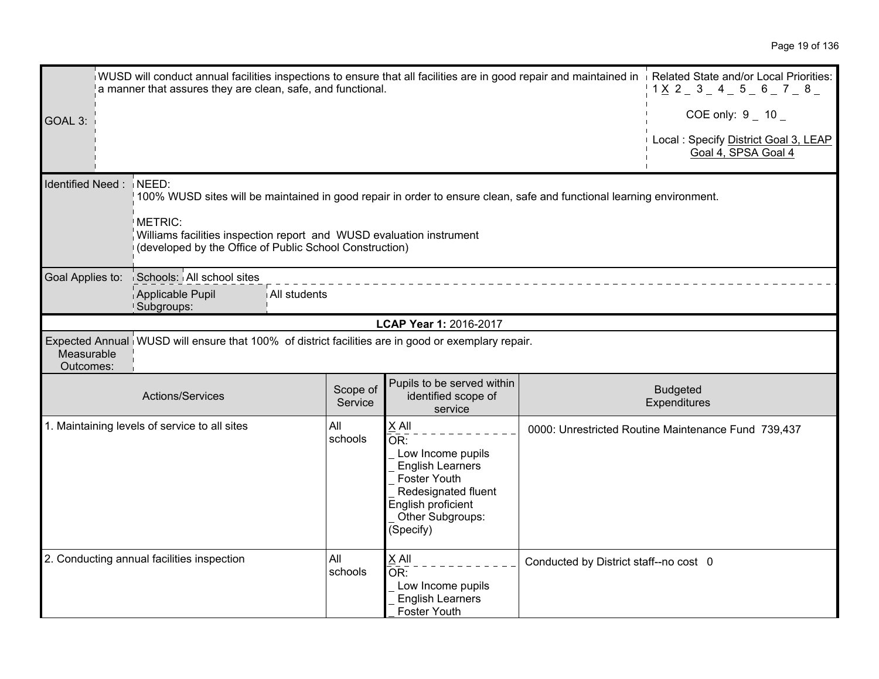| GOAL 3:                 | a manner that assures they are clean, safe, and functional.                                                                                |                     |                                                                                                                                                            |                                        | WUSD will conduct annual facilities inspections to ensure that all facilities are in good repair and maintained in Related State and/or Local Priorities:<br>$1 \times 2 = 3 = 4 = 5 = 6 = 7 = 8 = 1$<br>COE only: $9 - 10 -$<br>Local: Specify District Goal 3, LEAP<br>Goal 4, SPSA Goal 4 |  |
|-------------------------|--------------------------------------------------------------------------------------------------------------------------------------------|---------------------|------------------------------------------------------------------------------------------------------------------------------------------------------------|----------------------------------------|----------------------------------------------------------------------------------------------------------------------------------------------------------------------------------------------------------------------------------------------------------------------------------------------|--|
| Identified Need: NEED:  | METRIC:<br>Williams facilities inspection report and WUSD evaluation instrument<br>(developed by the Office of Public School Construction) |                     | 100% WUSD sites will be maintained in good repair in order to ensure clean, safe and functional learning environment.                                      |                                        |                                                                                                                                                                                                                                                                                              |  |
| Goal Applies to:        | Schools: All school sites<br>Applicable Pupil<br>All students<br>Subgroups:                                                                |                     |                                                                                                                                                            |                                        |                                                                                                                                                                                                                                                                                              |  |
|                         |                                                                                                                                            |                     | LCAP Year 1: 2016-2017                                                                                                                                     |                                        |                                                                                                                                                                                                                                                                                              |  |
| Measurable<br>Outcomes: | Expected Annual WUSD will ensure that 100% of district facilities are in good or exemplary repair.                                         |                     |                                                                                                                                                            |                                        |                                                                                                                                                                                                                                                                                              |  |
|                         | Actions/Services                                                                                                                           | Scope of<br>Service | Pupils to be served within<br>identified scope of<br>service                                                                                               |                                        | <b>Budgeted</b><br>Expenditures                                                                                                                                                                                                                                                              |  |
|                         | 1. Maintaining levels of service to all sites                                                                                              | All<br>schools      | X All<br>OR:<br>Low Income pupils<br><b>English Learners</b><br>Foster Youth<br>Redesignated fluent<br>English proficient<br>Other Subgroups:<br>(Specify) |                                        | 0000: Unrestricted Routine Maintenance Fund 739,437                                                                                                                                                                                                                                          |  |
|                         | 2. Conducting annual facilities inspection                                                                                                 | All<br>schools      | X All<br>OR:<br>Low Income pupils<br><b>English Learners</b><br>Foster Youth                                                                               | Conducted by District staff--no cost 0 |                                                                                                                                                                                                                                                                                              |  |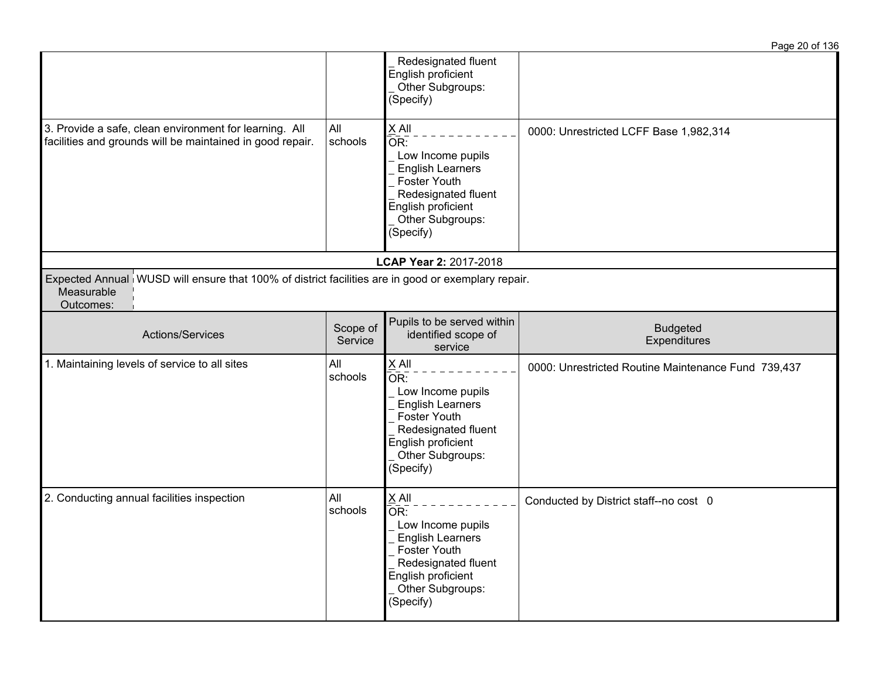|                                                                                                                               |                     |                                                                                                                                                                     | Page 20 of 136                                      |
|-------------------------------------------------------------------------------------------------------------------------------|---------------------|---------------------------------------------------------------------------------------------------------------------------------------------------------------------|-----------------------------------------------------|
|                                                                                                                               |                     | Redesignated fluent<br>English proficient<br>Other Subgroups:<br>(Specify)                                                                                          |                                                     |
| 3. Provide a safe, clean environment for learning. All<br>facilities and grounds will be maintained in good repair.           | All<br>schools      | X All<br>OR:<br>Low Income pupils<br><b>English Learners</b><br>Foster Youth<br>Redesignated fluent<br>English proficient<br>Other Subgroups:<br>(Specify)          | 0000: Unrestricted LCFF Base 1,982,314              |
|                                                                                                                               |                     | LCAP Year 2: 2017-2018                                                                                                                                              |                                                     |
| Expected Annual WUSD will ensure that 100% of district facilities are in good or exemplary repair.<br>Measurable<br>Outcomes: |                     |                                                                                                                                                                     |                                                     |
| Actions/Services                                                                                                              | Scope of<br>Service | Pupils to be served within<br>identified scope of<br>service                                                                                                        | <b>Budgeted</b><br>Expenditures                     |
| 1. Maintaining levels of service to all sites                                                                                 | All<br>schools      | X All<br>OR:<br>Low Income pupils<br><b>English Learners</b><br>Foster Youth<br>Redesignated fluent<br>English proficient<br>Other Subgroups:<br>(Specify)          | 0000: Unrestricted Routine Maintenance Fund 739,437 |
| 2. Conducting annual facilities inspection                                                                                    | All<br>schools      | $X$ All<br>OR:<br>Low Income pupils<br><b>English Learners</b><br><b>Foster Youth</b><br>Redesignated fluent<br>English proficient<br>Other Subgroups:<br>(Specify) | Conducted by District staff--no cost 0              |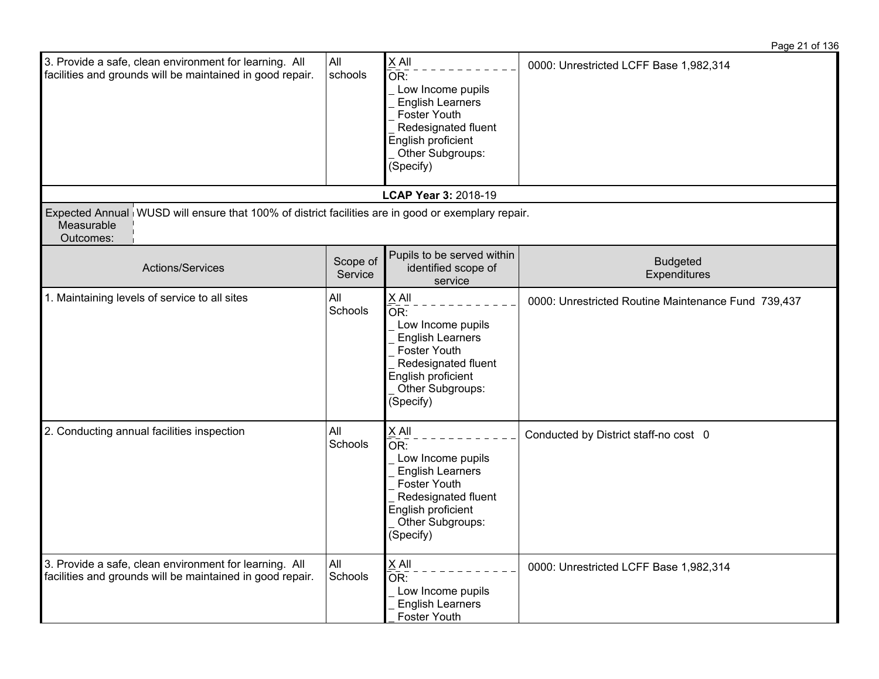|                         | 3. Provide a safe, clean environment for learning. All<br>facilities and grounds will be maintained in good repair. | All<br>schools        | X All<br>OR:<br>Low Income pupils<br><b>English Learners</b><br>Foster Youth<br>Redesignated fluent<br>English proficient<br>Other Subgroups:<br>(Specify)        | 0000: Unrestricted LCFF Base 1,982,314              |
|-------------------------|---------------------------------------------------------------------------------------------------------------------|-----------------------|-------------------------------------------------------------------------------------------------------------------------------------------------------------------|-----------------------------------------------------|
|                         |                                                                                                                     |                       | LCAP Year 3: 2018-19                                                                                                                                              |                                                     |
| Measurable<br>Outcomes: | Expected Annual WUSD will ensure that 100% of district facilities are in good or exemplary repair.                  |                       |                                                                                                                                                                   |                                                     |
|                         | Actions/Services                                                                                                    | Scope of<br>Service   | Pupils to be served within<br>identified scope of<br>service                                                                                                      | <b>Budgeted</b><br>Expenditures                     |
|                         | 1. Maintaining levels of service to all sites                                                                       | All<br><b>Schools</b> | X All<br>OR:<br>Low Income pupils<br><b>English Learners</b><br>Foster Youth<br>Redesignated fluent<br>English proficient<br>Other Subgroups:<br>(Specify)        | 0000: Unrestricted Routine Maintenance Fund 739,437 |
|                         | 2. Conducting annual facilities inspection                                                                          | All<br>Schools        | X All<br>OR:<br>Low Income pupils<br><b>English Learners</b><br><b>Foster Youth</b><br>Redesignated fluent<br>English proficient<br>Other Subgroups:<br>(Specify) | Conducted by District staff-no cost 0               |
|                         | 3. Provide a safe, clean environment for learning. All<br>facilities and grounds will be maintained in good repair. | All<br>Schools        | X All<br>OR:<br>Low Income pupils<br><b>English Learners</b><br><b>Foster Youth</b>                                                                               | 0000: Unrestricted LCFF Base 1,982,314              |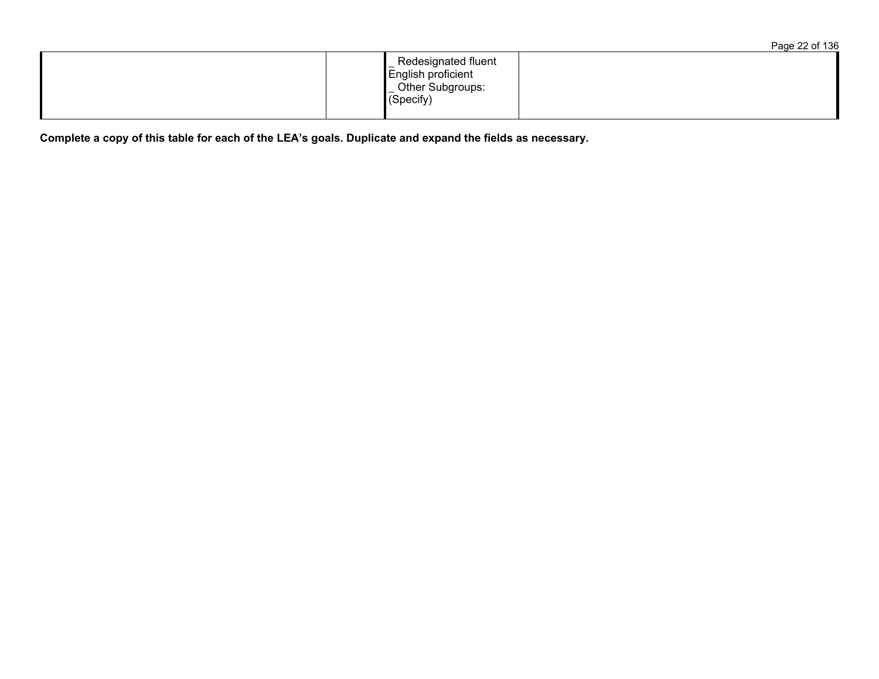|                                                                            | Page 22 of 136 |
|----------------------------------------------------------------------------|----------------|
| Redesignated fluent<br>English proficient<br>Other Subgroups:<br>(Specify) |                |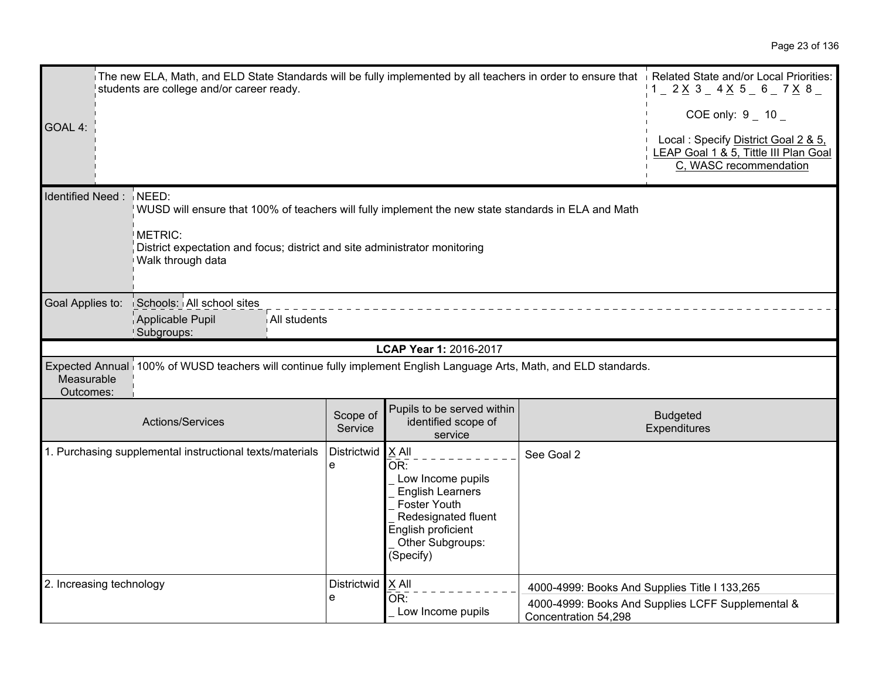| GOAL 4:                  | students are college and/or career ready.                                                                                                                                                                         |                         |                                                                                                                                                            |                                                                       | The new ELA, Math, and ELD State Standards will be fully implemented by all teachers in order to ensure that Related State and/or Local Priorities:<br>$1 - 2 \times 3 - 4 \times 5 - 6 - 7 \times 8$<br>COE only: $9 - 10 -$<br>Local: Specify District Goal 2 & 5,<br>LEAP Goal 1 & 5, Tittle III Plan Goal<br>C, WASC recommendation |
|--------------------------|-------------------------------------------------------------------------------------------------------------------------------------------------------------------------------------------------------------------|-------------------------|------------------------------------------------------------------------------------------------------------------------------------------------------------|-----------------------------------------------------------------------|-----------------------------------------------------------------------------------------------------------------------------------------------------------------------------------------------------------------------------------------------------------------------------------------------------------------------------------------|
| Identified Need: NEED:   | WUSD will ensure that 100% of teachers will fully implement the new state standards in ELA and Math<br>METRIC:<br>District expectation and focus; district and site administrator monitoring<br>Walk through data |                         |                                                                                                                                                            |                                                                       |                                                                                                                                                                                                                                                                                                                                         |
| Goal Applies to:         | Schools: All school sites                                                                                                                                                                                         |                         |                                                                                                                                                            |                                                                       |                                                                                                                                                                                                                                                                                                                                         |
|                          | Applicable Pupil<br>All students<br>Subgroups:                                                                                                                                                                    |                         |                                                                                                                                                            |                                                                       |                                                                                                                                                                                                                                                                                                                                         |
|                          |                                                                                                                                                                                                                   |                         | LCAP Year 1: 2016-2017                                                                                                                                     |                                                                       |                                                                                                                                                                                                                                                                                                                                         |
| Measurable<br>Outcomes:  | Expected Annual 100% of WUSD teachers will continue fully implement English Language Arts, Math, and ELD standards.                                                                                               |                         |                                                                                                                                                            |                                                                       |                                                                                                                                                                                                                                                                                                                                         |
|                          | Actions/Services                                                                                                                                                                                                  | Scope of<br>Service     | Pupils to be served within<br>identified scope of<br>service                                                                                               |                                                                       | <b>Budgeted</b><br>Expenditures                                                                                                                                                                                                                                                                                                         |
|                          | 1. Purchasing supplemental instructional texts/materials                                                                                                                                                          | Districtwid<br>e        | X All<br>OR:<br>Low Income pupils<br><b>English Learners</b><br>Foster Youth<br>Redesignated fluent<br>English proficient<br>Other Subgroups:<br>(Specify) | See Goal 2                                                            |                                                                                                                                                                                                                                                                                                                                         |
| 2. Increasing technology |                                                                                                                                                                                                                   | <b>Districtwid</b><br>e | X All<br>OR:<br>Low Income pupils                                                                                                                          | 4000-4999: Books And Supplies Title I 133,265<br>Concentration 54,298 | 4000-4999: Books And Supplies LCFF Supplemental &                                                                                                                                                                                                                                                                                       |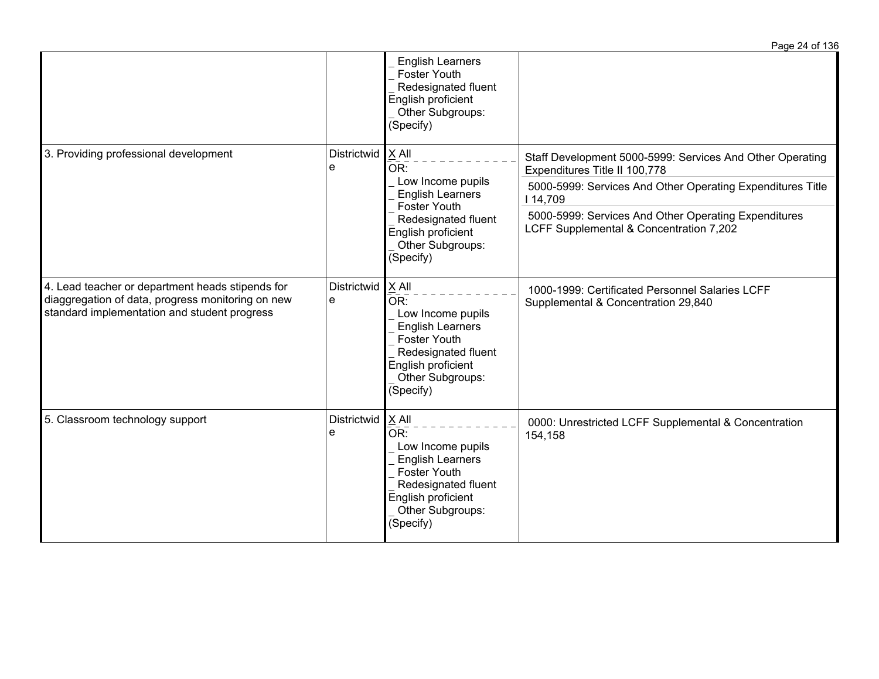|                                                                                                                                                       |                          |                                                                                                                                                                   | Page 24 of 136                                                                                  |
|-------------------------------------------------------------------------------------------------------------------------------------------------------|--------------------------|-------------------------------------------------------------------------------------------------------------------------------------------------------------------|-------------------------------------------------------------------------------------------------|
|                                                                                                                                                       |                          | <b>English Learners</b><br>Foster Youth<br>Redesignated fluent<br>English proficient<br>Other Subgroups:<br>(Specify)                                             |                                                                                                 |
| 3. Providing professional development                                                                                                                 | Districtwid<br>e         | $X$ All<br>OR:                                                                                                                                                    | Staff Development 5000-5999: Services And Other Operating<br>Expenditures Title II 100,778      |
|                                                                                                                                                       |                          | Low Income pupils<br><b>English Learners</b>                                                                                                                      | 5000-5999: Services And Other Operating Expenditures Title<br>I 14,709                          |
|                                                                                                                                                       |                          | Foster Youth<br>Redesignated fluent<br>English proficient<br>Other Subgroups:<br>(Specify)                                                                        | 5000-5999: Services And Other Operating Expenditures<br>LCFF Supplemental & Concentration 7,202 |
| 4. Lead teacher or department heads stipends for<br>diaggregation of data, progress monitoring on new<br>standard implementation and student progress | Districtwid   X All<br>e | OR:<br>Low Income pupils<br><b>English Learners</b><br>Foster Youth<br>Redesignated fluent<br>English proficient<br>Other Subgroups:<br>(Specify)                 | 1000-1999: Certificated Personnel Salaries LCFF<br>Supplemental & Concentration 29,840          |
| 5. Classroom technology support                                                                                                                       | <b>Districtwid</b><br>e  | X All<br>OR:<br>Low Income pupils<br><b>English Learners</b><br><b>Foster Youth</b><br>Redesignated fluent<br>English proficient<br>Other Subgroups:<br>(Specify) | 0000: Unrestricted LCFF Supplemental & Concentration<br>154,158                                 |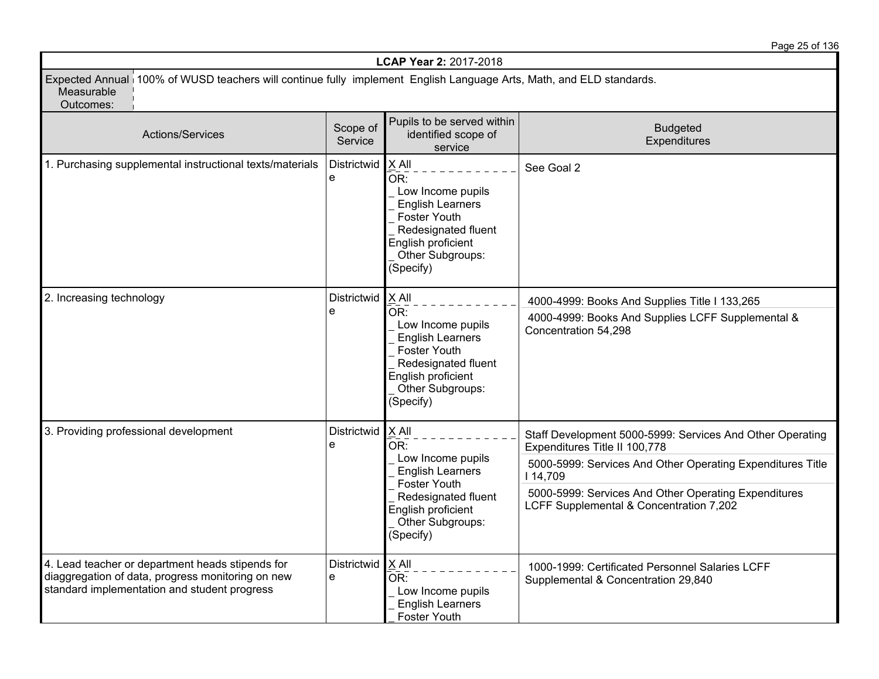Page 25 of 136

|                                                                                                                                                       |                                                                                                                     | LCAP Year 2: 2017-2018                                                                                                                                            |                                                                                                                                                                                                                                                                         |  |  |  |
|-------------------------------------------------------------------------------------------------------------------------------------------------------|---------------------------------------------------------------------------------------------------------------------|-------------------------------------------------------------------------------------------------------------------------------------------------------------------|-------------------------------------------------------------------------------------------------------------------------------------------------------------------------------------------------------------------------------------------------------------------------|--|--|--|
| Measurable<br>Outcomes:                                                                                                                               | Expected Annual 100% of WUSD teachers will continue fully implement English Language Arts, Math, and ELD standards. |                                                                                                                                                                   |                                                                                                                                                                                                                                                                         |  |  |  |
| Actions/Services                                                                                                                                      | Scope of<br>Service                                                                                                 | Pupils to be served within<br>identified scope of<br>service                                                                                                      | <b>Budgeted</b><br>Expenditures                                                                                                                                                                                                                                         |  |  |  |
| 1. Purchasing supplemental instructional texts/materials                                                                                              | Districtwid<br>e                                                                                                    | X All<br>OR:<br>Low Income pupils<br><b>English Learners</b><br>Foster Youth<br>Redesignated fluent<br>English proficient<br>Other Subgroups:<br>(Specify)        | See Goal 2                                                                                                                                                                                                                                                              |  |  |  |
| 2. Increasing technology                                                                                                                              | Districtwid<br>e                                                                                                    | X All<br>OR:<br>Low Income pupils<br><b>English Learners</b><br><b>Foster Youth</b><br>Redesignated fluent<br>English proficient<br>Other Subgroups:<br>(Specify) | 4000-4999: Books And Supplies Title I 133,265<br>4000-4999: Books And Supplies LCFF Supplemental &<br>Concentration 54,298                                                                                                                                              |  |  |  |
| 3. Providing professional development                                                                                                                 | Districtwid<br>e                                                                                                    | X All<br>OR:<br>Low Income pupils<br><b>English Learners</b><br>Foster Youth<br>Redesignated fluent<br>English proficient<br>Other Subgroups:<br>(Specify)        | Staff Development 5000-5999: Services And Other Operating<br>Expenditures Title II 100,778<br>5000-5999: Services And Other Operating Expenditures Title<br>  14,709<br>5000-5999: Services And Other Operating Expenditures<br>LCFF Supplemental & Concentration 7,202 |  |  |  |
| 4. Lead teacher or department heads stipends for<br>diaggregation of data, progress monitoring on new<br>standard implementation and student progress | Districtwid<br>e                                                                                                    | $X$ All<br>OR:<br>Low Income pupils<br><b>English Learners</b><br>Foster Youth                                                                                    | 1000-1999: Certificated Personnel Salaries LCFF<br>Supplemental & Concentration 29,840                                                                                                                                                                                  |  |  |  |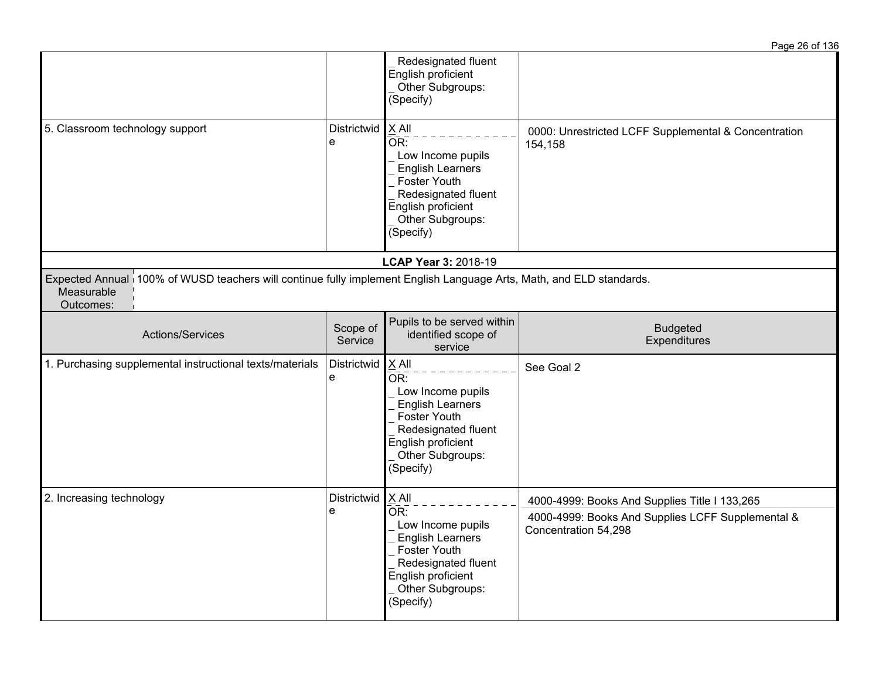|                                                                                                                                                |                        |                                                                                                                                                                     | Page 26 of 136                                                                                                             |
|------------------------------------------------------------------------------------------------------------------------------------------------|------------------------|---------------------------------------------------------------------------------------------------------------------------------------------------------------------|----------------------------------------------------------------------------------------------------------------------------|
|                                                                                                                                                |                        | Redesignated fluent<br>English proficient<br>Other Subgroups:<br>(Specify)                                                                                          |                                                                                                                            |
| 5. Classroom technology support                                                                                                                | Districtwid<br>e       | $X$ All<br>OR:<br>Low Income pupils<br><b>English Learners</b><br><b>Foster Youth</b><br>Redesignated fluent<br>English proficient<br>Other Subgroups:<br>(Specify) | 0000: Unrestricted LCFF Supplemental & Concentration<br>154,158                                                            |
|                                                                                                                                                |                        | <b>LCAP Year 3: 2018-19</b>                                                                                                                                         |                                                                                                                            |
| Expected Annual 100% of WUSD teachers will continue fully implement English Language Arts, Math, and ELD standards.<br>Measurable<br>Outcomes: |                        |                                                                                                                                                                     |                                                                                                                            |
| Actions/Services                                                                                                                               | Scope of<br>Service    | Pupils to be served within<br>identified scope of<br>service                                                                                                        | <b>Budgeted</b><br>Expenditures                                                                                            |
| 1. Purchasing supplemental instructional texts/materials                                                                                       | Districtwid X All<br>e | OR:<br>Low Income pupils<br><b>English Learners</b><br>Foster Youth<br>Redesignated fluent<br>English proficient<br>Other Subgroups:<br>(Specify)                   | See Goal 2                                                                                                                 |
| 2. Increasing technology                                                                                                                       | Districtwid<br>e       | X All<br>OR:<br>Low Income pupils<br><b>English Learners</b><br>Foster Youth<br>Redesignated fluent<br>English proficient<br>Other Subgroups:<br>(Specify)          | 4000-4999: Books And Supplies Title I 133,265<br>4000-4999: Books And Supplies LCFF Supplemental &<br>Concentration 54,298 |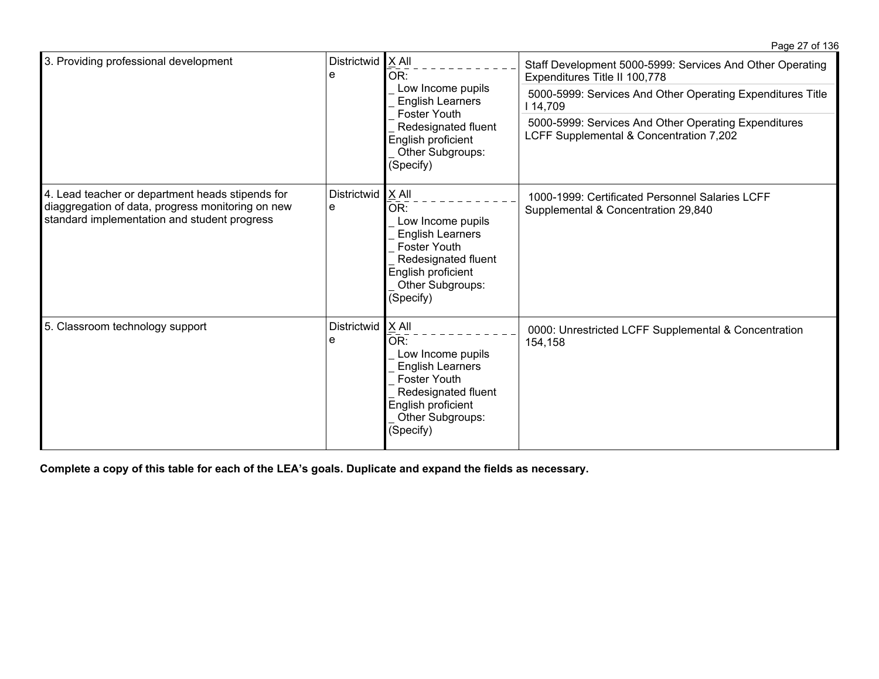| 3. Providing professional development                                                                                                                 | Districtwid $X$ All<br>e                                                                   | OR:<br>Low Income pupils<br><b>English Learners</b>                                                                                               | Staff Development 5000-5999: Services And Other Operating<br>Expenditures Title II 100,778      |
|-------------------------------------------------------------------------------------------------------------------------------------------------------|--------------------------------------------------------------------------------------------|---------------------------------------------------------------------------------------------------------------------------------------------------|-------------------------------------------------------------------------------------------------|
|                                                                                                                                                       |                                                                                            |                                                                                                                                                   | 5000-5999: Services And Other Operating Expenditures Title<br>  14,709                          |
|                                                                                                                                                       | Foster Youth<br>Redesignated fluent<br>English proficient<br>Other Subgroups:<br>(Specify) |                                                                                                                                                   | 5000-5999: Services And Other Operating Expenditures<br>LCFF Supplemental & Concentration 7,202 |
| 4. Lead teacher or department heads stipends for<br>diaggregation of data, progress monitoring on new<br>standard implementation and student progress | Districtwid $X$ All<br>e                                                                   | OR:<br>Low Income pupils<br><b>English Learners</b><br>Foster Youth<br>Redesignated fluent<br>English proficient<br>Other Subgroups:<br>(Specify) | 1000-1999: Certificated Personnel Salaries LCFF<br>Supplemental & Concentration 29,840          |
| 5. Classroom technology support                                                                                                                       | Districtwid $X$ All<br>e                                                                   | OR:<br>Low Income pupils<br><b>English Learners</b><br>Foster Youth<br>Redesignated fluent<br>English proficient<br>Other Subgroups:<br>(Specify) | 0000: Unrestricted LCFF Supplemental & Concentration<br>154,158                                 |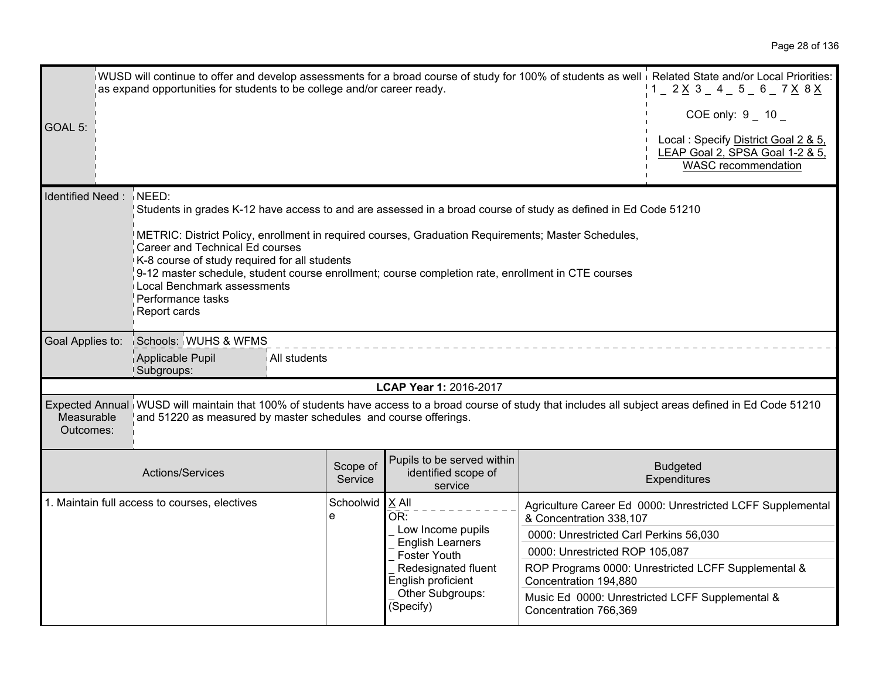| GOAL 5:                                                                                                                                                                                                                                                                                                                                                                                                                                                                                                       | as expand opportunities for students to be college and/or career ready. |                     |                                                                                                                                                                     |                                                                                                                                                       | WUSD will continue to offer and develop assessments for a broad course of study for 100% of students as well i Related State and/or Local Priorities:<br>$1 - 2 \times 3 - 4 - 5 - 6 - 7 \times 8 \times$<br>COE only: $9 - 10 -$<br>Local: Specify District Goal 2 & 5,<br>LEAP Goal 2, SPSA Goal 1-2 & 5,<br>WASC recommendation |  |
|---------------------------------------------------------------------------------------------------------------------------------------------------------------------------------------------------------------------------------------------------------------------------------------------------------------------------------------------------------------------------------------------------------------------------------------------------------------------------------------------------------------|-------------------------------------------------------------------------|---------------------|---------------------------------------------------------------------------------------------------------------------------------------------------------------------|-------------------------------------------------------------------------------------------------------------------------------------------------------|------------------------------------------------------------------------------------------------------------------------------------------------------------------------------------------------------------------------------------------------------------------------------------------------------------------------------------|--|
| Identified Need: NEED:<br>Students in grades K-12 have access to and are assessed in a broad course of study as defined in Ed Code 51210<br>METRIC: District Policy, enrollment in required courses, Graduation Requirements; Master Schedules,<br>Career and Technical Ed courses<br>K-8 course of study required for all students<br>9-12 master schedule, student course enrollment; course completion rate, enrollment in CTE courses<br>Local Benchmark assessments<br>Performance tasks<br>Report cards |                                                                         |                     |                                                                                                                                                                     |                                                                                                                                                       |                                                                                                                                                                                                                                                                                                                                    |  |
| Goal Applies to:                                                                                                                                                                                                                                                                                                                                                                                                                                                                                              | Schools: WUHS & WFMS<br>Applicable Pupil<br>All students<br>Subgroups:  |                     |                                                                                                                                                                     |                                                                                                                                                       |                                                                                                                                                                                                                                                                                                                                    |  |
|                                                                                                                                                                                                                                                                                                                                                                                                                                                                                                               |                                                                         |                     | LCAP Year 1: 2016-2017                                                                                                                                              |                                                                                                                                                       |                                                                                                                                                                                                                                                                                                                                    |  |
| Measurable<br>Outcomes:                                                                                                                                                                                                                                                                                                                                                                                                                                                                                       | and 51220 as measured by master schedules and course offerings.         |                     |                                                                                                                                                                     |                                                                                                                                                       | Expected Annual WUSD will maintain that 100% of students have access to a broad course of study that includes all subject areas defined in Ed Code 51210                                                                                                                                                                           |  |
|                                                                                                                                                                                                                                                                                                                                                                                                                                                                                                               | Actions/Services                                                        | Scope of<br>Service | Pupils to be served within<br>identified scope of<br>service                                                                                                        |                                                                                                                                                       | <b>Budgeted</b><br>Expenditures                                                                                                                                                                                                                                                                                                    |  |
|                                                                                                                                                                                                                                                                                                                                                                                                                                                                                                               | 1. Maintain full access to courses, electives                           | Schoolwid<br>e      | $X$ All<br>OR:<br>Low Income pupils<br><b>English Learners</b><br><b>Foster Youth</b><br>Redesignated fluent<br>English proficient<br>Other Subgroups:<br>(Specify) | & Concentration 338,107<br>0000: Unrestricted Carl Perkins 56,030<br>0000: Unrestricted ROP 105,087<br>Concentration 194,880<br>Concentration 766,369 | Agriculture Career Ed 0000: Unrestricted LCFF Supplemental<br>ROP Programs 0000: Unrestricted LCFF Supplemental &<br>Music Ed 0000: Unrestricted LCFF Supplemental &                                                                                                                                                               |  |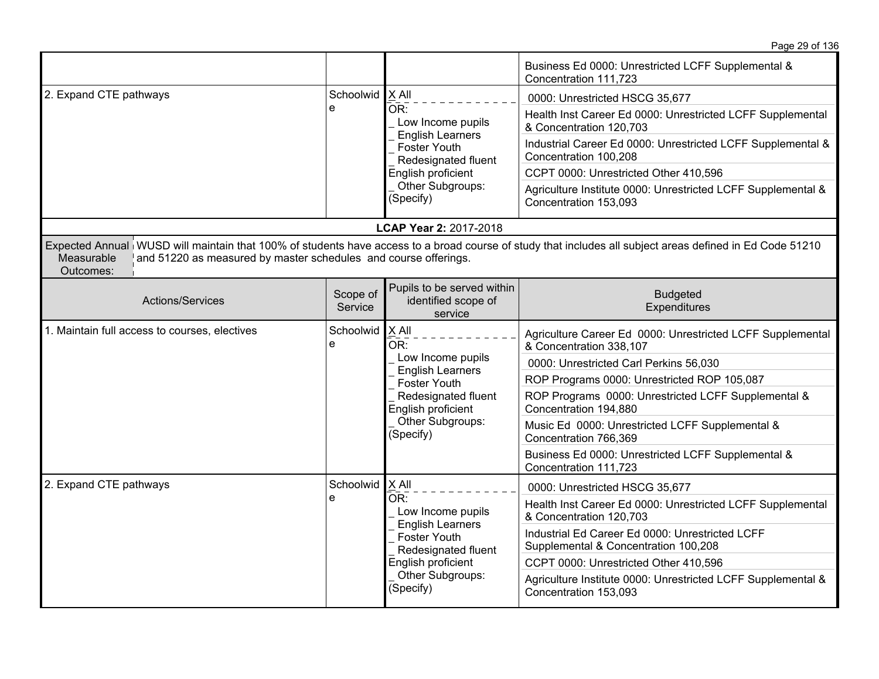|                                                                                            |                     |                                                                                                                                                              | Business Ed 0000: Unrestricted LCFF Supplemental &<br>Concentration 111,723                                                                              |
|--------------------------------------------------------------------------------------------|---------------------|--------------------------------------------------------------------------------------------------------------------------------------------------------------|----------------------------------------------------------------------------------------------------------------------------------------------------------|
| 2. Expand CTE pathways                                                                     | Schoolwid           | X All                                                                                                                                                        | 0000: Unrestricted HSCG 35,677                                                                                                                           |
|                                                                                            | e                   | $\overline{\mathsf{OR}}$ :<br>Low Income pupils                                                                                                              | Health Inst Career Ed 0000: Unrestricted LCFF Supplemental<br>& Concentration 120,703                                                                    |
|                                                                                            |                     | <b>English Learners</b><br>Foster Youth<br>Redesignated fluent                                                                                               | Industrial Career Ed 0000: Unrestricted LCFF Supplemental &<br>Concentration 100,208                                                                     |
|                                                                                            |                     | English proficient                                                                                                                                           | CCPT 0000: Unrestricted Other 410,596                                                                                                                    |
|                                                                                            |                     | Other Subgroups:<br>(Specify)                                                                                                                                | Agriculture Institute 0000: Unrestricted LCFF Supplemental &<br>Concentration 153,093                                                                    |
|                                                                                            |                     | LCAP Year 2: 2017-2018                                                                                                                                       |                                                                                                                                                          |
| and 51220 as measured by master schedules and course offerings.<br>Measurable<br>Outcomes: |                     |                                                                                                                                                              | Expected Annual WUSD will maintain that 100% of students have access to a broad course of study that includes all subject areas defined in Ed Code 51210 |
| Actions/Services                                                                           | Scope of<br>Service | Pupils to be served within<br>identified scope of<br>service                                                                                                 | <b>Budgeted</b><br>Expenditures                                                                                                                          |
| 1. Maintain full access to courses, electives                                              | Schoolwid<br>e      | $X$ All<br>OR:<br>Low Income pupils<br><b>English Learners</b><br>Foster Youth<br>Redesignated fluent<br>English proficient<br>Other Subgroups:<br>(Specify) | Agriculture Career Ed 0000: Unrestricted LCFF Supplemental<br>& Concentration 338,107                                                                    |
|                                                                                            |                     |                                                                                                                                                              | 0000: Unrestricted Carl Perkins 56,030                                                                                                                   |
|                                                                                            |                     |                                                                                                                                                              | ROP Programs 0000: Unrestricted ROP 105,087                                                                                                              |
|                                                                                            |                     |                                                                                                                                                              | ROP Programs 0000: Unrestricted LCFF Supplemental &<br>Concentration 194,880                                                                             |
|                                                                                            |                     |                                                                                                                                                              | Music Ed 0000: Unrestricted LCFF Supplemental &<br>Concentration 766,369                                                                                 |
|                                                                                            |                     |                                                                                                                                                              | Business Ed 0000: Unrestricted LCFF Supplemental &<br>Concentration 111,723                                                                              |
| 2. Expand CTE pathways                                                                     | Schoolwid           | $X$ All                                                                                                                                                      | 0000: Unrestricted HSCG 35,677                                                                                                                           |
|                                                                                            | e                   | OR:<br>Low Income pupils                                                                                                                                     | Health Inst Career Ed 0000: Unrestricted LCFF Supplemental<br>& Concentration 120,703                                                                    |
|                                                                                            |                     | <b>English Learners</b><br><b>Foster Youth</b><br>Redesignated fluent                                                                                        | Industrial Ed Career Ed 0000: Unrestricted LCFF<br>Supplemental & Concentration 100,208                                                                  |
|                                                                                            |                     | English proficient                                                                                                                                           | CCPT 0000: Unrestricted Other 410,596                                                                                                                    |
|                                                                                            |                     | Other Subgroups:<br>(Specify)                                                                                                                                | Agriculture Institute 0000: Unrestricted LCFF Supplemental &<br>Concentration 153,093                                                                    |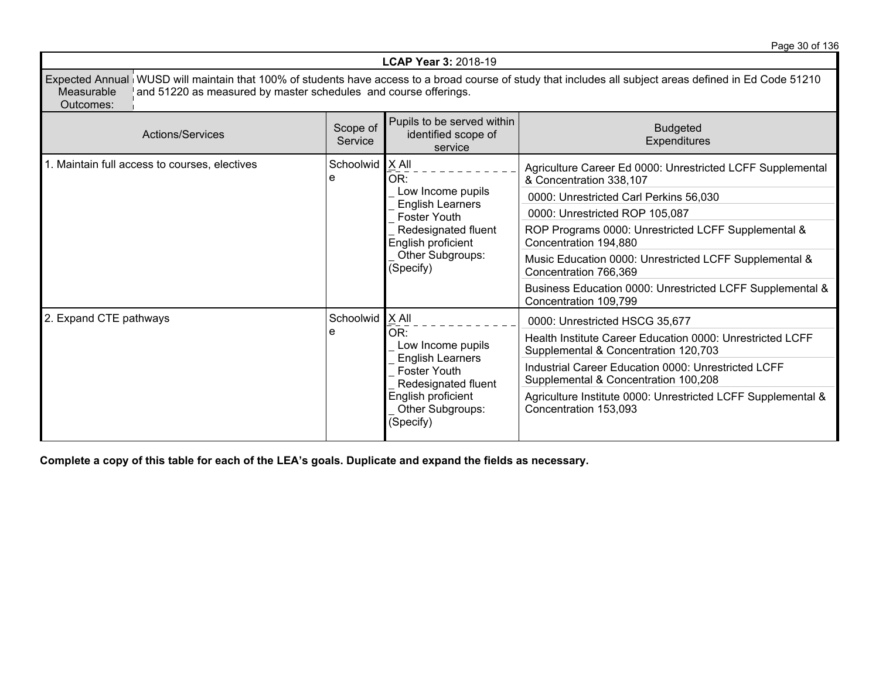Page 30 of 136

|                                                                                                                |                                                                                                                                                                                                                             | <b>LCAP Year 3: 2018-19</b>                                                                                                                              |                                                                                                                                 |  |  |  |
|----------------------------------------------------------------------------------------------------------------|-----------------------------------------------------------------------------------------------------------------------------------------------------------------------------------------------------------------------------|----------------------------------------------------------------------------------------------------------------------------------------------------------|---------------------------------------------------------------------------------------------------------------------------------|--|--|--|
| Measurable<br>Outcomes:                                                                                        | Expected Annual WUSD will maintain that 100% of students have access to a broad course of study that includes all subject areas defined in Ed Code 51210<br>and 51220 as measured by master schedules and course offerings. |                                                                                                                                                          |                                                                                                                                 |  |  |  |
| Pupils to be served within<br>Scope of<br>identified scope of<br><b>Actions/Services</b><br>Service<br>service |                                                                                                                                                                                                                             |                                                                                                                                                          | <b>Budgeted</b><br>Expenditures                                                                                                 |  |  |  |
| 1. Maintain full access to courses, electives                                                                  | Schoolwid X All<br>е                                                                                                                                                                                                        | OR:<br>Low Income pupils<br><b>English Learners</b><br><b>Foster Youth</b><br>Redesignated fluent<br>English proficient<br>Other Subgroups:<br>(Specify) | Agriculture Career Ed 0000: Unrestricted LCFF Supplemental<br>& Concentration 338,107<br>0000: Unrestricted Carl Perkins 56,030 |  |  |  |
|                                                                                                                |                                                                                                                                                                                                                             |                                                                                                                                                          | 0000: Unrestricted ROP 105,087                                                                                                  |  |  |  |
|                                                                                                                |                                                                                                                                                                                                                             |                                                                                                                                                          | ROP Programs 0000: Unrestricted LCFF Supplemental &<br>Concentration 194,880                                                    |  |  |  |
|                                                                                                                |                                                                                                                                                                                                                             |                                                                                                                                                          | Music Education 0000: Unrestricted LCFF Supplemental &<br>Concentration 766,369                                                 |  |  |  |
|                                                                                                                |                                                                                                                                                                                                                             |                                                                                                                                                          | Business Education 0000: Unrestricted LCFF Supplemental &<br>Concentration 109.799                                              |  |  |  |
| 2. Expand CTE pathways                                                                                         | Schoolwid                                                                                                                                                                                                                   | $ X$ All<br>OR:<br>Low Income pupils                                                                                                                     | 0000: Unrestricted HSCG 35,677                                                                                                  |  |  |  |
|                                                                                                                | e                                                                                                                                                                                                                           |                                                                                                                                                          | Health Institute Career Education 0000: Unrestricted LCFF<br>Supplemental & Concentration 120,703                               |  |  |  |
|                                                                                                                |                                                                                                                                                                                                                             | <b>English Learners</b><br><b>Foster Youth</b><br>Redesignated fluent                                                                                    | Industrial Career Education 0000: Unrestricted LCFF<br>Supplemental & Concentration 100,208                                     |  |  |  |
|                                                                                                                |                                                                                                                                                                                                                             | English proficient<br>Other Subgroups:<br>(Specify)                                                                                                      | Agriculture Institute 0000: Unrestricted LCFF Supplemental &<br>Concentration 153,093                                           |  |  |  |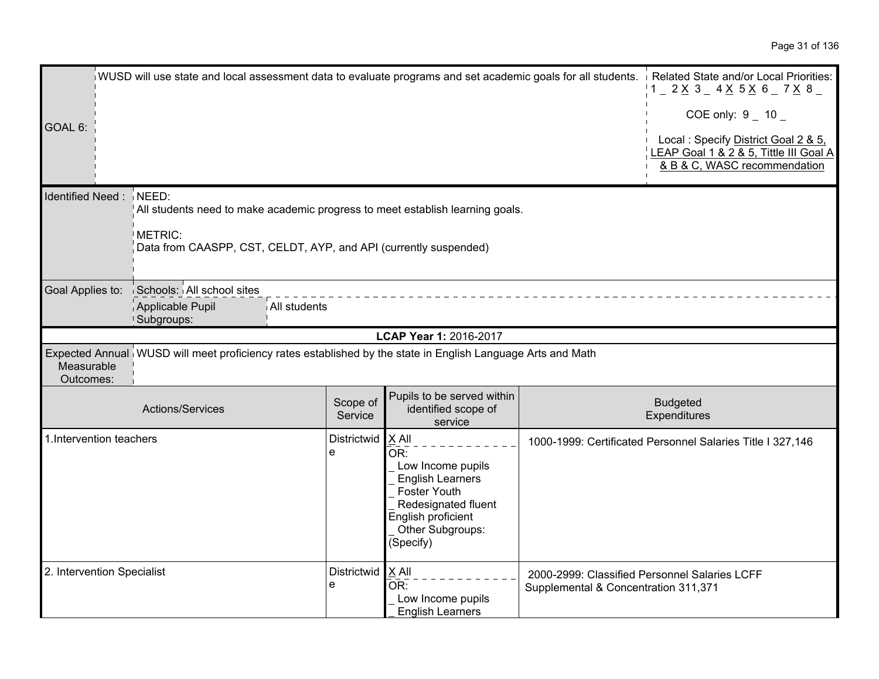| WUSD will use state and local assessment data to evaluate programs and set academic goals for all students. Related State and/or Local Priorities:<br>GOAL 6: |                                                                                                             |              |                     |                                                                                                                                                                   |                                      | $1 - 2 \times 3 - 4 \times 5 \times 6 - 7 \times 8$<br>COE only: $9 - 10$<br>Local: Specify District Goal 2 & 5,<br>LEAP Goal 1 & 2 & 5, Tittle III Goal A |
|---------------------------------------------------------------------------------------------------------------------------------------------------------------|-------------------------------------------------------------------------------------------------------------|--------------|---------------------|-------------------------------------------------------------------------------------------------------------------------------------------------------------------|--------------------------------------|------------------------------------------------------------------------------------------------------------------------------------------------------------|
|                                                                                                                                                               |                                                                                                             |              |                     |                                                                                                                                                                   |                                      | & B & C, WASC recommendation                                                                                                                               |
| Identified Need: NEED:                                                                                                                                        | METRIC:<br>Data from CAASPP, CST, CELDT, AYP, and API (currently suspended)                                 |              |                     | All students need to make academic progress to meet establish learning goals.                                                                                     |                                      |                                                                                                                                                            |
| Goal Applies to:                                                                                                                                              | Schools: All school sites                                                                                   |              |                     |                                                                                                                                                                   |                                      |                                                                                                                                                            |
|                                                                                                                                                               | Applicable Pupil<br>Subgroups:                                                                              | All students |                     |                                                                                                                                                                   |                                      |                                                                                                                                                            |
|                                                                                                                                                               |                                                                                                             |              |                     | LCAP Year 1: 2016-2017                                                                                                                                            |                                      |                                                                                                                                                            |
| Measurable<br>Outcomes:                                                                                                                                       | Expected Annual WUSD will meet proficiency rates established by the state in English Language Arts and Math |              |                     |                                                                                                                                                                   |                                      |                                                                                                                                                            |
|                                                                                                                                                               | Actions/Services                                                                                            |              | Scope of<br>Service | Pupils to be served within<br>identified scope of<br>service                                                                                                      |                                      | <b>Budgeted</b><br>Expenditures                                                                                                                            |
| 1. Intervention teachers                                                                                                                                      |                                                                                                             |              | Districtwid<br>e    | X All<br>OR:<br>Low Income pupils<br><b>English Learners</b><br><b>Foster Youth</b><br>Redesignated fluent<br>English proficient<br>Other Subgroups:<br>(Specify) |                                      | 1000-1999: Certificated Personnel Salaries Title I 327,146                                                                                                 |
| 2. Intervention Specialist                                                                                                                                    |                                                                                                             |              | Districtwid<br>e    | $X$ All<br>OR:<br>Low Income pupils<br><b>English Learners</b>                                                                                                    | Supplemental & Concentration 311,371 | 2000-2999: Classified Personnel Salaries LCFF                                                                                                              |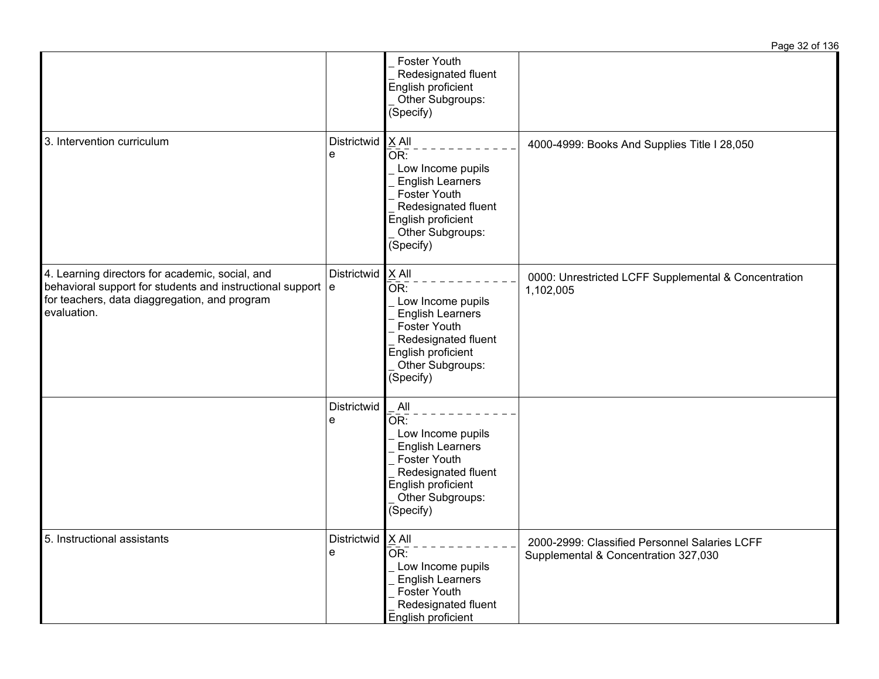|                                                                                                                                                                                    |                          |                                                                                                                                                          | Page 32 of 136                                                                        |
|------------------------------------------------------------------------------------------------------------------------------------------------------------------------------------|--------------------------|----------------------------------------------------------------------------------------------------------------------------------------------------------|---------------------------------------------------------------------------------------|
|                                                                                                                                                                                    |                          | Foster Youth<br>Redesignated fluent<br>English proficient<br>Other Subgroups:<br>(Specify)                                                               |                                                                                       |
| 3. Intervention curriculum                                                                                                                                                         | Districtwid   X All<br>e | OR:<br>Low Income pupils<br><b>English Learners</b><br>Foster Youth<br>Redesignated fluent<br>English proficient<br>Other Subgroups:<br>(Specify)        | 4000-4999: Books And Supplies Title I 28,050                                          |
| 4. Learning directors for academic, social, and<br>behavioral support for students and instructional support $ e $<br>for teachers, data diaggregation, and program<br>evaluation. | Districtwid   X All      | OR:<br>Low Income pupils<br><b>English Learners</b><br>Foster Youth<br>Redesignated fluent<br>English proficient<br>Other Subgroups:<br>(Specify)        | 0000: Unrestricted LCFF Supplemental & Concentration<br>1,102,005                     |
|                                                                                                                                                                                    | Districtwid<br>е         | All<br>OR:<br>Low Income pupils<br><b>English Learners</b><br>Foster Youth<br>Redesignated fluent<br>English proficient<br>Other Subgroups:<br>(Specify) |                                                                                       |
| 5. Instructional assistants                                                                                                                                                        | Districtwid<br>e         | $X$ All<br>OR:<br>Low Income pupils<br><b>English Learners</b><br>Foster Youth<br>Redesignated fluent<br>English proficient                              | 2000-2999: Classified Personnel Salaries LCFF<br>Supplemental & Concentration 327,030 |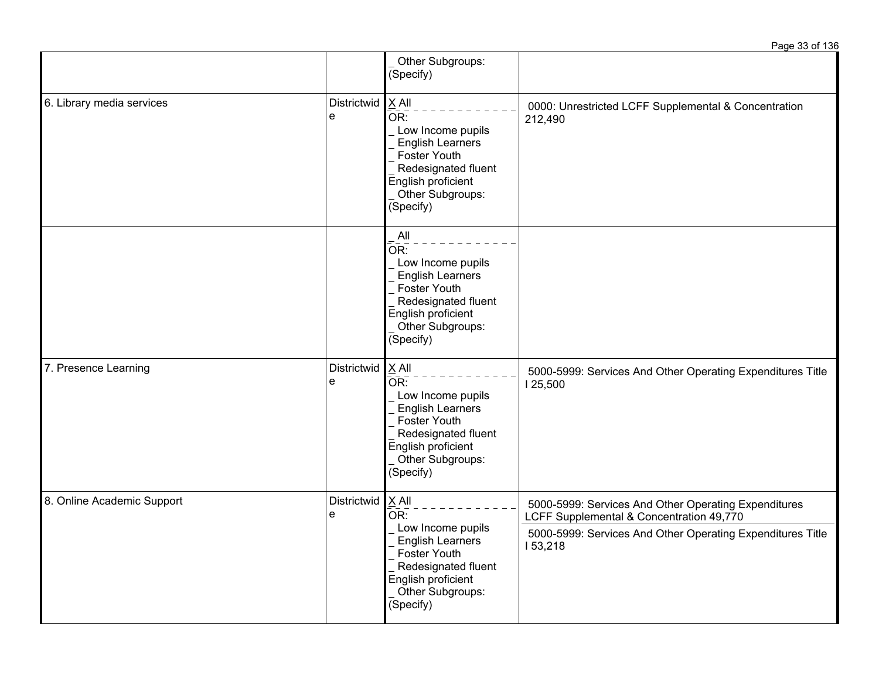|                            |                         | Other Subgroups:<br>(Specify)                                                                                                                                |                                                                                                                                                                           |
|----------------------------|-------------------------|--------------------------------------------------------------------------------------------------------------------------------------------------------------|---------------------------------------------------------------------------------------------------------------------------------------------------------------------------|
| 6. Library media services  | Districtwid<br>e        | $X$ All<br>OR:<br>Low Income pupils<br><b>English Learners</b><br>Foster Youth<br>Redesignated fluent<br>English proficient<br>Other Subgroups:<br>(Specify) | 0000: Unrestricted LCFF Supplemental & Concentration<br>212,490                                                                                                           |
|                            |                         | All<br>OR:<br>Low Income pupils<br><b>English Learners</b><br>Foster Youth<br>Redesignated fluent<br>English proficient<br>Other Subgroups:<br>(Specify)     |                                                                                                                                                                           |
| 7. Presence Learning       | Districtwid<br>е        | $X$ All<br>OR:<br>Low Income pupils<br><b>English Learners</b><br>Foster Youth<br>Redesignated fluent<br>English proficient<br>Other Subgroups:<br>(Specify) | 5000-5999: Services And Other Operating Expenditures Title<br>125,500                                                                                                     |
| 8. Online Academic Support | <b>Districtwid</b><br>e | $X$ All<br>OR:<br>Low Income pupils<br><b>English Learners</b><br>Foster Youth<br>Redesignated fluent<br>English proficient<br>Other Subgroups:<br>(Specify) | 5000-5999: Services And Other Operating Expenditures<br>LCFF Supplemental & Concentration 49,770<br>5000-5999: Services And Other Operating Expenditures Title<br>153,218 |

Page 33 of 136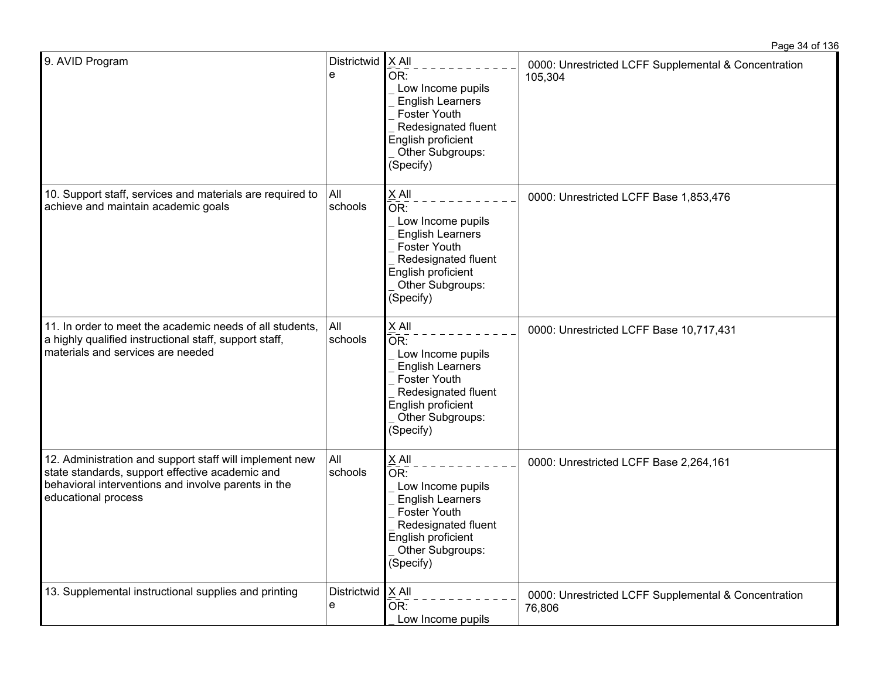| 9. AVID Program                                                                                                                                                                          | Districtwid X All<br>e | OR:<br>Low Income pupils<br><b>English Learners</b><br>Foster Youth<br>Redesignated fluent<br>English proficient<br>Other Subgroups:<br>(Specify)                            | 0000: Unrestricted LCFF Supplemental & Concentration<br>105,304 |
|------------------------------------------------------------------------------------------------------------------------------------------------------------------------------------------|------------------------|------------------------------------------------------------------------------------------------------------------------------------------------------------------------------|-----------------------------------------------------------------|
| 10. Support staff, services and materials are required to<br>achieve and maintain academic goals                                                                                         | All<br>schools         | X All<br>OR:<br>Low Income pupils<br><b>English Learners</b><br>Foster Youth<br>Redesignated fluent<br>English proficient<br>Other Subgroups:<br>(Specify)                   | 0000: Unrestricted LCFF Base 1,853,476                          |
| 11. In order to meet the academic needs of all students,<br>a highly qualified instructional staff, support staff,<br>materials and services are needed                                  | All<br>schools         | X All<br>$\bar{\mathsf{OR}}$ :<br>Low Income pupils<br><b>English Learners</b><br>Foster Youth<br>Redesignated fluent<br>English proficient<br>Other Subgroups:<br>(Specify) | 0000: Unrestricted LCFF Base 10,717,431                         |
| 12. Administration and support staff will implement new<br>state standards, support effective academic and<br>behavioral interventions and involve parents in the<br>educational process | All<br>schools         | X All<br>$\bar{\mathsf{OR}}$ :<br>Low Income pupils<br><b>English Learners</b><br>Foster Youth<br>Redesignated fluent<br>English proficient<br>Other Subgroups:<br>(Specify) | 0000: Unrestricted LCFF Base 2,264,161                          |
| 13. Supplemental instructional supplies and printing                                                                                                                                     | Districtwid<br>e       | $X$ All<br>OR:<br>Low Income pupils                                                                                                                                          | 0000: Unrestricted LCFF Supplemental & Concentration<br>76,806  |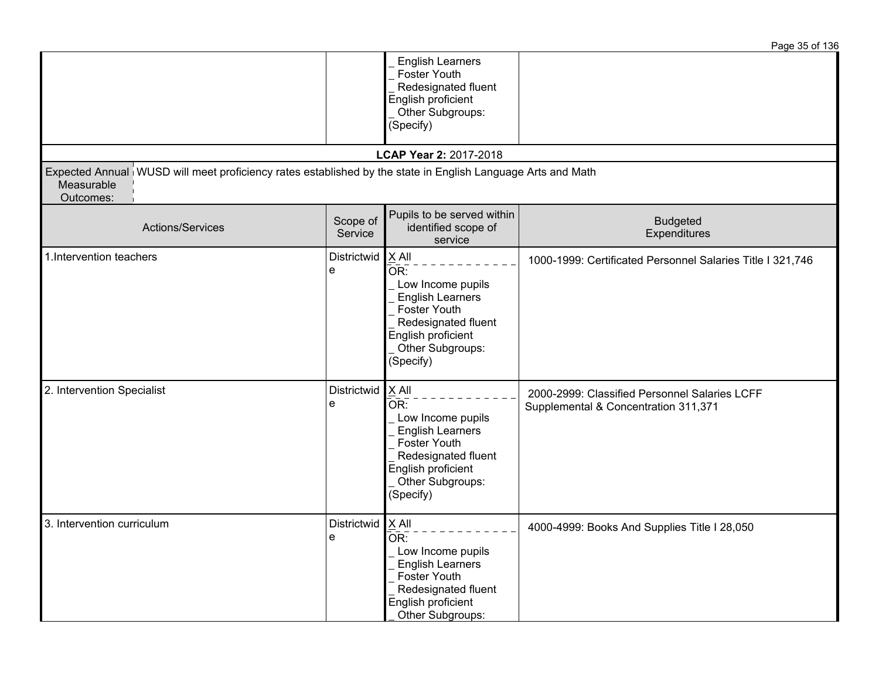|                                                                                                                                        |                          |                                                                                                                                                   | Page 35 of 136                                                                        |
|----------------------------------------------------------------------------------------------------------------------------------------|--------------------------|---------------------------------------------------------------------------------------------------------------------------------------------------|---------------------------------------------------------------------------------------|
|                                                                                                                                        |                          | <b>English Learners</b><br>Foster Youth<br>Redesignated fluent<br>English proficient<br>Other Subgroups:<br>(Specify)                             |                                                                                       |
|                                                                                                                                        |                          | LCAP Year 2: 2017-2018                                                                                                                            |                                                                                       |
| Expected Annual WUSD will meet proficiency rates established by the state in English Language Arts and Math<br>Measurable<br>Outcomes: |                          |                                                                                                                                                   |                                                                                       |
| Actions/Services                                                                                                                       | Scope of<br>Service      | Pupils to be served within<br>identified scope of<br>service                                                                                      | <b>Budgeted</b><br>Expenditures                                                       |
| 1. Intervention teachers                                                                                                               | Districtwid   X All<br>e | OR:<br>Low Income pupils<br><b>English Learners</b><br>Foster Youth<br>Redesignated fluent<br>English proficient<br>Other Subgroups:<br>(Specify) | 1000-1999: Certificated Personnel Salaries Title I 321,746                            |
| 2. Intervention Specialist                                                                                                             | Districtwid   X All<br>e | OR:<br>Low Income pupils<br><b>English Learners</b><br>Foster Youth<br>Redesignated fluent<br>English proficient<br>Other Subgroups:<br>(Specify) | 2000-2999: Classified Personnel Salaries LCFF<br>Supplemental & Concentration 311,371 |
| 3. Intervention curriculum                                                                                                             | Districtwid $X$ All<br>e | OR:<br>Low Income pupils<br><b>English Learners</b><br>Foster Youth<br>Redesignated fluent<br>English proficient<br>Other Subgroups:              | 4000-4999: Books And Supplies Title I 28,050                                          |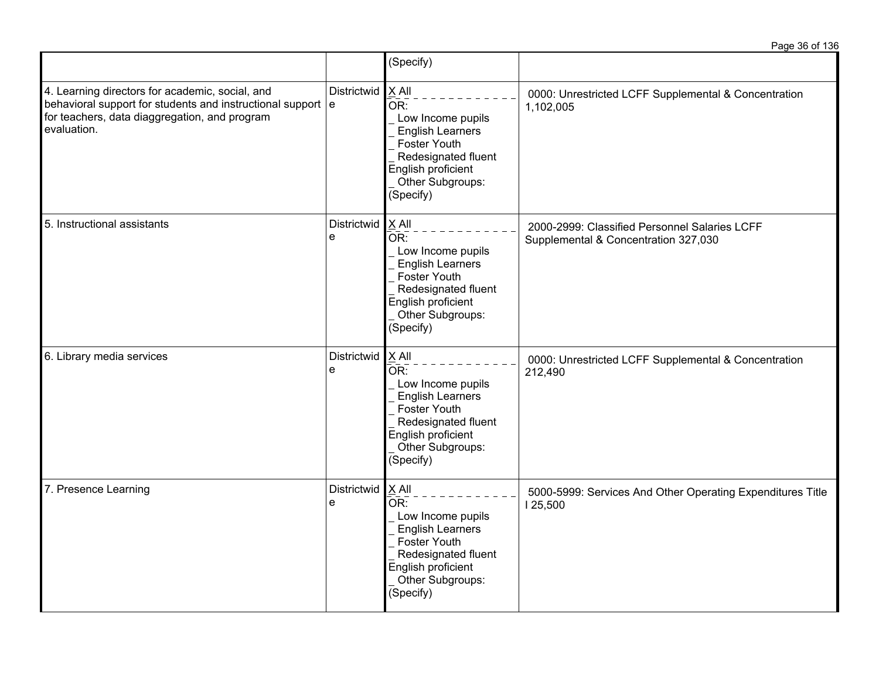|                                                                                                                                                                                    |                  | (Specify)                                                                                                                                                                         |                                                                                       |
|------------------------------------------------------------------------------------------------------------------------------------------------------------------------------------|------------------|-----------------------------------------------------------------------------------------------------------------------------------------------------------------------------------|---------------------------------------------------------------------------------------|
| 4. Learning directors for academic, social, and<br>behavioral support for students and instructional support $ e $<br>for teachers, data diaggregation, and program<br>evaluation. | Districtwid      | $X$ All<br>OR:<br>Low Income pupils<br><b>English Learners</b><br>Foster Youth<br>Redesignated fluent<br>English proficient<br>Other Subgroups:<br>(Specify)                      | 0000: Unrestricted LCFF Supplemental & Concentration<br>1,102,005                     |
| 5. Instructional assistants                                                                                                                                                        | Districtwid<br>e | $X$ All<br>OR:<br>Low Income pupils<br><b>English Learners</b><br>Foster Youth<br>Redesignated fluent<br>English proficient<br>Other Subgroups:<br>(Specify)                      | 2000-2999: Classified Personnel Salaries LCFF<br>Supplemental & Concentration 327,030 |
| 6. Library media services                                                                                                                                                          | Districtwid<br>e | X All<br>$\overline{\mathsf{OR}}$ :<br>Low Income pupils<br><b>English Learners</b><br>Foster Youth<br>Redesignated fluent<br>English proficient<br>Other Subgroups:<br>(Specify) | 0000: Unrestricted LCFF Supplemental & Concentration<br>212,490                       |
| 7. Presence Learning                                                                                                                                                               | Districtwid<br>e | $x$ All<br>OR:<br>Low Income pupils<br><b>English Learners</b><br><b>Foster Youth</b><br>Redesignated fluent<br>English proficient<br>Other Subgroups:<br>(Specify)               | 5000-5999: Services And Other Operating Expenditures Title<br>125,500                 |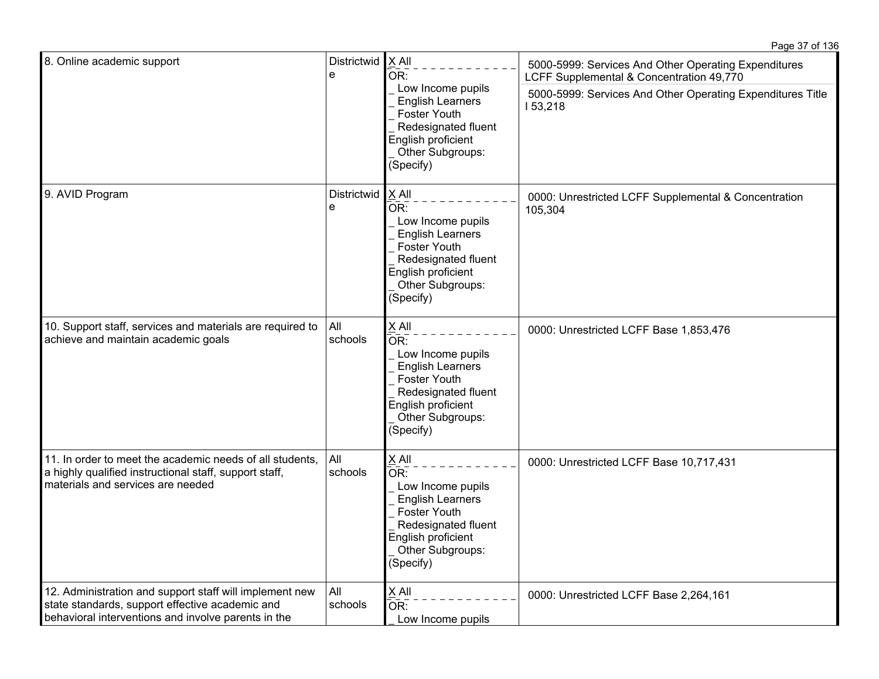| 8. Online academic support                                                                                                                                        | Districtwid X All<br>e | OR:<br>Low Income pupils                                                                                                                                                       | 5000-5999: Services And Other Operating Expenditures<br>LCFF Supplemental & Concentration 49,770<br>5000-5999: Services And Other Operating Expenditures Title |
|-------------------------------------------------------------------------------------------------------------------------------------------------------------------|------------------------|--------------------------------------------------------------------------------------------------------------------------------------------------------------------------------|----------------------------------------------------------------------------------------------------------------------------------------------------------------|
|                                                                                                                                                                   |                        | <b>English Learners</b><br><b>Foster Youth</b><br>Redesignated fluent<br>English proficient<br>Other Subgroups:<br>(Specify)                                                   | 153,218                                                                                                                                                        |
| 9. AVID Program                                                                                                                                                   | Districtwid<br>e       | X All<br>OR:<br>Low Income pupils<br><b>English Learners</b><br>Foster Youth<br>Redesignated fluent<br>English proficient<br>Other Subgroups:<br>(Specify)                     | 0000: Unrestricted LCFF Supplemental & Concentration<br>105,304                                                                                                |
| 10. Support staff, services and materials are required to<br>achieve and maintain academic goals                                                                  | All<br>schools         | $X$ All<br>$\bar{\mathsf{OR}}$ :<br>Low Income pupils<br><b>English Learners</b><br>Foster Youth<br>Redesignated fluent<br>English proficient<br>Other Subgroups:<br>(Specify) | 0000: Unrestricted LCFF Base 1,853,476                                                                                                                         |
| 11. In order to meet the academic needs of all students,<br>a highly qualified instructional staff, support staff,<br>materials and services are needed           | All<br>schools         | X All<br>OR:<br>Low Income pupils<br><b>English Learners</b><br>Foster Youth<br>Redesignated fluent<br>English proficient<br>Other Subgroups:<br>(Specify)                     | 0000: Unrestricted LCFF Base 10,717,431                                                                                                                        |
| 12. Administration and support staff will implement new<br>state standards, support effective academic and<br>behavioral interventions and involve parents in the | All<br>schools         | X All<br>OR:<br>Low Income pupils                                                                                                                                              | 0000: Unrestricted LCFF Base 2,264,161                                                                                                                         |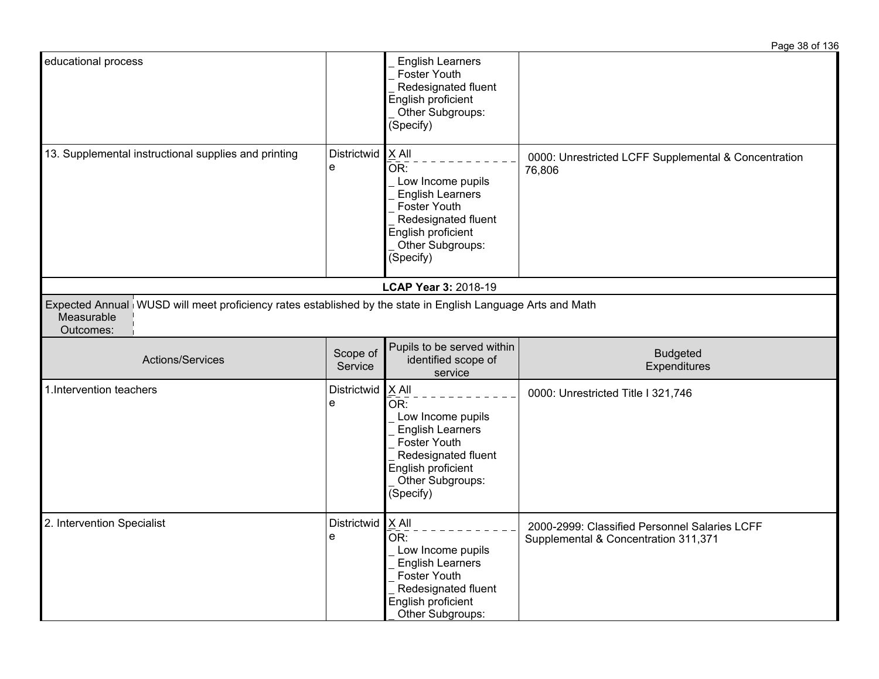|                                                                                                                                        |                          |                                                                                                                                                              | Page 38 of 136                                                                        |
|----------------------------------------------------------------------------------------------------------------------------------------|--------------------------|--------------------------------------------------------------------------------------------------------------------------------------------------------------|---------------------------------------------------------------------------------------|
| educational process                                                                                                                    |                          | <b>English Learners</b><br>Foster Youth<br>Redesignated fluent<br>English proficient<br>Other Subgroups:<br>(Specify)                                        |                                                                                       |
| 13. Supplemental instructional supplies and printing                                                                                   | Districtwid $X$ All<br>e | OR:<br>Low Income pupils<br><b>English Learners</b><br>Foster Youth<br>Redesignated fluent<br>English proficient<br>Other Subgroups:<br>(Specify)            | 0000: Unrestricted LCFF Supplemental & Concentration<br>76,806                        |
|                                                                                                                                        |                          | LCAP Year 3: 2018-19                                                                                                                                         |                                                                                       |
| Expected Annual WUSD will meet proficiency rates established by the state in English Language Arts and Math<br>Measurable<br>Outcomes: |                          |                                                                                                                                                              |                                                                                       |
| Actions/Services                                                                                                                       | Scope of<br>Service      | Pupils to be served within<br>identified scope of<br>service                                                                                                 | <b>Budgeted</b><br>Expenditures                                                       |
| 1. Intervention teachers                                                                                                               | Districtwid<br>e         | $X$ All<br>OR:<br>Low Income pupils<br><b>English Learners</b><br>Foster Youth<br>Redesignated fluent<br>English proficient<br>Other Subgroups:<br>(Specify) | 0000: Unrestricted Title I 321,746                                                    |
| 2. Intervention Specialist                                                                                                             | Districtwid<br>e         | X All<br>OR:<br>Low Income pupils<br><b>English Learners</b><br>Foster Youth<br>Redesignated fluent<br>English proficient<br>Other Subgroups:                | 2000-2999: Classified Personnel Salaries LCFF<br>Supplemental & Concentration 311,371 |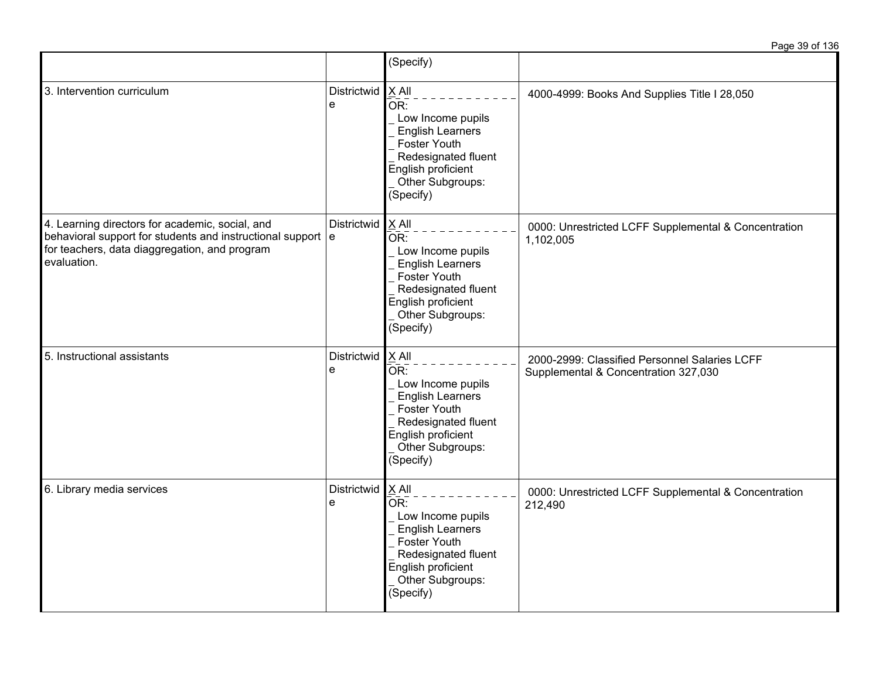Page 39 of 136

|                                                                                                                                                                                  |                   | (Specify)                                                                                                                                                                           |                                                                                       |
|----------------------------------------------------------------------------------------------------------------------------------------------------------------------------------|-------------------|-------------------------------------------------------------------------------------------------------------------------------------------------------------------------------------|---------------------------------------------------------------------------------------|
| 3. Intervention curriculum                                                                                                                                                       | Districtwid<br>e  | $X$ All<br>OR:<br>Low Income pupils<br><b>English Learners</b><br>Foster Youth<br>Redesignated fluent<br>English proficient<br>Other Subgroups:<br>(Specify)                        | 4000-4999: Books And Supplies Title I 28,050                                          |
| 4. Learning directors for academic, social, and<br>behavioral support for students and instructional support   e<br>for teachers, data diaggregation, and program<br>evaluation. | Districtwid X All | OR:<br>Low Income pupils<br><b>English Learners</b><br>Foster Youth<br>Redesignated fluent<br>English proficient<br>Other Subgroups:<br>(Specify)                                   | 0000: Unrestricted LCFF Supplemental & Concentration<br>1,102,005                     |
| 5. Instructional assistants                                                                                                                                                      | Districtwid<br>e  | $x$ All<br>$\overline{\mathsf{OR}}$ :<br>Low Income pupils<br><b>English Learners</b><br>Foster Youth<br>Redesignated fluent<br>English proficient<br>Other Subgroups:<br>(Specify) | 2000-2999: Classified Personnel Salaries LCFF<br>Supplemental & Concentration 327,030 |
| 6. Library media services                                                                                                                                                        | Districtwid<br>e  | X All<br>OR:<br>Low Income pupils<br><b>English Learners</b><br>Foster Youth<br>Redesignated fluent<br>English proficient<br>Other Subgroups:<br>(Specify)                          | 0000: Unrestricted LCFF Supplemental & Concentration<br>212,490                       |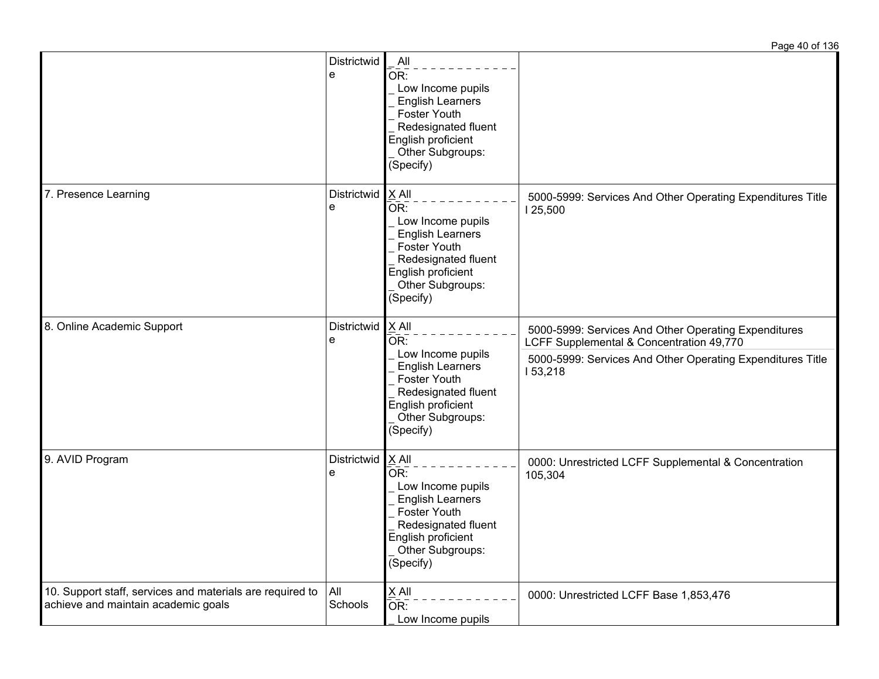|                                                                                                  | Districtwid<br>e | All<br>OR:<br>Low Income pupils<br><b>English Learners</b><br><b>Foster Youth</b><br>Redesignated fluent<br>English proficient<br>Other Subgroups:<br>(Specify)                |                                                                                                                                                                           |
|--------------------------------------------------------------------------------------------------|------------------|--------------------------------------------------------------------------------------------------------------------------------------------------------------------------------|---------------------------------------------------------------------------------------------------------------------------------------------------------------------------|
| 7. Presence Learning                                                                             | Districtwid<br>e | X All<br>OR:<br>Low Income pupils<br><b>English Learners</b><br><b>Foster Youth</b><br>Redesignated fluent<br>English proficient<br>Other Subgroups:<br>(Specify)              | 5000-5999: Services And Other Operating Expenditures Title<br>125,500                                                                                                     |
| 8. Online Academic Support                                                                       | Districtwid<br>e | X All<br>OR:<br>Low Income pupils<br><b>English Learners</b><br>Foster Youth<br>Redesignated fluent<br>English proficient<br>Other Subgroups:<br>(Specify)                     | 5000-5999: Services And Other Operating Expenditures<br>LCFF Supplemental & Concentration 49,770<br>5000-5999: Services And Other Operating Expenditures Title<br>153,218 |
| 9. AVID Program                                                                                  | Districtwid<br>e | $X$ All<br>$\bar{\mathsf{OR}}$ :<br>Low Income pupils<br><b>English Learners</b><br>Foster Youth<br>Redesignated fluent<br>English proficient<br>Other Subgroups:<br>(Specify) | 0000: Unrestricted LCFF Supplemental & Concentration<br>105,304                                                                                                           |
| 10. Support staff, services and materials are required to<br>achieve and maintain academic goals | All<br>Schools   | X All<br>$\bar{OR}$ :<br>Low Income pupils                                                                                                                                     | 0000: Unrestricted LCFF Base 1,853,476                                                                                                                                    |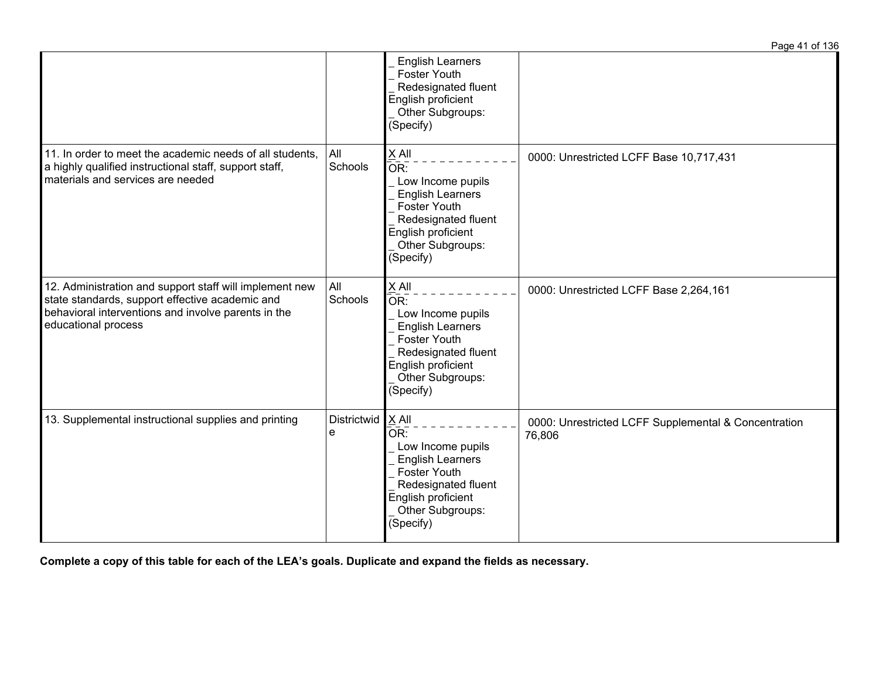|                                                                                                                                                                                          |                  |                                                                                                                                                                                          | , ago <del>1</del> , or 100                                    |
|------------------------------------------------------------------------------------------------------------------------------------------------------------------------------------------|------------------|------------------------------------------------------------------------------------------------------------------------------------------------------------------------------------------|----------------------------------------------------------------|
|                                                                                                                                                                                          |                  | <b>English Learners</b><br>Foster Youth<br>Redesignated fluent<br>English proficient<br>Other Subgroups:<br>(Specify)                                                                    |                                                                |
| 11. In order to meet the academic needs of all students,<br>a highly qualified instructional staff, support staff,<br>materials and services are needed                                  | All<br>Schools   | X All<br>OR:<br>Low Income pupils<br><b>English Learners</b><br>Foster Youth<br>Redesignated fluent<br>English proficient<br>Other Subgroups:<br>(Specify)                               | 0000: Unrestricted LCFF Base 10,717,431                        |
| 12. Administration and support staff will implement new<br>state standards, support effective academic and<br>behavioral interventions and involve parents in the<br>educational process | All<br>Schools   | X All<br>$\overline{\mathsf{OR}}$ :<br>Low Income pupils<br><b>English Learners</b><br><b>Foster Youth</b><br>Redesignated fluent<br>English proficient<br>Other Subgroups:<br>(Specify) | 0000: Unrestricted LCFF Base 2,264,161                         |
| 13. Supplemental instructional supplies and printing                                                                                                                                     | Districtwid<br>e | X All<br>OR:<br>Low Income pupils<br><b>English Learners</b><br>Foster Youth<br>Redesignated fluent<br>English proficient<br>Other Subgroups:<br>(Specify)                               | 0000: Unrestricted LCFF Supplemental & Concentration<br>76,806 |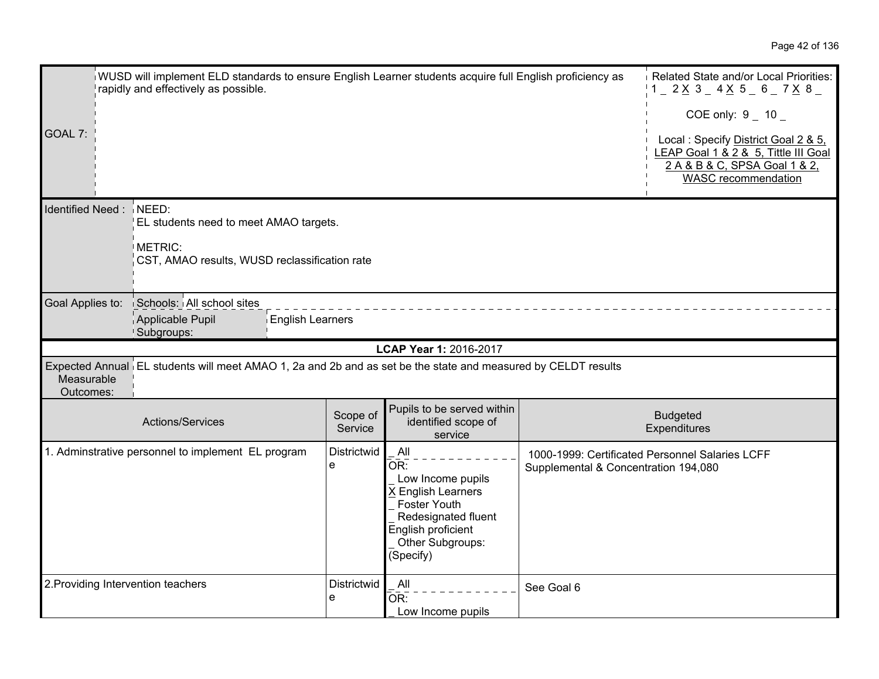| GOAL 7:                 | WUSD will implement ELD standards to ensure English Learner students acquire full English proficiency as<br>rapidly and effectively as possible. |                     |                                                                                                                                                     |                                      | Related State and/or Local Priorities:<br>$1 - 2 \times 3 - 4 \times 5 - 6 - 7 \times 8$<br>COE only: $9 - 10 -$<br>Local: Specify District Goal 2 & 5,<br>LEAP Goal 1 & 2 & 5, Tittle III Goal<br>2 A & B & C, SPSA Goal 1 & 2,<br>WASC recommendation |
|-------------------------|--------------------------------------------------------------------------------------------------------------------------------------------------|---------------------|-----------------------------------------------------------------------------------------------------------------------------------------------------|--------------------------------------|---------------------------------------------------------------------------------------------------------------------------------------------------------------------------------------------------------------------------------------------------------|
|                         | Identified Need: NEED:<br>EL students need to meet AMAO targets.<br>METRIC:<br>CST, AMAO results, WUSD reclassification rate                     |                     |                                                                                                                                                     |                                      |                                                                                                                                                                                                                                                         |
| Goal Applies to:        | Schools: All school sites<br>Applicable Pupil<br><b>English Learners</b><br>Subgroups:                                                           |                     |                                                                                                                                                     |                                      |                                                                                                                                                                                                                                                         |
|                         |                                                                                                                                                  |                     | LCAP Year 1: 2016-2017                                                                                                                              |                                      |                                                                                                                                                                                                                                                         |
| Measurable<br>Outcomes: | Expected Annual EL students will meet AMAO 1, 2a and 2b and as set be the state and measured by CELDT results                                    |                     |                                                                                                                                                     |                                      |                                                                                                                                                                                                                                                         |
|                         | Actions/Services                                                                                                                                 | Scope of<br>Service | Pupils to be served within<br>identified scope of<br>service                                                                                        |                                      | <b>Budgeted</b><br>Expenditures                                                                                                                                                                                                                         |
|                         | 1. Adminstrative personnel to implement EL program                                                                                               | Districtwid<br>e    | All<br>OR:<br>Low Income pupils<br>X English Learners<br>Foster Youth<br>Redesignated fluent<br>English proficient<br>Other Subgroups:<br>(Specify) | Supplemental & Concentration 194,080 | 1000-1999: Certificated Personnel Salaries LCFF                                                                                                                                                                                                         |
|                         | 2. Providing Intervention teachers                                                                                                               | Districtwid<br>e    | All<br>OR:<br>Low Income pupils                                                                                                                     | See Goal 6                           |                                                                                                                                                                                                                                                         |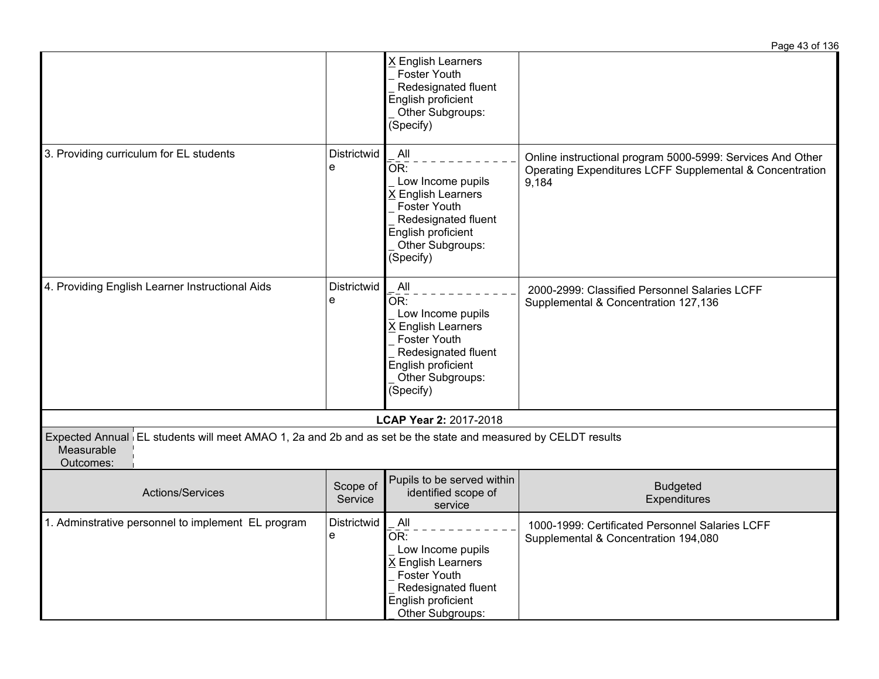|                                                                                                                                          |                     |                                                                                                                                                            | Page 43 of 136                                                                                                                  |
|------------------------------------------------------------------------------------------------------------------------------------------|---------------------|------------------------------------------------------------------------------------------------------------------------------------------------------------|---------------------------------------------------------------------------------------------------------------------------------|
|                                                                                                                                          |                     | X English Learners<br><b>Foster Youth</b><br>Redesignated fluent<br>English proficient<br>Other Subgroups:<br>(Specify)                                    |                                                                                                                                 |
| 3. Providing curriculum for EL students                                                                                                  | Districtwid<br>e    | All<br>OR:<br>Low Income pupils<br>X English Learners<br><b>Foster Youth</b><br>Redesignated fluent<br>English proficient<br>Other Subgroups:<br>(Specify) | Online instructional program 5000-5999: Services And Other<br>Operating Expenditures LCFF Supplemental & Concentration<br>9,184 |
| 4. Providing English Learner Instructional Aids                                                                                          | Districtwid<br>e    | All<br>OR:<br>Low Income pupils<br>X English Learners<br><b>Foster Youth</b><br>Redesignated fluent<br>English proficient<br>Other Subgroups:<br>(Specify) | 2000-2999: Classified Personnel Salaries LCFF<br>Supplemental & Concentration 127,136                                           |
|                                                                                                                                          |                     | LCAP Year 2: 2017-2018                                                                                                                                     |                                                                                                                                 |
| Expected Annual EL students will meet AMAO 1, 2a and 2b and as set be the state and measured by CELDT results<br>Measurable<br>Outcomes: |                     |                                                                                                                                                            |                                                                                                                                 |
| <b>Actions/Services</b>                                                                                                                  | Scope of<br>Service | Pupils to be served within<br>identified scope of<br>service                                                                                               | <b>Budgeted</b><br>Expenditures                                                                                                 |
| 1. Adminstrative personnel to implement EL program                                                                                       | Districtwid<br>e    | All<br>OR <sub>1</sub><br>Low Income pupils<br>X English Learners<br><b>Foster Youth</b><br>Redesignated fluent<br>English proficient<br>Other Subgroups:  | 1000-1999: Certificated Personnel Salaries LCFF<br>Supplemental & Concentration 194,080                                         |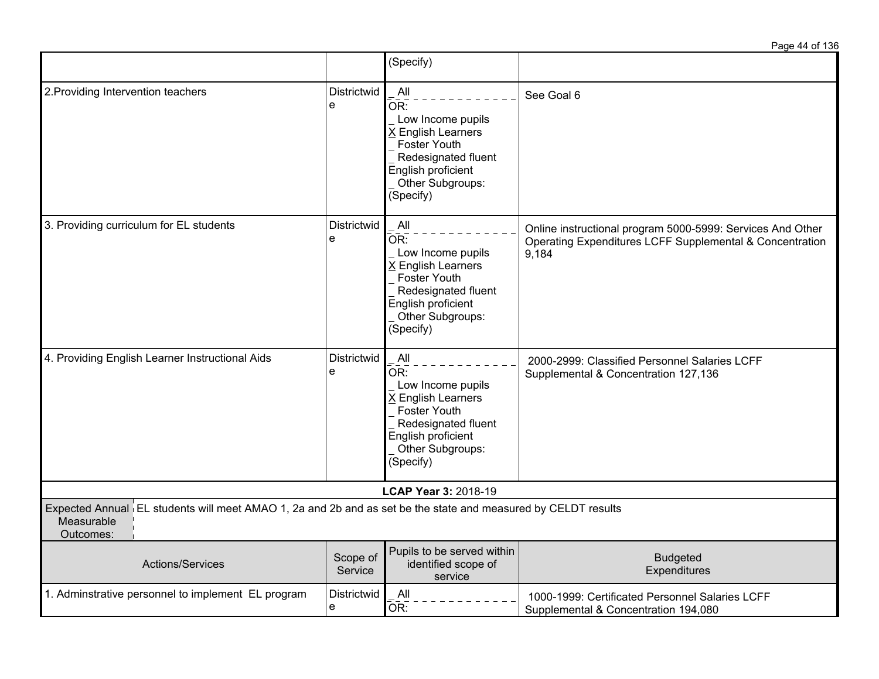Page 44 of 136

|                                                                                                                                          |                     | (Specify)                                                                                                                                           |                                                                                                                                 |  |
|------------------------------------------------------------------------------------------------------------------------------------------|---------------------|-----------------------------------------------------------------------------------------------------------------------------------------------------|---------------------------------------------------------------------------------------------------------------------------------|--|
| 2. Providing Intervention teachers                                                                                                       | Districtwid<br>e    | All<br>OR:<br>Low Income pupils<br>X English Learners<br>Foster Youth<br>Redesignated fluent<br>English proficient<br>Other Subgroups:<br>(Specify) | See Goal 6                                                                                                                      |  |
| 3. Providing curriculum for EL students                                                                                                  | Districtwid<br>e    | All<br>OR:<br>Low Income pupils<br>X English Learners<br>Foster Youth<br>Redesignated fluent<br>English proficient<br>Other Subgroups:<br>(Specify) | Online instructional program 5000-5999: Services And Other<br>Operating Expenditures LCFF Supplemental & Concentration<br>9,184 |  |
| 4. Providing English Learner Instructional Aids                                                                                          | Districtwid<br>e    | All<br>OR:<br>Low Income pupils<br>X English Learners<br>Foster Youth<br>Redesignated fluent<br>English proficient<br>Other Subgroups:<br>(Specify) | 2000-2999: Classified Personnel Salaries LCFF<br>Supplemental & Concentration 127,136                                           |  |
|                                                                                                                                          |                     | LCAP Year 3: 2018-19                                                                                                                                |                                                                                                                                 |  |
| Expected Annual EL students will meet AMAO 1, 2a and 2b and as set be the state and measured by CELDT results<br>Measurable<br>Outcomes: |                     |                                                                                                                                                     |                                                                                                                                 |  |
| Actions/Services                                                                                                                         | Scope of<br>Service | Pupils to be served within<br>identified scope of<br>service                                                                                        | <b>Budgeted</b><br>Expenditures                                                                                                 |  |
| 1. Adminstrative personnel to implement EL program                                                                                       | Districtwid<br>e    | All<br>OR:                                                                                                                                          | 1000-1999: Certificated Personnel Salaries LCFF<br>Supplemental & Concentration 194,080                                         |  |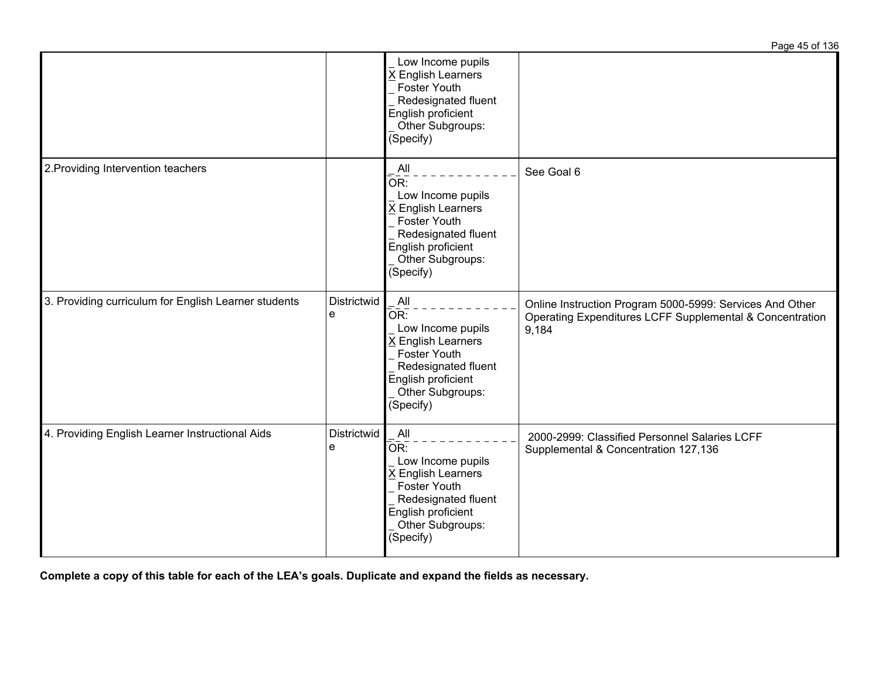|                                                      |                  |                                                                                                                                                              | ι αγο πο οι του                                                                                                               |
|------------------------------------------------------|------------------|--------------------------------------------------------------------------------------------------------------------------------------------------------------|-------------------------------------------------------------------------------------------------------------------------------|
|                                                      |                  | Low Income pupils<br><b>English Learners</b><br>Foster Youth<br>Redesignated fluent<br>English proficient<br>Other Subgroups:<br>(Specify)                   |                                                                                                                               |
| 2. Providing Intervention teachers                   |                  | $\overline{A}$<br>OR:<br>Low Income pupils<br>English Learners<br>Foster Youth<br>Redesignated fluent<br>English proficient<br>Other Subgroups:<br>(Specify) | See Goal 6                                                                                                                    |
| 3. Providing curriculum for English Learner students | Districtwid<br>e | All<br>OR:<br>Low Income pupils<br>X English Learners<br>Foster Youth<br>Redesignated fluent<br>English proficient<br>Other Subgroups:<br>(Specify)          | Online Instruction Program 5000-5999: Services And Other<br>Operating Expenditures LCFF Supplemental & Concentration<br>9,184 |
| 4. Providing English Learner Instructional Aids      | Districtwid<br>e | All<br>OR:<br>Low Income pupils<br>English Learners<br>Foster Youth<br>Redesignated fluent<br>English proficient<br>Other Subgroups:<br>(Specify)            | 2000-2999: Classified Personnel Salaries LCFF<br>Supplemental & Concentration 127,136                                         |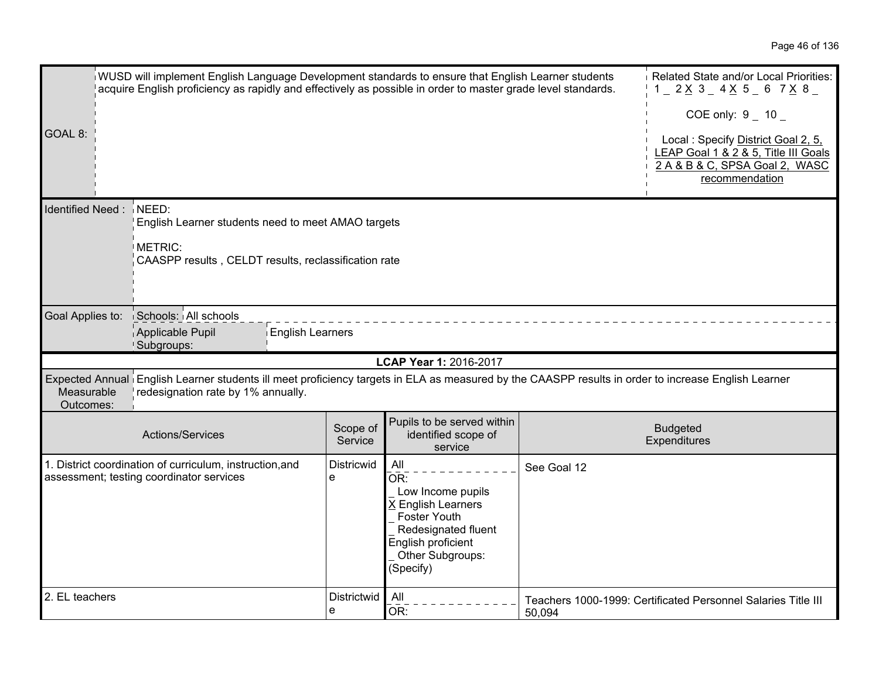| GOAL 8:                 | WUSD will implement English Language Development standards to ensure that English Learner students<br>acquire English proficiency as rapidly and effectively as possible in order to master grade level standards. |                        |                                                                                                                                                                            |             | Related State and/or Local Priorities:<br>$1 - 2 \times 3 - 4 \times 5 - 6$ 7 $\times$ 8<br>COE only: $9 - 10$<br>Local: Specify District Goal 2, 5,<br>LEAP Goal 1 & 2 & 5, Title III Goals<br>2 A & B & C, SPSA Goal 2, WASC<br>recommendation |  |
|-------------------------|--------------------------------------------------------------------------------------------------------------------------------------------------------------------------------------------------------------------|------------------------|----------------------------------------------------------------------------------------------------------------------------------------------------------------------------|-------------|--------------------------------------------------------------------------------------------------------------------------------------------------------------------------------------------------------------------------------------------------|--|
| Identified Need:        | NEED:<br>English Learner students need to meet AMAO targets<br>METRIC:<br>CAASPP results, CELDT results, reclassification rate                                                                                     |                        |                                                                                                                                                                            |             |                                                                                                                                                                                                                                                  |  |
| Goal Applies to:        | Schools: All schools<br>Applicable Pupil<br><b>English Learners</b>                                                                                                                                                |                        |                                                                                                                                                                            |             |                                                                                                                                                                                                                                                  |  |
|                         | Subgroups:                                                                                                                                                                                                         |                        |                                                                                                                                                                            |             |                                                                                                                                                                                                                                                  |  |
| Measurable<br>Outcomes: | Expected Annual English Learner students ill meet proficiency targets in ELA as measured by the CAASPP results in order to increase English Learner<br>redesignation rate by 1% annually.                          |                        | LCAP Year 1: 2016-2017                                                                                                                                                     |             |                                                                                                                                                                                                                                                  |  |
|                         | Actions/Services                                                                                                                                                                                                   | Scope of<br>Service    | Pupils to be served within<br>identified scope of<br>service                                                                                                               |             | <b>Budgeted</b><br>Expenditures                                                                                                                                                                                                                  |  |
|                         | 1. District coordination of curriculum, instruction, and<br>assessment; testing coordinator services                                                                                                               | <b>Districwid</b><br>e | All<br>$\overline{\mathsf{OR}}$ :<br>Low Income pupils<br>X English Learners<br>Foster Youth<br>Redesignated fluent<br>English proficient<br>Other Subgroups:<br>(Specify) | See Goal 12 |                                                                                                                                                                                                                                                  |  |
| 2. EL teachers          |                                                                                                                                                                                                                    | Districtwid<br>e       | All<br>OR:                                                                                                                                                                 | 50,094      | Teachers 1000-1999: Certificated Personnel Salaries Title III                                                                                                                                                                                    |  |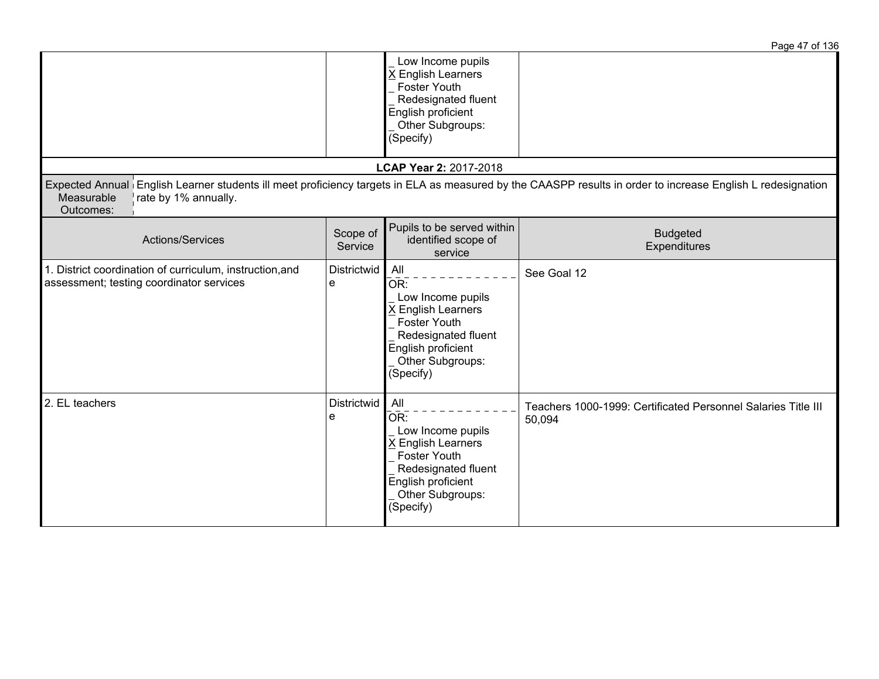|                                                                                                      |                     | Low Income pupils<br>X English Learners<br>Foster Youth<br>Redesignated fluent<br>English proficient<br>Other Subgroups:<br>(Specify)                      |                                                                                                                                                             |
|------------------------------------------------------------------------------------------------------|---------------------|------------------------------------------------------------------------------------------------------------------------------------------------------------|-------------------------------------------------------------------------------------------------------------------------------------------------------------|
|                                                                                                      |                     | LCAP Year 2: 2017-2018                                                                                                                                     |                                                                                                                                                             |
| rate by 1% annually.<br>Measurable<br>Outcomes:                                                      |                     |                                                                                                                                                            | Expected Annual English Learner students ill meet proficiency targets in ELA as measured by the CAASPP results in order to increase English L redesignation |
| Actions/Services                                                                                     | Scope of<br>Service | Pupils to be served within<br>identified scope of<br>service                                                                                               | <b>Budgeted</b><br>Expenditures                                                                                                                             |
| 1. District coordination of curriculum, instruction, and<br>assessment; testing coordinator services | Districtwid<br>e    | All<br>OR:<br>Low Income pupils<br>X English Learners<br>Foster Youth<br>Redesignated fluent<br>English proficient<br>Other Subgroups:<br>(Specify)        | See Goal 12                                                                                                                                                 |
| 2. EL teachers                                                                                       | Districtwid<br>e    | All<br>OR:<br>Low Income pupils<br>X English Learners<br><b>Foster Youth</b><br>Redesignated fluent<br>English proficient<br>Other Subgroups:<br>(Specify) | Teachers 1000-1999: Certificated Personnel Salaries Title III<br>50,094                                                                                     |

Page 47 of 136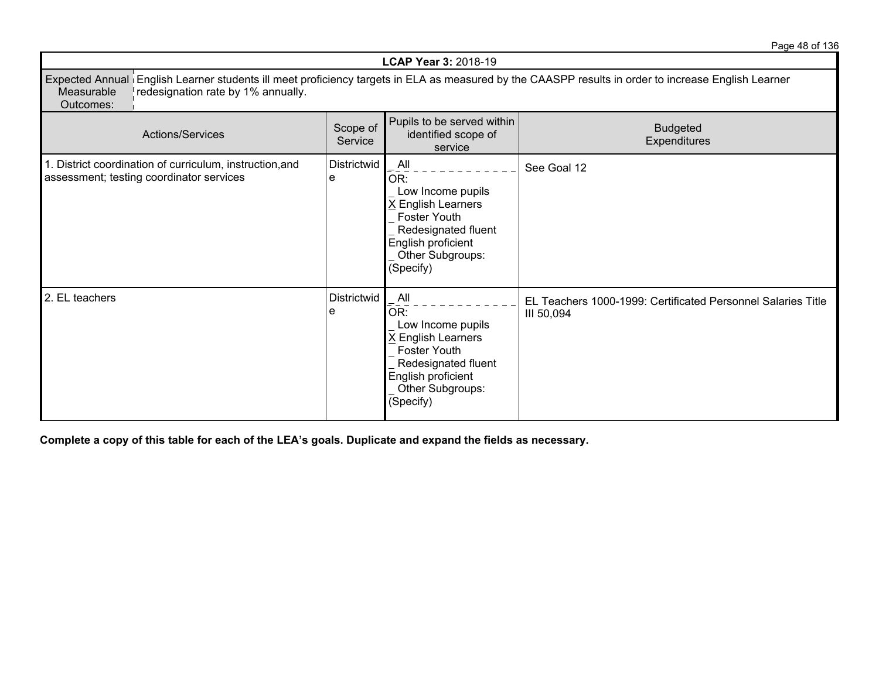Page 48 of 136

|                                                                                                                                                                                                                      |                     | <b>LCAP Year 3: 2018-19</b>                                                                                                                         |                                                                            |  |  |
|----------------------------------------------------------------------------------------------------------------------------------------------------------------------------------------------------------------------|---------------------|-----------------------------------------------------------------------------------------------------------------------------------------------------|----------------------------------------------------------------------------|--|--|
| Expected Annual English Learner students ill meet proficiency targets in ELA as measured by the CAASPP results in order to increase English Learner<br>redesignation rate by 1% annually.<br>Measurable<br>Outcomes: |                     |                                                                                                                                                     |                                                                            |  |  |
| <b>Actions/Services</b>                                                                                                                                                                                              | Scope of<br>Service | Pupils to be served within<br>identified scope of<br>service                                                                                        | <b>Budgeted</b><br>Expenditures                                            |  |  |
| 1. District coordination of curriculum, instruction, and<br>assessment; testing coordinator services                                                                                                                 | Districtwid<br>е    | All<br>OR:<br>Low Income pupils<br>X English Learners<br>Foster Youth<br>Redesignated fluent<br>English proficient<br>Other Subgroups:<br>(Specify) | See Goal 12                                                                |  |  |
| 2. EL teachers                                                                                                                                                                                                       | Districtwid<br>e    | All<br>OR:<br>Low Income pupils<br>X English Learners<br>Foster Youth<br>Redesignated fluent<br>English proficient<br>Other Subgroups:<br>(Specify) | EL Teachers 1000-1999: Certificated Personnel Salaries Title<br>III 50,094 |  |  |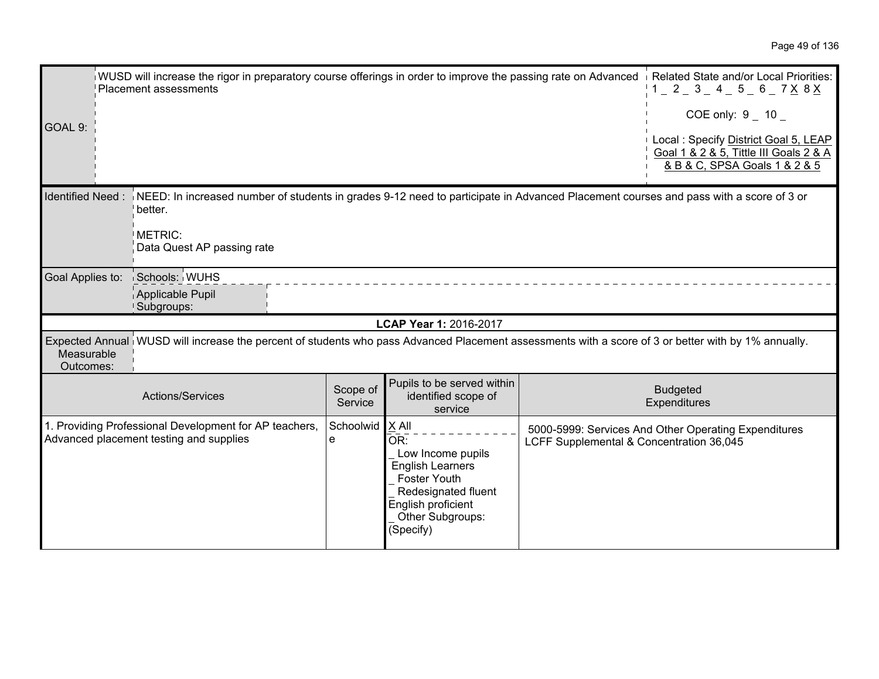|                         | WUSD will increase the rigor in preparatory course offerings in order to improve the passing rate on Advanced Related State and/or Local Priorities:<br><b>Placement assessments</b> |                     | $1 - 2 - 3 - 4 - 5 - 6 - 7 \times 8 \times$                                                                                                                         |                                          |                                                                                                                  |  |
|-------------------------|--------------------------------------------------------------------------------------------------------------------------------------------------------------------------------------|---------------------|---------------------------------------------------------------------------------------------------------------------------------------------------------------------|------------------------------------------|------------------------------------------------------------------------------------------------------------------|--|
|                         |                                                                                                                                                                                      |                     |                                                                                                                                                                     |                                          | $COE$ only: $9$ 10                                                                                               |  |
| GOAL 9:                 |                                                                                                                                                                                      |                     |                                                                                                                                                                     |                                          | Local : Specify District Goal 5, LEAP<br>Goal 1 & 2 & 5, Tittle III Goals 2 & A<br>& B & C, SPSA Goals 1 & 2 & 5 |  |
|                         | Identified Need: NEED: In increased number of students in grades 9-12 need to participate in Advanced Placement courses and pass with a score of 3 or<br>better.                     |                     |                                                                                                                                                                     |                                          |                                                                                                                  |  |
|                         | METRIC:<br>Data Quest AP passing rate                                                                                                                                                |                     |                                                                                                                                                                     |                                          |                                                                                                                  |  |
| Goal Applies to:        | Schools: WUHS<br>Applicable Pupil<br>Subgroups:                                                                                                                                      |                     |                                                                                                                                                                     |                                          |                                                                                                                  |  |
|                         |                                                                                                                                                                                      |                     | LCAP Year 1: 2016-2017                                                                                                                                              |                                          |                                                                                                                  |  |
| Measurable<br>Outcomes: | Expected Annual WUSD will increase the percent of students who pass Advanced Placement assessments with a score of 3 or better with by 1% annually.                                  |                     |                                                                                                                                                                     |                                          |                                                                                                                  |  |
|                         | Actions/Services                                                                                                                                                                     | Scope of<br>Service | Pupils to be served within<br>identified scope of<br>service                                                                                                        |                                          | <b>Budgeted</b><br>Expenditures                                                                                  |  |
|                         | 1. Providing Professional Development for AP teachers,<br>Advanced placement testing and supplies                                                                                    | Schoolwid<br>e      | $X$ All<br>OR:<br>Low Income pupils<br><b>English Learners</b><br><b>Foster Youth</b><br>Redesignated fluent<br>English proficient<br>Other Subgroups:<br>(Specify) | LCFF Supplemental & Concentration 36,045 | 5000-5999: Services And Other Operating Expenditures                                                             |  |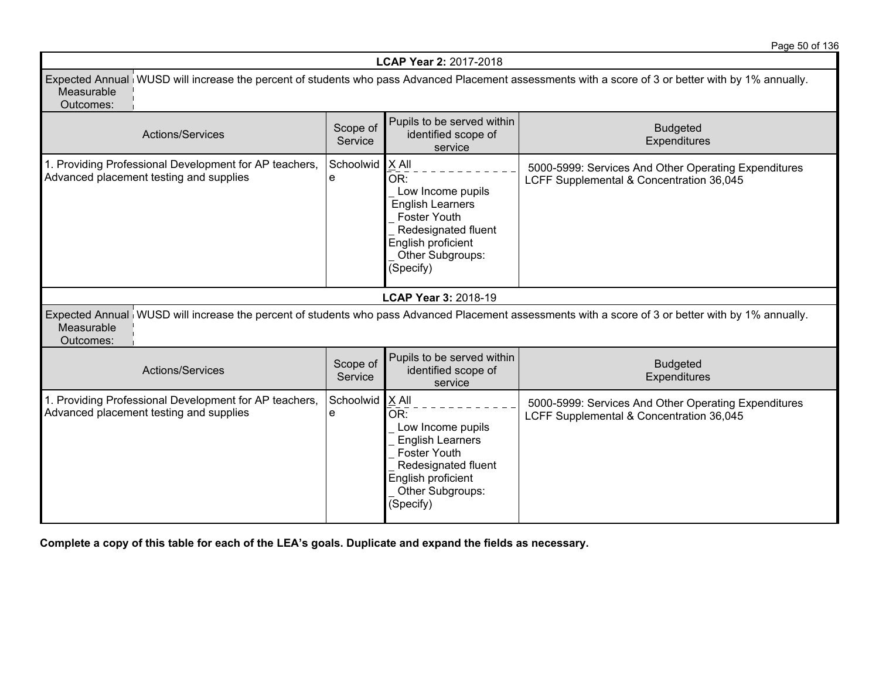Page 50 of 136

| LCAP Year 2: 2017-2018                                                                                                                                                                                                                                                                                             |                     |                                                                                                                                                                     |                                                                                                                                                     |  |
|--------------------------------------------------------------------------------------------------------------------------------------------------------------------------------------------------------------------------------------------------------------------------------------------------------------------|---------------------|---------------------------------------------------------------------------------------------------------------------------------------------------------------------|-----------------------------------------------------------------------------------------------------------------------------------------------------|--|
| Measurable<br>Outcomes:                                                                                                                                                                                                                                                                                            |                     |                                                                                                                                                                     | Expected Annual WUSD will increase the percent of students who pass Advanced Placement assessments with a score of 3 or better with by 1% annually. |  |
| <b>Actions/Services</b>                                                                                                                                                                                                                                                                                            | Scope of<br>Service | Pupils to be served within<br>identified scope of<br>service                                                                                                        | <b>Budgeted</b><br>Expenditures                                                                                                                     |  |
| Schoolwid<br>$X$ All<br>1. Providing Professional Development for AP teachers,<br>Advanced placement testing and supplies<br>OR:<br>e<br>Low Income pupils<br><b>English Learners</b><br><b>Foster Youth</b><br>Redesignated fluent<br>English proficient<br>Other Subgroups:<br>(Specify)<br>LCAP Year 3: 2018-19 |                     |                                                                                                                                                                     | 5000-5999: Services And Other Operating Expenditures<br>LCFF Supplemental & Concentration 36,045                                                    |  |
| Measurable<br>Outcomes:                                                                                                                                                                                                                                                                                            |                     |                                                                                                                                                                     | Expected Annual WUSD will increase the percent of students who pass Advanced Placement assessments with a score of 3 or better with by 1% annually. |  |
| Actions/Services                                                                                                                                                                                                                                                                                                   | Scope of<br>Service | Pupils to be served within<br>identified scope of<br>service                                                                                                        | <b>Budgeted</b><br>Expenditures                                                                                                                     |  |
| 1. Providing Professional Development for AP teachers,<br>Advanced placement testing and supplies                                                                                                                                                                                                                  | Schoolwid<br>e      | $X$ All<br>OR:<br>Low Income pupils<br><b>English Learners</b><br><b>Foster Youth</b><br>Redesignated fluent<br>English proficient<br>Other Subgroups:<br>(Specify) | 5000-5999: Services And Other Operating Expenditures<br>LCFF Supplemental & Concentration 36,045                                                    |  |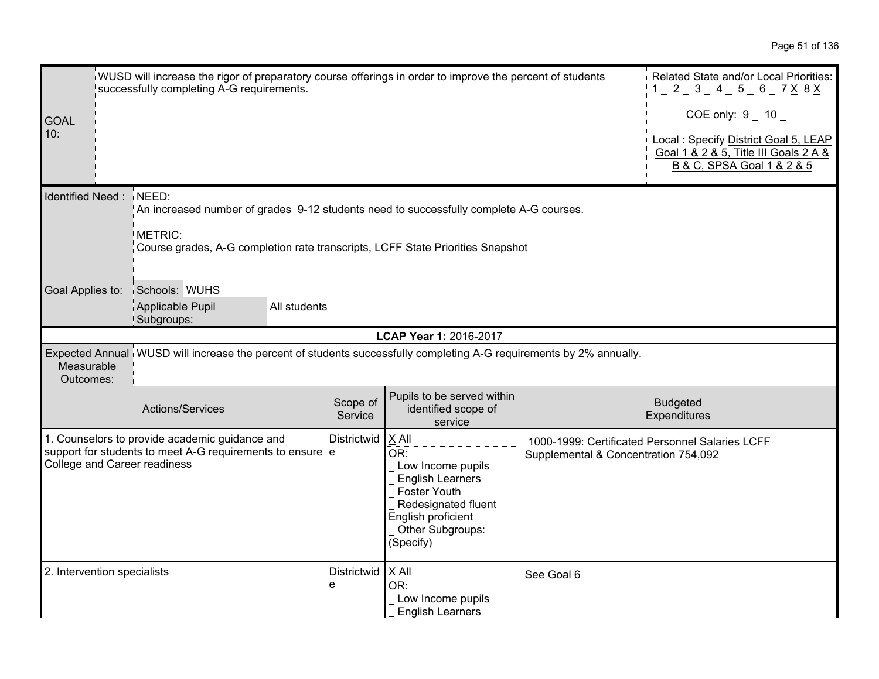| <b>GOAL</b><br>10:          | WUSD will increase the rigor of preparatory course offerings in order to improve the percent of students<br>successfully completing A-G requirements.                               |                     |                                                                                                                                                                     |                                      | Related State and/or Local Priorities:<br>$1 - 2 - 3 - 4 - 5 - 6 - 7 \times 8 \times$<br>COE only: $9 - 10$<br>Local : Specify District Goal 5, LEAP<br>Goal 1 & 2 & 5, Title III Goals 2 A &<br>B & C, SPSA Goal 1 & 2 & 5 |  |
|-----------------------------|-------------------------------------------------------------------------------------------------------------------------------------------------------------------------------------|---------------------|---------------------------------------------------------------------------------------------------------------------------------------------------------------------|--------------------------------------|-----------------------------------------------------------------------------------------------------------------------------------------------------------------------------------------------------------------------------|--|
| Identified Need: NEED:      | An increased number of grades 9-12 students need to successfully complete A-G courses.<br>METRIC:<br>Course grades, A-G completion rate transcripts, LCFF State Priorities Snapshot |                     |                                                                                                                                                                     |                                      |                                                                                                                                                                                                                             |  |
| Goal Applies to:            | Schools: WUHS<br>Applicable Pupil<br>All students<br>Subgroups:                                                                                                                     |                     |                                                                                                                                                                     |                                      |                                                                                                                                                                                                                             |  |
|                             |                                                                                                                                                                                     |                     | LCAP Year 1: 2016-2017                                                                                                                                              |                                      |                                                                                                                                                                                                                             |  |
| Measurable<br>Outcomes:     | Expected Annual WUSD will increase the percent of students successfully completing A-G requirements by 2% annually.                                                                 |                     |                                                                                                                                                                     |                                      |                                                                                                                                                                                                                             |  |
|                             | Actions/Services                                                                                                                                                                    | Scope of<br>Service | Pupils to be served within<br>identified scope of<br>service                                                                                                        |                                      | <b>Budgeted</b><br>Expenditures                                                                                                                                                                                             |  |
|                             | 1. Counselors to provide academic guidance and<br>support for students to meet A-G requirements to ensure $ e $<br>College and Career readiness                                     | Districtwid         | $X$ All<br>OR:<br>Low Income pupils<br><b>English Learners</b><br><b>Foster Youth</b><br>Redesignated fluent<br>English proficient<br>Other Subgroups:<br>(Specify) | Supplemental & Concentration 754,092 | 1000-1999: Certificated Personnel Salaries LCFF                                                                                                                                                                             |  |
| 2. Intervention specialists |                                                                                                                                                                                     | Districtwid<br>e    | $X$ All<br>OR:<br>Low Income pupils<br><b>English Learners</b>                                                                                                      | See Goal 6                           |                                                                                                                                                                                                                             |  |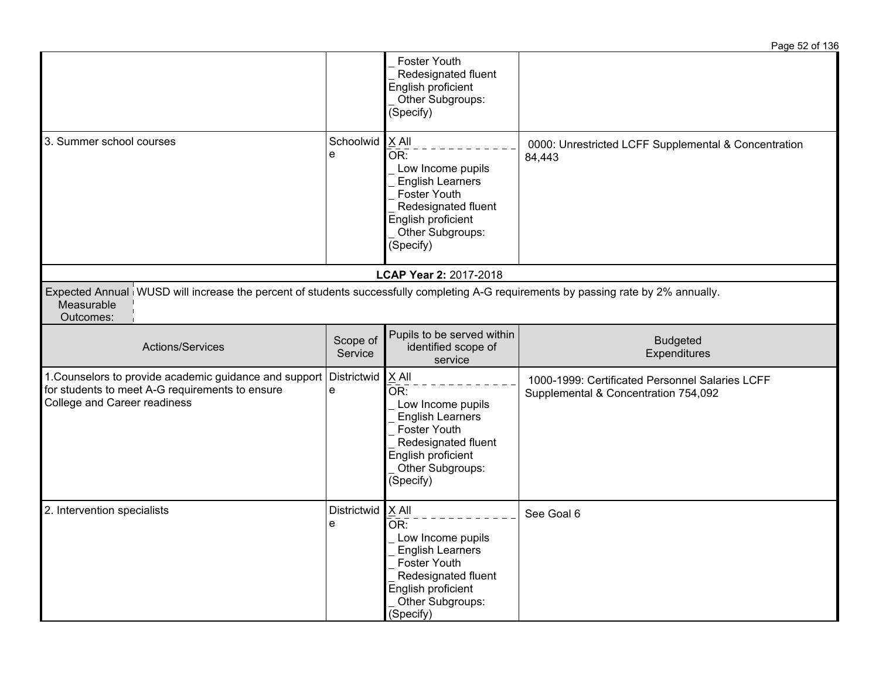|                                                                                                                                                                    |                        |                                                                                                                                                                          | Page 52 of 136                                                                          |
|--------------------------------------------------------------------------------------------------------------------------------------------------------------------|------------------------|--------------------------------------------------------------------------------------------------------------------------------------------------------------------------|-----------------------------------------------------------------------------------------|
|                                                                                                                                                                    |                        | Foster Youth<br>Redesignated fluent<br>English proficient<br>Other Subgroups:<br>(Specify)                                                                               |                                                                                         |
| 3. Summer school courses                                                                                                                                           | Schoolwid   X All<br>e | OR:<br>Low Income pupils<br><b>English Learners</b><br>Foster Youth<br>Redesignated fluent<br>English proficient<br>Other Subgroups:<br>(Specify)                        | 0000: Unrestricted LCFF Supplemental & Concentration<br>84,443                          |
|                                                                                                                                                                    |                        | LCAP Year 2: 2017-2018                                                                                                                                                   |                                                                                         |
| Expected Annual WUSD will increase the percent of students successfully completing A-G requirements by passing rate by 2% annually.<br>Measurable<br>Outcomes:     |                        |                                                                                                                                                                          |                                                                                         |
| Actions/Services                                                                                                                                                   | Scope of<br>Service    | Pupils to be served within<br>identified scope of<br>service                                                                                                             | <b>Budgeted</b><br>Expenditures                                                         |
| 1. Counselors to provide academic guidance and support Districtwid $X$ All<br>for students to meet A-G requirements to ensure<br>e<br>College and Career readiness |                        | OR:<br>Low Income pupils<br><b>English Learners</b><br>Foster Youth<br>Redesignated fluent<br>English proficient<br>Other Subgroups:<br>(Specify)                        | 1000-1999: Certificated Personnel Salaries LCFF<br>Supplemental & Concentration 754,092 |
| 2. Intervention specialists<br>е                                                                                                                                   |                        | Districtwid   X All<br>OR:<br>Low Income pupils<br><b>English Learners</b><br>Foster Youth<br>Redesignated fluent<br>English proficient<br>Other Subgroups:<br>(Specify) | See Goal 6                                                                              |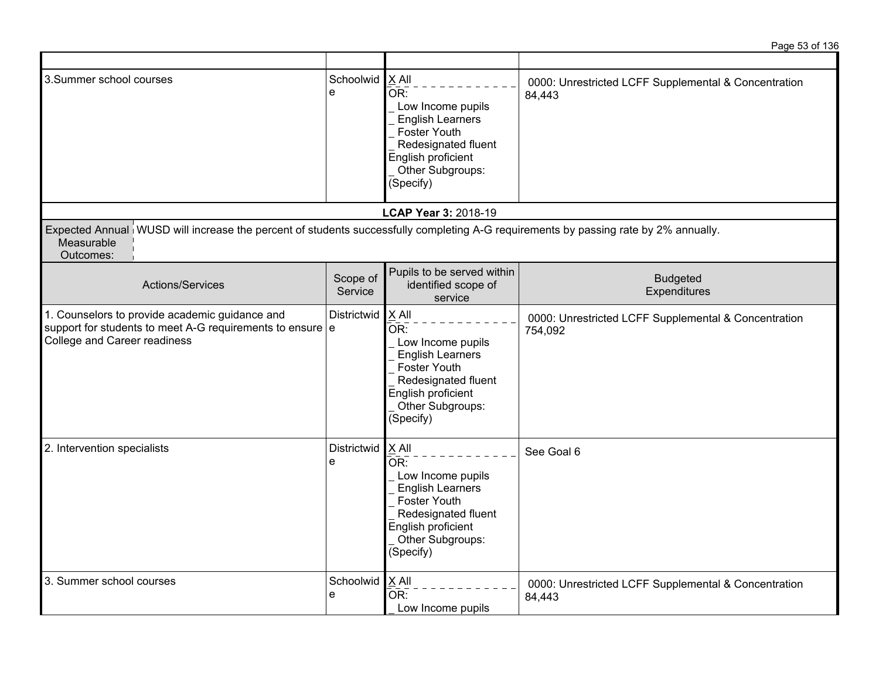| 3.Summer school courses                                                                                                                                        | Schoolwid<br>e      | $X$ All<br>$\bar{\mathsf{OR}}$ :<br>Low Income pupils<br><b>English Learners</b><br><b>Foster Youth</b><br>Redesignated fluent<br>English proficient<br>Other Subgroups:<br>(Specify) | 0000: Unrestricted LCFF Supplemental & Concentration<br>84,443  |
|----------------------------------------------------------------------------------------------------------------------------------------------------------------|---------------------|---------------------------------------------------------------------------------------------------------------------------------------------------------------------------------------|-----------------------------------------------------------------|
|                                                                                                                                                                |                     | LCAP Year 3: 2018-19                                                                                                                                                                  |                                                                 |
| Expected Annual WUSD will increase the percent of students successfully completing A-G requirements by passing rate by 2% annually.<br>Measurable<br>Outcomes: |                     |                                                                                                                                                                                       |                                                                 |
| Actions/Services                                                                                                                                               | Scope of<br>Service | Pupils to be served within<br>identified scope of<br>service                                                                                                                          | <b>Budgeted</b><br>Expenditures                                 |
| 1. Counselors to provide academic guidance and<br>support for students to meet A-G requirements to ensure $ e $<br>College and Career readiness                | Districtwid         | $X$ All<br>OR:<br>Low Income pupils<br><b>English Learners</b><br><b>Foster Youth</b><br>Redesignated fluent<br>English proficient<br>Other Subgroups:<br>(Specify)                   | 0000: Unrestricted LCFF Supplemental & Concentration<br>754,092 |
| 2. Intervention specialists                                                                                                                                    | Districtwid<br>e    | $X$ All<br>OR:<br>Low Income pupils<br><b>English Learners</b><br>Foster Youth<br>Redesignated fluent<br>English proficient<br>Other Subgroups:<br>(Specify)                          | See Goal 6                                                      |
| 3. Summer school courses                                                                                                                                       | Schoolwid<br>e      | $X$ All<br>OR:<br>Low Income pupils                                                                                                                                                   | 0000: Unrestricted LCFF Supplemental & Concentration<br>84,443  |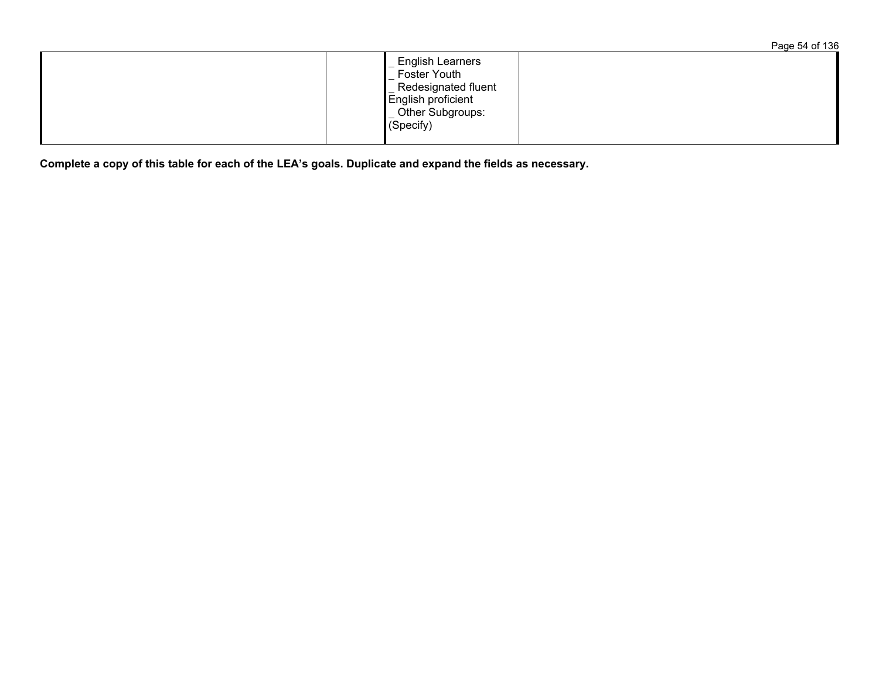Page 54 of 136

|  | <b>English Learners</b><br>Foster Youth<br>Redesignated fluent<br>English proficient<br>Other Subgroups:<br>(Specify) |  |
|--|-----------------------------------------------------------------------------------------------------------------------|--|
|--|-----------------------------------------------------------------------------------------------------------------------|--|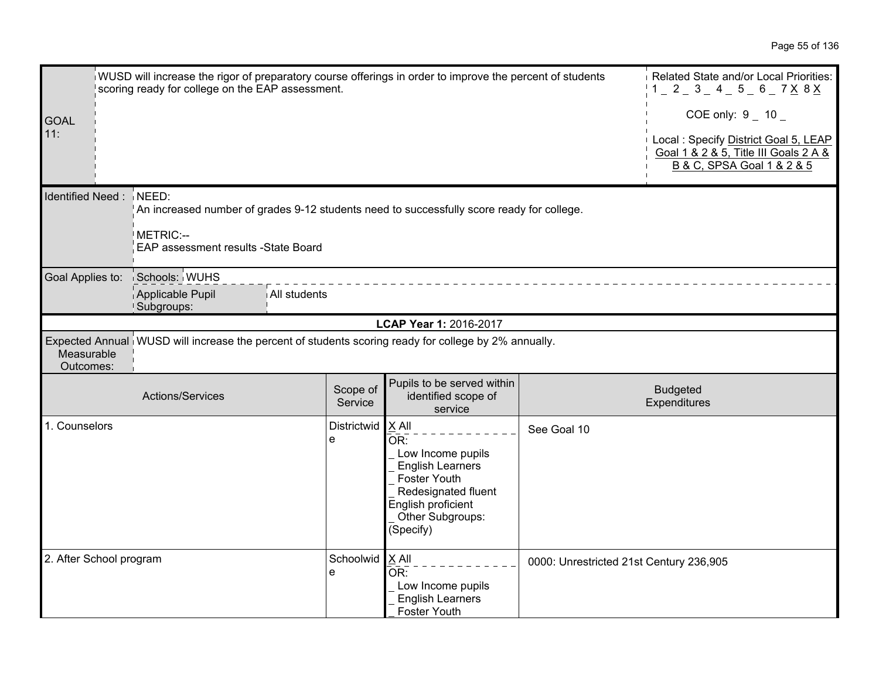| <b>GOAL</b><br>11:      | WUSD will increase the rigor of preparatory course offerings in order to improve the percent of students<br>scoring ready for college on the EAP assessment. |                     |                                                                                                                                                                                   |                                         | Related State and/or Local Priorities:<br>$1 - 2 - 3 - 4 - 5 - 6 - 7 \times 8 \times$<br>COE only: $9 - 10 -$<br>Local : Specify District Goal 5, LEAP<br>Goal 1 & 2 & 5, Title III Goals 2 A &<br>B & C, SPSA Goal 1 & 2 & 5 |  |
|-------------------------|--------------------------------------------------------------------------------------------------------------------------------------------------------------|---------------------|-----------------------------------------------------------------------------------------------------------------------------------------------------------------------------------|-----------------------------------------|-------------------------------------------------------------------------------------------------------------------------------------------------------------------------------------------------------------------------------|--|
| Identified Need: NEED:  | An increased number of grades 9-12 students need to successfully score ready for college.<br>METRIC:--<br>EAP assessment results -State Board                |                     |                                                                                                                                                                                   |                                         |                                                                                                                                                                                                                               |  |
| Goal Applies to:        | Schools: WUHS<br>Applicable Pupil<br>All students<br>Subgroups:                                                                                              |                     |                                                                                                                                                                                   |                                         |                                                                                                                                                                                                                               |  |
|                         |                                                                                                                                                              |                     | LCAP Year 1: 2016-2017                                                                                                                                                            |                                         |                                                                                                                                                                                                                               |  |
| Measurable<br>Outcomes: | Expected Annual WUSD will increase the percent of students scoring ready for college by 2% annually.                                                         |                     |                                                                                                                                                                                   |                                         |                                                                                                                                                                                                                               |  |
|                         | Actions/Services                                                                                                                                             | Scope of<br>Service | Pupils to be served within<br>identified scope of<br>service                                                                                                                      |                                         | <b>Budgeted</b><br>Expenditures                                                                                                                                                                                               |  |
| 1. Counselors           |                                                                                                                                                              | Districtwid<br>e    | X All<br>$\overline{\mathsf{OR}}$ :<br>Low Income pupils<br><b>English Learners</b><br>Foster Youth<br>Redesignated fluent<br>English proficient<br>Other Subgroups:<br>(Specify) | See Goal 10                             |                                                                                                                                                                                                                               |  |
| 2. After School program |                                                                                                                                                              | Schoolwid<br>e      | $X$ All<br>OR:<br>Low Income pupils<br><b>English Learners</b><br>Foster Youth                                                                                                    | 0000: Unrestricted 21st Century 236,905 |                                                                                                                                                                                                                               |  |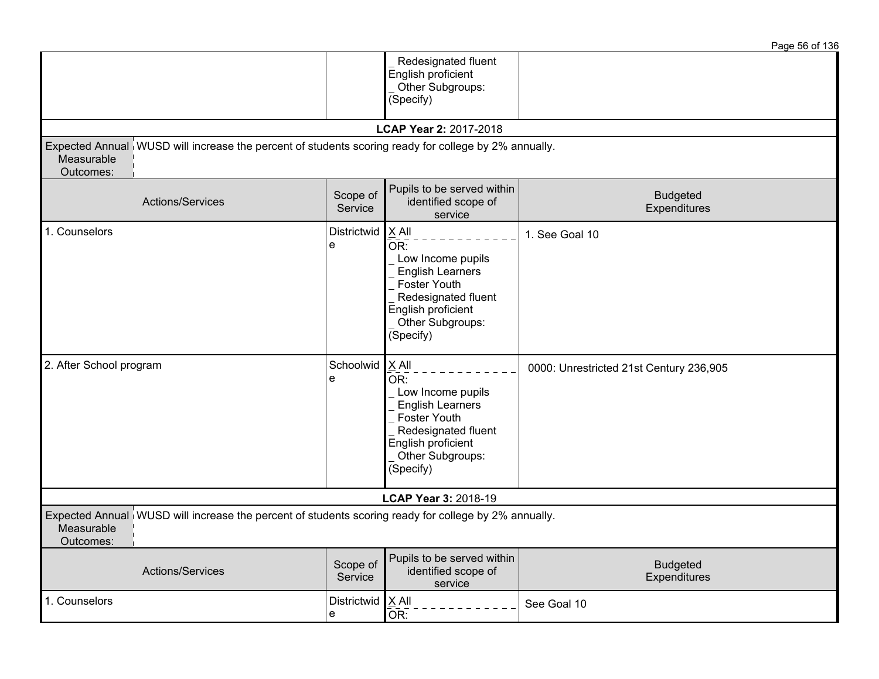|                                                                                                                                 |                     |                                                                                                                                                              | Page 56 of 136                          |
|---------------------------------------------------------------------------------------------------------------------------------|---------------------|--------------------------------------------------------------------------------------------------------------------------------------------------------------|-----------------------------------------|
|                                                                                                                                 |                     | Redesignated fluent<br>English proficient<br>Other Subgroups:<br>(Specify)                                                                                   |                                         |
|                                                                                                                                 |                     | LCAP Year 2: 2017-2018                                                                                                                                       |                                         |
| Expected Annual WUSD will increase the percent of students scoring ready for college by 2% annually.<br>Measurable<br>Outcomes: |                     |                                                                                                                                                              |                                         |
| Actions/Services                                                                                                                | Scope of<br>Service | Pupils to be served within<br>identified scope of<br>service                                                                                                 | <b>Budgeted</b><br>Expenditures         |
| 1. Counselors                                                                                                                   | Districtwid<br>e    | $X$ All<br>OR:<br>Low Income pupils<br><b>English Learners</b><br>Foster Youth<br>Redesignated fluent<br>English proficient<br>Other Subgroups:<br>(Specify) | 1. See Goal 10                          |
| 2. After School program                                                                                                         | Schoolwid<br>e      | $X$ All<br>OR:<br>Low Income pupils<br><b>English Learners</b><br>Foster Youth<br>Redesignated fluent<br>English proficient<br>Other Subgroups:<br>(Specify) | 0000: Unrestricted 21st Century 236,905 |
|                                                                                                                                 |                     | LCAP Year 3: 2018-19                                                                                                                                         |                                         |
| Expected Annual WUSD will increase the percent of students scoring ready for college by 2% annually.<br>Measurable<br>Outcomes: |                     |                                                                                                                                                              |                                         |
| Actions/Services                                                                                                                | Scope of<br>Service | Pupils to be served within<br>identified scope of<br>service                                                                                                 | <b>Budgeted</b><br>Expenditures         |
| 1. Counselors                                                                                                                   | Districtwid<br>e    | $X$ All<br>OR:                                                                                                                                               | See Goal 10                             |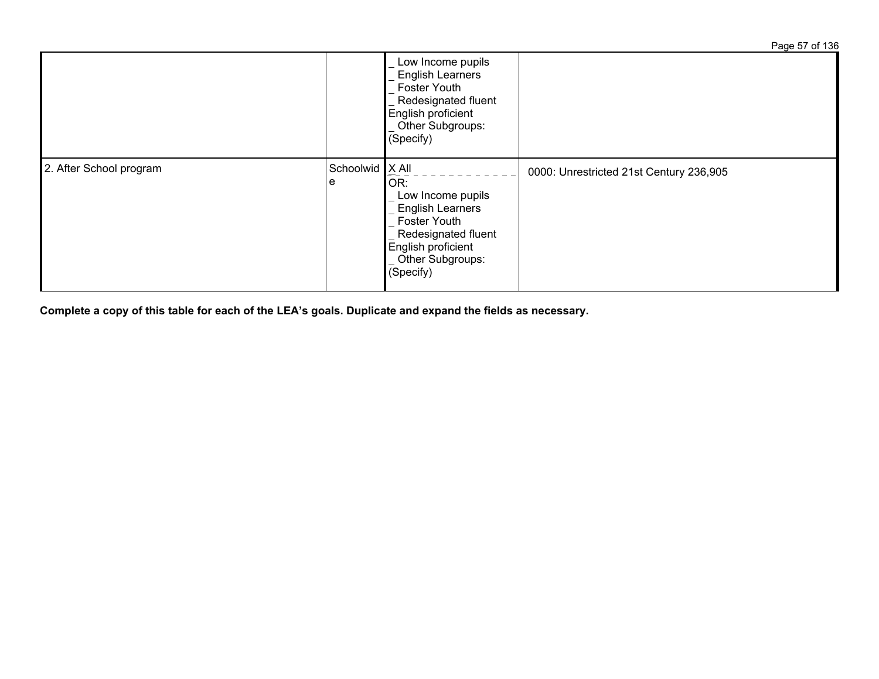\_ Low Income pupils English Learners Foster Youth Redesignated fluent English proficient Other Subgroups:  $\overline{\text{(Specify)}}$ 2. After School program  $|e|$ Schoolwid  $X$  All  $\overline{OR:}$ Low Income pupils **English Learners**  Foster Youth  $\overline{\phantom{a}}$  Redesignated fluent English proficient Other Subgroups:  $\overline{S}$ (Specify) 0000: Unrestricted 21st Century 236,905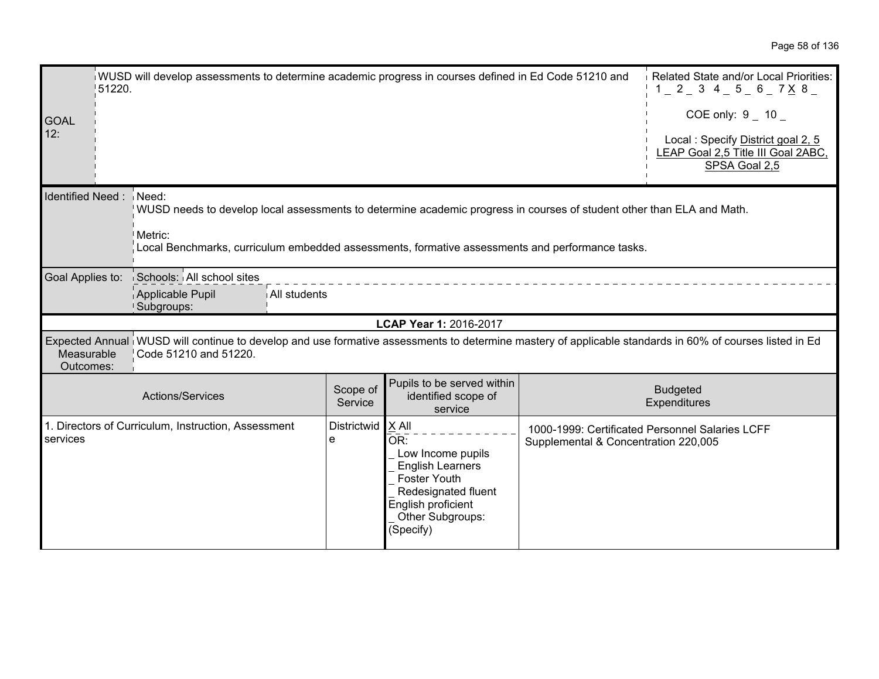| <b>GOAL</b><br>12:      | 51220.                                                                                                                                                                                                                                                           | WUSD will develop assessments to determine academic progress in courses defined in Ed Code 51210 and                                                                             |                     |                                                                                                                                                                      |                                      | Related State and/or Local Priorities:<br>$1 - 2 - 3$ 4 $-5$ 6 $-7$ X 8 $-$<br>$COE$ only: $9$ 10<br>Local: Specify District goal 2, 5<br>LEAP Goal 2,5 Title III Goal 2ABC,<br>SPSA Goal 2,5 |
|-------------------------|------------------------------------------------------------------------------------------------------------------------------------------------------------------------------------------------------------------------------------------------------------------|----------------------------------------------------------------------------------------------------------------------------------------------------------------------------------|---------------------|----------------------------------------------------------------------------------------------------------------------------------------------------------------------|--------------------------------------|-----------------------------------------------------------------------------------------------------------------------------------------------------------------------------------------------|
|                         | Identified Need:<br>Need:<br>WUSD needs to develop local assessments to determine academic progress in courses of student other than ELA and Math.<br>Metric:<br>Local Benchmarks, curriculum embedded assessments, formative assessments and performance tasks. |                                                                                                                                                                                  |                     |                                                                                                                                                                      |                                      |                                                                                                                                                                                               |
|                         | Schools: All school sites<br>Goal Applies to:<br>Applicable Pupil<br>All students<br>Subgroups:                                                                                                                                                                  |                                                                                                                                                                                  |                     |                                                                                                                                                                      |                                      |                                                                                                                                                                                               |
|                         |                                                                                                                                                                                                                                                                  |                                                                                                                                                                                  |                     | LCAP Year 1: 2016-2017                                                                                                                                               |                                      |                                                                                                                                                                                               |
| Measurable<br>Outcomes: |                                                                                                                                                                                                                                                                  | Expected Annual WUSD will continue to develop and use formative assessments to determine mastery of applicable standards in 60% of courses listed in Ed<br>Code 51210 and 51220. |                     |                                                                                                                                                                      |                                      |                                                                                                                                                                                               |
|                         |                                                                                                                                                                                                                                                                  | Actions/Services                                                                                                                                                                 | Scope of<br>Service | Pupils to be served within<br>identified scope of<br>service                                                                                                         |                                      | <b>Budgeted</b><br>Expenditures                                                                                                                                                               |
| services                |                                                                                                                                                                                                                                                                  | 1. Directors of Curriculum, Instruction, Assessment                                                                                                                              | Districtwid<br>e    | $ X$ All<br>OR:<br>Low Income pupils<br><b>English Learners</b><br><b>Foster Youth</b><br>Redesignated fluent<br>English proficient<br>Other Subgroups:<br>(Specify) | Supplemental & Concentration 220,005 | 1000-1999: Certificated Personnel Salaries LCFF                                                                                                                                               |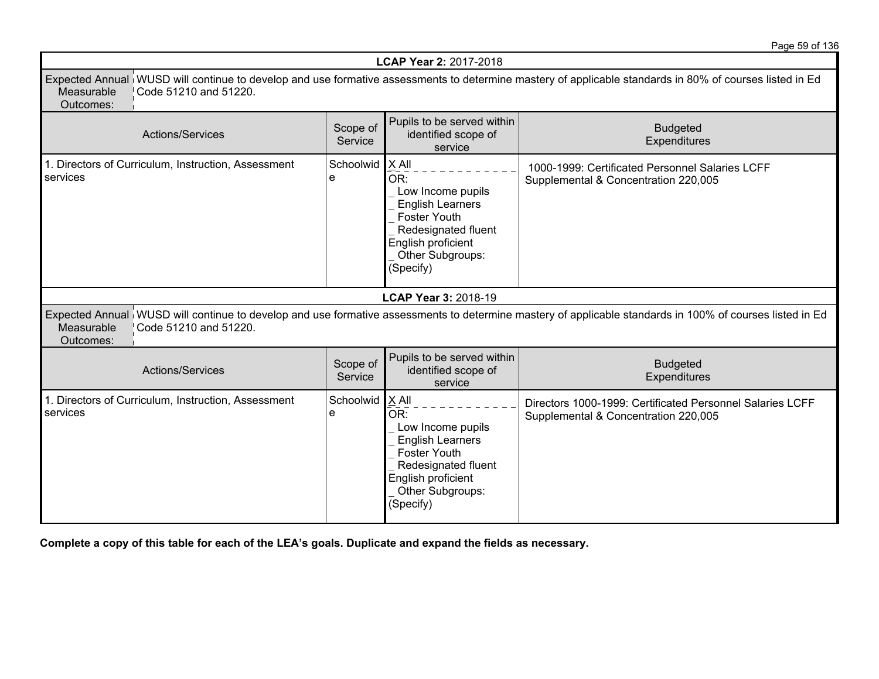Page 59 of 136

| LCAP Year 2: 2017-2018                                          |                         |                     |                                                                                                                                                                     |                                                                                                                                                          |
|-----------------------------------------------------------------|-------------------------|---------------------|---------------------------------------------------------------------------------------------------------------------------------------------------------------------|----------------------------------------------------------------------------------------------------------------------------------------------------------|
| Measurable<br>Outcomes:                                         | Code 51210 and 51220.   |                     |                                                                                                                                                                     | Expected Annual WUSD will continue to develop and use formative assessments to determine mastery of applicable standards in 80% of courses listed in Ed  |
|                                                                 | <b>Actions/Services</b> | Scope of<br>Service | Pupils to be served within<br>identified scope of<br>service                                                                                                        | <b>Budgeted</b><br>Expenditures                                                                                                                          |
| 1. Directors of Curriculum, Instruction, Assessment<br>services |                         | Schoolwid<br>e      | $X$ All<br>OR:<br>Low Income pupils<br><b>English Learners</b><br><b>Foster Youth</b><br>Redesignated fluent<br>English proficient<br>Other Subgroups:<br>(Specify) | 1000-1999: Certificated Personnel Salaries LCFF<br>Supplemental & Concentration 220,005                                                                  |
|                                                                 |                         |                     | LCAP Year 3: 2018-19                                                                                                                                                |                                                                                                                                                          |
| Measurable<br>Outcomes:                                         | Code 51210 and 51220.   |                     |                                                                                                                                                                     | Expected Annual WUSD will continue to develop and use formative assessments to determine mastery of applicable standards in 100% of courses listed in Ed |
|                                                                 | Actions/Services        | Scope of<br>Service | Pupils to be served within<br>identified scope of<br>service                                                                                                        | <b>Budgeted</b><br>Expenditures                                                                                                                          |
| 1. Directors of Curriculum, Instruction, Assessment<br>services |                         | Schoolwid<br>e      | X All<br>OR:<br>Low Income pupils<br><b>English Learners</b><br><b>Foster Youth</b><br>Redesignated fluent<br>English proficient<br>Other Subgroups:<br>(Specify)   | Directors 1000-1999: Certificated Personnel Salaries LCFF<br>Supplemental & Concentration 220,005                                                        |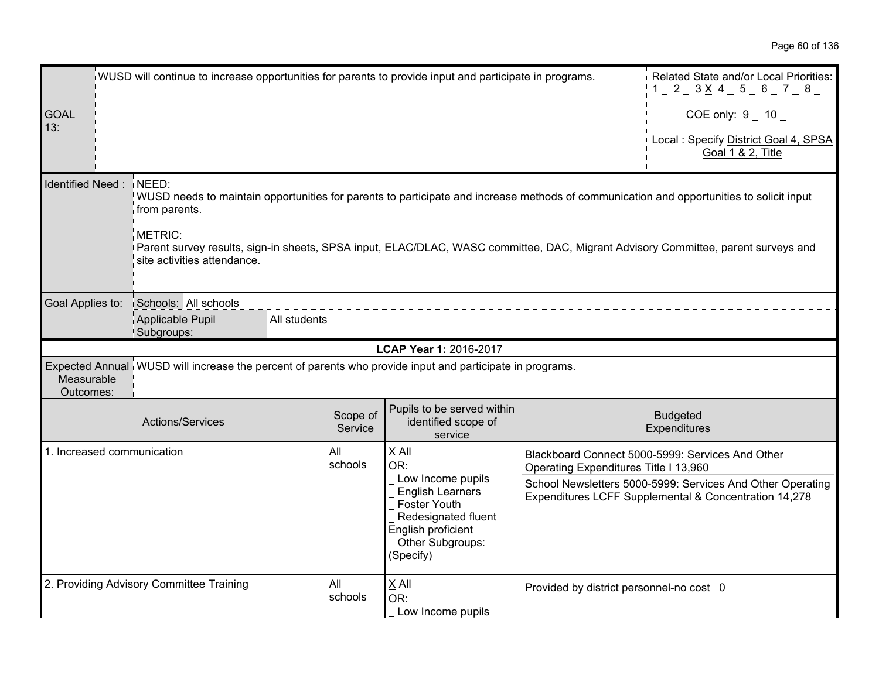|                         | WUSD will continue to increase opportunities for parents to provide input and participate in programs.                                                                             |                     | Related State and/or Local Priorities:<br>$1 - 2 - 3 \times 4 - 5 - 6 - 7 - 8$                                                             |                                          |                                                                                                                                          |  |
|-------------------------|------------------------------------------------------------------------------------------------------------------------------------------------------------------------------------|---------------------|--------------------------------------------------------------------------------------------------------------------------------------------|------------------------------------------|------------------------------------------------------------------------------------------------------------------------------------------|--|
| <b>GOAL</b><br>13:      |                                                                                                                                                                                    |                     |                                                                                                                                            |                                          | COE only: $9 - 10$                                                                                                                       |  |
|                         |                                                                                                                                                                                    |                     |                                                                                                                                            |                                          | Local: Specify District Goal 4, SPSA<br>Goal 1 & 2, Title                                                                                |  |
|                         | Identified Need: NEED:<br>from parents.                                                                                                                                            |                     |                                                                                                                                            |                                          | WUSD needs to maintain opportunities for parents to participate and increase methods of communication and opportunities to solicit input |  |
|                         | <b>METRIC:</b><br>Parent survey results, sign-in sheets, SPSA input, ELAC/DLAC, WASC committee, DAC, Migrant Advisory Committee, parent surveys and<br>site activities attendance. |                     |                                                                                                                                            |                                          |                                                                                                                                          |  |
| Goal Applies to:        | Schools: All schools                                                                                                                                                               |                     |                                                                                                                                            |                                          |                                                                                                                                          |  |
|                         | Applicable Pupil<br>Subgroups:                                                                                                                                                     | All students        |                                                                                                                                            |                                          |                                                                                                                                          |  |
|                         |                                                                                                                                                                                    |                     | LCAP Year 1: 2016-2017                                                                                                                     |                                          |                                                                                                                                          |  |
| Measurable<br>Outcomes: | Expected Annual WUSD will increase the percent of parents who provide input and participate in programs.                                                                           |                     |                                                                                                                                            |                                          |                                                                                                                                          |  |
|                         | Actions/Services                                                                                                                                                                   | Scope of<br>Service | Pupils to be served within<br>identified scope of<br>service                                                                               |                                          | <b>Budgeted</b><br>Expenditures                                                                                                          |  |
|                         | 1. Increased communication                                                                                                                                                         | All<br>schools      | X All<br>OR:                                                                                                                               | Operating Expenditures Title I 13,960    | Blackboard Connect 5000-5999: Services And Other                                                                                         |  |
|                         |                                                                                                                                                                                    |                     | Low Income pupils<br><b>English Learners</b><br>Foster Youth<br>Redesignated fluent<br>English proficient<br>Other Subgroups:<br>(Specify) |                                          | School Newsletters 5000-5999: Services And Other Operating<br>Expenditures LCFF Supplemental & Concentration 14,278                      |  |
|                         | 2. Providing Advisory Committee Training                                                                                                                                           | All<br>schools      | X All<br>OR:<br>Low Income pupils                                                                                                          | Provided by district personnel-no cost 0 |                                                                                                                                          |  |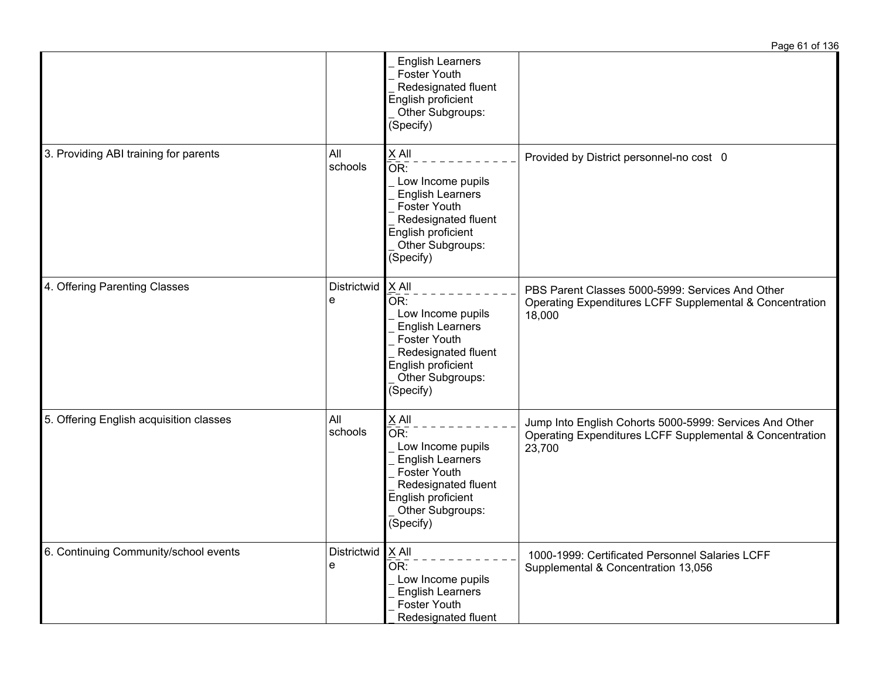|                                         |                          |                                                                                                                                                              | Page 61 of 136                                                                                                                |
|-----------------------------------------|--------------------------|--------------------------------------------------------------------------------------------------------------------------------------------------------------|-------------------------------------------------------------------------------------------------------------------------------|
|                                         |                          | <b>English Learners</b><br>Foster Youth<br>Redesignated fluent<br>English proficient<br>Other Subgroups:<br>(Specify)                                        |                                                                                                                               |
| 3. Providing ABI training for parents   | All<br>schools           | $X$ All<br>OR:<br>Low Income pupils<br><b>English Learners</b><br>Foster Youth<br>Redesignated fluent<br>English proficient<br>Other Subgroups:<br>(Specify) | Provided by District personnel-no cost 0                                                                                      |
| 4. Offering Parenting Classes           | Districtwid   X All<br>e | OR:<br>Low Income pupils<br><b>English Learners</b><br>Foster Youth<br>Redesignated fluent<br>English proficient<br>Other Subgroups:<br>(Specify)            | PBS Parent Classes 5000-5999: Services And Other<br>Operating Expenditures LCFF Supplemental & Concentration<br>18,000        |
| 5. Offering English acquisition classes | All<br>schools           | $X$ All<br>OR:<br>Low Income pupils<br><b>English Learners</b><br>Foster Youth<br>Redesignated fluent<br>English proficient<br>Other Subgroups:<br>(Specify) | Jump Into English Cohorts 5000-5999: Services And Other<br>Operating Expenditures LCFF Supplemental & Concentration<br>23,700 |
| 6. Continuing Community/school events   | Districtwid<br>е         | $X$ All<br>OR:<br>Low Income pupils<br><b>English Learners</b><br>Foster Youth<br>Redesignated fluent                                                        | 1000-1999: Certificated Personnel Salaries LCFF<br>Supplemental & Concentration 13,056                                        |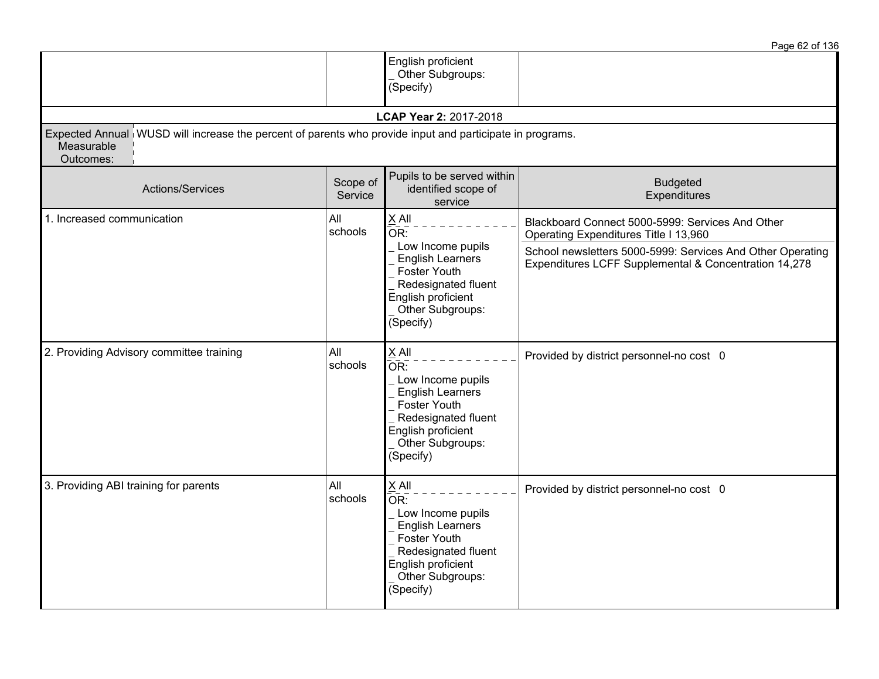|                                                                                                                                     |                     |                                                                                                                                                                                     | Page 62 of 136                                                                                                                                                                                                   |
|-------------------------------------------------------------------------------------------------------------------------------------|---------------------|-------------------------------------------------------------------------------------------------------------------------------------------------------------------------------------|------------------------------------------------------------------------------------------------------------------------------------------------------------------------------------------------------------------|
|                                                                                                                                     |                     | English proficient<br>Other Subgroups:<br>(Specify)                                                                                                                                 |                                                                                                                                                                                                                  |
|                                                                                                                                     |                     | LCAP Year 2: 2017-2018                                                                                                                                                              |                                                                                                                                                                                                                  |
| Expected Annual WUSD will increase the percent of parents who provide input and participate in programs.<br>Measurable<br>Outcomes: |                     |                                                                                                                                                                                     |                                                                                                                                                                                                                  |
| Actions/Services                                                                                                                    | Scope of<br>Service | Pupils to be served within<br>identified scope of<br>service                                                                                                                        | <b>Budgeted</b><br>Expenditures                                                                                                                                                                                  |
| 1. Increased communication                                                                                                          | All<br>schools      | X All<br>OR:<br>Low Income pupils<br><b>English Learners</b><br>Foster Youth<br>Redesignated fluent<br>English proficient<br>Other Subgroups:<br>(Specify)                          | Blackboard Connect 5000-5999: Services And Other<br>Operating Expenditures Title I 13,960<br>School newsletters 5000-5999: Services And Other Operating<br>Expenditures LCFF Supplemental & Concentration 14,278 |
| 2. Providing Advisory committee training                                                                                            | All<br>schools      | $X$ All<br>$\overline{\mathsf{OR}}$ :<br>Low Income pupils<br><b>English Learners</b><br>Foster Youth<br>Redesignated fluent<br>English proficient<br>Other Subgroups:<br>(Specify) | Provided by district personnel-no cost 0                                                                                                                                                                         |
| 3. Providing ABI training for parents                                                                                               | All<br>schools      | X All<br>$\overline{\mathsf{OR}}$ :<br>Low Income pupils<br><b>English Learners</b><br>Foster Youth<br>Redesignated fluent<br>English proficient<br>Other Subgroups:<br>(Specify)   | Provided by district personnel-no cost 0                                                                                                                                                                         |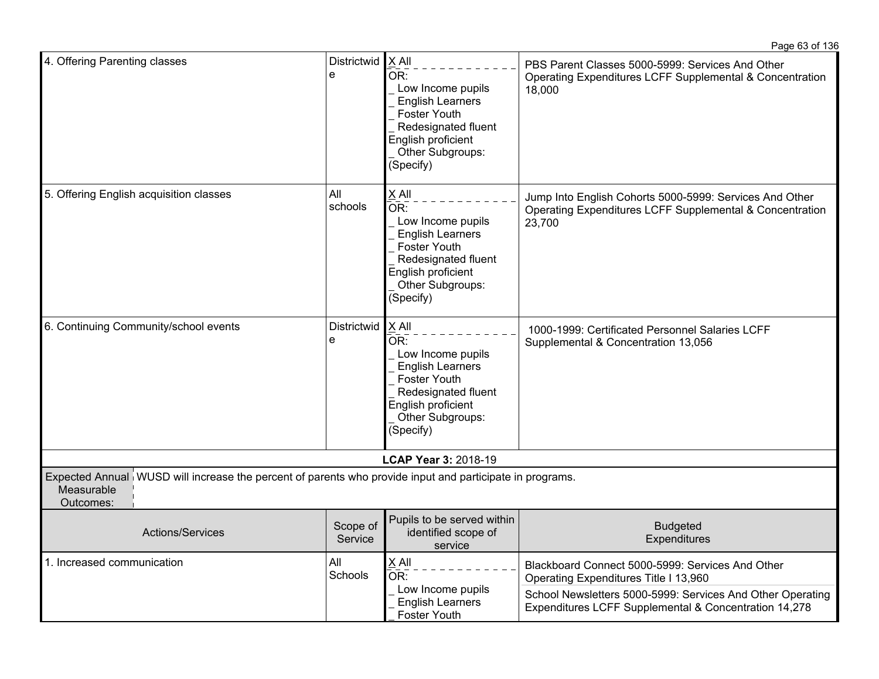| Districtwid<br>4. Offering Parenting classes<br>e                                                                                   |                     | $X$ All<br>OR:<br>Low Income pupils<br><b>English Learners</b><br><b>Foster Youth</b><br>Redesignated fluent<br>English proficient<br>Other Subgroups:<br>(Specify) | PBS Parent Classes 5000-5999: Services And Other<br>Operating Expenditures LCFF Supplemental & Concentration<br>18,000                                                                                           |
|-------------------------------------------------------------------------------------------------------------------------------------|---------------------|---------------------------------------------------------------------------------------------------------------------------------------------------------------------|------------------------------------------------------------------------------------------------------------------------------------------------------------------------------------------------------------------|
| 5. Offering English acquisition classes                                                                                             | All<br>schools      | $\times$ All<br>OR:<br>Low Income pupils<br><b>English Learners</b><br>Foster Youth<br>Redesignated fluent<br>English proficient<br>Other Subgroups:<br>(Specify)   | Jump Into English Cohorts 5000-5999: Services And Other<br>Operating Expenditures LCFF Supplemental & Concentration<br>23,700                                                                                    |
| 6. Continuing Community/school events                                                                                               | Districtwid<br>e    | X All<br>OR:<br>Low Income pupils<br><b>English Learners</b><br>Foster Youth<br>Redesignated fluent<br>English proficient<br>Other Subgroups:<br>(Specify)          | 1000-1999: Certificated Personnel Salaries LCFF<br>Supplemental & Concentration 13,056                                                                                                                           |
|                                                                                                                                     |                     | LCAP Year 3: 2018-19                                                                                                                                                |                                                                                                                                                                                                                  |
| Expected Annual WUSD will increase the percent of parents who provide input and participate in programs.<br>Measurable<br>Outcomes: |                     |                                                                                                                                                                     |                                                                                                                                                                                                                  |
| Actions/Services                                                                                                                    | Scope of<br>Service | Pupils to be served within<br>identified scope of<br>service                                                                                                        | <b>Budgeted</b><br>Expenditures                                                                                                                                                                                  |
| 1. Increased communication                                                                                                          | All<br>Schools      | X All<br>OR:<br>Low Income pupils<br><b>English Learners</b><br><b>Foster Youth</b>                                                                                 | Blackboard Connect 5000-5999: Services And Other<br>Operating Expenditures Title I 13,960<br>School Newsletters 5000-5999: Services And Other Operating<br>Expenditures LCFF Supplemental & Concentration 14,278 |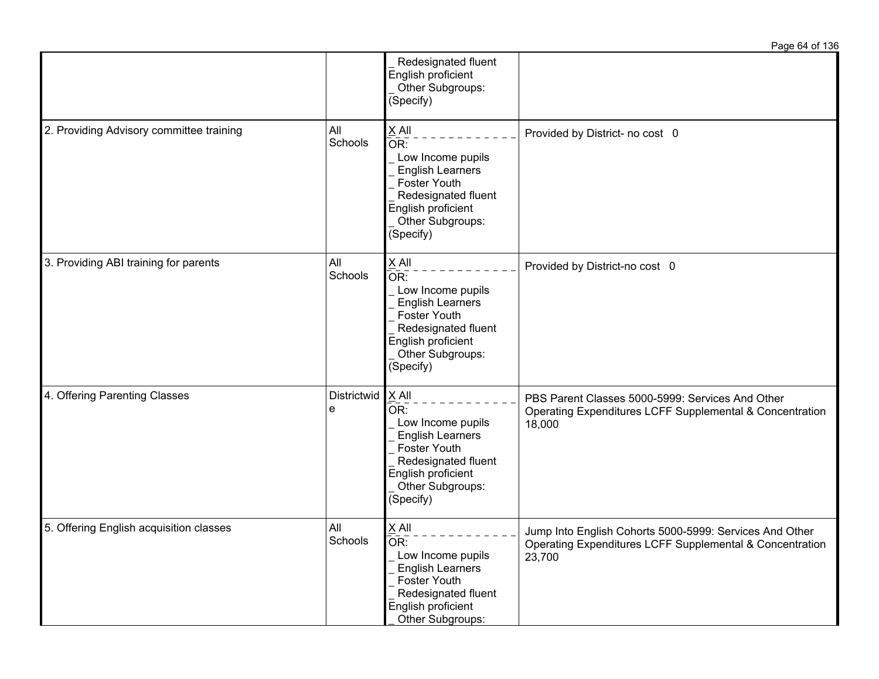|                                          |                  |                                                                                                                                                                     | Page 64 of 136                                                                                                                |
|------------------------------------------|------------------|---------------------------------------------------------------------------------------------------------------------------------------------------------------------|-------------------------------------------------------------------------------------------------------------------------------|
|                                          |                  | Redesignated fluent<br>English proficient<br>Other Subgroups:<br>(Specify)                                                                                          |                                                                                                                               |
| 2. Providing Advisory committee training | All<br>Schools   | $X$ All<br>OR:<br>Low Income pupils<br><b>English Learners</b><br><b>Foster Youth</b><br>Redesignated fluent<br>English proficient<br>Other Subgroups:<br>(Specify) | Provided by District- no cost 0                                                                                               |
| 3. Providing ABI training for parents    | All<br>Schools   | $X$ All<br>OR:<br>Low Income pupils<br><b>English Learners</b><br><b>Foster Youth</b><br>Redesignated fluent<br>English proficient<br>Other Subgroups:<br>(Specify) | Provided by District-no cost 0                                                                                                |
| 4. Offering Parenting Classes            | Districtwid<br>e | X All<br>OR:<br>Low Income pupils<br><b>English Learners</b><br><b>Foster Youth</b><br>Redesignated fluent<br>English proficient<br>Other Subgroups:<br>(Specify)   | PBS Parent Classes 5000-5999: Services And Other<br>Operating Expenditures LCFF Supplemental & Concentration<br>18,000        |
| 5. Offering English acquisition classes  | All<br>Schools   | $X$ All<br>OR:<br>Low Income pupils<br><b>English Learners</b><br><b>Foster Youth</b><br>Redesignated fluent<br>English proficient<br>Other Subgroups:              | Jump Into English Cohorts 5000-5999: Services And Other<br>Operating Expenditures LCFF Supplemental & Concentration<br>23,700 |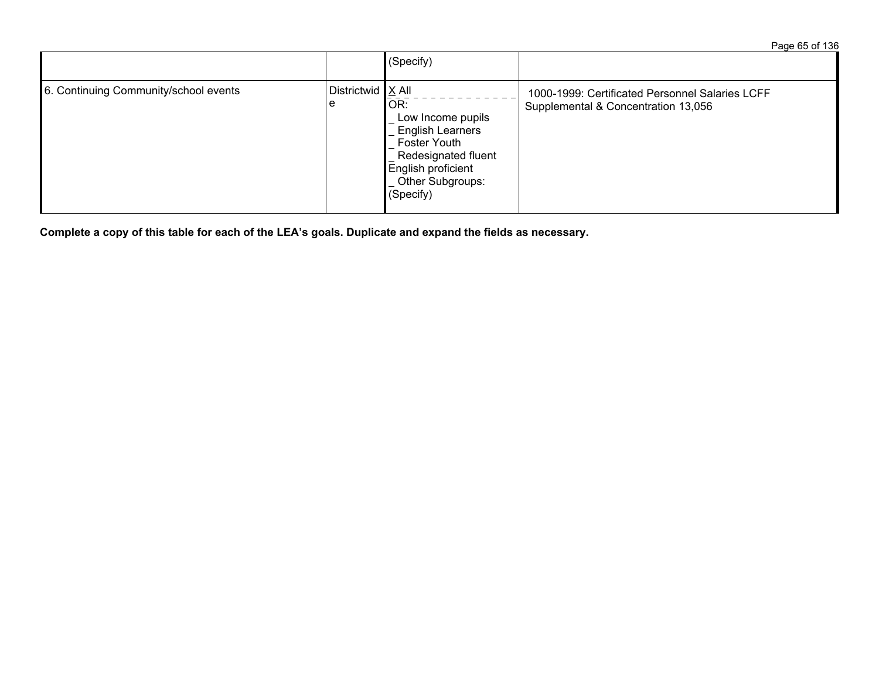|                                       |                                   | (Specify)                                                                                                                                                |                                                                                        |
|---------------------------------------|-----------------------------------|----------------------------------------------------------------------------------------------------------------------------------------------------------|----------------------------------------------------------------------------------------|
| 6. Continuing Community/school events | ∣ Districtwid <u>  X</u> All<br>e | OR:<br>Low Income pupils<br><b>English Learners</b><br>Foster Youth<br>Redesignated fluent<br><b>English proficient</b><br>Other Subgroups:<br>(Specify) | 1000-1999: Certificated Personnel Salaries LCFF<br>Supplemental & Concentration 13,056 |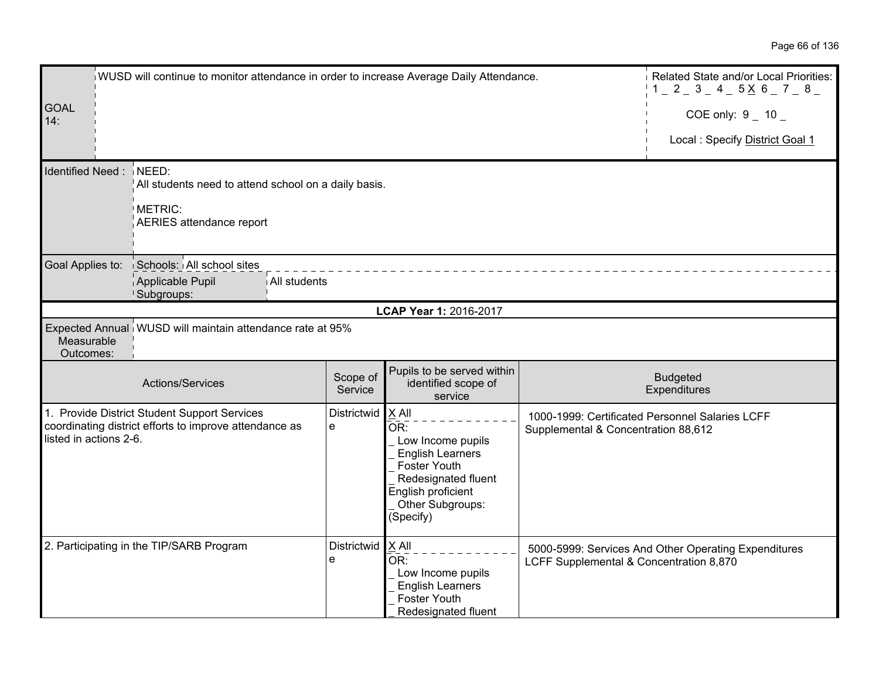| <b>GOAL</b><br>14:      |                                                                                                 | WUSD will continue to monitor attendance in order to increase Average Daily Attendance.                     |                     |                                                                                                                                                              |                                         | Related State and/or Local Priorities:<br>$1 - 2 - 3 - 4 - 5 \times 6 - 7 - 8$<br>COE only: $9 - 10 -$<br>Local : Specify District Goal 1 |  |
|-------------------------|-------------------------------------------------------------------------------------------------|-------------------------------------------------------------------------------------------------------------|---------------------|--------------------------------------------------------------------------------------------------------------------------------------------------------------|-----------------------------------------|-------------------------------------------------------------------------------------------------------------------------------------------|--|
| Identified Need:        |                                                                                                 | NEED:<br>All students need to attend school on a daily basis.<br><b>METRIC:</b><br>AERIES attendance report |                     |                                                                                                                                                              |                                         |                                                                                                                                           |  |
|                         | Goal Applies to:<br>Schools: All school sites<br>Applicable Pupil<br>All students<br>Subgroups: |                                                                                                             |                     |                                                                                                                                                              |                                         |                                                                                                                                           |  |
|                         |                                                                                                 |                                                                                                             |                     | LCAP Year 1: 2016-2017                                                                                                                                       |                                         |                                                                                                                                           |  |
| Measurable<br>Outcomes: |                                                                                                 | Expected Annual WUSD will maintain attendance rate at 95%                                                   |                     |                                                                                                                                                              |                                         |                                                                                                                                           |  |
|                         |                                                                                                 | Actions/Services                                                                                            | Scope of<br>Service | Pupils to be served within<br>identified scope of<br>service                                                                                                 |                                         | <b>Budgeted</b><br>Expenditures                                                                                                           |  |
| listed in actions 2-6.  |                                                                                                 | 1. Provide District Student Support Services<br>coordinating district efforts to improve attendance as      | Districtwid<br>e    | $X$ All<br>OR:<br>Low Income pupils<br><b>English Learners</b><br>Foster Youth<br>Redesignated fluent<br>English proficient<br>Other Subgroups:<br>(Specify) | Supplemental & Concentration 88,612     | 1000-1999: Certificated Personnel Salaries LCFF                                                                                           |  |
|                         |                                                                                                 | 2. Participating in the TIP/SARB Program                                                                    | Districtwid<br>e    | X All<br>OR:<br>Low Income pupils<br><b>English Learners</b><br>Foster Youth<br>Redesignated fluent                                                          | LCFF Supplemental & Concentration 8,870 | 5000-5999: Services And Other Operating Expenditures                                                                                      |  |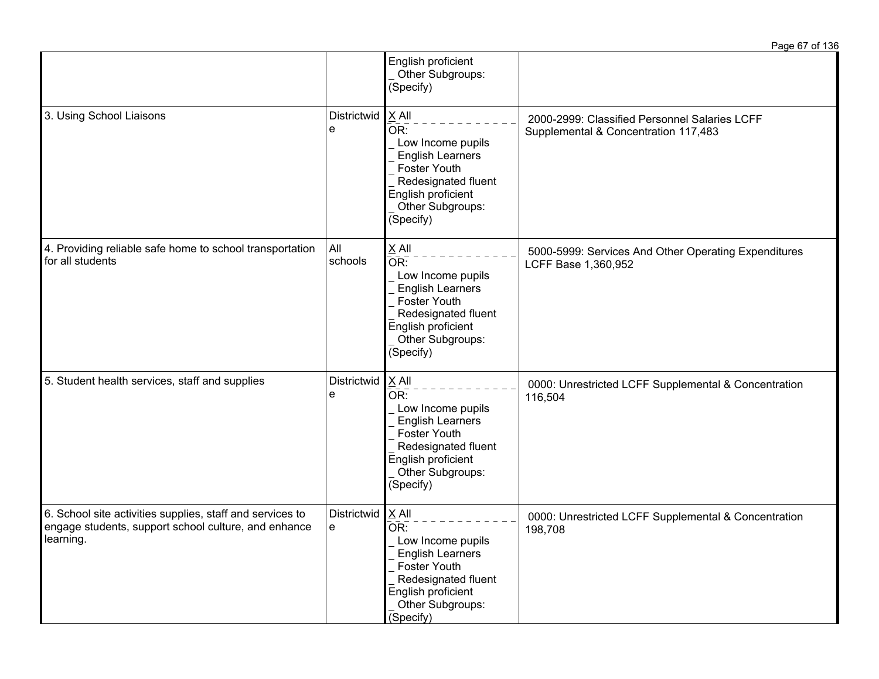|                                                                                                                                |                  |                                                                                                                                                                                   | Page 67 of 136                                                                        |
|--------------------------------------------------------------------------------------------------------------------------------|------------------|-----------------------------------------------------------------------------------------------------------------------------------------------------------------------------------|---------------------------------------------------------------------------------------|
|                                                                                                                                |                  | English proficient<br>Other Subgroups:<br>(Specify)                                                                                                                               |                                                                                       |
| 3. Using School Liaisons                                                                                                       | Districtwid<br>e | X All<br>$\overline{\mathsf{OR}}$ :<br>Low Income pupils<br><b>English Learners</b><br>Foster Youth<br>Redesignated fluent<br>English proficient<br>Other Subgroups:<br>(Specify) | 2000-2999: Classified Personnel Salaries LCFF<br>Supplemental & Concentration 117,483 |
| 4. Providing reliable safe home to school transportation<br>for all students                                                   | All<br>schools   | $X$ All<br>OR:<br>Low Income pupils<br><b>English Learners</b><br>Foster Youth<br>Redesignated fluent<br>English proficient<br>Other Subgroups:<br>(Specify)                      | 5000-5999: Services And Other Operating Expenditures<br>LCFF Base 1,360,952           |
| 5. Student health services, staff and supplies                                                                                 | Districtwid<br>e | $X$ All<br>OR:<br>Low Income pupils<br><b>English Learners</b><br>Foster Youth<br>Redesignated fluent<br>English proficient<br>Other Subgroups:<br>(Specify)                      | 0000: Unrestricted LCFF Supplemental & Concentration<br>116,504                       |
| 6. School site activities supplies, staff and services to<br>engage students, support school culture, and enhance<br>learning. | Districtwid<br>e | $X$ All<br>OR:<br>Low Income pupils<br><b>English Learners</b><br>Foster Youth<br>Redesignated fluent<br>English proficient<br>Other Subgroups:<br>(Specify)                      | 0000: Unrestricted LCFF Supplemental & Concentration<br>198,708                       |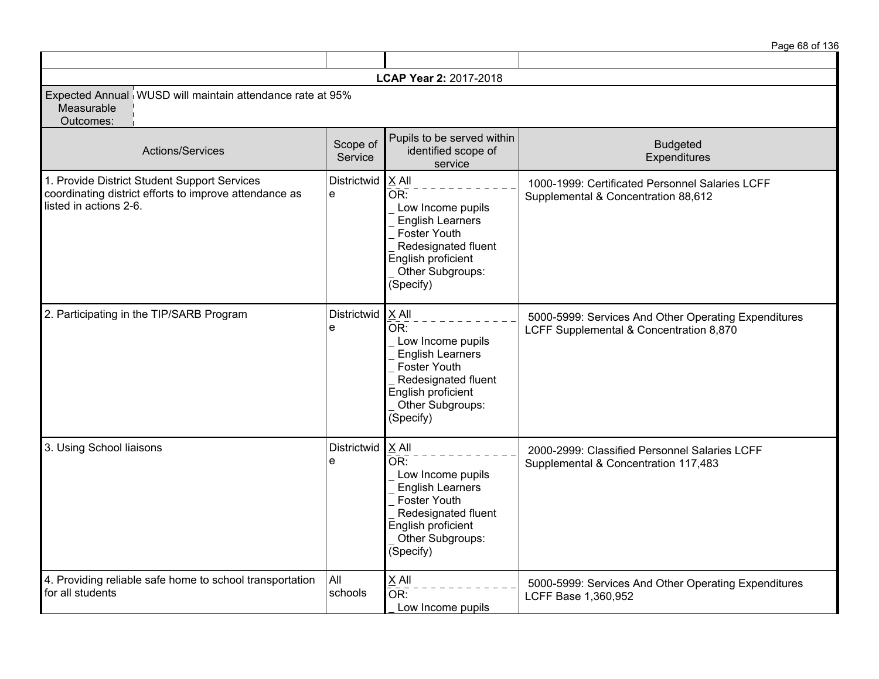|                                                                                                                                  |                     |                                                                                                                                                                                | Page 68 of 136                                                                                  |
|----------------------------------------------------------------------------------------------------------------------------------|---------------------|--------------------------------------------------------------------------------------------------------------------------------------------------------------------------------|-------------------------------------------------------------------------------------------------|
|                                                                                                                                  |                     |                                                                                                                                                                                |                                                                                                 |
| Expected Annual WUSD will maintain attendance rate at 95%<br>Measurable<br>Outcomes:                                             |                     | LCAP Year 2: 2017-2018                                                                                                                                                         |                                                                                                 |
| Actions/Services                                                                                                                 | Scope of<br>Service | Pupils to be served within<br>identified scope of<br>service                                                                                                                   | <b>Budgeted</b><br>Expenditures                                                                 |
| 1. Provide District Student Support Services<br>coordinating district efforts to improve attendance as<br>listed in actions 2-6. | Districtwid<br>e    | X All<br>OR:<br>Low Income pupils<br><b>English Learners</b><br><b>Foster Youth</b><br>Redesignated fluent<br>English proficient<br>Other Subgroups:<br>(Specify)              | 1000-1999: Certificated Personnel Salaries LCFF<br>Supplemental & Concentration 88,612          |
| 2. Participating in the TIP/SARB Program                                                                                         | Districtwid<br>e    | $X$ All<br>$\mathrm{\bar{OR}}$ :<br>Low Income pupils<br><b>English Learners</b><br>Foster Youth<br>Redesignated fluent<br>English proficient<br>Other Subgroups:<br>(Specify) | 5000-5999: Services And Other Operating Expenditures<br>LCFF Supplemental & Concentration 8,870 |
| 3. Using School liaisons                                                                                                         | Districtwid<br>e    | $X$ All<br>OR:<br>Low Income pupils<br><b>English Learners</b><br>Foster Youth<br>Redesignated fluent<br>English proficient<br>Other Subgroups:<br>(Specify)                   | 2000-2999: Classified Personnel Salaries LCFF<br>Supplemental & Concentration 117,483           |
| 4. Providing reliable safe home to school transportation<br>for all students                                                     | All<br>schools      | $X$ All<br>OR:<br>Low Income pupils                                                                                                                                            | 5000-5999: Services And Other Operating Expenditures<br>LCFF Base 1,360,952                     |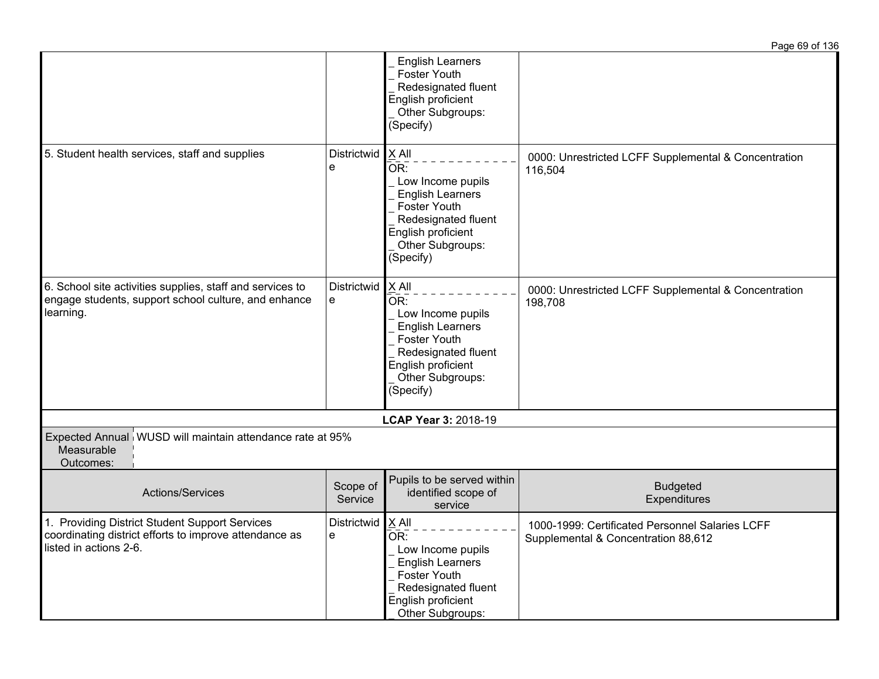|                                                                                                                                    |                     |                                                                                                                                                                                            | Page 69 of 136                                                                         |
|------------------------------------------------------------------------------------------------------------------------------------|---------------------|--------------------------------------------------------------------------------------------------------------------------------------------------------------------------------------------|----------------------------------------------------------------------------------------|
|                                                                                                                                    |                     | <b>English Learners</b><br>Foster Youth<br>Redesignated fluent<br>English proficient<br>Other Subgroups:<br>(Specify)                                                                      |                                                                                        |
| 5. Student health services, staff and supplies                                                                                     | Districtwid<br>e    | $X$ All<br>$\overline{\mathsf{OR}}$ :<br>Low Income pupils<br><b>English Learners</b><br><b>Foster Youth</b><br>Redesignated fluent<br>English proficient<br>Other Subgroups:<br>(Specify) | 0000: Unrestricted LCFF Supplemental & Concentration<br>116,504                        |
| 6. School site activities supplies, staff and services to<br>engage students, support school culture, and enhance<br>learning.     | Districtwid<br>e    | $X$ All<br>$\overline{\mathsf{OR}}$ :<br>Low Income pupils<br><b>English Learners</b><br><b>Foster Youth</b><br>Redesignated fluent<br>English proficient<br>Other Subgroups:<br>(Specify) | 0000: Unrestricted LCFF Supplemental & Concentration<br>198,708                        |
|                                                                                                                                    |                     | LCAP Year 3: 2018-19                                                                                                                                                                       |                                                                                        |
| Expected Annual WUSD will maintain attendance rate at 95%<br>Measurable<br>Outcomes:                                               |                     |                                                                                                                                                                                            |                                                                                        |
| Actions/Services                                                                                                                   | Scope of<br>Service | Pupils to be served within<br>identified scope of<br>service                                                                                                                               | <b>Budgeted</b><br>Expenditures                                                        |
| 1. Providing District Student Support Services<br>coordinating district efforts to improve attendance as<br>listed in actions 2-6. | Districtwid<br>e    | X All<br>OR:<br>Low Income pupils<br><b>English Learners</b><br>Foster Youth<br>Redesignated fluent<br>English proficient<br>Other Subgroups:                                              | 1000-1999: Certificated Personnel Salaries LCFF<br>Supplemental & Concentration 88,612 |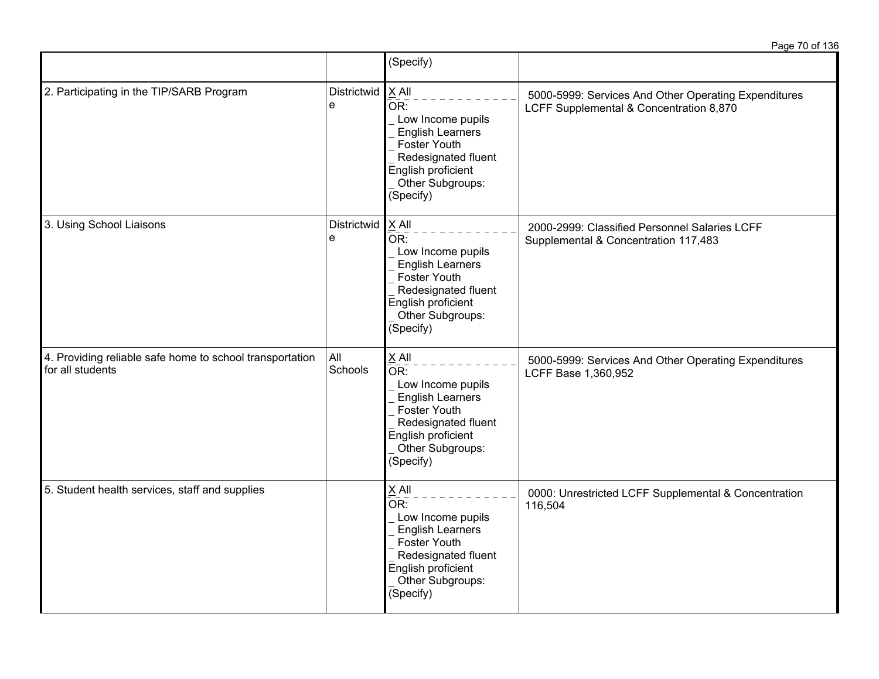|                                                                              |                         | (Specify)                                                                                                                                                                         |                                                                                                 |
|------------------------------------------------------------------------------|-------------------------|-----------------------------------------------------------------------------------------------------------------------------------------------------------------------------------|-------------------------------------------------------------------------------------------------|
| 2. Participating in the TIP/SARB Program                                     | <b>Districtwid</b><br>e | $X$ All<br>OR:<br>Low Income pupils<br><b>English Learners</b><br><b>Foster Youth</b><br>Redesignated fluent<br>English proficient<br>Other Subgroups:<br>(Specify)               | 5000-5999: Services And Other Operating Expenditures<br>LCFF Supplemental & Concentration 8,870 |
| 3. Using School Liaisons                                                     | Districtwid<br>e        | $X$ All<br>OR:<br>Low Income pupils<br><b>English Learners</b><br>Foster Youth<br>Redesignated fluent<br>English proficient<br>Other Subgroups:<br>(Specify)                      | 2000-2999: Classified Personnel Salaries LCFF<br>Supplemental & Concentration 117,483           |
| 4. Providing reliable safe home to school transportation<br>for all students | All<br>Schools          | X All<br>$\overline{\mathsf{OR}}$ :<br>Low Income pupils<br><b>English Learners</b><br>Foster Youth<br>Redesignated fluent<br>English proficient<br>Other Subgroups:<br>(Specify) | 5000-5999: Services And Other Operating Expenditures<br>LCFF Base 1,360,952                     |
| 5. Student health services, staff and supplies                               |                         | X All<br>OR:<br>Low Income pupils<br><b>English Learners</b><br>Foster Youth<br>Redesignated fluent<br>English proficient<br>Other Subgroups:<br>(Specify)                        | 0000: Unrestricted LCFF Supplemental & Concentration<br>116,504                                 |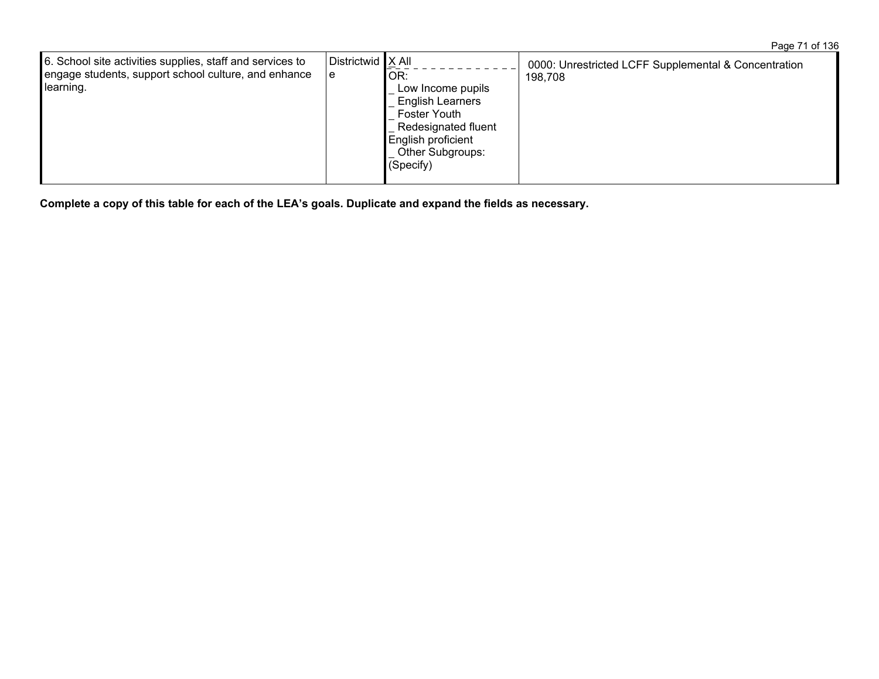| 6. School site activities supplies, staff and services to<br>engage students, support school culture, and enhance<br>learning. | Districtwid X All<br>e | OR:<br>Low Income pupils<br><b>English Learners</b><br><b>Foster Youth</b><br>Redesignated fluent<br>English proficient<br>Other Subgroups:<br>(Specify) | 0000: Unrestricted LCFF Supplemental & Concentration<br>198.708 |
|--------------------------------------------------------------------------------------------------------------------------------|------------------------|----------------------------------------------------------------------------------------------------------------------------------------------------------|-----------------------------------------------------------------|
|--------------------------------------------------------------------------------------------------------------------------------|------------------------|----------------------------------------------------------------------------------------------------------------------------------------------------------|-----------------------------------------------------------------|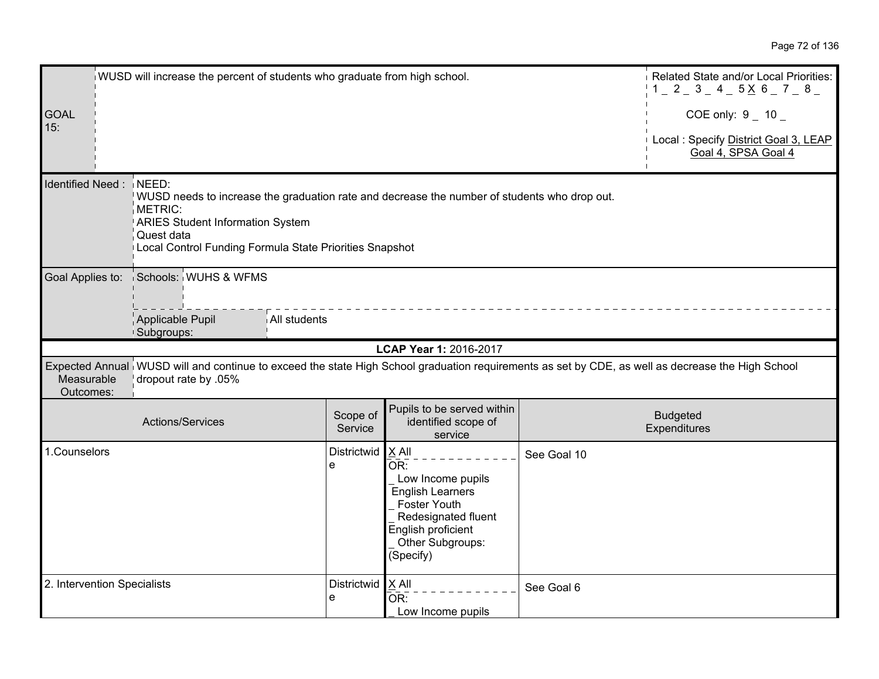| <b>GOAL</b><br>15.          | WUSD will increase the percent of students who graduate from high school.                                                                                                                                                   |                     |                                                                                                                                                            |             | Related State and/or Local Priorities:<br>$1 - 2 - 3 - 4 - 5 \times 6 - 7 - 8$<br>COE only: $9 - 10 -$<br>Local : Specify District Goal 3, LEAP<br>Goal 4, SPSA Goal 4 |  |
|-----------------------------|-----------------------------------------------------------------------------------------------------------------------------------------------------------------------------------------------------------------------------|---------------------|------------------------------------------------------------------------------------------------------------------------------------------------------------|-------------|------------------------------------------------------------------------------------------------------------------------------------------------------------------------|--|
| Identified Need: NEED:      | WUSD needs to increase the graduation rate and decrease the number of students who drop out.<br>METRIC:<br><b>ARIES Student Information System</b><br>Quest data<br>Local Control Funding Formula State Priorities Snapshot |                     |                                                                                                                                                            |             |                                                                                                                                                                        |  |
|                             | Goal Applies to: Schools: WUHS & WFMS                                                                                                                                                                                       |                     |                                                                                                                                                            |             |                                                                                                                                                                        |  |
|                             | Applicable Pupil<br>All students<br>Subgroups:                                                                                                                                                                              |                     |                                                                                                                                                            |             |                                                                                                                                                                        |  |
|                             |                                                                                                                                                                                                                             |                     | LCAP Year 1: 2016-2017                                                                                                                                     |             |                                                                                                                                                                        |  |
| Measurable<br>Outcomes:     | Expected Annual WUSD will and continue to exceed the state High School graduation requirements as set by CDE, as well as decrease the High School<br>dropout rate by .05%                                                   |                     |                                                                                                                                                            |             |                                                                                                                                                                        |  |
|                             | Actions/Services                                                                                                                                                                                                            | Scope of<br>Service | Pupils to be served within<br>identified scope of<br>service                                                                                               |             | <b>Budgeted</b><br>Expenditures                                                                                                                                        |  |
| 1.Counselors                |                                                                                                                                                                                                                             | Districtwid<br>e    | X All<br>OR:<br>Low Income pupils<br><b>English Learners</b><br>Foster Youth<br>Redesignated fluent<br>English proficient<br>Other Subgroups:<br>(Specify) | See Goal 10 |                                                                                                                                                                        |  |
| 2. Intervention Specialists |                                                                                                                                                                                                                             | Districtwid<br>e    | $X$ All<br>OR:<br>Low Income pupils                                                                                                                        | See Goal 6  |                                                                                                                                                                        |  |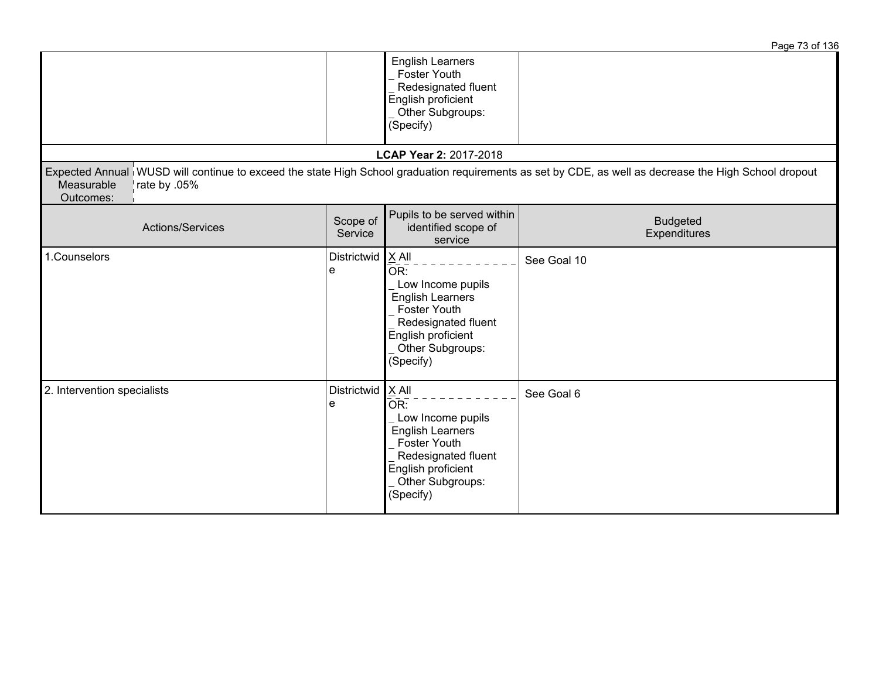|                                         |                         |                                                                                                                                                                   | Page 73 of 136                                                                                                                                        |
|-----------------------------------------|-------------------------|-------------------------------------------------------------------------------------------------------------------------------------------------------------------|-------------------------------------------------------------------------------------------------------------------------------------------------------|
|                                         |                         | <b>English Learners</b><br>Foster Youth<br>Redesignated fluent<br>English proficient<br>Other Subgroups:<br>(Specify)                                             |                                                                                                                                                       |
|                                         |                         | LCAP Year 2: 2017-2018                                                                                                                                            |                                                                                                                                                       |
| Measurable<br>rate by .05%<br>Outcomes: |                         |                                                                                                                                                                   | Expected Annual WUSD will continue to exceed the state High School graduation requirements as set by CDE, as well as decrease the High School dropout |
| Actions/Services                        | Scope of<br>Service     | Pupils to be served within<br>identified scope of<br>service                                                                                                      | <b>Budgeted</b><br>Expenditures                                                                                                                       |
| 1.Counselors                            | <b>Districtwid</b><br>e | X All<br>OR:<br>Low Income pupils<br><b>English Learners</b><br><b>Foster Youth</b><br>Redesignated fluent<br>English proficient<br>Other Subgroups:<br>(Specify) | See Goal 10                                                                                                                                           |
| 2. Intervention specialists             | Districtwid<br>e        | X All<br>OR:<br>Low Income pupils<br><b>English Learners</b><br>Foster Youth<br>Redesignated fluent<br>English proficient<br>Other Subgroups:<br>(Specify)        | See Goal 6                                                                                                                                            |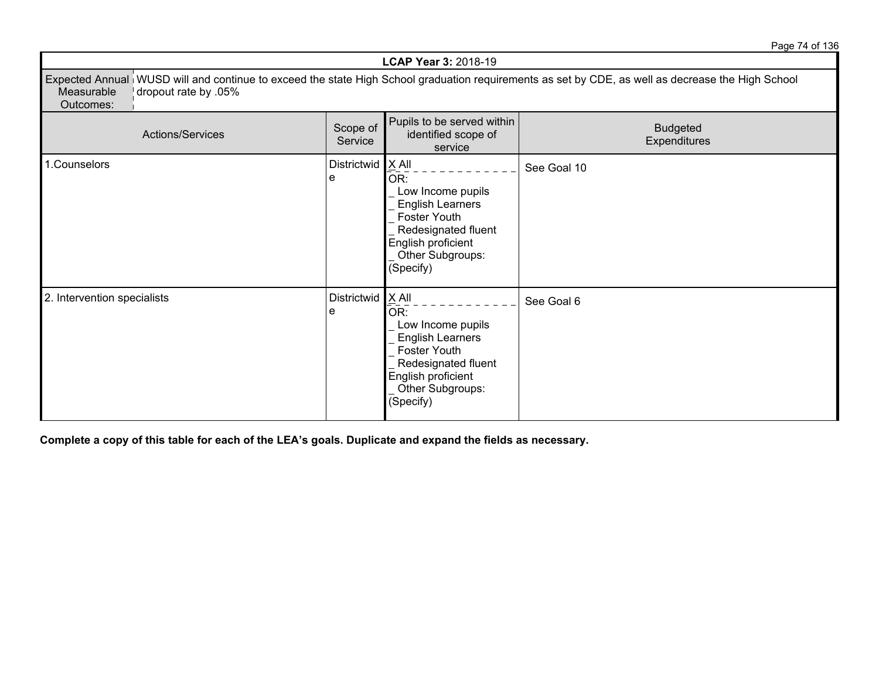Page 74 of 136

|                                                 | LCAP Year 3: 2018-19                                                                                                                              |                                                                                                                                                   |             |  |  |  |
|-------------------------------------------------|---------------------------------------------------------------------------------------------------------------------------------------------------|---------------------------------------------------------------------------------------------------------------------------------------------------|-------------|--|--|--|
| Measurable<br>dropout rate by .05%<br>Outcomes: | Expected Annual WUSD will and continue to exceed the state High School graduation requirements as set by CDE, as well as decrease the High School |                                                                                                                                                   |             |  |  |  |
| Actions/Services                                | Pupils to be served within<br>Scope of<br><b>Budgeted</b><br>identified scope of<br>Service<br>Expenditures<br>service                            |                                                                                                                                                   |             |  |  |  |
| .Counselors                                     | Districtwid $X$ All<br>e                                                                                                                          | OR:<br>Low Income pupils<br><b>English Learners</b><br>Foster Youth<br>Redesignated fluent<br>English proficient<br>Other Subgroups:<br>(Specify) | See Goal 10 |  |  |  |
| 2. Intervention specialists                     | Districtwid $X$ All<br>e                                                                                                                          | OR:<br>Low Income pupils<br><b>English Learners</b><br>Foster Youth<br>Redesignated fluent<br>English proficient<br>Other Subgroups:<br>(Specify) | See Goal 6  |  |  |  |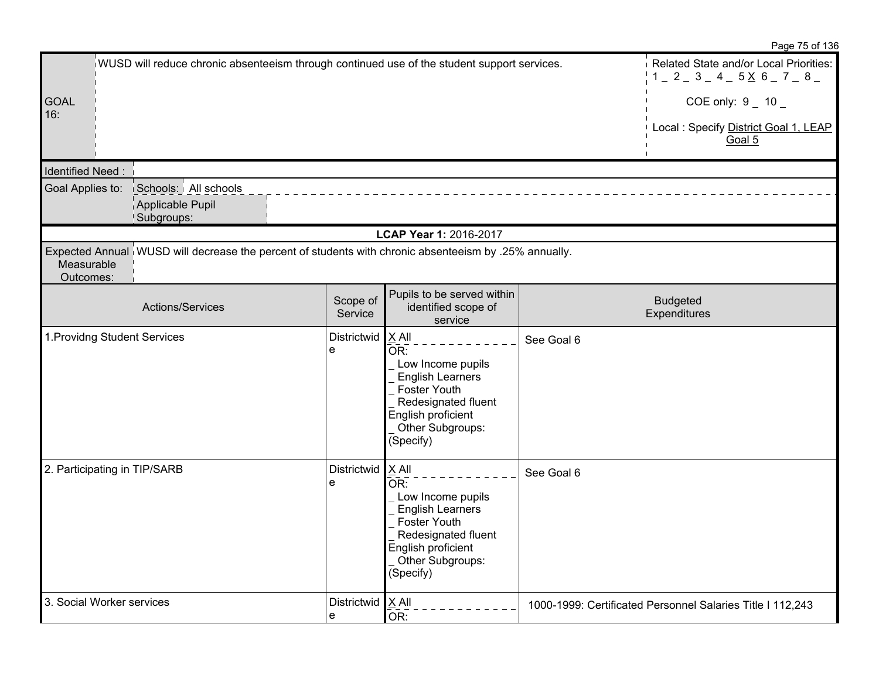## Page 75 of 136

| WUSD will reduce chronic absenteeism through continued use of the student support services.<br><b>GOAL</b><br>16:<br>Identified Need:<br>Schools: All schools<br>Goal Applies to: |                                                                                                       |                     |                                                                                                                                                              |            | Related State and/or Local Priorities:<br>$1 = 2 = 3 = 4 = 5 \times 6 = 7 = 8 =$<br>COE only: $9 - 10 -$<br>Local : Specify District Goal 1, LEAP<br>Goal 5 |
|-----------------------------------------------------------------------------------------------------------------------------------------------------------------------------------|-------------------------------------------------------------------------------------------------------|---------------------|--------------------------------------------------------------------------------------------------------------------------------------------------------------|------------|-------------------------------------------------------------------------------------------------------------------------------------------------------------|
|                                                                                                                                                                                   | Applicable Pupil<br>Subgroups:                                                                        |                     |                                                                                                                                                              |            |                                                                                                                                                             |
|                                                                                                                                                                                   |                                                                                                       |                     | LCAP Year 1: 2016-2017                                                                                                                                       |            |                                                                                                                                                             |
| Measurable<br>Outcomes:                                                                                                                                                           | Expected Annual WUSD will decrease the percent of students with chronic absenteeism by .25% annually. |                     |                                                                                                                                                              |            |                                                                                                                                                             |
|                                                                                                                                                                                   | Actions/Services                                                                                      | Scope of<br>Service | Pupils to be served within<br>identified scope of<br>service                                                                                                 |            | <b>Budgeted</b><br>Expenditures                                                                                                                             |
| 1. Providng Student Services                                                                                                                                                      |                                                                                                       | Districtwid<br>e    | $X$ All<br>OR:<br>Low Income pupils<br><b>English Learners</b><br>Foster Youth<br>Redesignated fluent<br>English proficient<br>Other Subgroups:<br>(Specify) | See Goal 6 |                                                                                                                                                             |
| 2. Participating in TIP/SARB<br>e                                                                                                                                                 |                                                                                                       | Districtwid         | $X$ All<br>OR:<br>Low Income pupils<br><b>English Learners</b><br>Foster Youth<br>Redesignated fluent<br>English proficient<br>Other Subgroups:<br>(Specify) | See Goal 6 |                                                                                                                                                             |
| 3. Social Worker services                                                                                                                                                         |                                                                                                       | Districtwid<br>e    | $X$ All<br>OR:                                                                                                                                               |            | 1000-1999: Certificated Personnel Salaries Title I 112,243                                                                                                  |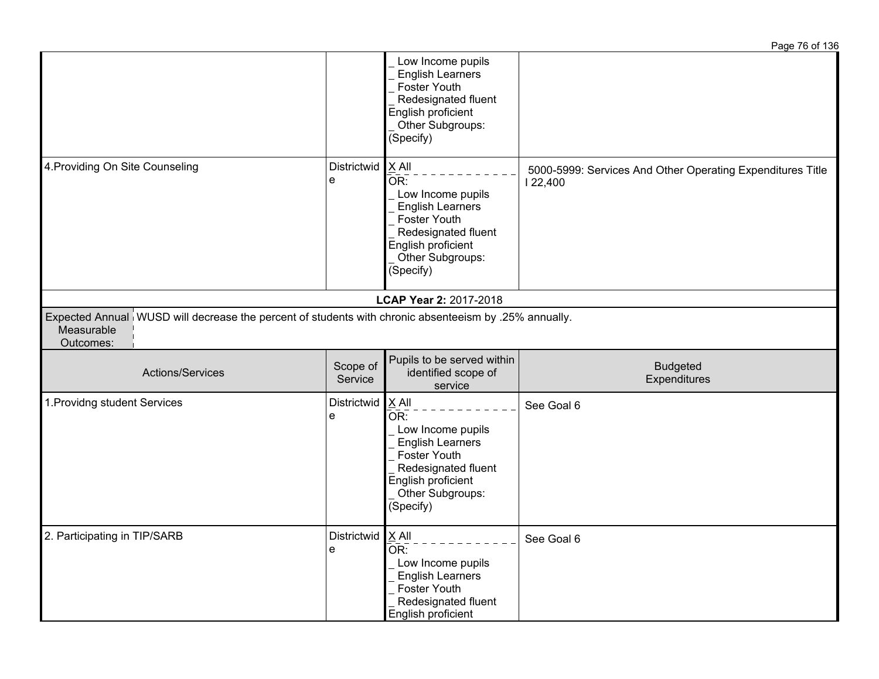|                                                                                                                                  |                                                           |                                                                                                                                                              | Page 76 of 136                                                        |  |
|----------------------------------------------------------------------------------------------------------------------------------|-----------------------------------------------------------|--------------------------------------------------------------------------------------------------------------------------------------------------------------|-----------------------------------------------------------------------|--|
|                                                                                                                                  |                                                           | Low Income pupils<br><b>English Learners</b><br>Foster Youth<br>Redesignated fluent<br>English proficient<br>Other Subgroups:<br>(Specify)                   |                                                                       |  |
| 4. Providing On Site Counseling                                                                                                  | Districtwid<br>$\mathsf{e}% _{0}\left( \mathsf{e}\right)$ | $X$ All<br>OR:<br>Low Income pupils<br><b>English Learners</b><br>Foster Youth<br>Redesignated fluent<br>English proficient<br>Other Subgroups:<br>(Specify) | 5000-5999: Services And Other Operating Expenditures Title<br>122,400 |  |
|                                                                                                                                  |                                                           | LCAP Year 2: 2017-2018                                                                                                                                       |                                                                       |  |
| Expected Annual WUSD will decrease the percent of students with chronic absenteeism by .25% annually.<br>Measurable<br>Outcomes: |                                                           |                                                                                                                                                              |                                                                       |  |
| Actions/Services                                                                                                                 | Scope of<br>Service                                       | Pupils to be served within<br>identified scope of<br>service                                                                                                 | <b>Budgeted</b><br>Expenditures                                       |  |
| 1. Providng student Services                                                                                                     | Districtwid<br>e                                          | $X$ All<br>OR:<br>Low Income pupils<br><b>English Learners</b><br>Foster Youth<br>Redesignated fluent<br>English proficient<br>Other Subgroups:<br>(Specify) | See Goal 6                                                            |  |
| 2. Participating in TIP/SARB                                                                                                     | Districtwid<br>e                                          | $X$ All<br>OR:<br>Low Income pupils<br><b>English Learners</b><br>Foster Youth<br>Redesignated fluent<br>English proficient                                  | See Goal 6                                                            |  |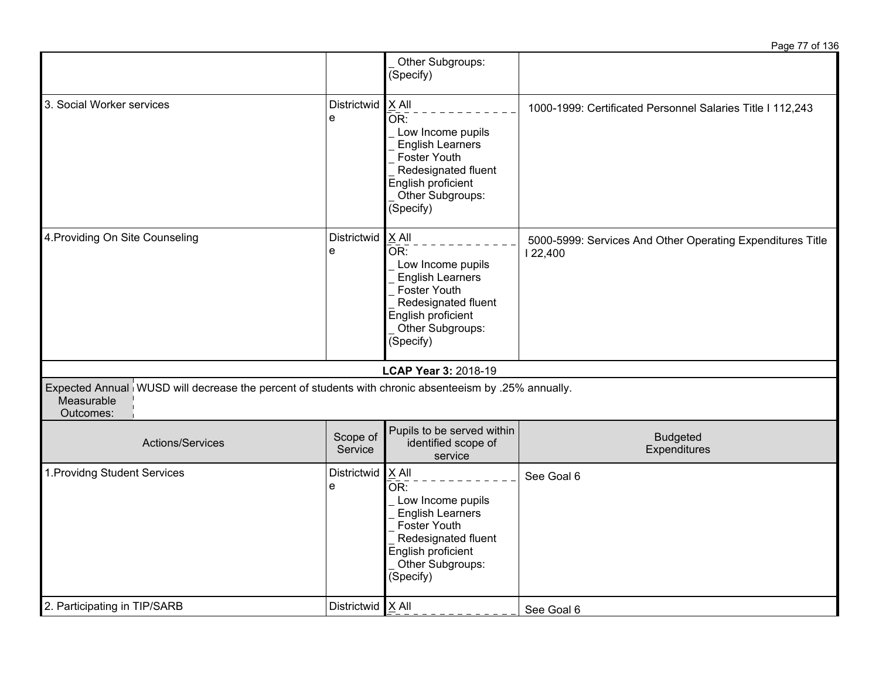|                                                                                                                                  |                     | Other Subgroups:<br>(Specify)                                                                                                                                                       |                                                                       |
|----------------------------------------------------------------------------------------------------------------------------------|---------------------|-------------------------------------------------------------------------------------------------------------------------------------------------------------------------------------|-----------------------------------------------------------------------|
| 3. Social Worker services                                                                                                        | Districtwid<br>e    | $X$ All<br>OR:<br>Low Income pupils<br><b>English Learners</b><br>Foster Youth<br>Redesignated fluent<br>English proficient<br>Other Subgroups:<br>(Specify)                        | 1000-1999: Certificated Personnel Salaries Title I 112,243            |
| 4. Providing On Site Counseling                                                                                                  | Districtwid<br>e    | $\overline{\mathsf{x}}$ All<br>OR:<br>Low Income pupils<br><b>English Learners</b><br>Foster Youth<br>Redesignated fluent<br>English proficient<br>Other Subgroups:<br>(Specify)    | 5000-5999: Services And Other Operating Expenditures Title<br>122,400 |
|                                                                                                                                  |                     | LCAP Year 3: 2018-19                                                                                                                                                                |                                                                       |
| Expected Annual WUSD will decrease the percent of students with chronic absenteeism by .25% annually.<br>Measurable<br>Outcomes: |                     |                                                                                                                                                                                     |                                                                       |
| Actions/Services                                                                                                                 | Scope of<br>Service | Pupils to be served within<br>identified scope of<br>service                                                                                                                        | <b>Budgeted</b><br>Expenditures                                       |
| 1. Providng Student Services                                                                                                     | Districtwid<br>e    | $X$ All<br>$\overline{\mathsf{OR}}$ :<br>Low Income pupils<br><b>English Learners</b><br>Foster Youth<br>Redesignated fluent<br>English proficient<br>Other Subgroups:<br>(Specify) | See Goal 6                                                            |
| 2. Participating in TIP/SARB                                                                                                     | Districtwid $X$ All |                                                                                                                                                                                     | See Goal 6                                                            |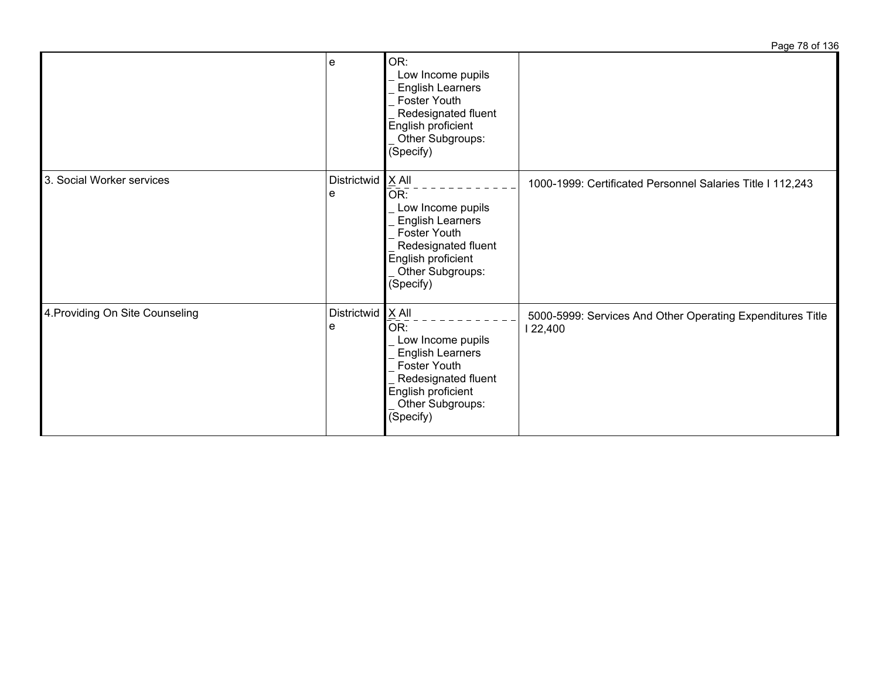|                                 |                  |                                                                                                                                                              | Page 78 of 136                                                        |
|---------------------------------|------------------|--------------------------------------------------------------------------------------------------------------------------------------------------------------|-----------------------------------------------------------------------|
|                                 | е                | OR:<br>Low Income pupils<br><b>English Learners</b><br>Foster Youth<br>Redesignated fluent<br>English proficient<br>Other Subgroups:<br>(Specify)            |                                                                       |
| 3. Social Worker services       | Districtwid<br>е | $X$ All<br>OR:<br>Low Income pupils<br><b>English Learners</b><br>Foster Youth<br>Redesignated fluent<br>English proficient<br>Other Subgroups:<br>(Specify) | 1000-1999: Certificated Personnel Salaries Title I 112,243            |
| 4. Providing On Site Counseling | Districtwid<br>e | $X$ All<br>OR:<br>Low Income pupils<br><b>English Learners</b><br>Foster Youth<br>Redesignated fluent<br>English proficient<br>Other Subgroups:<br>(Specify) | 5000-5999: Services And Other Operating Expenditures Title<br>122,400 |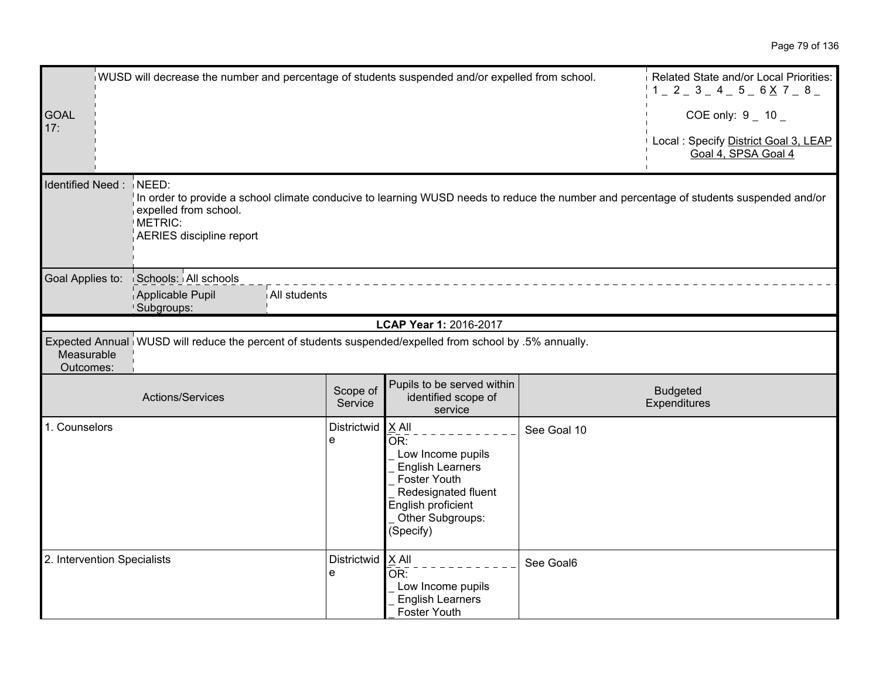| WUSD will decrease the number and percentage of students suspended and/or expelled from school.<br><b>GOAL</b><br>17: |                                                                                                          |                     |                                                                                                                                                                   |             | Related State and/or Local Priorities:<br>$1 - 2 - 3 - 4 - 5 - 6 \times 7 - 8$<br>COE only: $9 - 10$<br>Local : Specify District Goal 3, LEAP<br>Goal 4, SPSA Goal 4 |
|-----------------------------------------------------------------------------------------------------------------------|----------------------------------------------------------------------------------------------------------|---------------------|-------------------------------------------------------------------------------------------------------------------------------------------------------------------|-------------|----------------------------------------------------------------------------------------------------------------------------------------------------------------------|
| <b>Identified Need:</b>                                                                                               | NEED:<br>expelled from school.<br>METRIC:<br>AERIES discipline report                                    |                     |                                                                                                                                                                   |             | In order to provide a school climate conducive to learning WUSD needs to reduce the number and percentage of students suspended and/or                               |
| Goal Applies to:                                                                                                      | Schools: All schools<br>All students<br>Applicable Pupil<br>Subgroups:                                   |                     |                                                                                                                                                                   |             |                                                                                                                                                                      |
|                                                                                                                       |                                                                                                          |                     | LCAP Year 1: 2016-2017                                                                                                                                            |             |                                                                                                                                                                      |
| Measurable<br>Outcomes:                                                                                               | Expected Annual WUSD will reduce the percent of students suspended/expelled from school by .5% annually. |                     |                                                                                                                                                                   |             |                                                                                                                                                                      |
|                                                                                                                       | <b>Actions/Services</b>                                                                                  | Scope of<br>Service | Pupils to be served within<br>identified scope of<br>service                                                                                                      |             | <b>Budgeted</b><br>Expenditures                                                                                                                                      |
| 1. Counselors                                                                                                         |                                                                                                          | Districtwid<br>e    | X All<br>OR:<br>Low Income pupils<br><b>English Learners</b><br><b>Foster Youth</b><br>Redesignated fluent<br>English proficient<br>Other Subgroups:<br>(Specify) | See Goal 10 |                                                                                                                                                                      |
| 2. Intervention Specialists                                                                                           |                                                                                                          | Districtwid<br>e    | $X$ All<br>$\overline{\mathsf{OR}}$ :<br>Low Income pupils<br><b>English Learners</b><br><b>Foster Youth</b>                                                      | See Goal6   |                                                                                                                                                                      |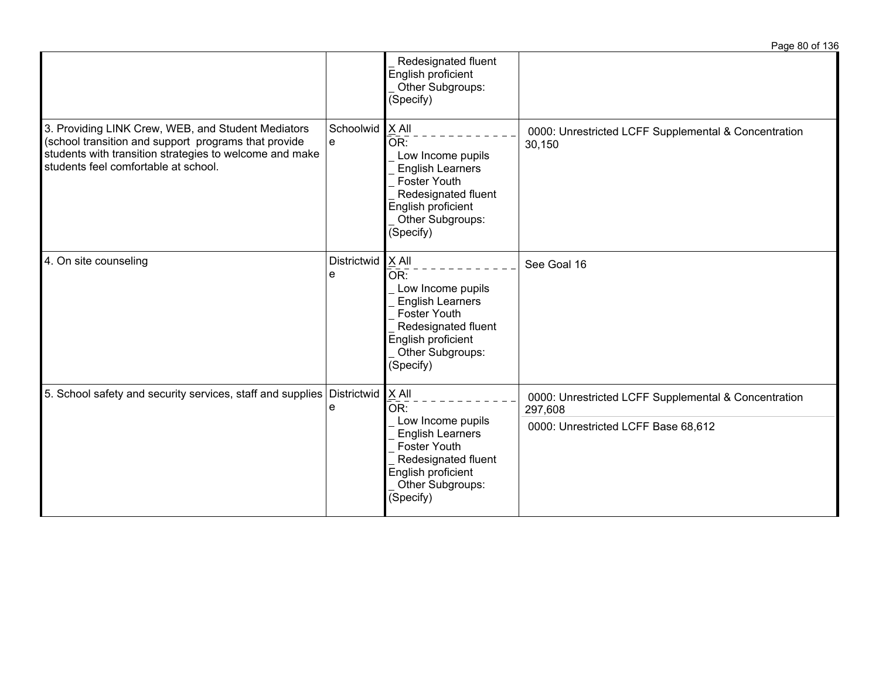|                                                                                                                                                                                                               |                          |                                                                                                                                                            | Page 80 of 136                                                                                         |
|---------------------------------------------------------------------------------------------------------------------------------------------------------------------------------------------------------------|--------------------------|------------------------------------------------------------------------------------------------------------------------------------------------------------|--------------------------------------------------------------------------------------------------------|
|                                                                                                                                                                                                               |                          | Redesignated fluent<br>English proficient<br>Other Subgroups:<br>(Specify)                                                                                 |                                                                                                        |
| 3. Providing LINK Crew, WEB, and Student Mediators<br>(school transition and support programs that provide<br>students with transition strategies to welcome and make<br>students feel comfortable at school. | Schoolwid   X All<br>e   | OR:<br>Low Income pupils<br><b>English Learners</b><br>Foster Youth<br>Redesignated fluent<br>English proficient<br>Other Subgroups:<br>(Specify)          | 0000: Unrestricted LCFF Supplemental & Concentration<br>30,150                                         |
| 4. On site counseling                                                                                                                                                                                         | Districtwid   X All<br>e | OR:<br>Low Income pupils<br><b>English Learners</b><br>Foster Youth<br>Redesignated fluent<br>English proficient<br>Other Subgroups:<br>(Specify)          | See Goal 16                                                                                            |
| 5. School safety and security services, staff and supplies   Districtwid                                                                                                                                      | e                        | X All<br>OR:<br>Low Income pupils<br><b>English Learners</b><br>Foster Youth<br>Redesignated fluent<br>English proficient<br>Other Subgroups:<br>(Specify) | 0000: Unrestricted LCFF Supplemental & Concentration<br>297,608<br>0000: Unrestricted LCFF Base 68,612 |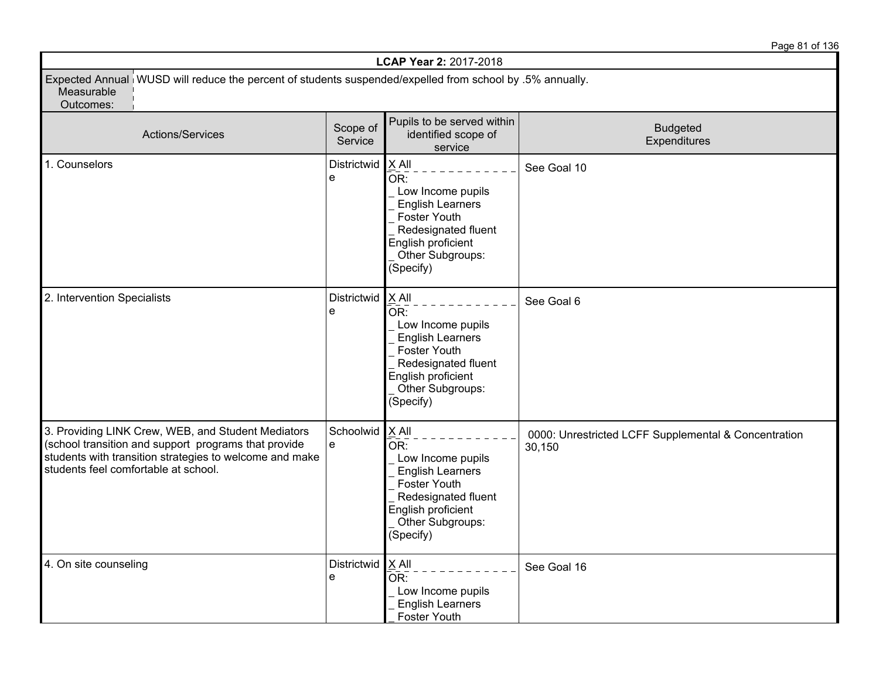Page 81 of 136

| LCAP Year 2: 2017-2018                                                                                                                                                                                        |                     |                                                                                                                                                                     |                                                                |  |  |
|---------------------------------------------------------------------------------------------------------------------------------------------------------------------------------------------------------------|---------------------|---------------------------------------------------------------------------------------------------------------------------------------------------------------------|----------------------------------------------------------------|--|--|
| Expected Annual WUSD will reduce the percent of students suspended/expelled from school by .5% annually.<br>Measurable<br>Outcomes:                                                                           |                     |                                                                                                                                                                     |                                                                |  |  |
| Actions/Services                                                                                                                                                                                              | Scope of<br>Service | Pupils to be served within<br>identified scope of<br>service                                                                                                        | <b>Budgeted</b><br>Expenditures                                |  |  |
| 1. Counselors                                                                                                                                                                                                 | Districtwid<br>e    | $X$ All<br>OR:<br>Low Income pupils<br><b>English Learners</b><br>Foster Youth<br>Redesignated fluent<br>English proficient<br>Other Subgroups:<br>(Specify)        | See Goal 10                                                    |  |  |
| 2. Intervention Specialists                                                                                                                                                                                   | Districtwid<br>e    | $X$ All<br>−−−<br>OR:<br>Low Income pupils<br><b>English Learners</b><br>Foster Youth<br>Redesignated fluent<br>English proficient<br>Other Subgroups:<br>(Specify) | See Goal 6                                                     |  |  |
| 3. Providing LINK Crew, WEB, and Student Mediators<br>(school transition and support programs that provide<br>students with transition strategies to welcome and make<br>students feel comfortable at school. | Schoolwid<br>e      | $X$ All<br>OR:<br>Low Income pupils<br><b>English Learners</b><br>Foster Youth<br>Redesignated fluent<br>English proficient<br>Other Subgroups:<br>(Specify)        | 0000: Unrestricted LCFF Supplemental & Concentration<br>30,150 |  |  |
| 4. On site counseling                                                                                                                                                                                         | Districtwid<br>e    | X All<br>OR:<br>Low Income pupils<br><b>English Learners</b><br>Foster Youth                                                                                        | See Goal 16                                                    |  |  |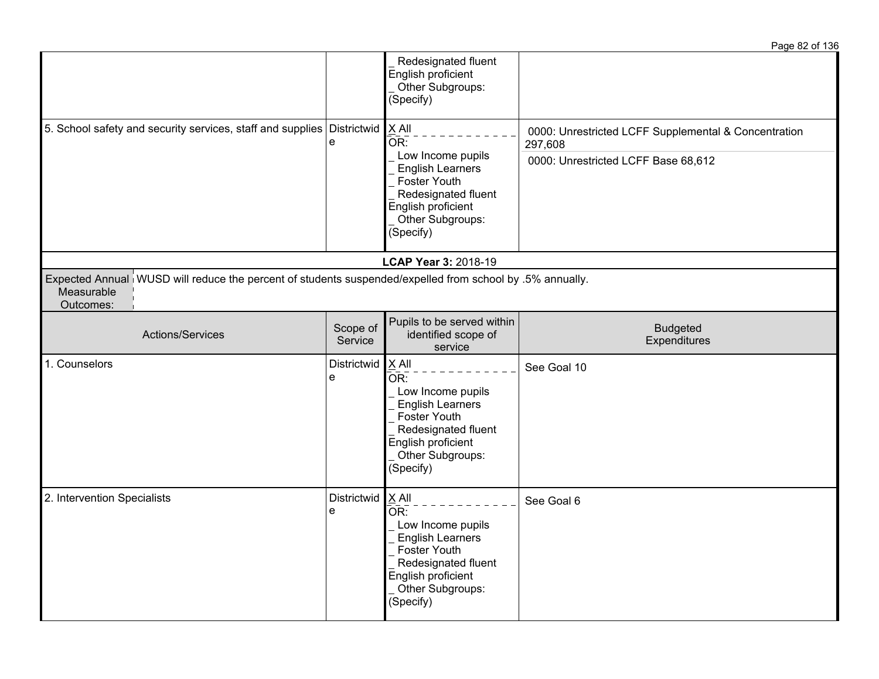|                                                                                                                                     |                          |                                                                                                                                                              | Page 82 of 136                                                                                         |
|-------------------------------------------------------------------------------------------------------------------------------------|--------------------------|--------------------------------------------------------------------------------------------------------------------------------------------------------------|--------------------------------------------------------------------------------------------------------|
|                                                                                                                                     |                          | Redesignated fluent<br>English proficient<br>Other Subgroups:<br>(Specify)                                                                                   |                                                                                                        |
| 5. School safety and security services, staff and supplies Districtwid                                                              | e                        | X All<br>OR:<br>Low Income pupils<br><b>English Learners</b><br>Foster Youth<br>Redesignated fluent<br>English proficient<br>Other Subgroups:<br>(Specify)   | 0000: Unrestricted LCFF Supplemental & Concentration<br>297,608<br>0000: Unrestricted LCFF Base 68,612 |
|                                                                                                                                     |                          | LCAP Year 3: 2018-19                                                                                                                                         |                                                                                                        |
| Expected Annual WUSD will reduce the percent of students suspended/expelled from school by .5% annually.<br>Measurable<br>Outcomes: |                          |                                                                                                                                                              |                                                                                                        |
| Actions/Services                                                                                                                    | Scope of<br>Service      | Pupils to be served within<br>identified scope of<br>service                                                                                                 | <b>Budgeted</b><br>Expenditures                                                                        |
| 1. Counselors                                                                                                                       | Districtwid   X All<br>e | OR:<br>Low Income pupils<br><b>English Learners</b><br>Foster Youth<br>Redesignated fluent<br>English proficient<br>Other Subgroups:<br>(Specify)            | See Goal 10                                                                                            |
| 2. Intervention Specialists                                                                                                         | Districtwid<br>e         | $X$ All<br>OR:<br>Low Income pupils<br><b>English Learners</b><br>Foster Youth<br>Redesignated fluent<br>English proficient<br>Other Subgroups:<br>(Specify) | See Goal 6                                                                                             |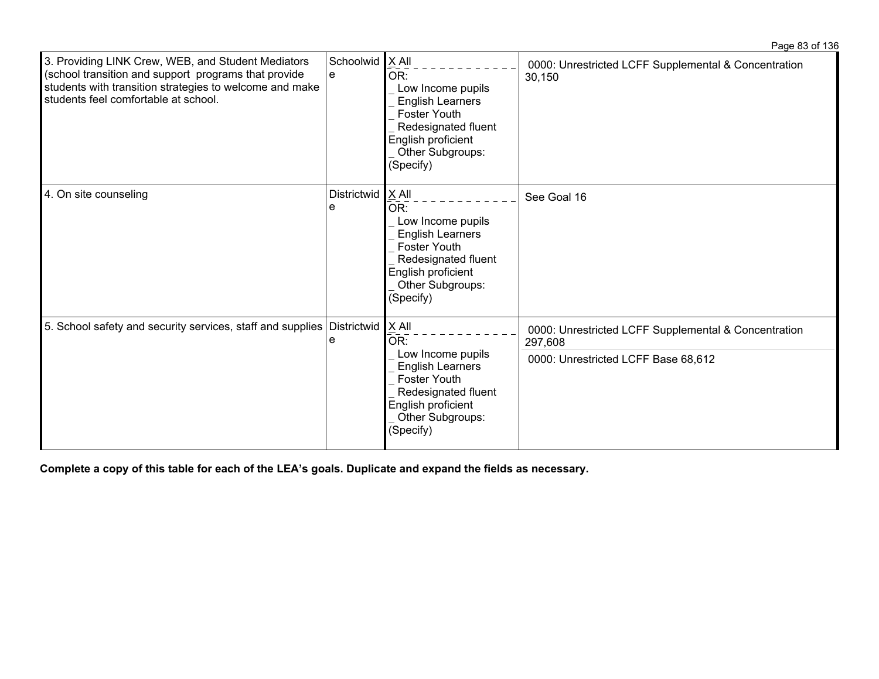| 3. Providing LINK Crew, WEB, and Student Mediators<br>(school transition and support programs that provide<br>students with transition strategies to welcome and make<br>students feel comfortable at school. | Schoolwid   X All<br>e   | OR:<br>Low Income pupils<br><b>English Learners</b><br>Foster Youth<br>Redesignated fluent<br>English proficient<br>Other Subgroups:<br>(Specify) | 0000: Unrestricted LCFF Supplemental & Concentration<br>30,150                                         |
|---------------------------------------------------------------------------------------------------------------------------------------------------------------------------------------------------------------|--------------------------|---------------------------------------------------------------------------------------------------------------------------------------------------|--------------------------------------------------------------------------------------------------------|
| 4. On site counseling                                                                                                                                                                                         | Districtwid $X$ All<br>е | OR:<br>Low Income pupils<br><b>English Learners</b><br>Foster Youth<br>Redesignated fluent<br>English proficient<br>Other Subgroups:<br>(Specify) | See Goal 16                                                                                            |
| 5. School safety and security services, staff and supplies Districtwid $X$ All                                                                                                                                | е                        | OR:<br>Low Income pupils<br><b>English Learners</b><br>Foster Youth<br>Redesignated fluent<br>English proficient<br>Other Subgroups:<br>(Specify) | 0000: Unrestricted LCFF Supplemental & Concentration<br>297,608<br>0000: Unrestricted LCFF Base 68,612 |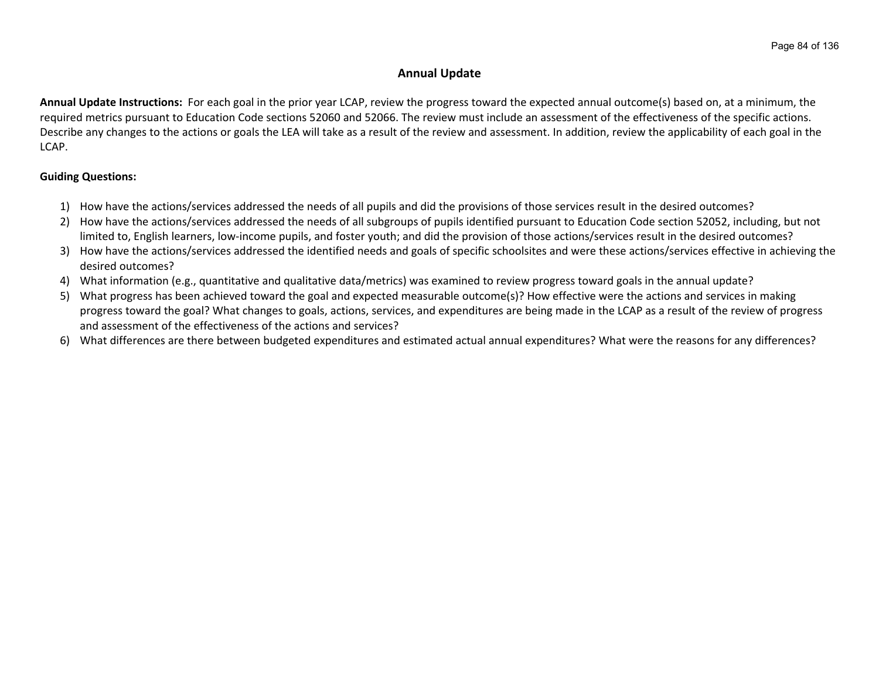## **Annual Update**

**Annual Update Instructions:** For each goal in the prior year LCAP, review the progress toward the expected annual outcome(s) based on, at a minimum, the required metrics pursuant to Education Code sections 52060 and 52066. The review must include an assessment of the effectiveness of the specific actions. Describe any changes to the actions or goals the LEA will take as a result of the review and assessment. In addition, review the applicability of each goal in the LCAP.

## **Guiding Questions:**

- 1) How have the actions/services addressed the needs of all pupils and did the provisions of those services result in the desired outcomes?
- 2) How have the actions/services addressed the needs of all subgroups of pupils identified pursuant to Education Code section 52052, including, but not limited to, English learners, low-income pupils, and foster youth; and did the provision of those actions/services result in the desired outcomes?
- 3) How have the actions/services addressed the identified needs and goals of specific schoolsites and were these actions/services effective in achieving the desired outcomes?
- 4) What information (e.g., quantitative and qualitative data/metrics) was examined to review progress toward goals in the annual update?
- 5) What progress has been achieved toward the goal and expected measurable outcome(s)? How effective were the actions and services in making progress toward the goal? What changes to goals, actions, services, and expenditures are being made in the LCAP as a result of the review of progress and assessment of the effectiveness of the actions and services?
- 6) What differences are there between budgeted expenditures and estimated actual annual expenditures? What were the reasons for any differences?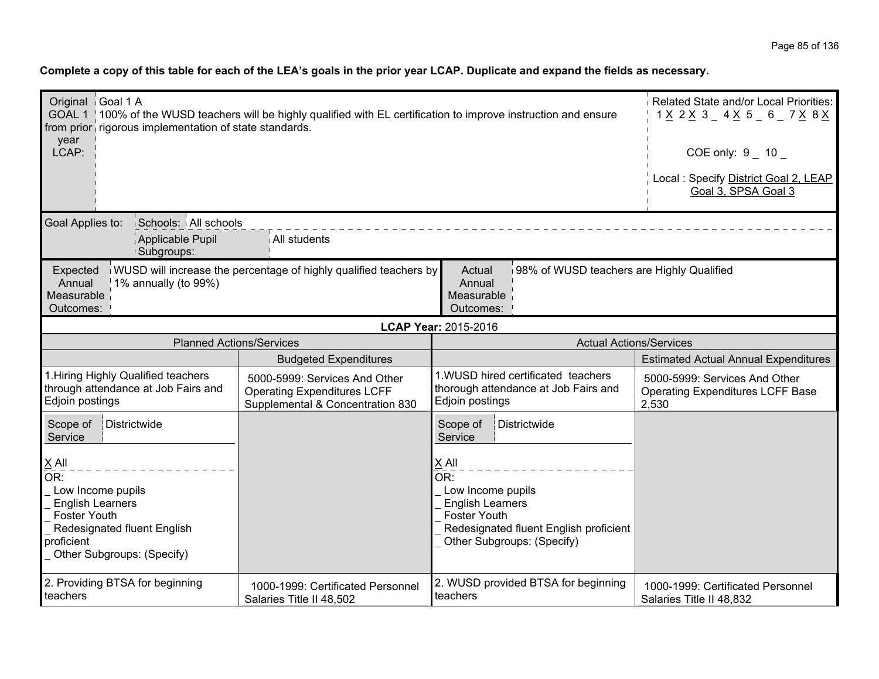| Original Goal 1 A<br>GOAL 1   100% of the WUSD teachers will be highly qualified with EL certification to improve instruction and ensure<br>from prior rigorous implementation of state standards.<br>year<br>LCAP:                                                                   | Related State and/or Local Priorities:<br>1 <u>X</u> 2 <u>X</u> 3 _ 4 <u>X</u> 5 _ 6 _ 7 <u>X</u> 8 <u>X</u><br>COE only: 9 10<br>Local: Specify District Goal 2, LEAP<br>Goal 3, SPSA Goal 3 |                                                                                                |                                                                                   |  |
|---------------------------------------------------------------------------------------------------------------------------------------------------------------------------------------------------------------------------------------------------------------------------------------|-----------------------------------------------------------------------------------------------------------------------------------------------------------------------------------------------|------------------------------------------------------------------------------------------------|-----------------------------------------------------------------------------------|--|
| Goal Applies to:<br>Schools: All schools<br>Applicable Pupil<br><b>Subgroups:</b>                                                                                                                                                                                                     | All students                                                                                                                                                                                  |                                                                                                |                                                                                   |  |
| WUSD will increase the percentage of highly qualified teachers by<br>98% of WUSD teachers are Highly Qualified<br>Expected<br>Actual<br>1% annually (to 99%)<br>Annual<br>Annual<br>Measurable<br>Measurable<br>Outcomes:<br>Outcomes:                                                |                                                                                                                                                                                               |                                                                                                |                                                                                   |  |
|                                                                                                                                                                                                                                                                                       |                                                                                                                                                                                               | LCAP Year: 2015-2016                                                                           |                                                                                   |  |
|                                                                                                                                                                                                                                                                                       | <b>Planned Actions/Services</b>                                                                                                                                                               | <b>Actual Actions/Services</b>                                                                 |                                                                                   |  |
|                                                                                                                                                                                                                                                                                       | <b>Budgeted Expenditures</b>                                                                                                                                                                  |                                                                                                | <b>Estimated Actual Annual Expenditures</b>                                       |  |
| 1. Hiring Highly Qualified teachers<br>through attendance at Job Fairs and<br>Edjoin postings                                                                                                                                                                                         | 5000-5999: Services And Other<br><b>Operating Expenditures LCFF</b><br>Supplemental & Concentration 830                                                                                       | 1. WUSD hired certificated teachers<br>thorough attendance at Job Fairs and<br>Edjoin postings | 5000-5999: Services And Other<br><b>Operating Expenditures LCFF Base</b><br>2,530 |  |
| Districtwide<br>Scope of<br>Service                                                                                                                                                                                                                                                   |                                                                                                                                                                                               | Districtwide<br>Scope of<br>Service                                                            |                                                                                   |  |
| $X$ All<br>X All<br>OR:<br>OR:<br>Low Income pupils<br>Low Income pupils<br><b>English Learners</b><br><b>English Learners</b><br><b>Foster Youth</b><br><b>Foster Youth</b><br>Redesignated fluent English<br>Other Subgroups: (Specify)<br>proficient<br>Other Subgroups: (Specify) |                                                                                                                                                                                               | Redesignated fluent English proficient                                                         |                                                                                   |  |
| 2. Providing BTSA for beginning<br>teachers                                                                                                                                                                                                                                           | 1000-1999: Certificated Personnel<br>Salaries Title II 48,502                                                                                                                                 | 2. WUSD provided BTSA for beginning<br>teachers                                                | 1000-1999: Certificated Personnel<br>Salaries Title II 48,832                     |  |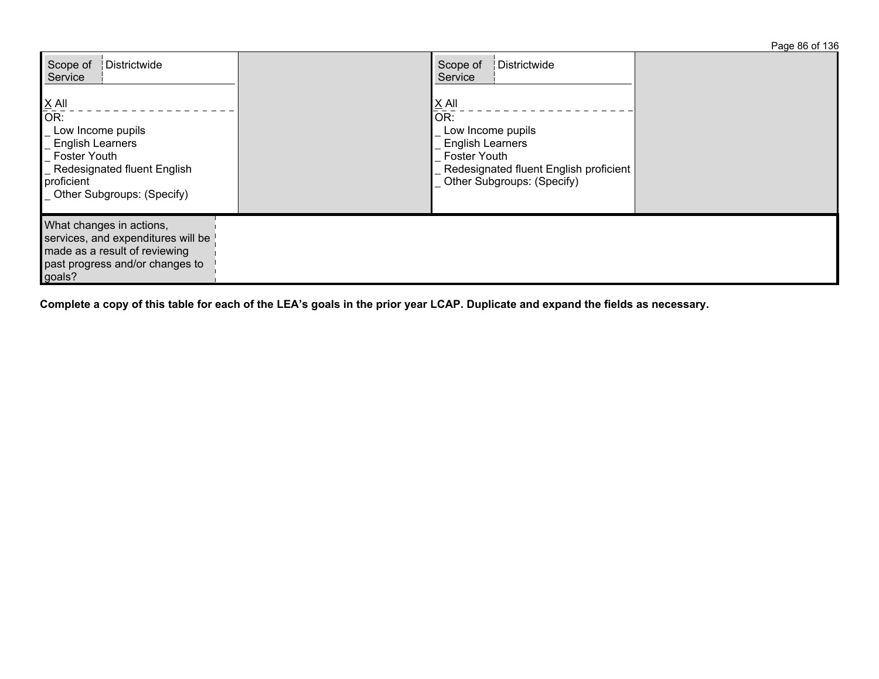Page 86 of 136

| Districtwide<br>Scope of<br>Service                                                                                                                                                 | Districtwide<br>Scope of<br>Service                                                                                                                  |  |
|-------------------------------------------------------------------------------------------------------------------------------------------------------------------------------------|------------------------------------------------------------------------------------------------------------------------------------------------------|--|
| $\underline{X}$ All<br>$\overline{OR}$ :<br>Low Income pupils<br><b>English Learners</b><br>Foster Youth<br>Redesignated fluent English<br>proficient<br>Other Subgroups: (Specify) | X All<br>OR:<br>Low Income pupils<br><b>English Learners</b><br>Foster Youth<br>Redesignated fluent English proficient<br>Other Subgroups: (Specify) |  |
| What changes in actions,<br>services, and expenditures will be<br>made as a result of reviewing<br>past progress and/or changes to<br>goals?                                        |                                                                                                                                                      |  |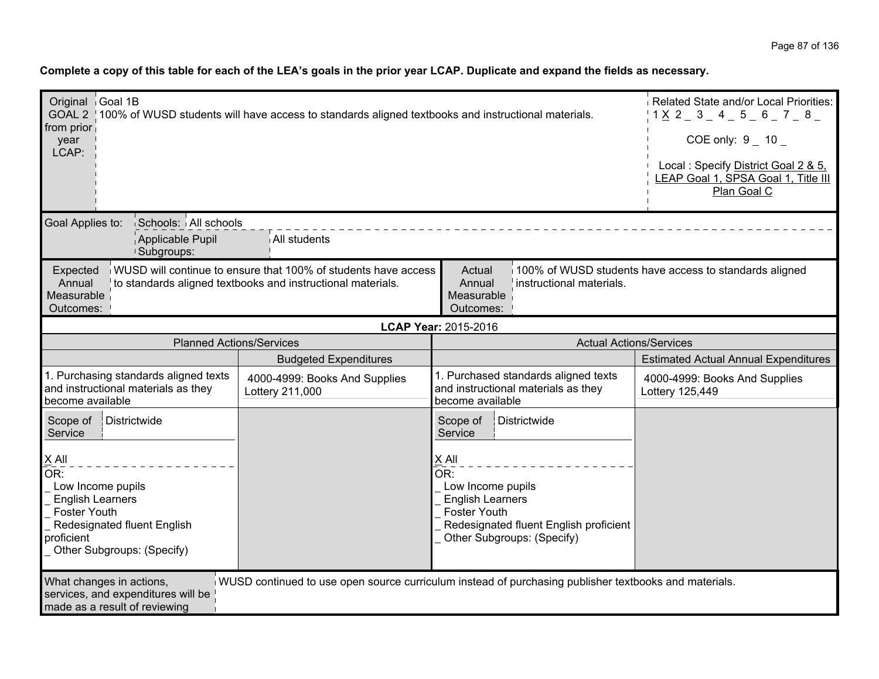| Original Goal 1B<br>Related State and/or Local Priorities:<br>GOAL 2   100% of WUSD students will have access to standards aligned textbooks and instructional materials.<br>$1 \times 2 = 3 = 4 = 5 = 6 = 7 = 8 = 1$<br>from prior<br>COE only: $9 - 10$<br>year<br>LCAP:<br>Local: Specify District Goal 2 & 5,<br><b>EAP Goal 1, SPSA Goal 1, Title III</b><br>Plan Goal C |                                                  |                                                                                                 |                                                  |  |
|-------------------------------------------------------------------------------------------------------------------------------------------------------------------------------------------------------------------------------------------------------------------------------------------------------------------------------------------------------------------------------|--------------------------------------------------|-------------------------------------------------------------------------------------------------|--------------------------------------------------|--|
| Schools: All schools<br>Goal Applies to:<br>Applicable Pupil<br><sup>1</sup> Subgroups:                                                                                                                                                                                                                                                                                       | All students                                     |                                                                                                 |                                                  |  |
| WUSD will continue to ensure that 100% of students have access<br>100% of WUSD students have access to standards aligned<br>Expected<br>Actual<br>to standards aligned textbooks and instructional materials.<br>Annual<br>instructional materials.<br>Annual<br>Measurable<br>Measurable<br>Outcomes:<br>Outcomes:                                                           |                                                  |                                                                                                 |                                                  |  |
|                                                                                                                                                                                                                                                                                                                                                                               | LCAP Year: 2015-2016                             |                                                                                                 |                                                  |  |
| <b>Planned Actions/Services</b>                                                                                                                                                                                                                                                                                                                                               |                                                  | <b>Actual Actions/Services</b>                                                                  |                                                  |  |
|                                                                                                                                                                                                                                                                                                                                                                               | <b>Budgeted Expenditures</b>                     |                                                                                                 | <b>Estimated Actual Annual Expenditures</b>      |  |
| 1. Purchasing standards aligned texts<br>and instructional materials as they<br>become available                                                                                                                                                                                                                                                                              | 4000-4999: Books And Supplies<br>Lottery 211,000 | 1. Purchased standards aligned texts<br>and instructional materials as they<br>become available | 4000-4999: Books And Supplies<br>Lottery 125,449 |  |
| Districtwide<br>Scope of<br>Service                                                                                                                                                                                                                                                                                                                                           |                                                  | Scope of<br>Districtwide<br>Service                                                             |                                                  |  |
| $X$ All<br>X All<br>OR:<br>OR:<br>Low Income pupils<br>Low Income pupils<br><b>English Learners</b><br><b>English Learners</b><br><b>Foster Youth</b><br><b>Foster Youth</b><br>Redesignated fluent English proficient<br>Redesignated fluent English<br>Other Subgroups: (Specify)<br>proficient<br>Other Subgroups: (Specify)                                               |                                                  |                                                                                                 |                                                  |  |
| What changes in actions,<br>WUSD continued to use open source curriculum instead of purchasing publisher textbooks and materials.<br>services, and expenditures will be<br>made as a result of reviewing                                                                                                                                                                      |                                                  |                                                                                                 |                                                  |  |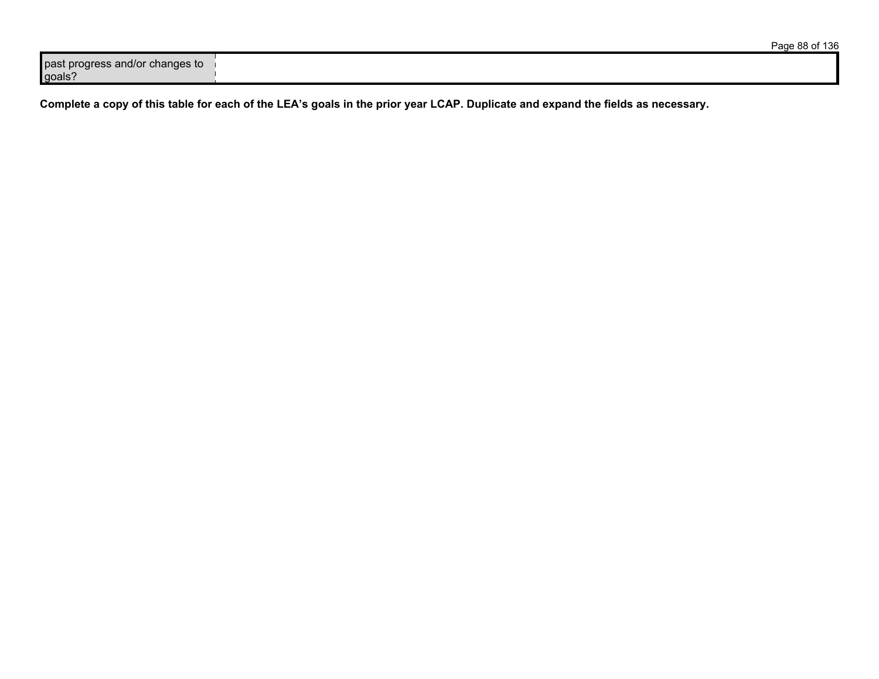| past progress and/or changes to |  |
|---------------------------------|--|
| goals?                          |  |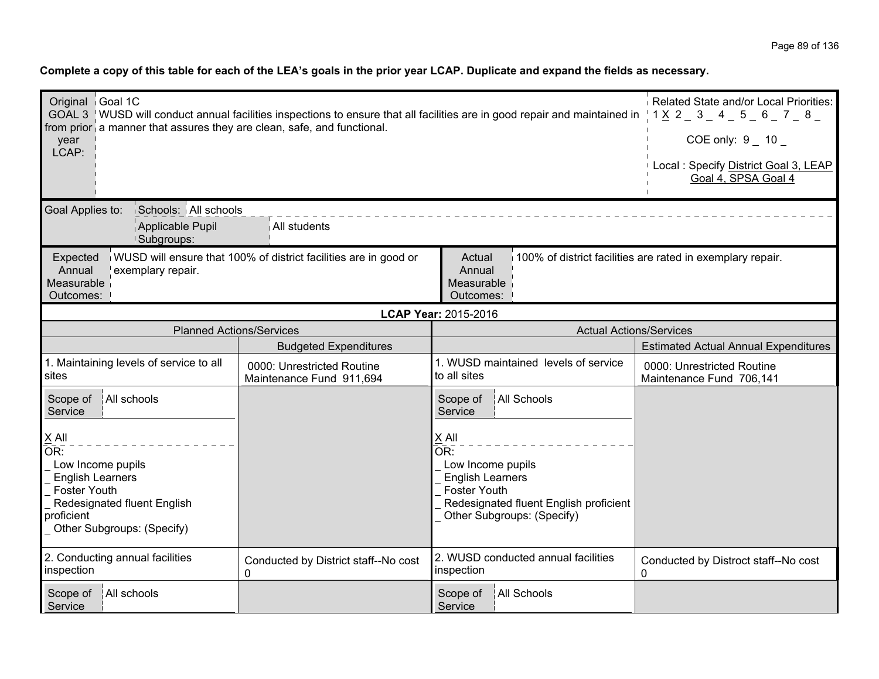| Original Goal 1C<br>GOAL 3   WUSD will conduct annual facilities inspections to ensure that all facilities are in good repair and maintained in<br>from prior a manner that assures they are clean, safe, and functional.<br>year<br>LCAP:          | Related State and/or Local Priorities:<br>$COE$ only: $9$ 10<br>Local : Specify District Goal 3, LEAP<br>Goal 4, SPSA Goal 4 |                                                                                                                                                                                          |                                                        |  |  |
|-----------------------------------------------------------------------------------------------------------------------------------------------------------------------------------------------------------------------------------------------------|------------------------------------------------------------------------------------------------------------------------------|------------------------------------------------------------------------------------------------------------------------------------------------------------------------------------------|--------------------------------------------------------|--|--|
| Goal Applies to:<br>Applicable Pupil<br>Subgroups:                                                                                                                                                                                                  | Schools: All schools<br>All students                                                                                         |                                                                                                                                                                                          |                                                        |  |  |
| WUSD will ensure that 100% of district facilities are in good or<br>Expected<br>Actual<br>100% of district facilities are rated in exemplary repair.<br>Annual<br>Annual<br>exemplary repair.<br>Measurable<br>Measurable<br>Outcomes:<br>Outcomes: |                                                                                                                              |                                                                                                                                                                                          |                                                        |  |  |
| LCAP Year: 2015-2016                                                                                                                                                                                                                                |                                                                                                                              |                                                                                                                                                                                          |                                                        |  |  |
| <b>Planned Actions/Services</b>                                                                                                                                                                                                                     |                                                                                                                              | <b>Actual Actions/Services</b>                                                                                                                                                           |                                                        |  |  |
|                                                                                                                                                                                                                                                     | <b>Budgeted Expenditures</b>                                                                                                 |                                                                                                                                                                                          | <b>Estimated Actual Annual Expenditures</b>            |  |  |
| 1. Maintaining levels of service to all<br>sites                                                                                                                                                                                                    | 0000: Unrestricted Routine<br>Maintenance Fund 911,694                                                                       | 1. WUSD maintained levels of service<br>to all sites                                                                                                                                     | 0000: Unrestricted Routine<br>Maintenance Fund 706,141 |  |  |
| All schools<br>Scope of<br>Service                                                                                                                                                                                                                  |                                                                                                                              | All Schools<br>Scope of<br>Service                                                                                                                                                       |                                                        |  |  |
| $\times$ All<br>OR:<br>Low Income pupils<br><b>English Learners</b><br><b>Foster Youth</b><br>Redesignated fluent English<br>proficient<br>Other Subgroups: (Specify)                                                                               |                                                                                                                              | X All<br>$\bar{\overline{\mathsf{OR}}}$ :<br>Low Income pupils<br><b>English Learners</b><br><b>Foster Youth</b><br>Redesignated fluent English proficient<br>Other Subgroups: (Specify) |                                                        |  |  |
| 2. Conducting annual facilities<br>inspection                                                                                                                                                                                                       | Conducted by District staff--No cost<br>0                                                                                    | 2. WUSD conducted annual facilities<br>inspection                                                                                                                                        | Conducted by Distroct staff--No cost<br>0              |  |  |
| Scope of<br>All schools<br>Service                                                                                                                                                                                                                  |                                                                                                                              | All Schools<br>Scope of<br>Service                                                                                                                                                       |                                                        |  |  |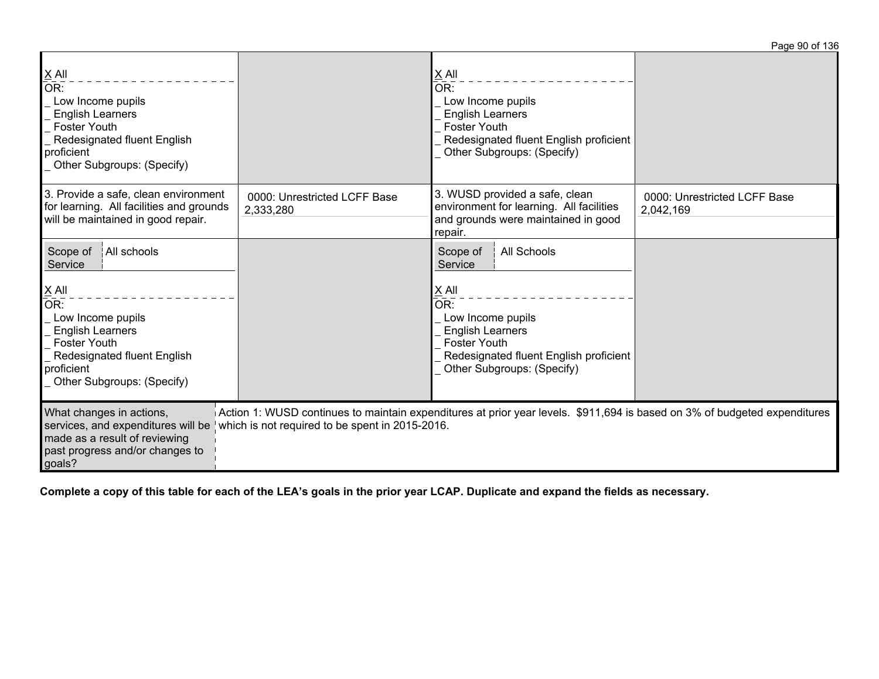| $X$ All<br>OR:<br>Low Income pupils<br><b>English Learners</b><br><b>Foster Youth</b><br>Redesignated fluent English<br>proficient<br>Other Subgroups: (Specify)                                              |                                                 | X All<br>OR:<br>Low Income pupils<br><b>English Learners</b><br><b>Foster Youth</b><br>Redesignated fluent English proficient<br>Other Subgroups: (Specify)                                       |                                           |
|---------------------------------------------------------------------------------------------------------------------------------------------------------------------------------------------------------------|-------------------------------------------------|---------------------------------------------------------------------------------------------------------------------------------------------------------------------------------------------------|-------------------------------------------|
| 3. Provide a safe, clean environment<br>for learning. All facilities and grounds<br>will be maintained in good repair.                                                                                        | 0000: Unrestricted LCFF Base<br>2,333,280       | 3. WUSD provided a safe, clean<br>environment for learning. All facilities<br>and grounds were maintained in good<br>repair.                                                                      | 0000: Unrestricted LCFF Base<br>2,042,169 |
| <b>All schools</b><br>Scope of<br>Service<br>$X$ All<br>OR:<br>Low Income pupils<br><b>English Learners</b><br><b>Foster Youth</b><br>Redesignated fluent English<br>proficient<br>Other Subgroups: (Specify) |                                                 | All Schools<br>Scope of<br>Service<br>X All<br>OR:<br>Low Income pupils<br><b>English Learners</b><br><b>Foster Youth</b><br>Redesignated fluent English proficient<br>Other Subgroups: (Specify) |                                           |
| What changes in actions,<br>services, and expenditures will be<br>made as a result of reviewing<br>past progress and/or changes to<br>goals?                                                                  | which is not required to be spent in 2015-2016. | Action 1: WUSD continues to maintain expenditures at prior year levels. \$911,694 is based on 3% of budgeted expenditures                                                                         |                                           |

Page 90 of 136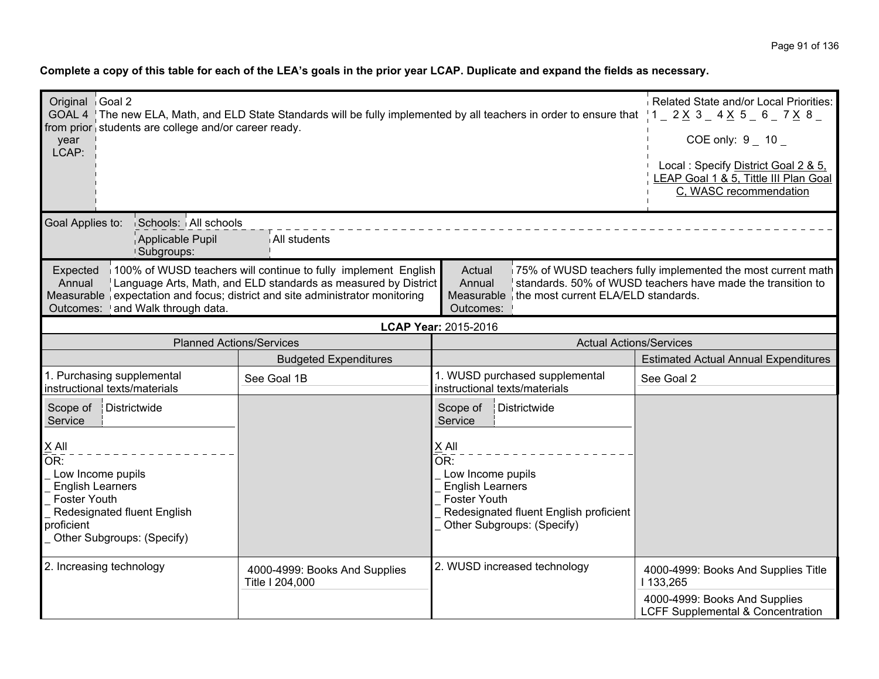| Original Goal 2<br>GOAL 4   The new ELA, Math, and ELD State Standards will be fully implemented by all teachers in order to ensure that $1 - 2 \times 3 - 4 \times 5 - 6 - 7 \times 8 - 1$<br>from prior students are college and/or career ready.<br>year<br>LCAP:                                                                                                                                                                                                                           | Related State and/or Local Priorities:<br>COE only: $9 - 10 -$<br>Local: Specify District Goal 2 & 5,<br>LEAP Goal 1 & 5, Tittle III Plan Goal<br>C. WASC recommendation |                                                                                                                                                             |                                                                                                                                   |
|------------------------------------------------------------------------------------------------------------------------------------------------------------------------------------------------------------------------------------------------------------------------------------------------------------------------------------------------------------------------------------------------------------------------------------------------------------------------------------------------|--------------------------------------------------------------------------------------------------------------------------------------------------------------------------|-------------------------------------------------------------------------------------------------------------------------------------------------------------|-----------------------------------------------------------------------------------------------------------------------------------|
| Goal Applies to:<br>Schools: All schools<br>Applicable Pupil<br><b>Subgroups:</b>                                                                                                                                                                                                                                                                                                                                                                                                              | All students                                                                                                                                                             |                                                                                                                                                             |                                                                                                                                   |
| 100% of WUSD teachers will continue to fully implement English<br>75% of WUSD teachers fully implemented the most current math<br>Expected<br>Actual<br>Language Arts, Math, and ELD standards as measured by District<br>Annual<br>standards. 50% of WUSD teachers have made the transition to<br>Annual<br>Measurable expectation and focus; district and site administrator monitoring<br>Measurable the most current ELA/ELD standards.<br>Outcomes: I and Walk through data.<br>Outcomes: |                                                                                                                                                                          |                                                                                                                                                             |                                                                                                                                   |
| LCAP Year: 2015-2016                                                                                                                                                                                                                                                                                                                                                                                                                                                                           |                                                                                                                                                                          |                                                                                                                                                             |                                                                                                                                   |
| <b>Planned Actions/Services</b>                                                                                                                                                                                                                                                                                                                                                                                                                                                                |                                                                                                                                                                          | <b>Actual Actions/Services</b>                                                                                                                              |                                                                                                                                   |
|                                                                                                                                                                                                                                                                                                                                                                                                                                                                                                | <b>Budgeted Expenditures</b>                                                                                                                                             |                                                                                                                                                             | <b>Estimated Actual Annual Expenditures</b>                                                                                       |
| 1. Purchasing supplemental<br>instructional texts/materials                                                                                                                                                                                                                                                                                                                                                                                                                                    | See Goal 1B                                                                                                                                                              | 1. WUSD purchased supplemental<br>instructional texts/materials                                                                                             | See Goal 2                                                                                                                        |
| Scope of<br><i><u><b>Districtwide</b></u></i><br>Service                                                                                                                                                                                                                                                                                                                                                                                                                                       |                                                                                                                                                                          | Scope of<br>  Districtwide<br>Service                                                                                                                       |                                                                                                                                   |
| X All<br>OR:<br>Low Income pupils<br><b>English Learners</b><br>Foster Youth<br>Redesignated fluent English<br>proficient<br>Other Subgroups: (Specify)                                                                                                                                                                                                                                                                                                                                        |                                                                                                                                                                          | X All<br>OR:<br>Low Income pupils<br><b>English Learners</b><br><b>Foster Youth</b><br>Redesignated fluent English proficient<br>Other Subgroups: (Specify) |                                                                                                                                   |
| 2. Increasing technology                                                                                                                                                                                                                                                                                                                                                                                                                                                                       | 4000-4999: Books And Supplies<br>Title I 204,000                                                                                                                         | 2. WUSD increased technology                                                                                                                                | 4000-4999: Books And Supplies Title<br>  133,265<br>4000-4999: Books And Supplies<br><b>LCFF Supplemental &amp; Concentration</b> |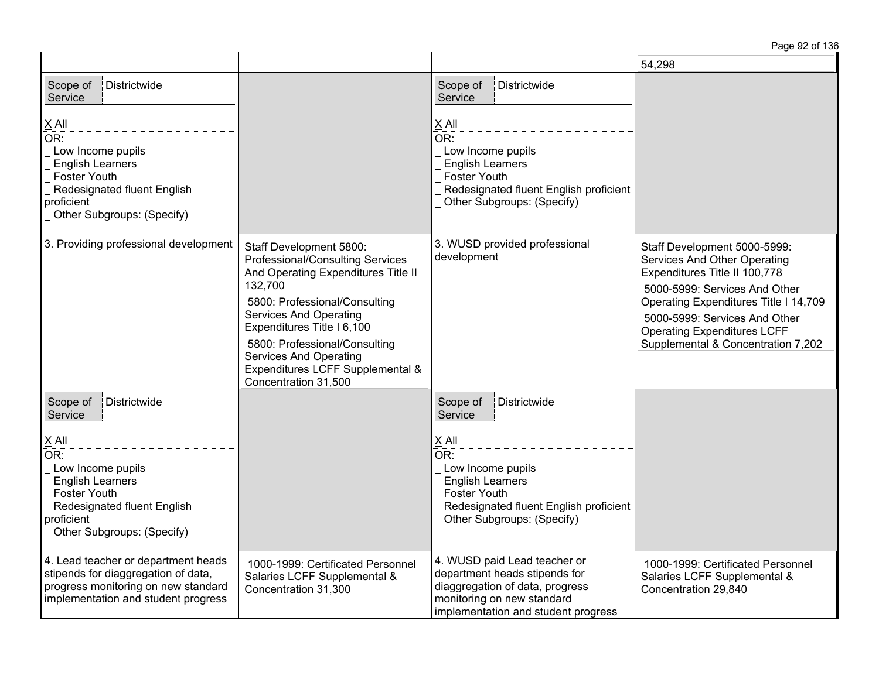54,298 Scope of Service Districtwide X All  $OR:$  Low Income pupils English Learners Foster Youth Redesignated fluent English proficient Other Subgroups: (Specify) Scope of Districtwide **Service** X All  $OR:$  Low Income pupils English Learners Foster Youth Redesignated fluent English proficient Other Subgroups: (Specify) 3. Providing professional development  $\vert$  Staff Development 5800: Professional/Consulting Services And Operating Expenditures Title II 132,700 5800: Professional/Consulting Services And Operating Expenditures Title I 6,100 5800: Professional/Consulting Services And Operating Expenditures LCFF Supplemental & Concentration 31,500 3. WUSD provided professional development Staff Development 5000-5999: Services And Other Operating Expenditures Title II 100,778 5000-5999: Services And Other Operating Expenditures Title I 14,709 5000-5999: Services And Other Operating Expenditures LCFF Supplemental & Concentration 7,202 Scope of **Service** Districtwide X All  $\overline{\mathsf{OR}}$ : Low Income pupils English Learners Foster Youth Redesignated fluent English proficient Other Subgroups: (Specify) Scope of Service Districtwide X All  $\overline{\overline{\mathsf{OR}^{\cdot}}}$  Low Income pupils English Learners Foster Youth Redesignated fluent English proficient Other Subgroups: (Specify) 4. Lead teacher or department heads stipends for diaggregation of data, progress monitoring on new standard implementation and student progress 1000-1999: Certificated Personnel Salaries LCFF Supplemental & Concentration 31,300 4. WUSD paid Lead teacher or department heads stipends for diaggregation of data, progress monitoring on new standard implementation and student progress 1000-1999: Certificated Personnel Salaries LCFF Supplemental & Concentration 29,840

Page 92 of 136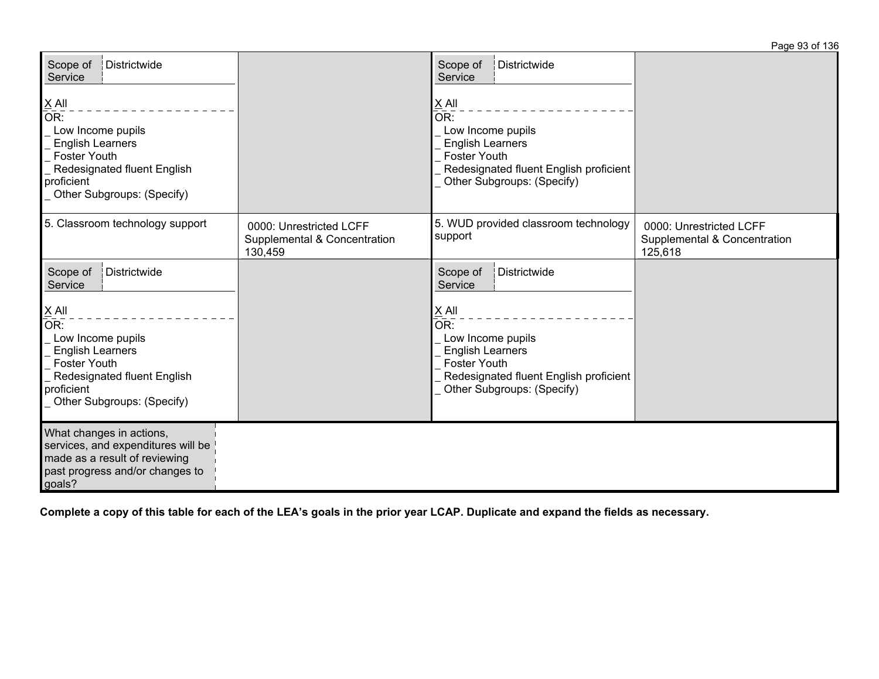| Page 93 of 136 |
|----------------|
|----------------|

| Districtwide<br>Scope of<br>Service<br>$\times$ All<br>OR:<br>Low Income pupils<br><b>English Learners</b><br>Foster Youth<br>Redesignated fluent English<br>proficient<br>Other Subgroups: (Specify)        |                                                                    | Scope of<br>Districtwide<br>Service<br>X All<br>$\overline{\mathsf{OR}}$ :<br>Low Income pupils<br><b>English Learners</b><br><b>Foster Youth</b><br>Redesignated fluent English proficient<br>Other Subgroups: (Specify) |                                                                    |
|--------------------------------------------------------------------------------------------------------------------------------------------------------------------------------------------------------------|--------------------------------------------------------------------|---------------------------------------------------------------------------------------------------------------------------------------------------------------------------------------------------------------------------|--------------------------------------------------------------------|
| 5. Classroom technology support                                                                                                                                                                              | 0000: Unrestricted LCFF<br>Supplemental & Concentration<br>130,459 | 5. WUD provided classroom technology<br>support                                                                                                                                                                           | 0000: Unrestricted LCFF<br>Supplemental & Concentration<br>125,618 |
| Districtwide<br>Scope of<br>Service<br>$\underline{X}$ All<br>OR:<br>Low Income pupils<br><b>English Learners</b><br>Foster Youth<br>Redesignated fluent English<br>proficient<br>Other Subgroups: (Specify) |                                                                    | Scope of<br>Districtwide<br>Service<br>$X$ All<br>OR:<br>Low Income pupils<br><b>English Learners</b><br><b>Foster Youth</b><br>Redesignated fluent English proficient<br>Other Subgroups: (Specify)                      |                                                                    |
| What changes in actions,<br>services, and expenditures will be<br>made as a result of reviewing<br>past progress and/or changes to<br>goals?                                                                 |                                                                    |                                                                                                                                                                                                                           |                                                                    |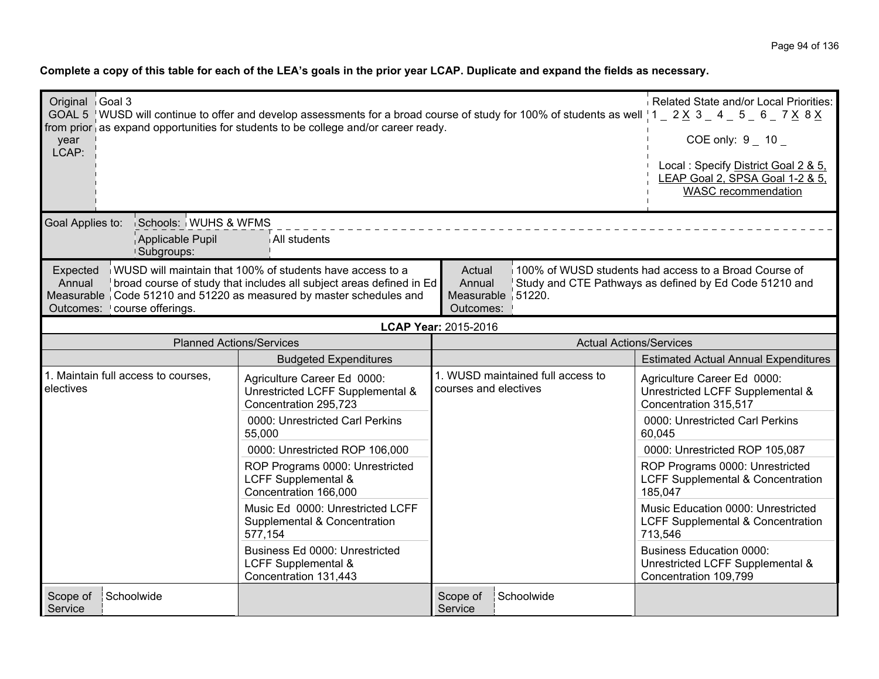| Original Goal 3<br>GOAL 5   WUSD will continue to offer and develop assessments for a broad course of study for 100% of students as well $\vert$ 1 $\vert$ 2 $\leq$ 3 $\vert$ 4 $\vert$ 5 $\vert$ 6 $\vert$ 7 $\leq$ 8 $\leq$<br>from prior as expand opportunities for students to be college and/or career ready.<br>year<br>LCAP:                                                                                                    |                                                                                          |                                                            | Related State and/or Local Priorities:<br>$COE$ only: $9$ 10<br>Local: Specify District Goal 2 & 5,<br>LEAP Goal 2, SPSA Goal 1-2 & 5,<br>WASC recommendation |
|-----------------------------------------------------------------------------------------------------------------------------------------------------------------------------------------------------------------------------------------------------------------------------------------------------------------------------------------------------------------------------------------------------------------------------------------|------------------------------------------------------------------------------------------|------------------------------------------------------------|---------------------------------------------------------------------------------------------------------------------------------------------------------------|
| Goal Applies to:<br>Schools: WUHS & WFMS<br>Applicable Pupil<br><sup>1</sup> Subgroups:                                                                                                                                                                                                                                                                                                                                                 | All students                                                                             |                                                            |                                                                                                                                                               |
| WUSD will maintain that 100% of students have access to a<br>100% of WUSD students had access to a Broad Course of<br>Actual<br>Expected<br>broad course of study that includes all subject areas defined in Ed<br>Annual<br>Study and CTE Pathways as defined by Ed Code 51210 and<br>Annual<br>Measurable Code 51210 and 51220 as measured by master schedules and<br>Measurable 51220.<br>Outcomes:   course offerings.<br>Outcomes: |                                                                                          |                                                            |                                                                                                                                                               |
| LCAP Year: 2015-2016                                                                                                                                                                                                                                                                                                                                                                                                                    |                                                                                          |                                                            |                                                                                                                                                               |
|                                                                                                                                                                                                                                                                                                                                                                                                                                         | <b>Planned Actions/Services</b>                                                          | <b>Actual Actions/Services</b>                             |                                                                                                                                                               |
|                                                                                                                                                                                                                                                                                                                                                                                                                                         | <b>Budgeted Expenditures</b>                                                             |                                                            | <b>Estimated Actual Annual Expenditures</b>                                                                                                                   |
| 1. Maintain full access to courses,<br>electives                                                                                                                                                                                                                                                                                                                                                                                        | Agriculture Career Ed 0000:<br>Unrestricted LCFF Supplemental &<br>Concentration 295,723 | 1. WUSD maintained full access to<br>courses and electives | Agriculture Career Ed 0000:<br>Unrestricted LCFF Supplemental &<br>Concentration 315,517                                                                      |
|                                                                                                                                                                                                                                                                                                                                                                                                                                         | 0000: Unrestricted Carl Perkins<br>55,000                                                |                                                            | 0000: Unrestricted Carl Perkins<br>60,045                                                                                                                     |
|                                                                                                                                                                                                                                                                                                                                                                                                                                         | 0000: Unrestricted ROP 106,000                                                           |                                                            | 0000: Unrestricted ROP 105,087                                                                                                                                |
|                                                                                                                                                                                                                                                                                                                                                                                                                                         | ROP Programs 0000: Unrestricted<br>LCFF Supplemental &<br>Concentration 166,000          |                                                            | ROP Programs 0000: Unrestricted<br><b>LCFF Supplemental &amp; Concentration</b><br>185,047                                                                    |
| Music Ed 0000: Unrestricted LCFF<br>Supplemental & Concentration<br>577,154                                                                                                                                                                                                                                                                                                                                                             |                                                                                          |                                                            | Music Education 0000: Unrestricted<br><b>LCFF Supplemental &amp; Concentration</b><br>713,546                                                                 |
|                                                                                                                                                                                                                                                                                                                                                                                                                                         | Business Ed 0000: Unrestricted<br>LCFF Supplemental &<br>Concentration 131,443           |                                                            | <b>Business Education 0000:</b><br>Unrestricted LCFF Supplemental &<br>Concentration 109,799                                                                  |
| Schoolwide<br>Scope of<br>Service                                                                                                                                                                                                                                                                                                                                                                                                       |                                                                                          | Schoolwide<br>Scope of<br>Service                          |                                                                                                                                                               |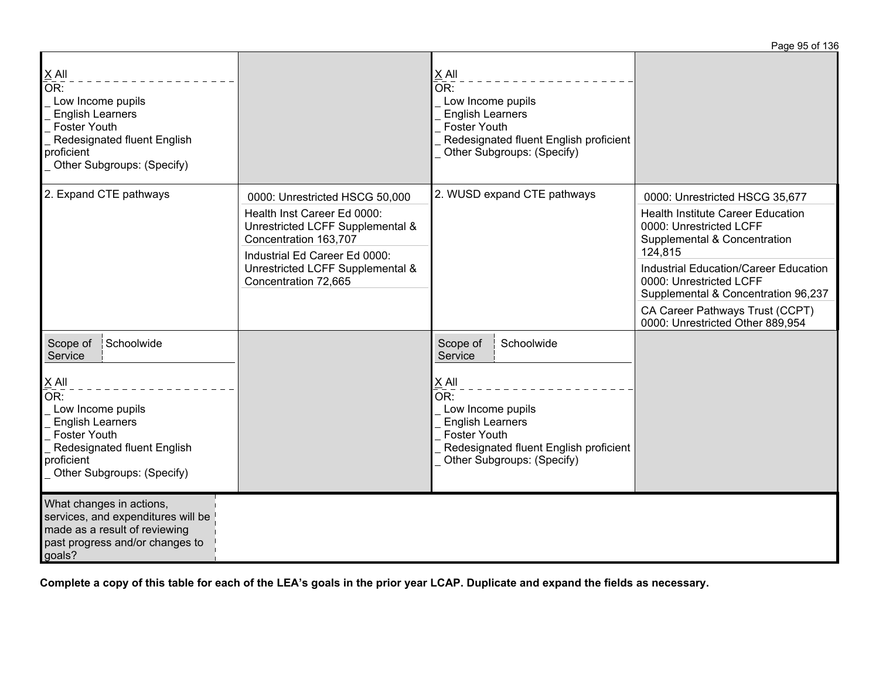| Page 95 of 136 |  |  |
|----------------|--|--|
|                |  |  |

| $X$ All<br>OR:<br>Low Income pupils<br><b>English Learners</b><br><b>Foster Youth</b><br>Redesignated fluent English<br>proficient<br>Other Subgroups: (Specify)      |                                                                                           | X All<br>OR:<br>Low Income pupils<br><b>English Learners</b><br><b>Foster Youth</b><br>Redesignated fluent English proficient<br>Other Subgroups: (Specify) |                                                                                                                           |
|-----------------------------------------------------------------------------------------------------------------------------------------------------------------------|-------------------------------------------------------------------------------------------|-------------------------------------------------------------------------------------------------------------------------------------------------------------|---------------------------------------------------------------------------------------------------------------------------|
| 2. Expand CTE pathways                                                                                                                                                | 0000: Unrestricted HSCG 50,000                                                            | 2. WUSD expand CTE pathways                                                                                                                                 | 0000: Unrestricted HSCG 35,677                                                                                            |
|                                                                                                                                                                       | Health Inst Career Ed 0000:<br>Unrestricted LCFF Supplemental &<br>Concentration 163,707  |                                                                                                                                                             | <b>Health Institute Career Education</b><br>0000: Unrestricted LCFF<br>Supplemental & Concentration                       |
|                                                                                                                                                                       | Industrial Ed Career Ed 0000:<br>Unrestricted LCFF Supplemental &<br>Concentration 72,665 |                                                                                                                                                             | 124,815<br><b>Industrial Education/Career Education</b><br>0000: Unrestricted LCFF<br>Supplemental & Concentration 96,237 |
|                                                                                                                                                                       |                                                                                           |                                                                                                                                                             | CA Career Pathways Trust (CCPT)<br>0000: Unrestricted Other 889,954                                                       |
| Schoolwide<br>Scope of<br>Service                                                                                                                                     |                                                                                           | Schoolwide<br>Scope of<br>Service                                                                                                                           |                                                                                                                           |
| $\times$ All<br>OR:<br>Low Income pupils<br><b>English Learners</b><br><b>Foster Youth</b><br>Redesignated fluent English<br>proficient<br>Other Subgroups: (Specify) |                                                                                           | X All<br>OR:<br>Low Income pupils<br><b>English Learners</b><br><b>Foster Youth</b><br>Redesignated fluent English proficient<br>Other Subgroups: (Specify) |                                                                                                                           |
| What changes in actions,<br>services, and expenditures will be<br>made as a result of reviewing<br>past progress and/or changes to<br>goals?                          |                                                                                           |                                                                                                                                                             |                                                                                                                           |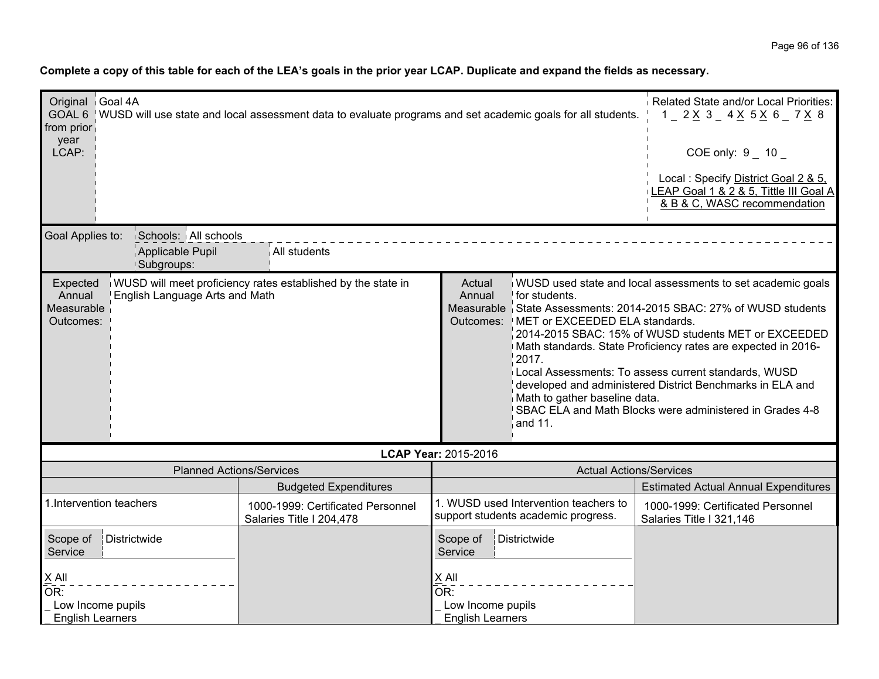| from prior<br>year<br>LCAP:                                                                                                                                                                                                                                                                          | Original Goal 4A<br>Related State and/or Local Priorities:<br>GOAL 6 WUSD will use state and local assessment data to evaluate programs and set academic goals for all students.<br>$1 - 2 \times 3 - 4 \times 5 \times 6 - 7 \times 8$<br>COE only: $9 - 10$<br>Local: Specify District Goal 2 & 5,<br>LEAP Goal 1 & 2 & 5, Tittle III Goal A<br>& B & C, WASC recommendation<br>Schools: All schools<br>Goal Applies to:<br>All students<br>Applicable Pupil<br><sup>1</sup> Subgroups: |                                                                                                                                                                                                                                                                                                                                                                                                                                  |                                              |                                                                              |                                                               |
|------------------------------------------------------------------------------------------------------------------------------------------------------------------------------------------------------------------------------------------------------------------------------------------------------|-------------------------------------------------------------------------------------------------------------------------------------------------------------------------------------------------------------------------------------------------------------------------------------------------------------------------------------------------------------------------------------------------------------------------------------------------------------------------------------------|----------------------------------------------------------------------------------------------------------------------------------------------------------------------------------------------------------------------------------------------------------------------------------------------------------------------------------------------------------------------------------------------------------------------------------|----------------------------------------------|------------------------------------------------------------------------------|---------------------------------------------------------------|
| WUSD will meet proficiency rates established by the state in<br>Expected<br>Actual<br>English Language Arts and Math<br>Annual<br>for students.<br>Annual<br>Measurable<br>Measurable<br>Outcomes: IMET or EXCEEDED ELA standards.<br>Outcomes:<br>2017.<br>Math to gather baseline data.<br>and 11. |                                                                                                                                                                                                                                                                                                                                                                                                                                                                                           | WUSD used state and local assessments to set academic goals<br>State Assessments: 2014-2015 SBAC: 27% of WUSD students<br>2014-2015 SBAC: 15% of WUSD students MET or EXCEEDED<br>Math standards. State Proficiency rates are expected in 2016-<br>Local Assessments: To assess current standards, WUSD<br>developed and administered District Benchmarks in ELA and<br>SBAC ELA and Math Blocks were administered in Grades 4-8 |                                              |                                                                              |                                                               |
|                                                                                                                                                                                                                                                                                                      |                                                                                                                                                                                                                                                                                                                                                                                                                                                                                           |                                                                                                                                                                                                                                                                                                                                                                                                                                  | LCAP Year: 2015-2016                         |                                                                              |                                                               |
|                                                                                                                                                                                                                                                                                                      | <b>Planned Actions/Services</b>                                                                                                                                                                                                                                                                                                                                                                                                                                                           |                                                                                                                                                                                                                                                                                                                                                                                                                                  |                                              | <b>Actual Actions/Services</b>                                               |                                                               |
|                                                                                                                                                                                                                                                                                                      |                                                                                                                                                                                                                                                                                                                                                                                                                                                                                           | <b>Budgeted Expenditures</b>                                                                                                                                                                                                                                                                                                                                                                                                     |                                              |                                                                              | <b>Estimated Actual Annual Expenditures</b>                   |
| 1. Intervention teachers                                                                                                                                                                                                                                                                             |                                                                                                                                                                                                                                                                                                                                                                                                                                                                                           | 1000-1999: Certificated Personnel<br>Salaries Title I 204,478                                                                                                                                                                                                                                                                                                                                                                    |                                              | 1. WUSD used Intervention teachers to<br>support students academic progress. | 1000-1999: Certificated Personnel<br>Salaries Title I 321,146 |
| Scope of<br>Service<br>X All<br>OR:                                                                                                                                                                                                                                                                  | Districtwide                                                                                                                                                                                                                                                                                                                                                                                                                                                                              |                                                                                                                                                                                                                                                                                                                                                                                                                                  | Scope of<br>Service<br>X All<br>OR:          | Districtwide                                                                 |                                                               |
| Low Income pupils<br><b>English Learners</b>                                                                                                                                                                                                                                                         |                                                                                                                                                                                                                                                                                                                                                                                                                                                                                           |                                                                                                                                                                                                                                                                                                                                                                                                                                  | Low Income pupils<br><b>English Learners</b> |                                                                              |                                                               |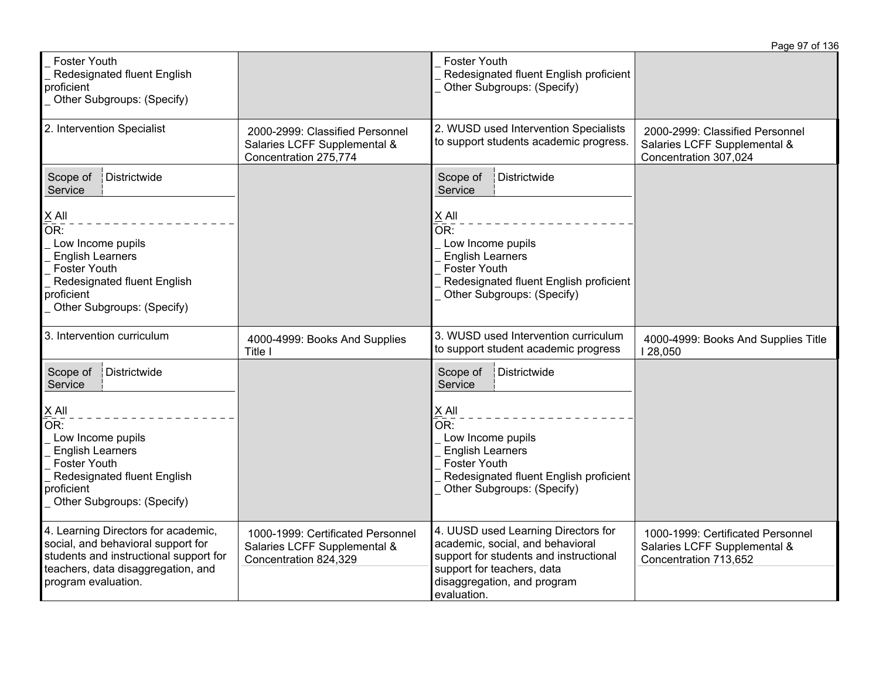|                                                                                                                                                                                  |                                                                                            |                                                                                                                                                                                               | Page 97 of 136                                                                             |
|----------------------------------------------------------------------------------------------------------------------------------------------------------------------------------|--------------------------------------------------------------------------------------------|-----------------------------------------------------------------------------------------------------------------------------------------------------------------------------------------------|--------------------------------------------------------------------------------------------|
| Foster Youth<br>Redesignated fluent English<br>proficient<br>Other Subgroups: (Specify)                                                                                          |                                                                                            | <b>Foster Youth</b><br>Redesignated fluent English proficient<br>Other Subgroups: (Specify)                                                                                                   |                                                                                            |
| 2. Intervention Specialist                                                                                                                                                       | 2000-2999: Classified Personnel<br>Salaries LCFF Supplemental &<br>Concentration 275,774   | 2. WUSD used Intervention Specialists<br>to support students academic progress.                                                                                                               | 2000-2999: Classified Personnel<br>Salaries LCFF Supplemental &<br>Concentration 307,024   |
| Districtwide<br>Scope of<br>Service                                                                                                                                              |                                                                                            | Districtwide<br>Scope of<br>Service                                                                                                                                                           |                                                                                            |
| $\times$ All<br>OR:<br>Low Income pupils<br><b>English Learners</b><br>Foster Youth<br>Redesignated fluent English<br>proficient<br>Other Subgroups: (Specify)                   |                                                                                            | X All<br>$\overline{\mathsf{OR}}$ :<br>Low Income pupils<br><b>English Learners</b><br><b>Foster Youth</b><br>Redesignated fluent English proficient<br>Other Subgroups: (Specify)            |                                                                                            |
| 3. Intervention curriculum                                                                                                                                                       | 4000-4999: Books And Supplies<br>Title I                                                   | 3. WUSD used Intervention curriculum<br>to support student academic progress                                                                                                                  | 4000-4999: Books And Supplies Title<br>128,050                                             |
| Districtwide<br>Scope of<br>Service<br>$X$ All<br>OR:                                                                                                                            |                                                                                            | Scope of<br>Districtwide<br>Service<br>X All<br>OR:                                                                                                                                           |                                                                                            |
| Low Income pupils<br><b>English Learners</b><br>Foster Youth<br>Redesignated fluent English<br>proficient<br>Other Subgroups: (Specify)                                          |                                                                                            | Low Income pupils<br><b>English Learners</b><br><b>Foster Youth</b><br>Redesignated fluent English proficient<br>Other Subgroups: (Specify)                                                   |                                                                                            |
| 4. Learning Directors for academic,<br>social, and behavioral support for<br>students and instructional support for<br>teachers, data disaggregation, and<br>program evaluation. | 1000-1999: Certificated Personnel<br>Salaries LCFF Supplemental &<br>Concentration 824,329 | 4. UUSD used Learning Directors for<br>academic, social, and behavioral<br>support for students and instructional<br>support for teachers, data<br>disaggregation, and program<br>evaluation. | 1000-1999: Certificated Personnel<br>Salaries LCFF Supplemental &<br>Concentration 713,652 |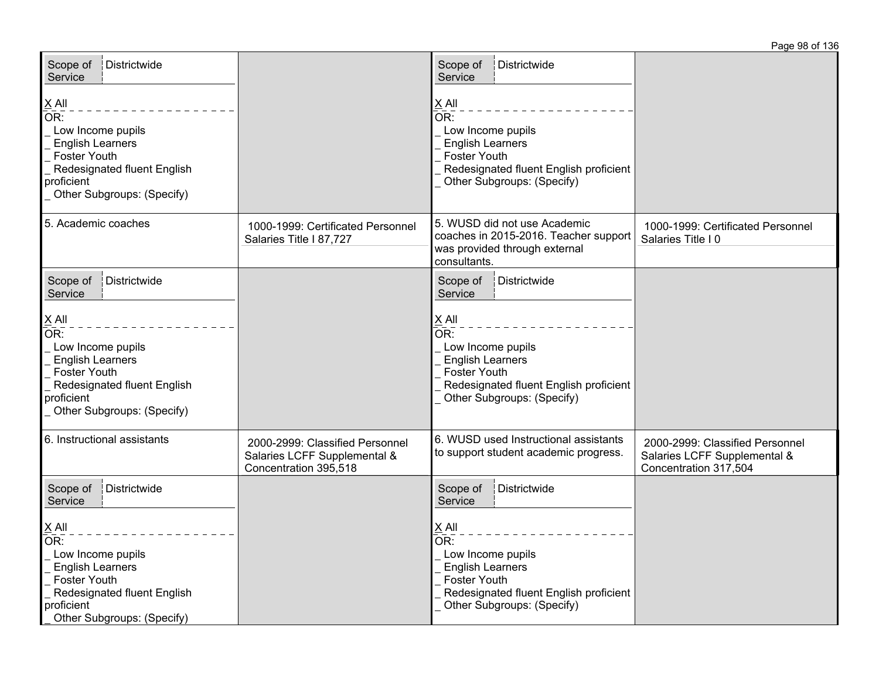| Districtwide<br>Scope of<br>Service                                                                                                                              |                                                                                          | Scope of<br>Districtwide<br>Service                                                                                                                                                  |                                                                                          |
|------------------------------------------------------------------------------------------------------------------------------------------------------------------|------------------------------------------------------------------------------------------|--------------------------------------------------------------------------------------------------------------------------------------------------------------------------------------|------------------------------------------------------------------------------------------|
| $\frac{X}{OR}$ .<br>Low Income pupils<br><b>English Learners</b><br>Foster Youth<br>Redesignated fluent English<br>proficient<br>Other Subgroups: (Specify)      |                                                                                          | $X$ All<br>$\bar{\mathsf{OR}}$ :<br>Low Income pupils<br><b>English Learners</b><br><b>Foster Youth</b><br>Redesignated fluent English proficient<br>Other Subgroups: (Specify)      |                                                                                          |
| 5. Academic coaches                                                                                                                                              | 1000-1999: Certificated Personnel<br>Salaries Title I 87,727                             | 5. WUSD did not use Academic<br>coaches in 2015-2016. Teacher support<br>was provided through external<br>consultants.                                                               | 1000-1999: Certificated Personnel<br>Salaries Title I 0                                  |
| Scope of<br>Districtwide<br>Service                                                                                                                              |                                                                                          | Districtwide<br>Scope of<br>Service                                                                                                                                                  |                                                                                          |
| $X$ All<br>OR:<br>Low Income pupils<br><b>English Learners</b><br><b>Foster Youth</b><br>Redesignated fluent English<br>proficient<br>Other Subgroups: (Specify) |                                                                                          | $X$ All<br>OR:<br>Low Income pupils<br><b>English Learners</b><br><b>Foster Youth</b><br>Redesignated fluent English proficient<br>Other Subgroups: (Specify)                        |                                                                                          |
| 6. Instructional assistants                                                                                                                                      | 2000-2999: Classified Personnel<br>Salaries LCFF Supplemental &<br>Concentration 395,518 | 6. WUSD used Instructional assistants<br>to support student academic progress.                                                                                                       | 2000-2999: Classified Personnel<br>Salaries LCFF Supplemental &<br>Concentration 317,504 |
| Districtwide<br>Scope of<br>Service                                                                                                                              |                                                                                          | Scope of<br>Districtwide<br>Service                                                                                                                                                  |                                                                                          |
| $X$ All<br>OR:<br>Low Income pupils<br><b>English Learners</b><br>Foster Youth<br>Redesignated fluent English<br>proficient<br>Other Subgroups: (Specify)        |                                                                                          | $X$ All<br>$\overline{\mathsf{OR}}$ :<br>Low Income pupils<br><b>English Learners</b><br><b>Foster Youth</b><br>Redesignated fluent English proficient<br>Other Subgroups: (Specify) |                                                                                          |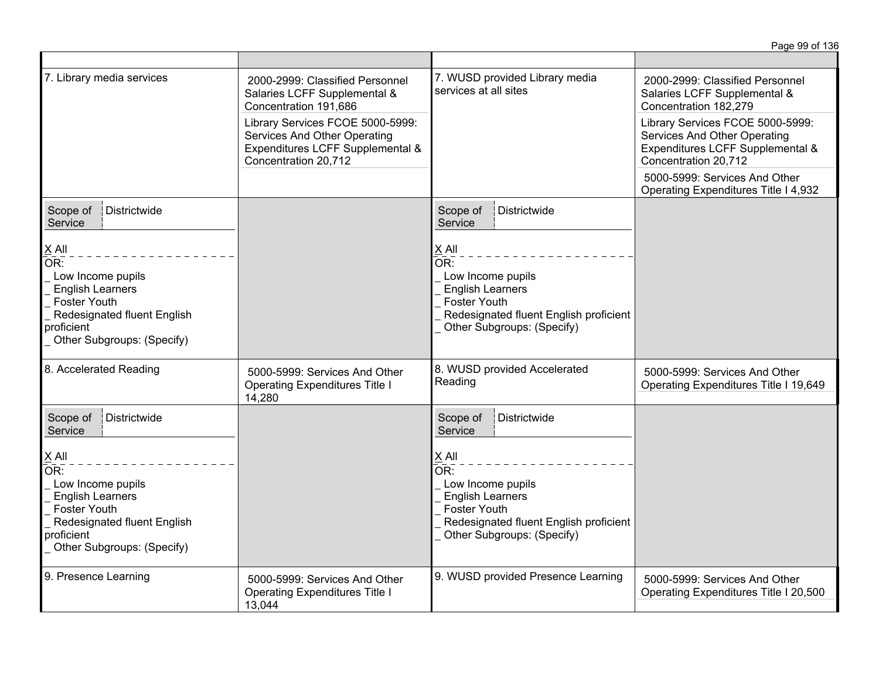|                                              |                                                                                                                                     |                                                         | Page 99 of 136                                                                                                               |
|----------------------------------------------|-------------------------------------------------------------------------------------------------------------------------------------|---------------------------------------------------------|------------------------------------------------------------------------------------------------------------------------------|
| 7. Library media services                    | 2000-2999: Classified Personnel<br>Salaries LCFF Supplemental &<br>Concentration 191,686                                            | 7. WUSD provided Library media<br>services at all sites | 2000-2999: Classified Personnel<br>Salaries LCFF Supplemental &<br>Concentration 182,279                                     |
|                                              | Library Services FCOE 5000-5999:<br><b>Services And Other Operating</b><br>Expenditures LCFF Supplemental &<br>Concentration 20,712 |                                                         | Library Services FCOE 5000-5999:<br>Services And Other Operating<br>Expenditures LCFF Supplemental &<br>Concentration 20,712 |
|                                              |                                                                                                                                     |                                                         | 5000-5999: Services And Other<br>Operating Expenditures Title I 4,932                                                        |
| Districtwide<br>Scope of<br>Service          |                                                                                                                                     | Scope of<br>Districtwide<br>Service                     |                                                                                                                              |
| $\times$ All                                 |                                                                                                                                     | X All                                                   |                                                                                                                              |
| OR:                                          |                                                                                                                                     | OR:                                                     |                                                                                                                              |
| Low Income pupils<br><b>English Learners</b> |                                                                                                                                     | Low Income pupils<br><b>English Learners</b>            |                                                                                                                              |
| <b>Foster Youth</b>                          |                                                                                                                                     | <b>Foster Youth</b>                                     |                                                                                                                              |
| Redesignated fluent English                  |                                                                                                                                     | Redesignated fluent English proficient                  |                                                                                                                              |
| proficient<br>Other Subgroups: (Specify)     |                                                                                                                                     | Other Subgroups: (Specify)                              |                                                                                                                              |
| 8. Accelerated Reading                       | 5000-5999: Services And Other<br><b>Operating Expenditures Title I</b><br>14,280                                                    | 8. WUSD provided Accelerated<br>Reading                 | 5000-5999: Services And Other<br>Operating Expenditures Title I 19,649                                                       |
| Districtwide<br>Scope of<br>Service          |                                                                                                                                     | Districtwide<br>Scope of<br>Service                     |                                                                                                                              |
| $X$ All                                      |                                                                                                                                     | X All                                                   |                                                                                                                              |
| OR:                                          |                                                                                                                                     | OR:                                                     |                                                                                                                              |
| Low Income pupils                            |                                                                                                                                     | Low Income pupils                                       |                                                                                                                              |
| <b>English Learners</b><br>Foster Youth      |                                                                                                                                     | <b>English Learners</b><br><b>Foster Youth</b>          |                                                                                                                              |
| Redesignated fluent English                  |                                                                                                                                     | Redesignated fluent English proficient                  |                                                                                                                              |
| proficient                                   |                                                                                                                                     | Other Subgroups: (Specify)                              |                                                                                                                              |
| Other Subgroups: (Specify)                   |                                                                                                                                     |                                                         |                                                                                                                              |
| 9. Presence Learning                         | 5000-5999: Services And Other<br><b>Operating Expenditures Title I</b><br>13,044                                                    | 9. WUSD provided Presence Learning                      | 5000-5999: Services And Other<br>Operating Expenditures Title I 20,500                                                       |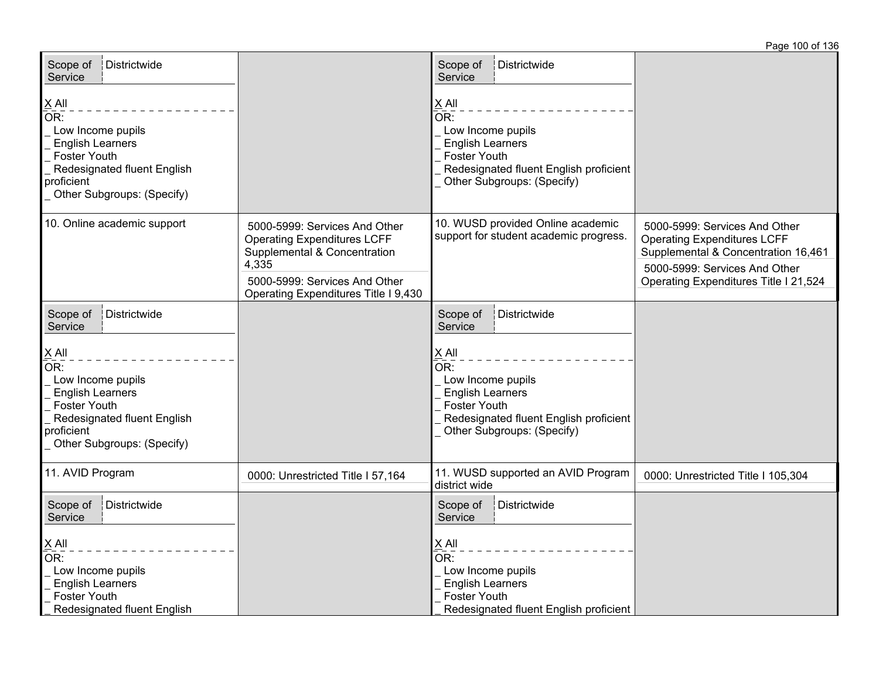| Scope of<br>Districtwide<br>Service<br>$\underline{X}$ All<br>OR:<br>Low Income pupils<br><b>English Learners</b><br><b>Foster Youth</b><br>Redesignated fluent English<br>proficient<br>Other Subgroups: (Specify) |                                                                                                                                                                                       | Scope of<br>Districtwide<br>Service<br>$X$ All<br>$\overline{\mathsf{OR}!}$<br>Low Income pupils<br><b>English Learners</b><br><b>Foster Youth</b><br>Redesignated fluent English proficient<br>Other Subgroups: (Specify) |                                                                                                                                                                                      |
|---------------------------------------------------------------------------------------------------------------------------------------------------------------------------------------------------------------------|---------------------------------------------------------------------------------------------------------------------------------------------------------------------------------------|----------------------------------------------------------------------------------------------------------------------------------------------------------------------------------------------------------------------------|--------------------------------------------------------------------------------------------------------------------------------------------------------------------------------------|
| 10. Online academic support                                                                                                                                                                                         | 5000-5999: Services And Other<br><b>Operating Expenditures LCFF</b><br>Supplemental & Concentration<br>4,335<br>5000-5999: Services And Other<br>Operating Expenditures Title I 9,430 | 10. WUSD provided Online academic<br>support for student academic progress.                                                                                                                                                | 5000-5999: Services And Other<br><b>Operating Expenditures LCFF</b><br>Supplemental & Concentration 16,461<br>5000-5999: Services And Other<br>Operating Expenditures Title I 21,524 |
| Districtwide<br>Scope of<br>Service                                                                                                                                                                                 |                                                                                                                                                                                       | Scope of<br>Districtwide<br>Service                                                                                                                                                                                        |                                                                                                                                                                                      |
| $\underline{X}$ All<br>$\overline{\mathsf{OR}}$ :<br>Low Income pupils<br><b>English Learners</b><br><b>Foster Youth</b><br>Redesignated fluent English<br>proficient<br>Other Subgroups: (Specify)                 |                                                                                                                                                                                       | X All<br>$\overline{\mathsf{OR}!}$<br>Low Income pupils<br><b>English Learners</b><br>Foster Youth<br>Redesignated fluent English proficient<br>Other Subgroups: (Specify)                                                 |                                                                                                                                                                                      |
| 11. AVID Program                                                                                                                                                                                                    | 0000: Unrestricted Title I 57,164                                                                                                                                                     | 11. WUSD supported an AVID Program<br>district wide                                                                                                                                                                        | 0000: Unrestricted Title I 105,304                                                                                                                                                   |
| Scope of<br>Districtwide<br>Service<br>$\times$ All<br>OR:<br>Low Income pupils<br><b>English Learners</b><br><b>Foster Youth</b><br>Redesignated fluent English                                                    |                                                                                                                                                                                       | Scope of<br>Districtwide<br>Service<br>X All<br>OR:<br>Low Income pupils<br><b>English Learners</b><br><b>Foster Youth</b><br>Redesignated fluent English proficient                                                       |                                                                                                                                                                                      |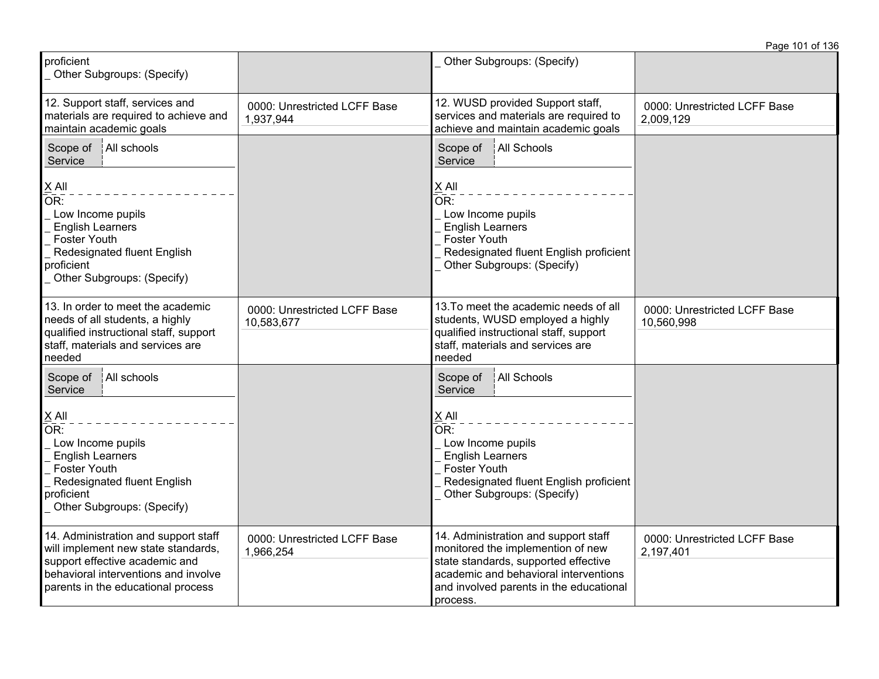|                                                                                                                                                                                                     |                                            |                                                                                                                                                                                                                   | Page 101 of 136                            |
|-----------------------------------------------------------------------------------------------------------------------------------------------------------------------------------------------------|--------------------------------------------|-------------------------------------------------------------------------------------------------------------------------------------------------------------------------------------------------------------------|--------------------------------------------|
| proficient<br>Other Subgroups: (Specify)                                                                                                                                                            |                                            | Other Subgroups: (Specify)                                                                                                                                                                                        |                                            |
| 12. Support staff, services and<br>materials are required to achieve and<br>maintain academic goals                                                                                                 | 0000: Unrestricted LCFF Base<br>1,937,944  | 12. WUSD provided Support staff,<br>services and materials are required to<br>achieve and maintain academic goals                                                                                                 | 0000: Unrestricted LCFF Base<br>2,009,129  |
| All schools<br>Scope of<br>Service                                                                                                                                                                  |                                            | All Schools<br>Scope of<br>Service                                                                                                                                                                                |                                            |
| $\underline{X}$ All<br>OR:<br>Low Income pupils<br><b>English Learners</b><br><b>Foster Youth</b><br>Redesignated fluent English<br>proficient<br>Other Subgroups: (Specify)                        |                                            | $X$ All<br>OR:<br>Low Income pupils<br><b>English Learners</b><br><b>Foster Youth</b><br>Redesignated fluent English proficient<br>Other Subgroups: (Specify)                                                     |                                            |
| 13. In order to meet the academic<br>needs of all students, a highly<br>qualified instructional staff, support<br>staff, materials and services are<br>needed                                       | 0000: Unrestricted LCFF Base<br>10,583,677 | 13. To meet the academic needs of all<br>students, WUSD employed a highly<br>qualified instructional staff, support<br>staff, materials and services are<br>needed                                                | 0000: Unrestricted LCFF Base<br>10,560,998 |
| All schools<br>Scope of<br>Service                                                                                                                                                                  |                                            | All Schools<br>Scope of<br>Service                                                                                                                                                                                |                                            |
| $\underline{X}$ All<br>$\overline{\mathsf{OR}}$ :<br>Low Income pupils<br><b>English Learners</b><br><b>Foster Youth</b><br>Redesignated fluent English<br>proficient<br>Other Subgroups: (Specify) |                                            | X All<br>$\overline{\mathsf{OR}}$ :<br>Low Income pupils<br><b>English Learners</b><br><b>Foster Youth</b><br>Redesignated fluent English proficient<br>Other Subgroups: (Specify)                                |                                            |
| 14. Administration and support staff<br>will implement new state standards,<br>support effective academic and<br>behavioral interventions and involve<br>parents in the educational process         | 0000: Unrestricted LCFF Base<br>1,966,254  | 14. Administration and support staff<br>monitored the implemention of new<br>state standards, supported effective<br>academic and behavioral interventions<br>and involved parents in the educational<br>process. | 0000: Unrestricted LCFF Base<br>2,197,401  |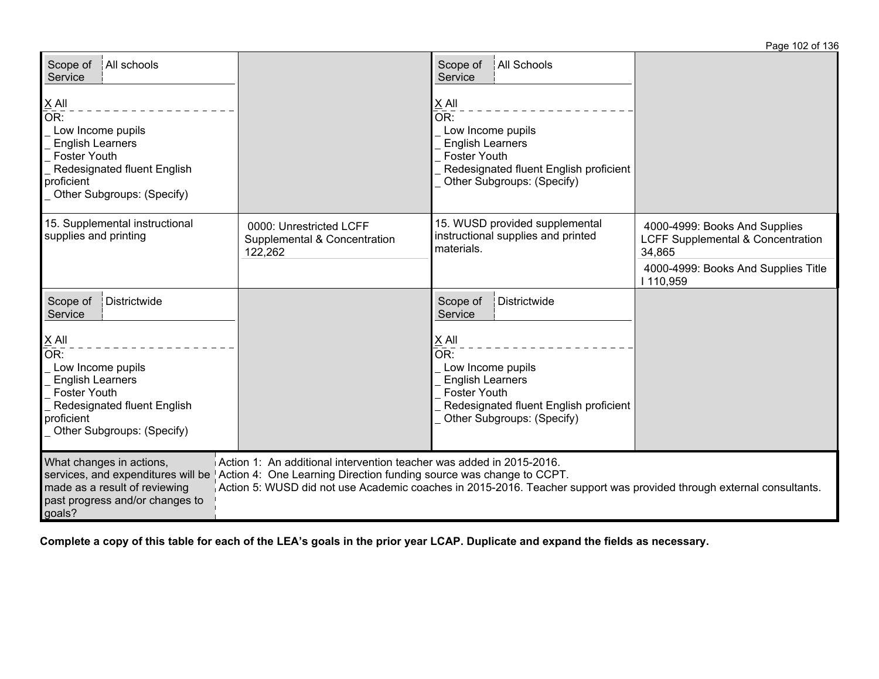| All schools<br>Scope of<br>Service<br>$X$ All<br>OR:<br>Low Income pupils<br><b>English Learners</b><br><b>Foster Youth</b><br>Redesignated fluent English<br>proficient<br>Other Subgroups: (Specify)  |                                                                                                                                             | <b>All Schools</b><br>Scope of<br>Service<br>X All<br>OR:<br>Low Income pupils<br><b>English Learners</b><br><b>Foster Youth</b><br>Redesignated fluent English proficient<br>Other Subgroups: (Specify)                  |                                                                                                                                             |
|---------------------------------------------------------------------------------------------------------------------------------------------------------------------------------------------------------|---------------------------------------------------------------------------------------------------------------------------------------------|---------------------------------------------------------------------------------------------------------------------------------------------------------------------------------------------------------------------------|---------------------------------------------------------------------------------------------------------------------------------------------|
| 15. Supplemental instructional<br>supplies and printing                                                                                                                                                 | 0000: Unrestricted LCFF<br>Supplemental & Concentration<br>122,262                                                                          | 15. WUSD provided supplemental<br>instructional supplies and printed<br>materials.                                                                                                                                        | 4000-4999: Books And Supplies<br><b>LCFF Supplemental &amp; Concentration</b><br>34,865<br>4000-4999: Books And Supplies Title<br>I 110,959 |
| Districtwide<br>Scope of<br>Service<br>$X$ All<br>OR:<br>Low Income pupils<br><b>English Learners</b><br><b>Foster Youth</b><br>Redesignated fluent English<br>proficient<br>Other Subgroups: (Specify) |                                                                                                                                             | Districtwide<br>Scope of<br>Service<br>X All<br>$\overline{\mathsf{OR}}$ :<br>Low Income pupils<br><b>English Learners</b><br><b>Foster Youth</b><br>Redesignated fluent English proficient<br>Other Subgroups: (Specify) |                                                                                                                                             |
| What changes in actions,<br>services, and expenditures will be<br>made as a result of reviewing<br>past progress and/or changes to<br>goals?                                                            | Action 1: An additional intervention teacher was added in 2015-2016.<br>Action 4: One Learning Direction funding source was change to CCPT. | Action 5: WUSD did not use Academic coaches in 2015-2016. Teacher support was provided through external consultants.                                                                                                      |                                                                                                                                             |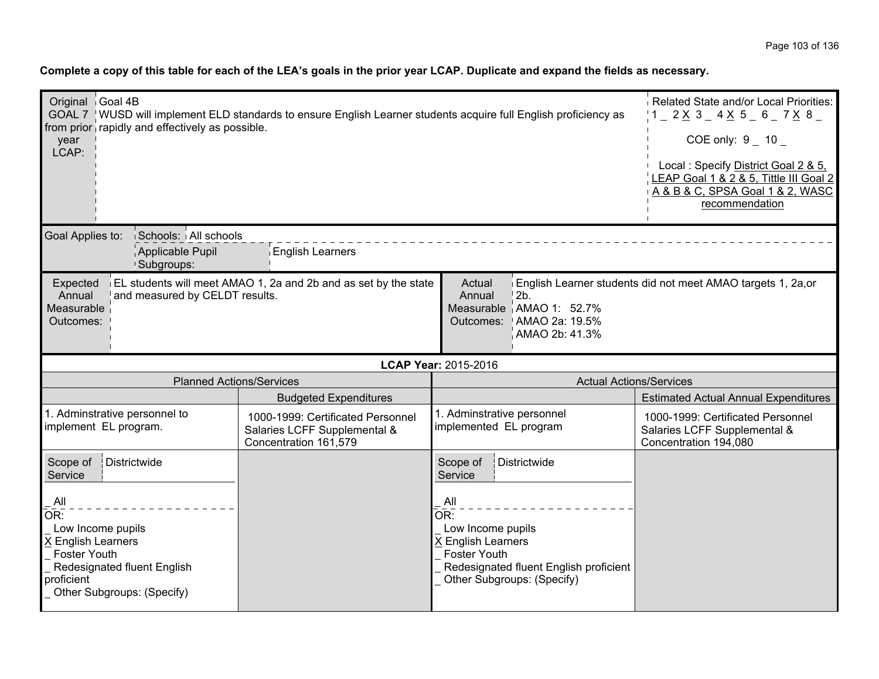| Original Goal 4B<br>GOAL 7   WUSD will implement ELD standards to ensure English Learner students acquire full English proficiency as<br>from prior rapidly and effectively as possible.<br>year<br>LCAP:                                                                                                               | Related State and/or Local Priorities:<br>COE only: $9 - 10$<br>Local: Specify District Goal 2 & 5,<br>LEAP Goal 1 & 2 & 5, Tittle III Goal 2<br>A & B & C, SPSA Goal 1 & 2, WASC<br>recommendation |                                                                                                                                                                                               |                                                                                            |  |
|-------------------------------------------------------------------------------------------------------------------------------------------------------------------------------------------------------------------------------------------------------------------------------------------------------------------------|-----------------------------------------------------------------------------------------------------------------------------------------------------------------------------------------------------|-----------------------------------------------------------------------------------------------------------------------------------------------------------------------------------------------|--------------------------------------------------------------------------------------------|--|
| Schools: All schools<br>Goal Applies to:<br>Applicable Pupil<br><b>English Learners</b><br><sup>1</sup> Subgroups:                                                                                                                                                                                                      |                                                                                                                                                                                                     |                                                                                                                                                                                               |                                                                                            |  |
| EL students will meet AMAO 1, 2a and 2b and as set by the state<br>Expected<br>Actual<br>English Learner students did not meet AMAO targets 1, 2a, or<br>and measured by CELDT results.<br>Annual<br>Annual<br>2b.<br>Measurable AMAO 1: 52.7%<br>Measurable<br>Outcomes: AMAO 2a: 19.5%<br>Outcomes:<br>AMAO 2b: 41.3% |                                                                                                                                                                                                     |                                                                                                                                                                                               |                                                                                            |  |
|                                                                                                                                                                                                                                                                                                                         |                                                                                                                                                                                                     | LCAP Year: 2015-2016                                                                                                                                                                          |                                                                                            |  |
| <b>Planned Actions/Services</b>                                                                                                                                                                                                                                                                                         |                                                                                                                                                                                                     | <b>Actual Actions/Services</b>                                                                                                                                                                |                                                                                            |  |
|                                                                                                                                                                                                                                                                                                                         | <b>Budgeted Expenditures</b>                                                                                                                                                                        |                                                                                                                                                                                               | <b>Estimated Actual Annual Expenditures</b>                                                |  |
| 1. Adminstrative personnel to<br>implement EL program.                                                                                                                                                                                                                                                                  | 1000-1999: Certificated Personnel<br>Salaries LCFF Supplemental &<br>Concentration 161,579                                                                                                          | 1. Adminstrative personnel<br>implemented EL program                                                                                                                                          | 1000-1999: Certificated Personnel<br>Salaries LCFF Supplemental &<br>Concentration 194,080 |  |
| Districtwide<br>Scope of<br>Service<br>All<br>OR:<br>Low Income pupils<br>X English Learners<br><b>Foster Youth</b><br>Redesignated fluent English<br>proficient<br>Other Subgroups: (Specify)                                                                                                                          |                                                                                                                                                                                                     | Scope of<br>Districtwide<br>Service<br>. All<br>OR:<br>Low Income pupils<br>X English Learners<br><b>Foster Youth</b><br>Redesignated fluent English proficient<br>Other Subgroups: (Specify) |                                                                                            |  |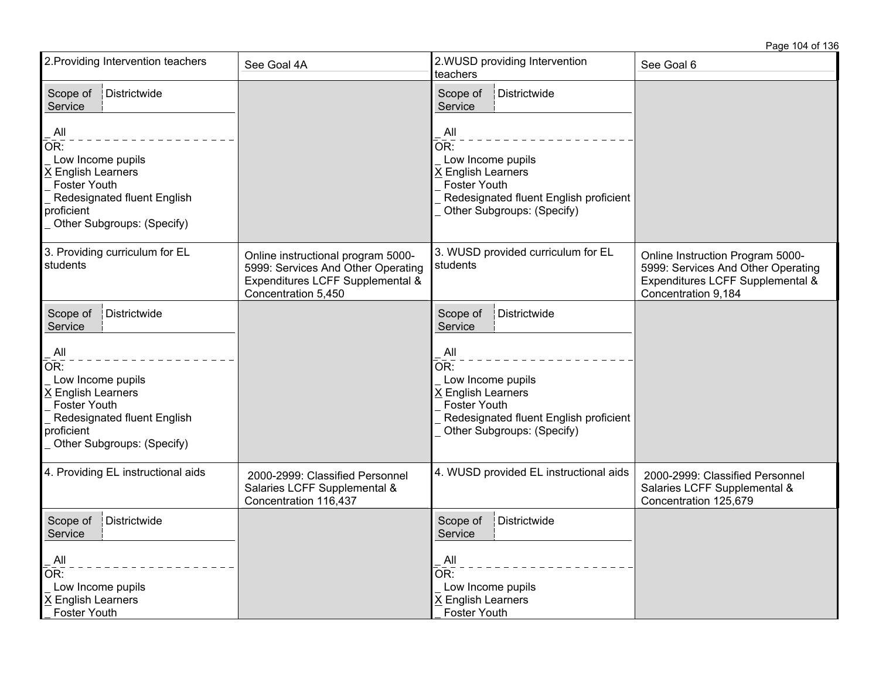Page 104 of 136

| 2. Providing Intervention teachers                                                                                                                                                             | See Goal 4A                                                                                                                         | 2. WUSD providing Intervention<br>teachers                                                                                                                                                                                       | See Goal 6                                                                                                                        |
|------------------------------------------------------------------------------------------------------------------------------------------------------------------------------------------------|-------------------------------------------------------------------------------------------------------------------------------------|----------------------------------------------------------------------------------------------------------------------------------------------------------------------------------------------------------------------------------|-----------------------------------------------------------------------------------------------------------------------------------|
| Scope of<br>Districtwide<br>Service<br>All<br>OR:<br>Low Income pupils<br>X English Learners<br><b>Foster Youth</b><br>Redesignated fluent English<br>proficient<br>Other Subgroups: (Specify) |                                                                                                                                     | Districtwide<br>Scope of<br>Service<br>$\overline{A}$ ll<br>$\overline{\mathsf{OR}}$ :<br>Low Income pupils<br>X English Learners<br><b>Foster Youth</b><br>Redesignated fluent English proficient<br>Other Subgroups: (Specify) |                                                                                                                                   |
| 3. Providing curriculum for EL<br>students                                                                                                                                                     | Online instructional program 5000-<br>5999: Services And Other Operating<br>Expenditures LCFF Supplemental &<br>Concentration 5,450 | 3. WUSD provided curriculum for EL<br>students                                                                                                                                                                                   | Online Instruction Program 5000-<br>5999: Services And Other Operating<br>Expenditures LCFF Supplemental &<br>Concentration 9,184 |
| Districtwide<br>Scope of<br>Service                                                                                                                                                            |                                                                                                                                     | Districtwide<br>Scope of<br>Service                                                                                                                                                                                              |                                                                                                                                   |
| All<br>OR:<br>Low Income pupils<br>X English Learners<br><b>Foster Youth</b><br>Redesignated fluent English<br>proficient<br>Other Subgroups: (Specify)                                        |                                                                                                                                     | All<br>$\overline{\mathsf{OR}}$ :<br>Low Income pupils<br>X English Learners<br><b>Foster Youth</b><br>Redesignated fluent English proficient<br>Other Subgroups: (Specify)                                                      |                                                                                                                                   |
| 4. Providing EL instructional aids                                                                                                                                                             | 2000-2999: Classified Personnel<br>Salaries LCFF Supplemental &<br>Concentration 116,437                                            | 4. WUSD provided EL instructional aids                                                                                                                                                                                           | 2000-2999: Classified Personnel<br>Salaries LCFF Supplemental &<br>Concentration 125,679                                          |
| Scope of<br>Districtwide<br>Service<br>All<br>OR:<br>Low Income pupils<br>X English Learners<br><b>Foster Youth</b>                                                                            |                                                                                                                                     | Scope of<br>Districtwide<br>Service<br>All<br>OR:<br>Low Income pupils<br>X English Learners<br><b>Foster Youth</b>                                                                                                              |                                                                                                                                   |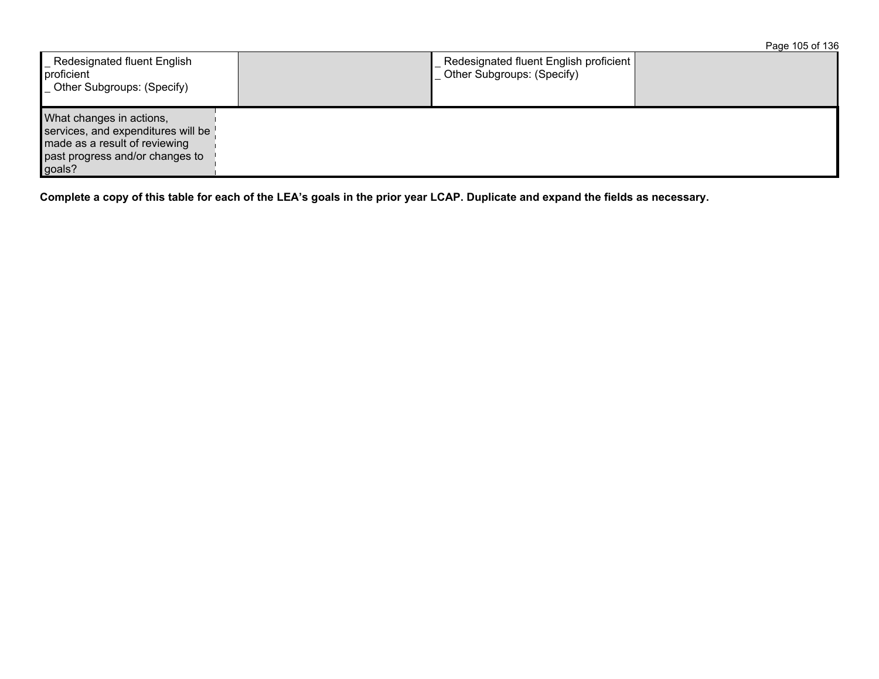| Page 105 of 136 |  |  |  |  |
|-----------------|--|--|--|--|
|-----------------|--|--|--|--|

| <b>Redesignated fluent English</b><br>proficient<br>Other Subgroups: (Specify)                                                               | Redesignated fluent English proficient<br><b>Other Subgroups: (Specify)</b> |  |
|----------------------------------------------------------------------------------------------------------------------------------------------|-----------------------------------------------------------------------------|--|
| What changes in actions,<br>services, and expenditures will be<br>made as a result of reviewing<br>past progress and/or changes to<br>goals? |                                                                             |  |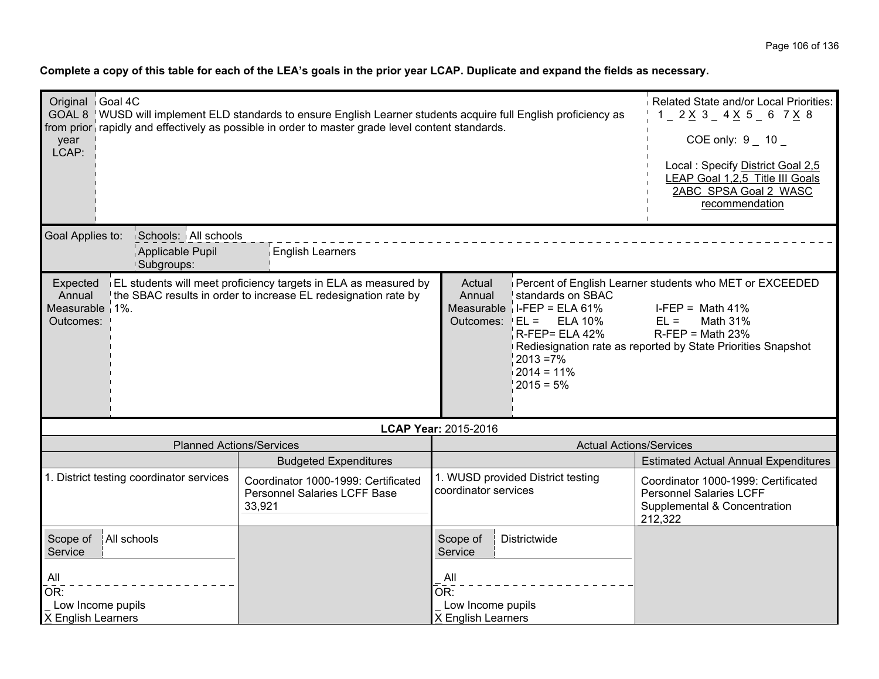| Original Goal 4C<br>GOAL 8   WUSD will implement ELD standards to ensure English Learner students acquire full English proficiency as<br>from prior rapidly and effectively as possible in order to master grade level content standards.<br>vear<br>LCAP: |                                                                                                                                   |                                                                     |                                                                                                                                           | Related State and/or Local Priorities:<br>1 _ 2 <u>X</u> 3 _ 4 <u>X</u> 5 _ 6 7 <u>X</u> 8<br>COE only: $9 - 10 -$<br>Local: Specify District Goal 2,5<br>LEAP Goal 1,2,5 Title III Goals<br>2ABC SPSA Goal 2 WASC<br>recommendation |
|------------------------------------------------------------------------------------------------------------------------------------------------------------------------------------------------------------------------------------------------------------|-----------------------------------------------------------------------------------------------------------------------------------|---------------------------------------------------------------------|-------------------------------------------------------------------------------------------------------------------------------------------|--------------------------------------------------------------------------------------------------------------------------------------------------------------------------------------------------------------------------------------|
| Schools: All schools<br>Goal Applies to:<br>Applicable Pupil<br><b>English Learners</b><br><sup>1</sup> Subgroups:                                                                                                                                         |                                                                                                                                   |                                                                     |                                                                                                                                           |                                                                                                                                                                                                                                      |
| Expected<br>Annual<br>Measurable $1\%$ .<br>Outcomes:                                                                                                                                                                                                      | EL students will meet proficiency targets in ELA as measured by<br>the SBAC results in order to increase EL redesignation rate by | Actual<br>Annual<br>Outcomes: $ EL =$                               | standards on SBAC<br>Measurable $ I-FEP = ELA 61%$<br><b>ELA 10%</b><br>$R$ -FEP= ELA 42%<br>$2013 = 7\%$<br>$2014 = 11\%$<br>$2015 = 5%$ | Percent of English Learner students who MET or EXCEEDED<br>I-FEP = Math $41\%$<br>$EL =$<br>Math 31%<br>$R$ -FEP = Math 23%<br>Rediesignation rate as reported by State Priorities Snapshot                                          |
|                                                                                                                                                                                                                                                            |                                                                                                                                   | LCAP Year: 2015-2016                                                |                                                                                                                                           |                                                                                                                                                                                                                                      |
|                                                                                                                                                                                                                                                            | <b>Planned Actions/Services</b>                                                                                                   |                                                                     | <b>Actual Actions/Services</b>                                                                                                            |                                                                                                                                                                                                                                      |
|                                                                                                                                                                                                                                                            | <b>Budgeted Expenditures</b>                                                                                                      |                                                                     |                                                                                                                                           | <b>Estimated Actual Annual Expenditures</b>                                                                                                                                                                                          |
| 1. District testing coordinator services                                                                                                                                                                                                                   | Coordinator 1000-1999: Certificated<br><b>Personnel Salaries LCFF Base</b><br>33,921                                              | coordinator services                                                | 1. WUSD provided District testing                                                                                                         | Coordinator 1000-1999: Certificated<br><b>Personnel Salaries LCFF</b><br>Supplemental & Concentration<br>212,322                                                                                                                     |
| Scope of<br>All schools<br>Service                                                                                                                                                                                                                         |                                                                                                                                   | Scope of<br>Service                                                 | Districtwide                                                                                                                              |                                                                                                                                                                                                                                      |
| All<br>OR:<br>Low Income pupils<br>X English Learners                                                                                                                                                                                                      |                                                                                                                                   | $\overline{A}$ ll<br>OR:<br>Low Income pupils<br>X English Learners |                                                                                                                                           |                                                                                                                                                                                                                                      |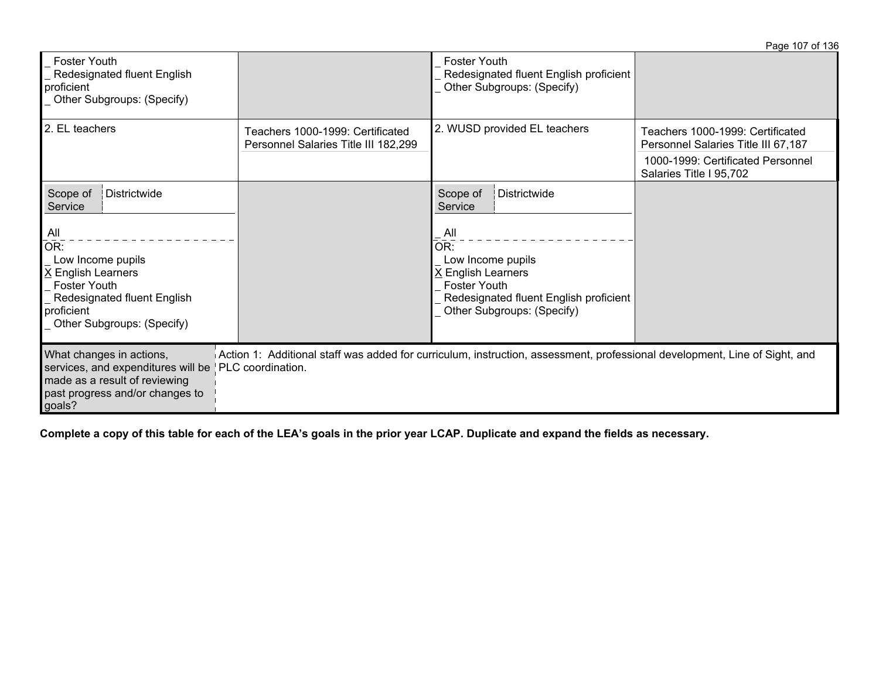| Foster Youth<br>Redesignated fluent English<br>proficient<br>Other Subgroups: (Specify)                                                                                                        |                                                                          | <b>Foster Youth</b><br>Redesignated fluent English proficient<br>Other Subgroups: (Specify)                                                                                          |                                                                         |
|------------------------------------------------------------------------------------------------------------------------------------------------------------------------------------------------|--------------------------------------------------------------------------|--------------------------------------------------------------------------------------------------------------------------------------------------------------------------------------|-------------------------------------------------------------------------|
| 2. EL teachers                                                                                                                                                                                 | Teachers 1000-1999: Certificated<br>Personnel Salaries Title III 182,299 | 2. WUSD provided EL teachers                                                                                                                                                         | Teachers 1000-1999: Certificated<br>Personnel Salaries Title III 67,187 |
|                                                                                                                                                                                                |                                                                          |                                                                                                                                                                                      | 1000-1999: Certificated Personnel<br>Salaries Title I 95,702            |
| Scope of<br>Districtwide<br>Service<br>All<br>OR:<br>Low Income pupils<br>X English Learners<br><b>Foster Youth</b><br>Redesignated fluent English<br>proficient<br>Other Subgroups: (Specify) |                                                                          | Scope of<br>Districtwide<br>Service<br>All<br>OR:<br>Low Income pupils<br>X English Learners<br>Foster Youth<br>Redesignated fluent English proficient<br>Other Subgroups: (Specify) |                                                                         |
| What changes in actions,<br>services, and expenditures will be<br>made as a result of reviewing<br>past progress and/or changes to<br>goals?                                                   | PLC coordination.                                                        | Action 1: Additional staff was added for curriculum, instruction, assessment, professional development, Line of Sight, and                                                           |                                                                         |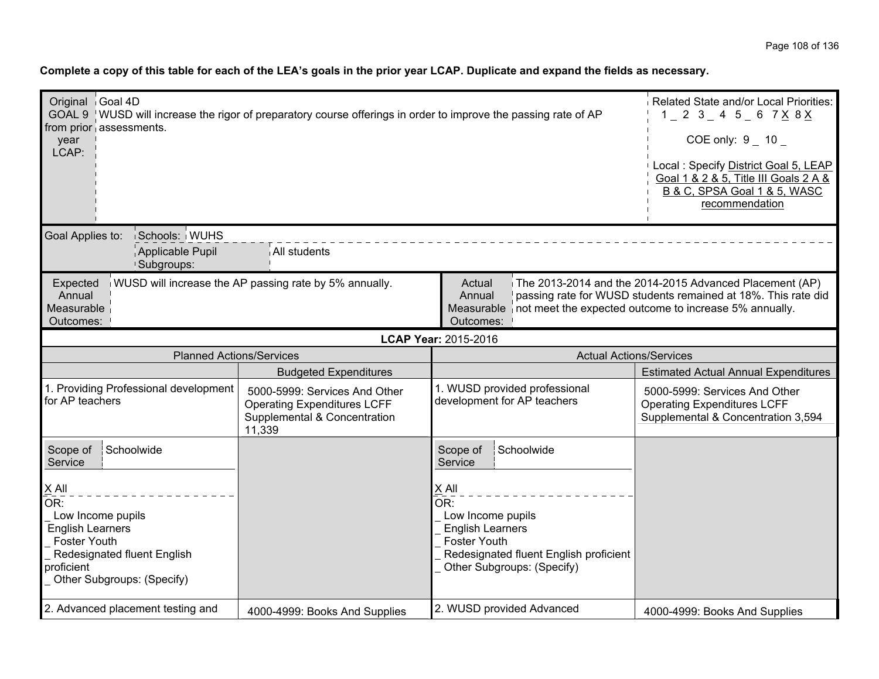| Original Goal 4D<br>GOAL 9   WUSD will increase the rigor of preparatory course offerings in order to improve the passing rate of AP<br>from prior assessments.<br>year<br>LCAP:                           |                                                                                                               |                                                                                                                                                                                                                                | Related State and/or Local Priorities:<br>$1 - 2$ 3 $- 4$ 5 $- 6$ 7 $\times$ 8 $\times$<br>COE only: $9 - 10 -$<br>Local : Specify District Goal 5, LEAP<br>Goal 1 & 2 & 5, Title III Goals 2 A &<br>B & C, SPSA Goal 1 & 5, WASC<br>recommendation |
|------------------------------------------------------------------------------------------------------------------------------------------------------------------------------------------------------------|---------------------------------------------------------------------------------------------------------------|--------------------------------------------------------------------------------------------------------------------------------------------------------------------------------------------------------------------------------|-----------------------------------------------------------------------------------------------------------------------------------------------------------------------------------------------------------------------------------------------------|
| Goal Applies to:<br>Schools: WUHS<br>All students<br>Applicable Pupil<br><sup>1</sup> Subgroups:                                                                                                           |                                                                                                               |                                                                                                                                                                                                                                |                                                                                                                                                                                                                                                     |
| WUSD will increase the AP passing rate by 5% annually.<br>Expected<br>Annual<br>Measurable<br>Outcomes:                                                                                                    |                                                                                                               | The 2013-2014 and the 2014-2015 Advanced Placement (AP)<br>Actual<br>passing rate for WUSD students remained at 18%. This rate did<br>Annual<br>Measurable not meet the expected outcome to increase 5% annually.<br>Outcomes: |                                                                                                                                                                                                                                                     |
| LCAP Year: 2015-2016                                                                                                                                                                                       |                                                                                                               |                                                                                                                                                                                                                                |                                                                                                                                                                                                                                                     |
| <b>Planned Actions/Services</b>                                                                                                                                                                            |                                                                                                               | <b>Actual Actions/Services</b>                                                                                                                                                                                                 |                                                                                                                                                                                                                                                     |
|                                                                                                                                                                                                            | <b>Budgeted Expenditures</b>                                                                                  |                                                                                                                                                                                                                                | <b>Estimated Actual Annual Expenditures</b>                                                                                                                                                                                                         |
| 1. Providing Professional development<br>for AP teachers                                                                                                                                                   | 5000-5999: Services And Other<br><b>Operating Expenditures LCFF</b><br>Supplemental & Concentration<br>11,339 | 1. WUSD provided professional<br>development for AP teachers                                                                                                                                                                   | 5000-5999: Services And Other<br><b>Operating Expenditures LCFF</b><br>Supplemental & Concentration 3,594                                                                                                                                           |
| Schoolwide<br>Scope of<br>Service<br>$\times$ All<br>OR:<br>Low Income pupils<br><b>English Learners</b><br><b>Foster Youth</b><br>Redesignated fluent English<br>proficient<br>Other Subgroups: (Specify) |                                                                                                               | Scope of<br>Schoolwide<br>Service<br>X All<br>OR:<br>Low Income pupils<br><b>English Learners</b><br><b>Foster Youth</b><br>Redesignated fluent English proficient<br>Other Subgroups: (Specify)                               |                                                                                                                                                                                                                                                     |
| 2. Advanced placement testing and                                                                                                                                                                          | 4000-4999: Books And Supplies                                                                                 | 2. WUSD provided Advanced                                                                                                                                                                                                      | 4000-4999: Books And Supplies                                                                                                                                                                                                                       |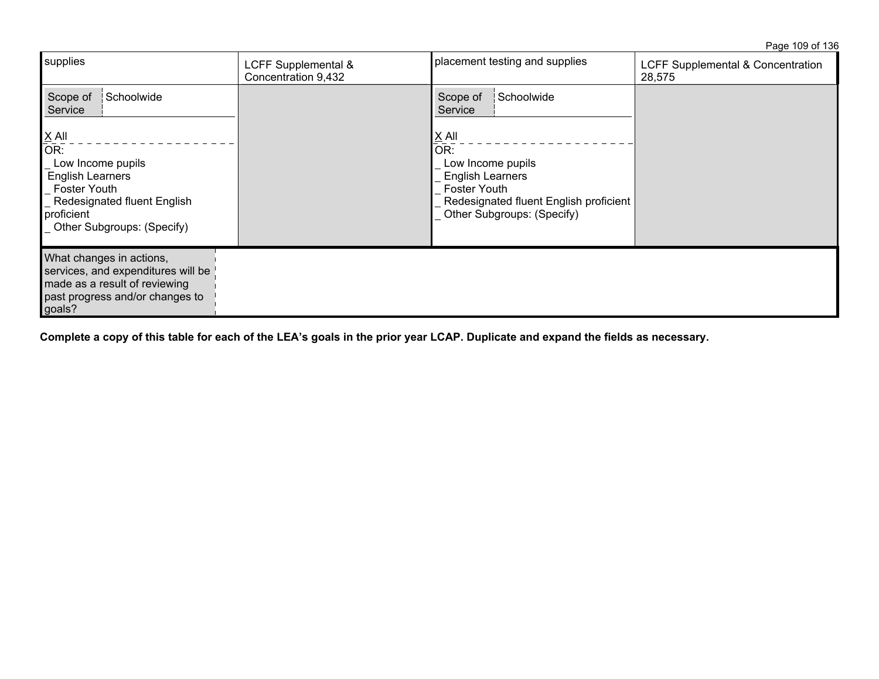Page 109 of 136

| supplies                                                                                                                                                                                                                        | LCFF Supplemental &<br>Concentration 9,432 | placement testing and supplies                                                                                                                                                                                 | <b>LCFF Supplemental &amp; Concentration</b><br>28,575 |
|---------------------------------------------------------------------------------------------------------------------------------------------------------------------------------------------------------------------------------|--------------------------------------------|----------------------------------------------------------------------------------------------------------------------------------------------------------------------------------------------------------------|--------------------------------------------------------|
| Schoolwide<br>Scope of<br>Service<br>$\underline{X}$ All<br>OR:<br>Low Income pupils<br><b>English Learners</b><br><b>Foster Youth</b><br><b>Redesignated fluent English</b><br>proficient<br><b>Other Subgroups: (Specify)</b> |                                            | Schoolwide<br>Scope of<br>Service<br>$\underline{X}$ All<br>OR:<br>Low Income pupils<br><b>English Learners</b><br><b>Foster Youth</b><br>Redesignated fluent English proficient<br>Other Subgroups: (Specify) |                                                        |
| What changes in actions,<br>services, and expenditures will be<br>made as a result of reviewing<br>past progress and/or changes to<br>goals?                                                                                    |                                            |                                                                                                                                                                                                                |                                                        |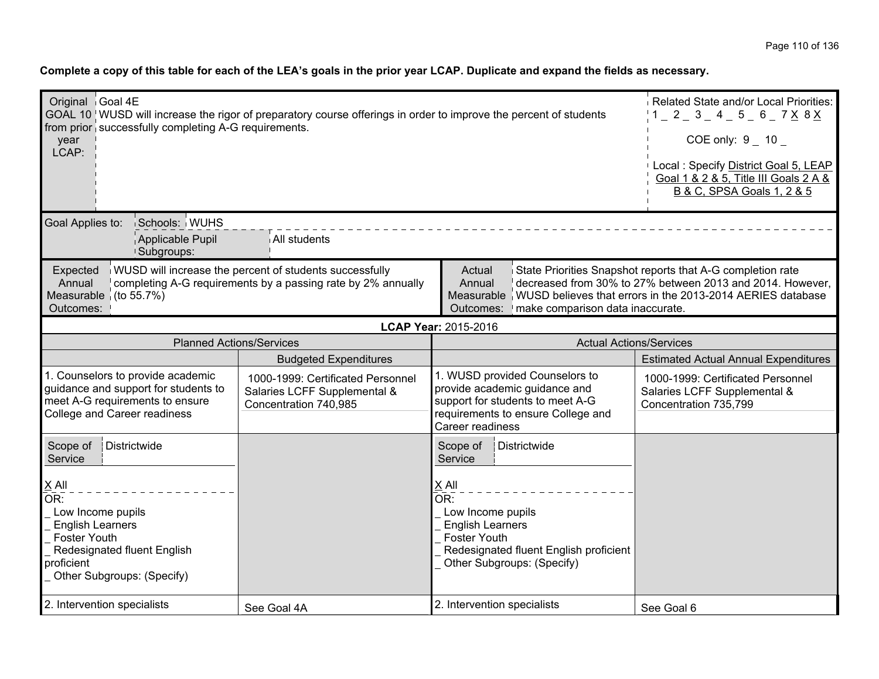| Original Goal 4E<br>GOAL 10 WUSD will increase the rigor of preparatory course offerings in order to improve the percent of students<br>from prior successfully completing A-G requirements.<br>year<br>LCAP:                                                                                                                                                                                                                                                       |                                                                                            |                                                                                                                                                                                                    | Related State and/or Local Priorities:<br>$1 - 2 - 3 - 4 - 5 - 6 - 7 \times 8 \times$<br>COE only: $9 - 10$<br>Local: Specify District Goal 5, LEAP<br>Goal 1 & 2 & 5, Title III Goals 2 A &<br>B & C, SPSA Goals 1, 2 & 5 |
|---------------------------------------------------------------------------------------------------------------------------------------------------------------------------------------------------------------------------------------------------------------------------------------------------------------------------------------------------------------------------------------------------------------------------------------------------------------------|--------------------------------------------------------------------------------------------|----------------------------------------------------------------------------------------------------------------------------------------------------------------------------------------------------|----------------------------------------------------------------------------------------------------------------------------------------------------------------------------------------------------------------------------|
| Goal Applies to:<br>Schools: WUHS<br>Applicable Pupil<br><sup>1</sup> Subgroups:                                                                                                                                                                                                                                                                                                                                                                                    | All students                                                                               |                                                                                                                                                                                                    |                                                                                                                                                                                                                            |
| WUSD will increase the percent of students successfully<br>State Priorities Snapshot reports that A-G completion rate<br>Actual<br>Expected<br>decreased from 30% to 27% between 2013 and 2014. However,<br>completing A-G requirements by a passing rate by 2% annually<br>Annual<br>Annual<br>WUSD believes that errors in the 2013-2014 AERIES database<br>Measurable $(10.55.7%)$<br>Measurable<br>Outcomes:<br>Outcomes:<br>I make comparison data inaccurate. |                                                                                            |                                                                                                                                                                                                    |                                                                                                                                                                                                                            |
|                                                                                                                                                                                                                                                                                                                                                                                                                                                                     |                                                                                            | LCAP Year: 2015-2016                                                                                                                                                                               |                                                                                                                                                                                                                            |
| <b>Planned Actions/Services</b>                                                                                                                                                                                                                                                                                                                                                                                                                                     |                                                                                            | <b>Actual Actions/Services</b>                                                                                                                                                                     |                                                                                                                                                                                                                            |
|                                                                                                                                                                                                                                                                                                                                                                                                                                                                     | <b>Budgeted Expenditures</b>                                                               |                                                                                                                                                                                                    | <b>Estimated Actual Annual Expenditures</b>                                                                                                                                                                                |
| 1. Counselors to provide academic<br>guidance and support for students to<br>meet A-G requirements to ensure<br>College and Career readiness                                                                                                                                                                                                                                                                                                                        | 1000-1999: Certificated Personnel<br>Salaries LCFF Supplemental &<br>Concentration 740,985 | 1. WUSD provided Counselors to<br>provide academic guidance and<br>support for students to meet A-G<br>requirements to ensure College and<br>Career readiness                                      | 1000-1999: Certificated Personnel<br>Salaries LCFF Supplemental &<br>Concentration 735,799                                                                                                                                 |
| Scope of<br>Districtwide<br>Service<br>X All<br>OR:<br>Low Income pupils<br><b>English Learners</b><br><b>Foster Youth</b><br>Redesignated fluent English<br>proficient<br>Other Subgroups: (Specify)                                                                                                                                                                                                                                                               |                                                                                            | Scope of<br>Districtwide<br>Service<br>X All<br>OR:<br>Low Income pupils<br><b>English Learners</b><br><b>Foster Youth</b><br>Redesignated fluent English proficient<br>Other Subgroups: (Specify) |                                                                                                                                                                                                                            |
| 2. Intervention specialists                                                                                                                                                                                                                                                                                                                                                                                                                                         | See Goal 4A                                                                                | 2. Intervention specialists                                                                                                                                                                        | See Goal 6                                                                                                                                                                                                                 |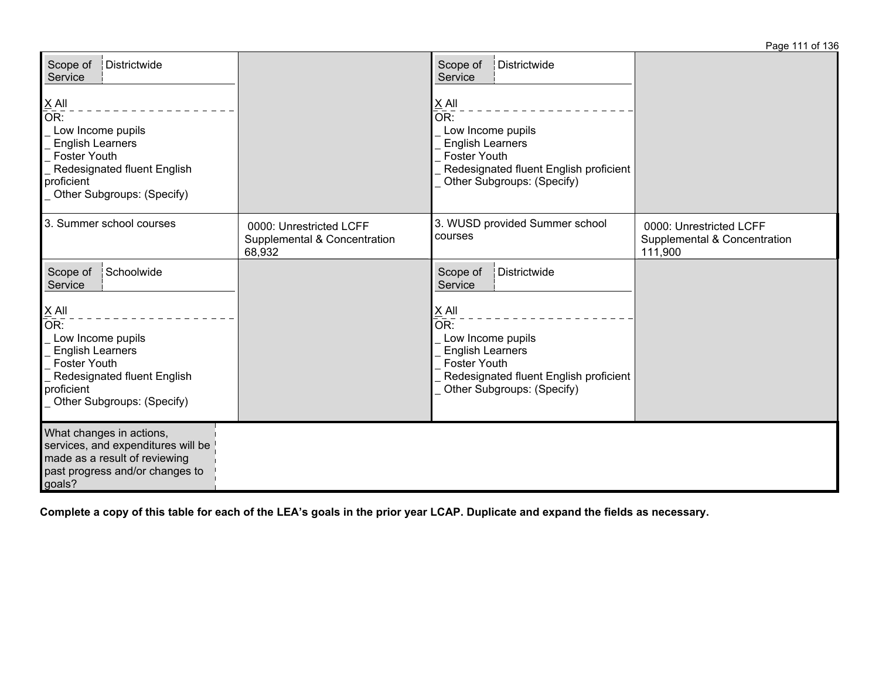| Scope of<br><b>Districtwide</b><br>Service<br>$\underline{X}$ All<br>OR:<br>Low Income pupils<br><b>English Learners</b><br><b>Foster Youth</b><br>Redesignated fluent English<br>proficient<br>Other Subgroups: (Specify) |                                                                   | Scope of<br>Districtwide<br>Service<br>$\underline{X}$ All<br>OR:<br>Low Income pupils<br><b>English Learners</b><br><b>Foster Youth</b><br>Redesignated fluent English proficient<br>Other Subgroups: (Specify) |                                                                    |
|----------------------------------------------------------------------------------------------------------------------------------------------------------------------------------------------------------------------------|-------------------------------------------------------------------|------------------------------------------------------------------------------------------------------------------------------------------------------------------------------------------------------------------|--------------------------------------------------------------------|
| 3. Summer school courses                                                                                                                                                                                                   | 0000: Unrestricted LCFF<br>Supplemental & Concentration<br>68,932 | 3. WUSD provided Summer school<br>courses                                                                                                                                                                        | 0000: Unrestricted LCFF<br>Supplemental & Concentration<br>111,900 |
| Schoolwide<br>Scope of<br>Service<br>$\underline{X}$ All<br>OR:<br>Low Income pupils<br><b>English Learners</b><br><b>Foster Youth</b><br>Redesignated fluent English<br>proficient<br>Other Subgroups: (Specify)          |                                                                   | Scope of<br>Districtwide<br>Service<br>$X$ All<br>OR:<br>Low Income pupils<br><b>English Learners</b><br><b>Foster Youth</b><br>Redesignated fluent English proficient<br>Other Subgroups: (Specify)             |                                                                    |
| What changes in actions,<br>services, and expenditures will be<br>made as a result of reviewing<br>past progress and/or changes to<br>goals?                                                                               |                                                                   |                                                                                                                                                                                                                  |                                                                    |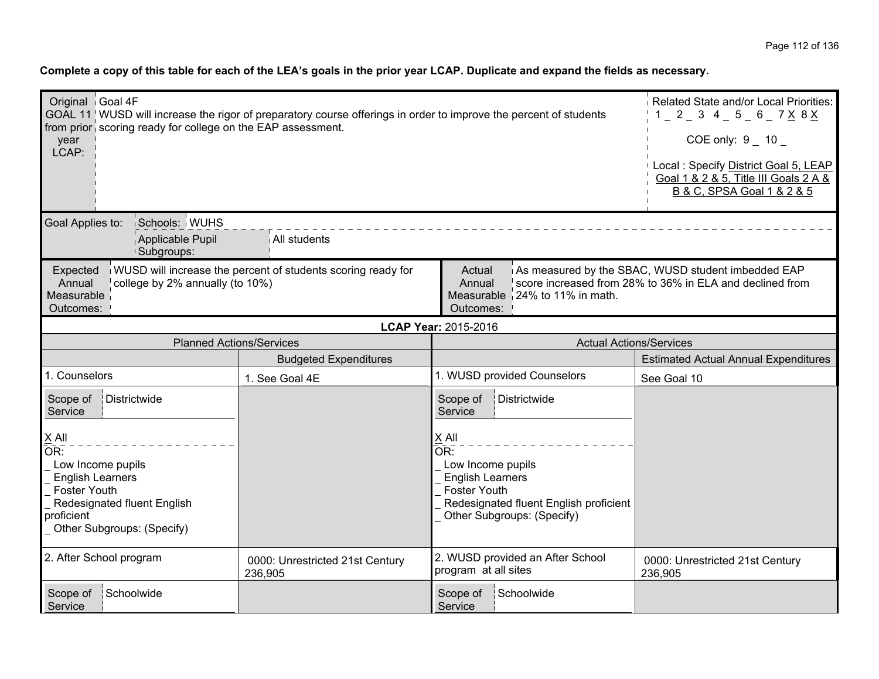| Original Goal 4F<br>GOAL 11 WUSD will increase the rigor of preparatory course offerings in order to improve the percent of students<br>from prior scoring ready for college on the EAP assessment.<br>year<br>LCAP:                                                                                                                               |                                            |                                                                                                                                                                                                                                                               | Related State and/or Local Priorities:<br>$1 - 2 - 3$ 4 - 5 - 6 - 7 $\times$ 8 $\times$<br>COE only: $9 - 10$<br>Local: Specify District Goal 5, LEAP<br>Goal 1 & 2 & 5, Title III Goals 2 A &<br>B & C, SPSA Goal 1 & 2 & 5 |
|----------------------------------------------------------------------------------------------------------------------------------------------------------------------------------------------------------------------------------------------------------------------------------------------------------------------------------------------------|--------------------------------------------|---------------------------------------------------------------------------------------------------------------------------------------------------------------------------------------------------------------------------------------------------------------|------------------------------------------------------------------------------------------------------------------------------------------------------------------------------------------------------------------------------|
| Schools: WUHS<br>Goal Applies to:<br>Applicable Pupil<br><sup>1</sup> Subgroups:                                                                                                                                                                                                                                                                   | All students                               |                                                                                                                                                                                                                                                               |                                                                                                                                                                                                                              |
| WUSD will increase the percent of students scoring ready for<br>As measured by the SBAC, WUSD student imbedded EAP<br>Actual<br>Expected<br>score increased from 28% to 36% in ELA and declined from<br>college by 2% annually (to 10%)<br>Annual<br>Annual<br>Measurable $\frac{1}{24\%}$ to 11% in math.<br>Measurable<br>Outcomes:<br>Outcomes: |                                            |                                                                                                                                                                                                                                                               |                                                                                                                                                                                                                              |
| LCAP Year: 2015-2016                                                                                                                                                                                                                                                                                                                               |                                            |                                                                                                                                                                                                                                                               |                                                                                                                                                                                                                              |
| <b>Planned Actions/Services</b>                                                                                                                                                                                                                                                                                                                    |                                            | <b>Actual Actions/Services</b>                                                                                                                                                                                                                                |                                                                                                                                                                                                                              |
|                                                                                                                                                                                                                                                                                                                                                    | <b>Budgeted Expenditures</b>               |                                                                                                                                                                                                                                                               | <b>Estimated Actual Annual Expenditures</b>                                                                                                                                                                                  |
| 1. Counselors                                                                                                                                                                                                                                                                                                                                      | 1. See Goal 4E                             | 1. WUSD provided Counselors                                                                                                                                                                                                                                   | See Goal 10                                                                                                                                                                                                                  |
| Districtwide<br>Scope of<br>Service<br>$\times$ All<br>OR:<br>Low Income pupils<br><b>English Learners</b><br><b>Foster Youth</b><br>Redesignated fluent English<br>proficient<br>Other Subgroups: (Specify)<br>2. After School program                                                                                                            |                                            | Scope of<br>Districtwide<br>Service<br>X All<br>$\overline{\mathsf{OR}}$ :<br>Low Income pupils<br><b>English Learners</b><br><b>Foster Youth</b><br>Redesignated fluent English proficient<br>Other Subgroups: (Specify)<br>2. WUSD provided an After School |                                                                                                                                                                                                                              |
|                                                                                                                                                                                                                                                                                                                                                    | 0000: Unrestricted 21st Century<br>236,905 | program at all sites                                                                                                                                                                                                                                          | 0000: Unrestricted 21st Century<br>236,905                                                                                                                                                                                   |
| Scope of<br>Schoolwide<br>Service                                                                                                                                                                                                                                                                                                                  |                                            | Schoolwide<br>Scope of<br>Service                                                                                                                                                                                                                             |                                                                                                                                                                                                                              |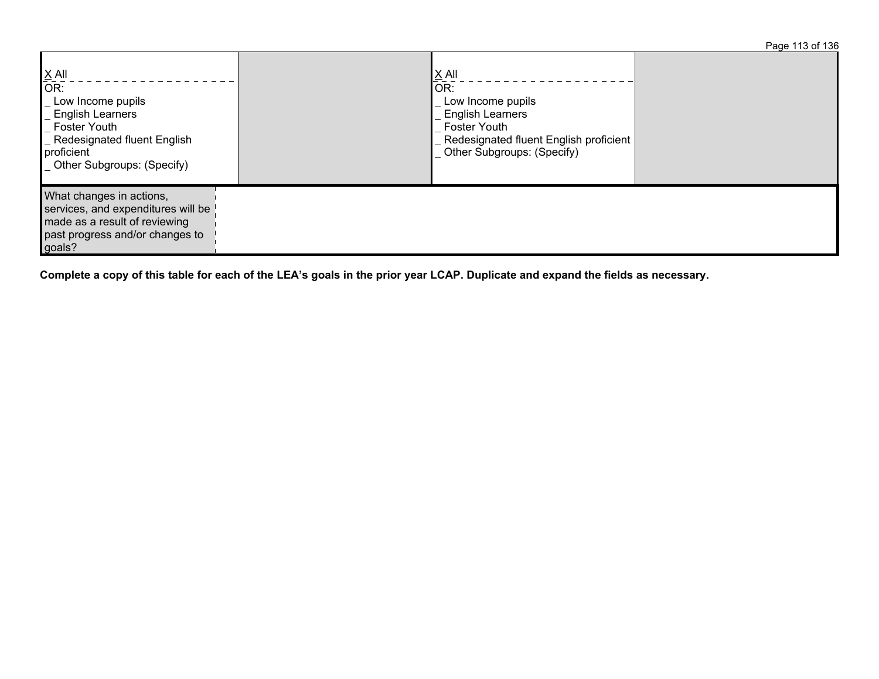Page 113 of 136

| $X$ All<br>$\overline{OR}$ :<br>Low Income pupils<br><b>English Learners</b><br><b>Foster Youth</b><br>Redesignated fluent English<br>proficient<br>_ Other Subgroups: (Specify) | X All<br>OR:<br>Low Income pupils<br><b>English Learners</b><br><b>Foster Youth</b><br>Redesignated fluent English proficient<br>Other Subgroups: (Specify) |  |
|----------------------------------------------------------------------------------------------------------------------------------------------------------------------------------|-------------------------------------------------------------------------------------------------------------------------------------------------------------|--|
| What changes in actions,<br>services, and expenditures will be<br>made as a result of reviewing<br>past progress and/or changes to<br>goals?                                     |                                                                                                                                                             |  |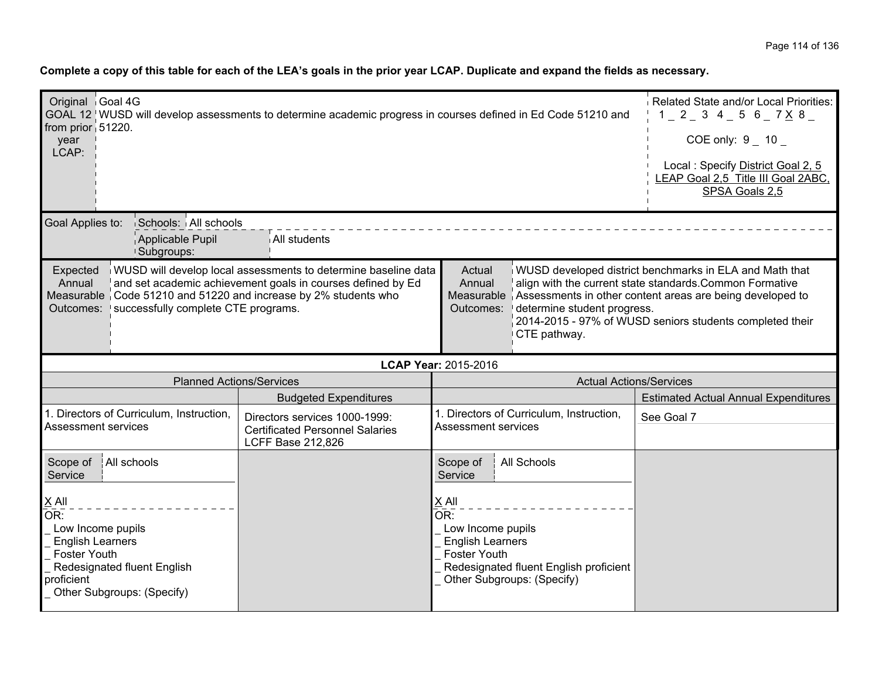| Original Goal 4G<br>GOAL 12 WUSD will develop assessments to determine academic progress in courses defined in Ed Code 51210 and<br>from prior $51220$ .<br>year<br>LCAP: |                                                                                                                               |                                                                                                                                                             | Related State and/or Local Priorities:<br>$1 - 2 - 3$ 4 = 5 6 = 7 $\times$ 8 =<br>COE only: 9 10<br>Local: Specify District Goal 2, 5<br>EAP Goal 2,5 Title III Goal 2ABC,<br>SPSA Goals 2,5 |
|---------------------------------------------------------------------------------------------------------------------------------------------------------------------------|-------------------------------------------------------------------------------------------------------------------------------|-------------------------------------------------------------------------------------------------------------------------------------------------------------|----------------------------------------------------------------------------------------------------------------------------------------------------------------------------------------------|
| Schools: All schools<br>Goal Applies to:<br>Applicable Pupil<br><sup>1</sup> Subgroups:                                                                                   | All students                                                                                                                  |                                                                                                                                                             |                                                                                                                                                                                              |
| Expected<br>Annual<br>Measurable Code 51210 and 51220 and increase by 2% students who<br>successfully complete CTE programs.<br>Outcomes:                                 | WUSD will develop local assessments to determine baseline data<br>and set academic achievement goals in courses defined by Ed | Actual<br>Annual<br>Measurable Assessments in other content areas are being developed to<br>determine student progress.<br>Outcomes:<br>CTE pathway.        | WUSD developed district benchmarks in ELA and Math that<br>align with the current state standards. Common Formative<br>2014-2015 - 97% of WUSD seniors students completed their              |
|                                                                                                                                                                           |                                                                                                                               | LCAP Year: 2015-2016                                                                                                                                        |                                                                                                                                                                                              |
| <b>Planned Actions/Services</b>                                                                                                                                           |                                                                                                                               | <b>Actual Actions/Services</b>                                                                                                                              |                                                                                                                                                                                              |
|                                                                                                                                                                           | <b>Budgeted Expenditures</b>                                                                                                  |                                                                                                                                                             | <b>Estimated Actual Annual Expenditures</b>                                                                                                                                                  |
| 1. Directors of Curriculum, Instruction,<br><b>Assessment services</b>                                                                                                    | Directors services 1000-1999:<br><b>Certificated Personnel Salaries</b><br><b>LCFF Base 212,826</b>                           | 1. Directors of Curriculum, Instruction,<br><b>Assessment services</b>                                                                                      | See Goal 7                                                                                                                                                                                   |
| Scope of<br>All schools<br>Service                                                                                                                                        |                                                                                                                               | All Schools<br>Scope of<br>Service                                                                                                                          |                                                                                                                                                                                              |
| $\times$ All<br>OR:<br>Low Income pupils<br><b>English Learners</b><br><b>Foster Youth</b><br>Redesignated fluent English<br>proficient<br>Other Subgroups: (Specify)     |                                                                                                                               | X All<br>OR:<br>Low Income pupils<br><b>English Learners</b><br><b>Foster Youth</b><br>Redesignated fluent English proficient<br>Other Subgroups: (Specify) |                                                                                                                                                                                              |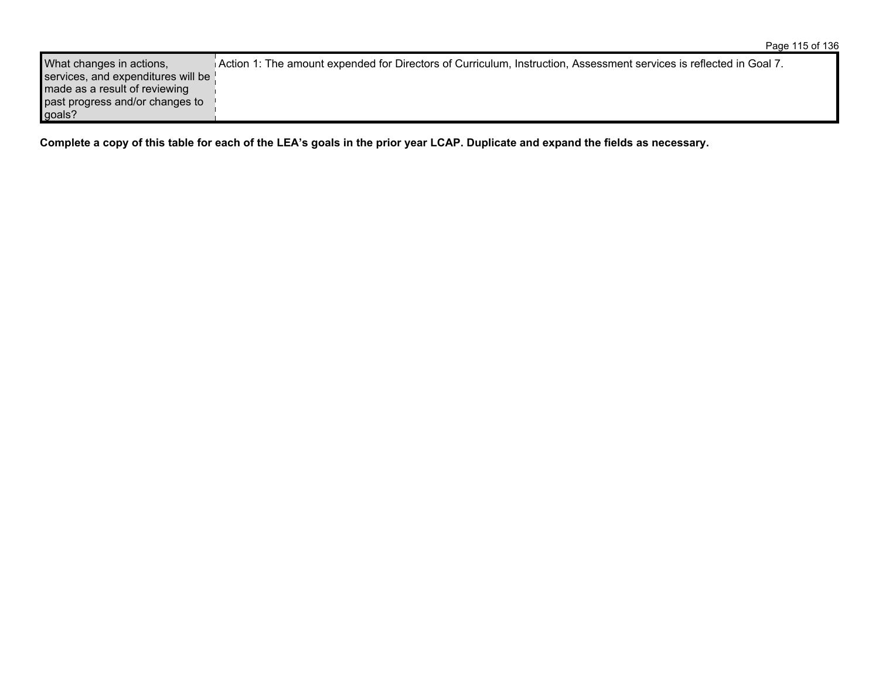| What changes in actions,           | Action 1: The amount expended for Directors of Curriculum, Instruction, Assessment services is reflected in Goal 7. |
|------------------------------------|---------------------------------------------------------------------------------------------------------------------|
| services, and expenditures will be |                                                                                                                     |
| made as a result of reviewing      |                                                                                                                     |
| past progress and/or changes to    |                                                                                                                     |
| goals?                             |                                                                                                                     |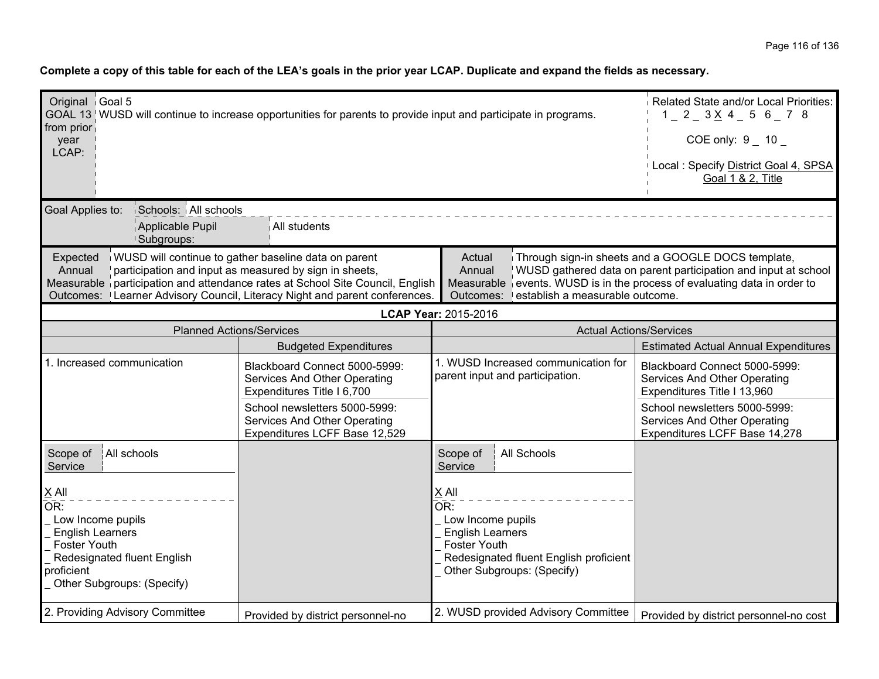| Original Goal 5<br>GOAL 13 WUSD will continue to increase opportunities for parents to provide input and participate in programs.<br>from prior                                                                                                                                                                                                                                                                                                                                                                                                                                             |                                                                                                |                                                                                                                                                             | Related State and/or Local Priorities:<br>$1_{2}$ $2_{3}$ $3$ $3$ $4_{5}$ $5$ $6_{7}$ $7$ $8$  |  |  |
|---------------------------------------------------------------------------------------------------------------------------------------------------------------------------------------------------------------------------------------------------------------------------------------------------------------------------------------------------------------------------------------------------------------------------------------------------------------------------------------------------------------------------------------------------------------------------------------------|------------------------------------------------------------------------------------------------|-------------------------------------------------------------------------------------------------------------------------------------------------------------|------------------------------------------------------------------------------------------------|--|--|
| year                                                                                                                                                                                                                                                                                                                                                                                                                                                                                                                                                                                        |                                                                                                |                                                                                                                                                             | $COE$ only: $9$ 10                                                                             |  |  |
| LCAP:                                                                                                                                                                                                                                                                                                                                                                                                                                                                                                                                                                                       |                                                                                                |                                                                                                                                                             | Local : Specify District Goal 4, SPSA<br>Goal 1 & 2, Title                                     |  |  |
| Goal Applies to:<br>Applicable Pupil<br><sup>1</sup> Subgroups:                                                                                                                                                                                                                                                                                                                                                                                                                                                                                                                             | Schools: All schools<br>All students                                                           |                                                                                                                                                             |                                                                                                |  |  |
| WUSD will continue to gather baseline data on parent<br>Through sign-in sheets and a GOOGLE DOCS template,<br>Expected<br>Actual<br>participation and input as measured by sign in sheets,<br>Annual<br>WUSD gathered data on parent participation and input at school<br>Annual<br>Measurable participation and attendance rates at School Site Council, English<br>Measurable $\frac{1}{2}$ events. WUSD is in the process of evaluating data in order to<br>Outcomes:   Learner Advisory Council, Literacy Night and parent conferences.<br>establish a measurable outcome.<br>Outcomes: |                                                                                                |                                                                                                                                                             |                                                                                                |  |  |
|                                                                                                                                                                                                                                                                                                                                                                                                                                                                                                                                                                                             |                                                                                                | LCAP Year: 2015-2016                                                                                                                                        |                                                                                                |  |  |
| <b>Planned Actions/Services</b>                                                                                                                                                                                                                                                                                                                                                                                                                                                                                                                                                             |                                                                                                | <b>Actual Actions/Services</b>                                                                                                                              |                                                                                                |  |  |
|                                                                                                                                                                                                                                                                                                                                                                                                                                                                                                                                                                                             | <b>Budgeted Expenditures</b>                                                                   |                                                                                                                                                             | <b>Estimated Actual Annual Expenditures</b>                                                    |  |  |
| 1. Increased communication                                                                                                                                                                                                                                                                                                                                                                                                                                                                                                                                                                  | Blackboard Connect 5000-5999:<br>Services And Other Operating<br>Expenditures Title I 6,700    | 1. WUSD Increased communication for<br>parent input and participation.                                                                                      | Blackboard Connect 5000-5999:<br>Services And Other Operating<br>Expenditures Title I 13,960   |  |  |
|                                                                                                                                                                                                                                                                                                                                                                                                                                                                                                                                                                                             | School newsletters 5000-5999:<br>Services And Other Operating<br>Expenditures LCFF Base 12,529 |                                                                                                                                                             | School newsletters 5000-5999:<br>Services And Other Operating<br>Expenditures LCFF Base 14,278 |  |  |
| All schools<br>Scope of<br>Service                                                                                                                                                                                                                                                                                                                                                                                                                                                                                                                                                          |                                                                                                | All Schools<br>Scope of<br>Service                                                                                                                          |                                                                                                |  |  |
| X All<br>OR:<br>Low Income pupils<br><b>English Learners</b><br><b>Foster Youth</b><br>Redesignated fluent English<br>proficient<br>Other Subgroups: (Specify)                                                                                                                                                                                                                                                                                                                                                                                                                              |                                                                                                | X All<br>OR:<br>Low Income pupils<br><b>English Learners</b><br><b>Foster Youth</b><br>Redesignated fluent English proficient<br>Other Subgroups: (Specify) |                                                                                                |  |  |
| 2. Providing Advisory Committee                                                                                                                                                                                                                                                                                                                                                                                                                                                                                                                                                             | Provided by district personnel-no                                                              | 2. WUSD provided Advisory Committee                                                                                                                         | Provided by district personnel-no cost                                                         |  |  |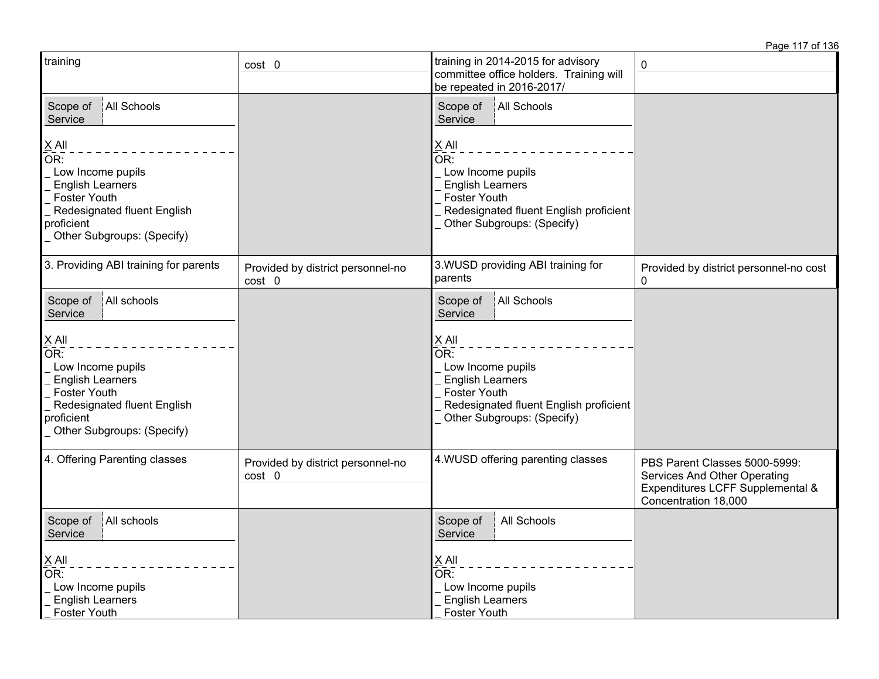|                                                                                                                                                                  |                                                        |                                                                                                                                                             | Page 117 of 136                                                                                                           |
|------------------------------------------------------------------------------------------------------------------------------------------------------------------|--------------------------------------------------------|-------------------------------------------------------------------------------------------------------------------------------------------------------------|---------------------------------------------------------------------------------------------------------------------------|
| training                                                                                                                                                         | cost 0                                                 | training in 2014-2015 for advisory<br>committee office holders. Training will<br>be repeated in 2016-2017/                                                  | $\mathbf 0$                                                                                                               |
| All Schools<br>Scope of<br>Service                                                                                                                               |                                                        | All Schools<br>Scope of<br>Service                                                                                                                          |                                                                                                                           |
| $X$ All<br>OR:<br>Low Income pupils<br><b>English Learners</b><br><b>Foster Youth</b><br>Redesignated fluent English<br>proficient<br>Other Subgroups: (Specify) |                                                        | X All<br>OR:<br>Low Income pupils<br><b>English Learners</b><br><b>Foster Youth</b><br>Redesignated fluent English proficient<br>Other Subgroups: (Specify) |                                                                                                                           |
| 3. Providing ABI training for parents                                                                                                                            | Provided by district personnel-no<br>cost <sub>0</sub> | 3. WUSD providing ABI training for<br>parents                                                                                                               | Provided by district personnel-no cost<br>0                                                                               |
| All schools<br>Scope of<br>Service<br>$X$ All<br>OR:<br>Low Income pupils<br><b>English Learners</b><br>Foster Youth                                             |                                                        | All Schools<br>Scope of<br>Service<br>X All<br>OR:<br>Low Income pupils<br><b>English Learners</b><br><b>Foster Youth</b>                                   |                                                                                                                           |
| Redesignated fluent English<br>proficient<br>Other Subgroups: (Specify)                                                                                          |                                                        | Redesignated fluent English proficient<br>Other Subgroups: (Specify)                                                                                        |                                                                                                                           |
| 4. Offering Parenting classes                                                                                                                                    | Provided by district personnel-no<br>cost 0            | 4. WUSD offering parenting classes                                                                                                                          | PBS Parent Classes 5000-5999:<br>Services And Other Operating<br>Expenditures LCFF Supplemental &<br>Concentration 18,000 |
| All schools<br>Scope of<br>Service                                                                                                                               |                                                        | All Schools<br>Scope of<br>Service                                                                                                                          |                                                                                                                           |
| $\underline{X}$ All<br>OR:<br>Low Income pupils<br><b>English Learners</b><br><b>Foster Youth</b>                                                                |                                                        | X All<br>OR:<br>Low Income pupils<br><b>English Learners</b><br><b>Foster Youth</b>                                                                         |                                                                                                                           |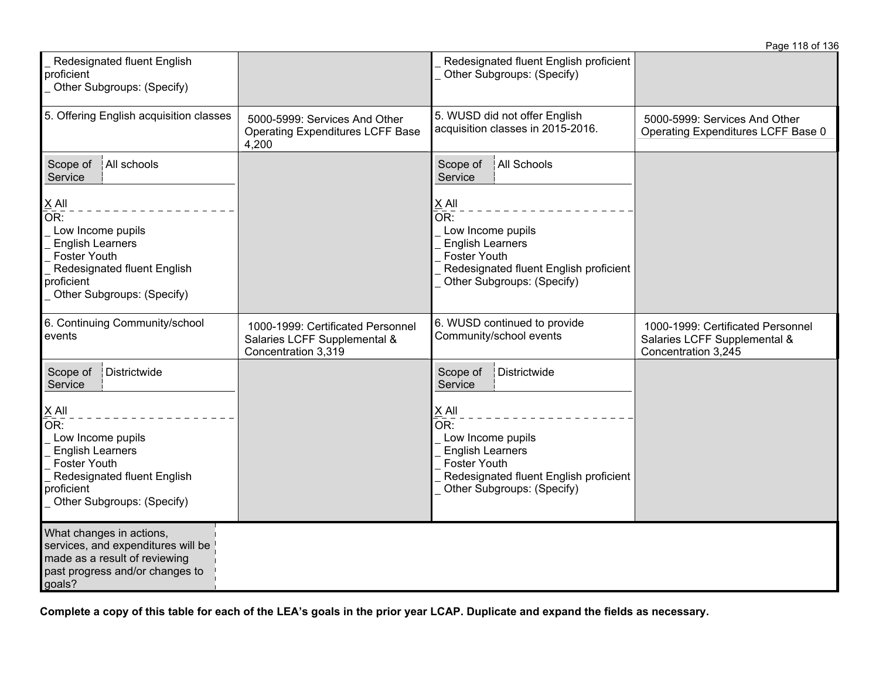|                                                                                                                                                                              |                                                                                          |                                                                                                                                                                                    | Page 118 of 136                                                                          |
|------------------------------------------------------------------------------------------------------------------------------------------------------------------------------|------------------------------------------------------------------------------------------|------------------------------------------------------------------------------------------------------------------------------------------------------------------------------------|------------------------------------------------------------------------------------------|
| Redesignated fluent English<br>proficient<br>Other Subgroups: (Specify)                                                                                                      |                                                                                          | Redesignated fluent English proficient<br>Other Subgroups: (Specify)                                                                                                               |                                                                                          |
| 5. Offering English acquisition classes                                                                                                                                      | 5000-5999: Services And Other<br><b>Operating Expenditures LCFF Base</b><br>4,200        | 5. WUSD did not offer English<br>acquisition classes in 2015-2016.                                                                                                                 | 5000-5999: Services And Other<br>Operating Expenditures LCFF Base 0                      |
| All schools<br>Scope of<br>Service                                                                                                                                           |                                                                                          | Scope of<br><b>All Schools</b><br>Service                                                                                                                                          |                                                                                          |
| $\underline{X}$ All<br>OR:<br>Low Income pupils<br><b>English Learners</b><br><b>Foster Youth</b><br>Redesignated fluent English<br>proficient<br>Other Subgroups: (Specify) |                                                                                          | $X$ All<br>OR:<br>Low Income pupils<br><b>English Learners</b><br><b>Foster Youth</b><br>Redesignated fluent English proficient<br>Other Subgroups: (Specify)                      |                                                                                          |
| 6. Continuing Community/school<br>events                                                                                                                                     | 1000-1999: Certificated Personnel<br>Salaries LCFF Supplemental &<br>Concentration 3,319 | 6. WUSD continued to provide<br>Community/school events                                                                                                                            | 1000-1999: Certificated Personnel<br>Salaries LCFF Supplemental &<br>Concentration 3,245 |
| Scope of<br>Districtwide<br>Service                                                                                                                                          |                                                                                          | Scope of<br>Districtwide<br>Service                                                                                                                                                |                                                                                          |
| $X$ All<br>OR:<br>Low Income pupils<br><b>English Learners</b><br>Foster Youth<br>Redesignated fluent English<br>proficient<br>Other Subgroups: (Specify)                    |                                                                                          | X All<br>$\overline{\mathsf{OR}}$ :<br>Low Income pupils<br><b>English Learners</b><br><b>Foster Youth</b><br>Redesignated fluent English proficient<br>Other Subgroups: (Specify) |                                                                                          |
| What changes in actions,<br>services, and expenditures will be<br>made as a result of reviewing<br>past progress and/or changes to<br>goals?                                 |                                                                                          |                                                                                                                                                                                    |                                                                                          |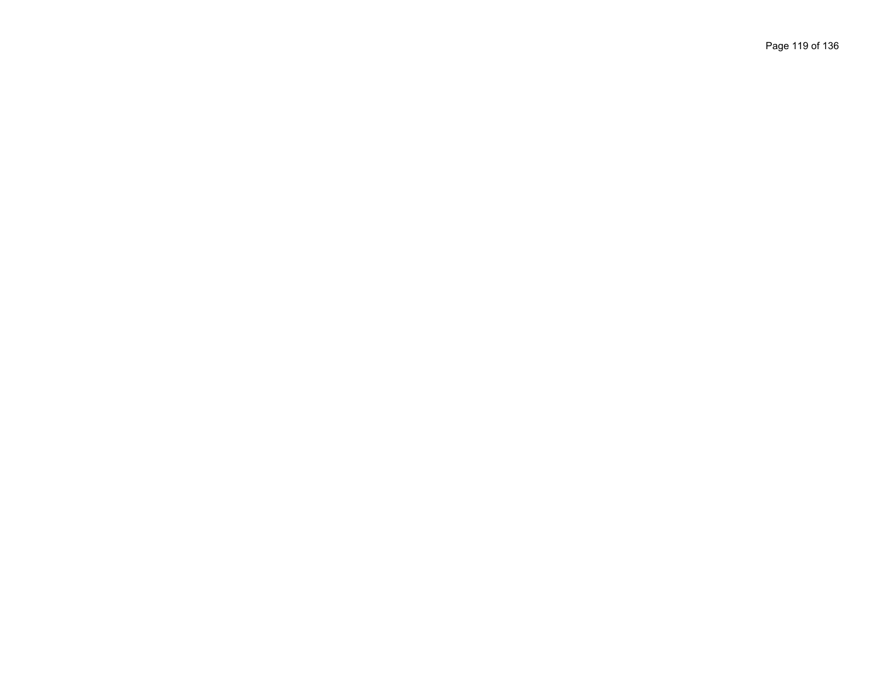Page 119 of 136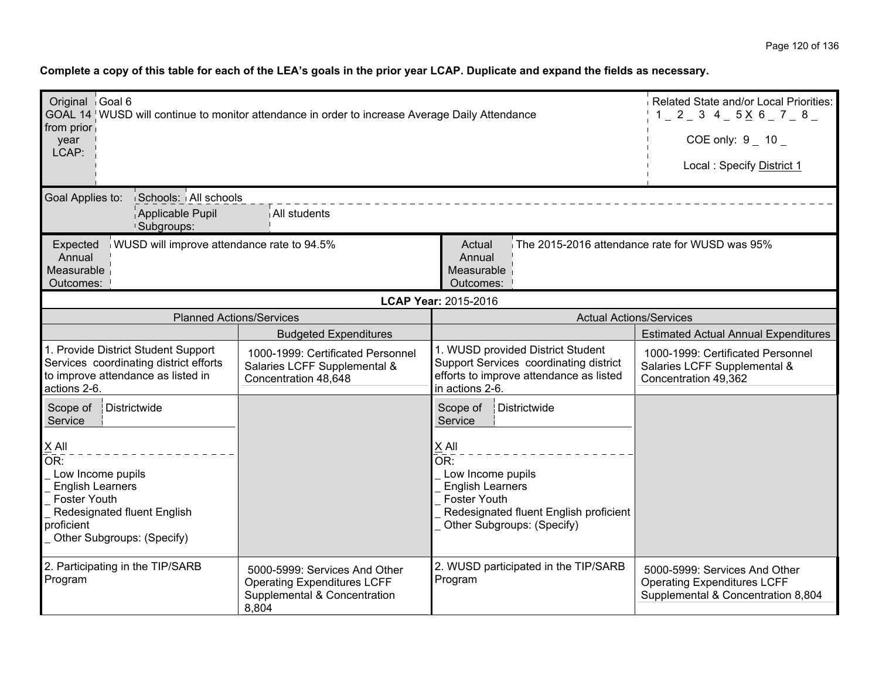| Original Goal 6<br>GOAL 14 WUSD will continue to monitor attendance in order to increase Average Daily Attendance<br>from prior<br>year<br>LCAP:        |                                                                                                              |                                                                                                                                                             | Related State and/or Local Priorities:<br>$1 - 2 - 3$ 4 - 5 $\times$ 6 - 7 - 8 -<br>COE only: $9 - 10 -$<br>Local: Specify District 1 |
|---------------------------------------------------------------------------------------------------------------------------------------------------------|--------------------------------------------------------------------------------------------------------------|-------------------------------------------------------------------------------------------------------------------------------------------------------------|---------------------------------------------------------------------------------------------------------------------------------------|
| Schools: All schools<br>Goal Applies to:<br>Applicable Pupil<br><sup>1</sup> Subgroups:                                                                 | All students                                                                                                 |                                                                                                                                                             |                                                                                                                                       |
| WUSD will improve attendance rate to 94.5%<br>Expected<br>Annual<br>Measurable<br>Outcomes:                                                             |                                                                                                              | Actual<br>Annual<br>Measurable<br>Outcomes:                                                                                                                 | The 2015-2016 attendance rate for WUSD was 95%                                                                                        |
|                                                                                                                                                         |                                                                                                              | LCAP Year: 2015-2016                                                                                                                                        |                                                                                                                                       |
| <b>Planned Actions/Services</b>                                                                                                                         |                                                                                                              | <b>Actual Actions/Services</b>                                                                                                                              |                                                                                                                                       |
|                                                                                                                                                         | <b>Budgeted Expenditures</b>                                                                                 |                                                                                                                                                             | <b>Estimated Actual Annual Expenditures</b>                                                                                           |
| 1. Provide District Student Support<br>Services coordinating district efforts<br>to improve attendance as listed in<br>actions 2-6.                     | 1000-1999: Certificated Personnel<br>Salaries LCFF Supplemental &<br>Concentration 48,648                    | 1. WUSD provided District Student<br>Support Services coordinating district<br>efforts to improve attendance as listed<br>in actions 2-6.                   | 1000-1999: Certificated Personnel<br>Salaries LCFF Supplemental &<br>Concentration 49,362                                             |
| Scope of<br>Districtwide<br>Service                                                                                                                     |                                                                                                              | Scope of<br>Districtwide<br>Service                                                                                                                         |                                                                                                                                       |
| X All<br>OR:<br>Low Income pupils<br><b>English Learners</b><br>Foster Youth<br>Redesignated fluent English<br>proficient<br>Other Subgroups: (Specify) |                                                                                                              | X All<br>OR:<br>Low Income pupils<br><b>English Learners</b><br><b>Foster Youth</b><br>Redesignated fluent English proficient<br>Other Subgroups: (Specify) |                                                                                                                                       |
| 2. Participating in the TIP/SARB<br>Program                                                                                                             | 5000-5999: Services And Other<br><b>Operating Expenditures LCFF</b><br>Supplemental & Concentration<br>8,804 | 2. WUSD participated in the TIP/SARB<br>Program                                                                                                             | 5000-5999: Services And Other<br><b>Operating Expenditures LCFF</b><br>Supplemental & Concentration 8,804                             |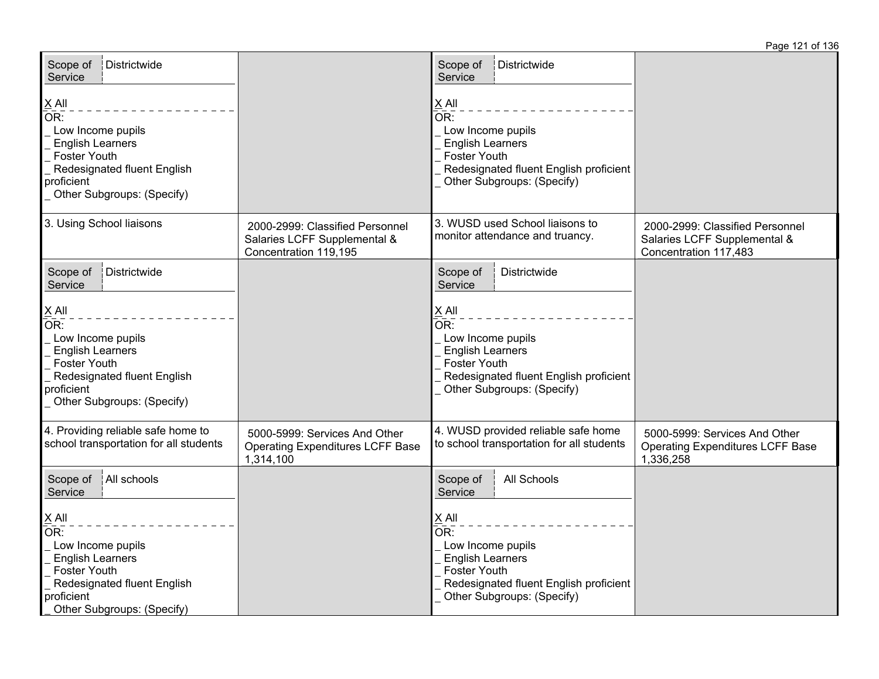| Districtwide<br>Scope of<br>Service                                                                                                                              |                                                                                          | Scope of<br>Districtwide<br>Service                                                                                                                                                                |                                                                                          |
|------------------------------------------------------------------------------------------------------------------------------------------------------------------|------------------------------------------------------------------------------------------|----------------------------------------------------------------------------------------------------------------------------------------------------------------------------------------------------|------------------------------------------------------------------------------------------|
| $X$ All<br>OR:<br>Low Income pupils<br><b>English Learners</b><br><b>Foster Youth</b><br>Redesignated fluent English<br>proficient<br>Other Subgroups: (Specify) |                                                                                          | $\underline{X}$ All<br>$\overline{OR}$ :<br>Low Income pupils<br><b>English Learners</b><br><b>Foster Youth</b><br>Redesignated fluent English proficient<br>Other Subgroups: (Specify)            |                                                                                          |
| 3. Using School liaisons                                                                                                                                         | 2000-2999: Classified Personnel<br>Salaries LCFF Supplemental &<br>Concentration 119,195 | 3. WUSD used School liaisons to<br>monitor attendance and truancy.                                                                                                                                 | 2000-2999: Classified Personnel<br>Salaries LCFF Supplemental &<br>Concentration 117,483 |
| Districtwide<br>Scope of<br>Service                                                                                                                              |                                                                                          | Districtwide<br>Scope of<br>Service                                                                                                                                                                |                                                                                          |
| $X$ All<br>OR:<br>Low Income pupils<br><b>English Learners</b><br><b>Foster Youth</b><br>Redesignated fluent English<br>proficient<br>Other Subgroups: (Specify) |                                                                                          | $X$ All<br>OR:<br>Low Income pupils<br><b>English Learners</b><br><b>Foster Youth</b><br>Redesignated fluent English proficient<br>Other Subgroups: (Specify)                                      |                                                                                          |
| 4. Providing reliable safe home to<br>school transportation for all students                                                                                     | 5000-5999: Services And Other<br><b>Operating Expenditures LCFF Base</b><br>1,314,100    | 4. WUSD provided reliable safe home<br>to school transportation for all students                                                                                                                   | 5000-5999: Services And Other<br><b>Operating Expenditures LCFF Base</b><br>1,336,258    |
| All schools<br>Scope of<br>Service                                                                                                                               |                                                                                          | Scope of<br>All Schools<br>Service                                                                                                                                                                 |                                                                                          |
| $X$ All<br>OR:<br>Low Income pupils<br><b>English Learners</b><br><b>Foster Youth</b><br>Redesignated fluent English<br>proficient<br>Other Subgroups: (Specify) |                                                                                          | $\underline{X}$ All<br>$\overline{\overline{OR}}$ :<br>Low Income pupils<br><b>English Learners</b><br><b>Foster Youth</b><br>Redesignated fluent English proficient<br>Other Subgroups: (Specify) |                                                                                          |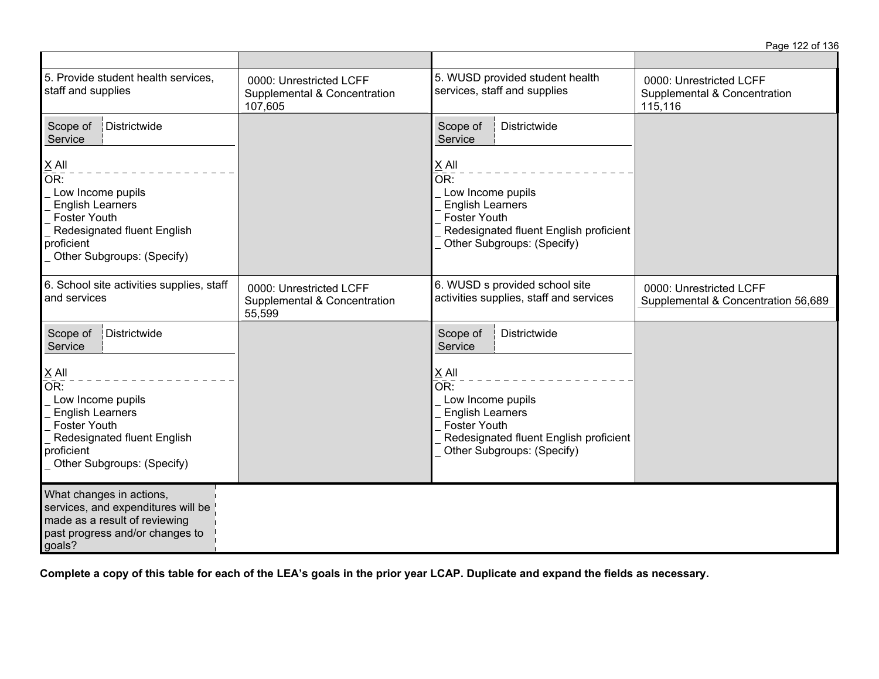5. Provide student health services, staff and supplies 0000: Unrestricted LCFF Supplemental & Concentration 107,605 5. WUSD provided student health services, staff and supplies 0000: Unrestricted LCFF Supplemental & Concentration 115,116 Scope of Service Districtwide X All  $OR:$  Low Income pupils English Learners Foster Youth Redesignated fluent English proficient Other Subgroups: (Specify) Scope of Service Districtwide X All  $OR:$  Low Income pupils English Learners Foster Youth Redesignated fluent English proficient Other Subgroups: (Specify) 6. School site activities supplies, staff and services 0000: Unrestricted LCFF Supplemental & Concentration 55,599 6. WUSD s provided school site activities supplies, staff and services 0000: Unrestricted LCFF Supplemental & Concentration 56,689 Scope of **Service** Districtwide X All  $\overline{\mathsf{OR}^+}$  Low Income pupils English Learners Foster Youth Redesignated fluent English proficient Other Subgroups: (Specify) Scope of Service **Districtwide** X All  $OR:$  Low Income pupils English Learners Foster Youth Redesignated fluent English proficient Other Subgroups: (Specify) What changes in actions, services, and expenditures will be made as a result of reviewing past progress and/or changes to goals?

Page 122 of 136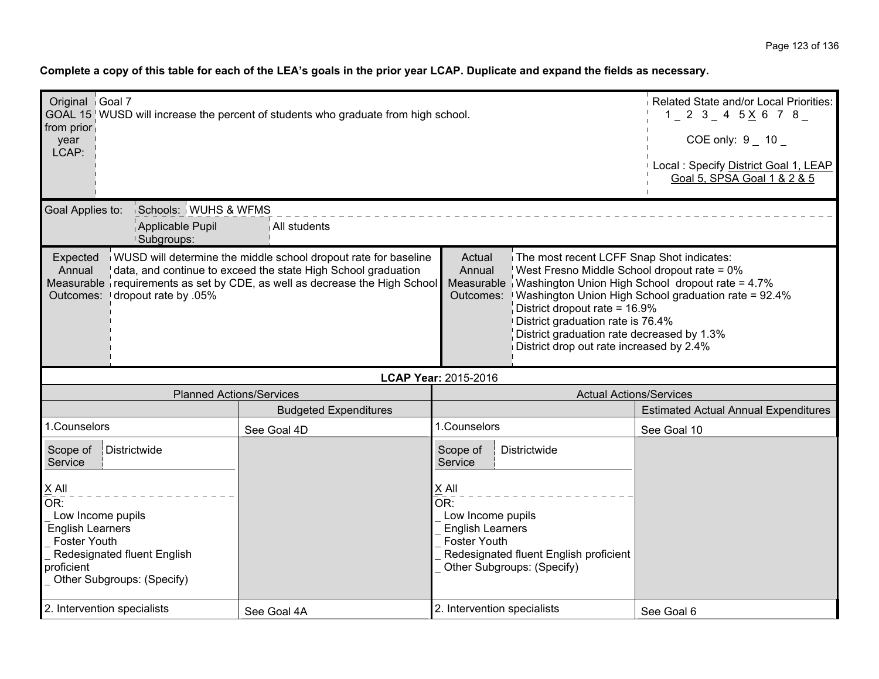| Original Goal 7<br>GOAL 15 WUSD will increase the percent of students who graduate from high school.<br>from prior<br>year<br>LCAP:                                                                     | Related State and/or Local Priorities:<br>$1$ $-$ 2 3 $-$ 4 5 $\times$ 6 7 8 $-$<br>COE only: $9 - 10$                                                                                                         |                                                                                                                                                                                                                                                                                                                                                                                                                        |                                             |  |  |  |
|---------------------------------------------------------------------------------------------------------------------------------------------------------------------------------------------------------|----------------------------------------------------------------------------------------------------------------------------------------------------------------------------------------------------------------|------------------------------------------------------------------------------------------------------------------------------------------------------------------------------------------------------------------------------------------------------------------------------------------------------------------------------------------------------------------------------------------------------------------------|---------------------------------------------|--|--|--|
| Local : Specify District Goal 1, LEAP<br>Goal 5, SPSA Goal 1 & 2 & 5                                                                                                                                    |                                                                                                                                                                                                                |                                                                                                                                                                                                                                                                                                                                                                                                                        |                                             |  |  |  |
| Goal Applies to:<br>Applicable Pupil<br>Subgroups:                                                                                                                                                      | Schools: WUHS & WFMS<br>All students                                                                                                                                                                           |                                                                                                                                                                                                                                                                                                                                                                                                                        |                                             |  |  |  |
| Expected<br>Annual<br>dropout rate by .05%<br>Outcomes:                                                                                                                                                 | WUSD will determine the middle school dropout rate for baseline<br>data, and continue to exceed the state High School graduation<br>Measurable requirements as set by CDE, as well as decrease the High School | The most recent LCFF Snap Shot indicates:<br>Actual<br>West Fresno Middle School dropout rate = 0%<br>Annual<br>Washington Union High School dropout rate = $4.7\%$<br>Measurable<br>Washington Union High School graduation rate = 92.4%<br>Outcomes:<br>District dropout rate = 16.9%<br>District graduation rate is 76.4%<br>District graduation rate decreased by 1.3%<br>District drop out rate increased by 2.4% |                                             |  |  |  |
| LCAP Year: 2015-2016                                                                                                                                                                                    |                                                                                                                                                                                                                |                                                                                                                                                                                                                                                                                                                                                                                                                        |                                             |  |  |  |
| <b>Planned Actions/Services</b>                                                                                                                                                                         |                                                                                                                                                                                                                |                                                                                                                                                                                                                                                                                                                                                                                                                        | <b>Actual Actions/Services</b>              |  |  |  |
|                                                                                                                                                                                                         | <b>Budgeted Expenditures</b>                                                                                                                                                                                   |                                                                                                                                                                                                                                                                                                                                                                                                                        | <b>Estimated Actual Annual Expenditures</b> |  |  |  |
| 1.Counselors                                                                                                                                                                                            | See Goal 4D                                                                                                                                                                                                    | 1.Counselors                                                                                                                                                                                                                                                                                                                                                                                                           | See Goal 10                                 |  |  |  |
| Districtwide<br>Scope of<br>Service                                                                                                                                                                     |                                                                                                                                                                                                                | Scope of<br>Districtwide<br>Service                                                                                                                                                                                                                                                                                                                                                                                    |                                             |  |  |  |
| $X$ All<br>X All<br>OR:<br>OR:<br>Low Income pupils<br><b>English Learners</b><br><b>Foster Youth</b><br><b>Foster Youth</b><br>Redesignated fluent English<br>proficient<br>Other Subgroups: (Specify) |                                                                                                                                                                                                                | Low Income pupils<br><b>English Learners</b><br>Redesignated fluent English proficient<br>Other Subgroups: (Specify)                                                                                                                                                                                                                                                                                                   |                                             |  |  |  |
| 2. Intervention specialists                                                                                                                                                                             | See Goal 4A                                                                                                                                                                                                    | 2. Intervention specialists                                                                                                                                                                                                                                                                                                                                                                                            | See Goal 6                                  |  |  |  |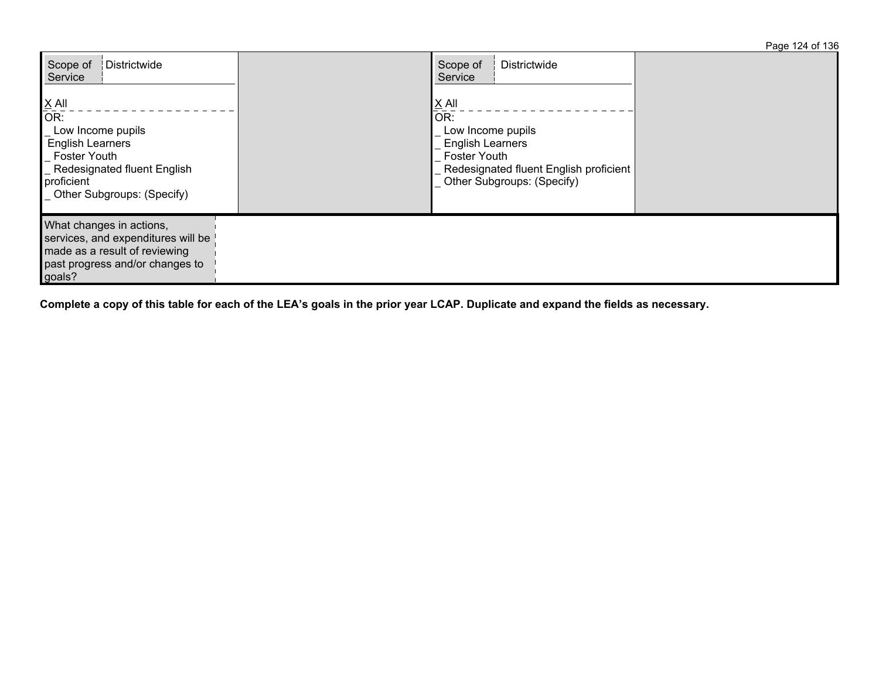Page 124 of 136

| Districtwide<br>Scope of<br>Service                                                                                                                      | Districtwide<br>Scope of<br>Service                                                                                                                         |
|----------------------------------------------------------------------------------------------------------------------------------------------------------|-------------------------------------------------------------------------------------------------------------------------------------------------------------|
| $\frac{X}{OR}$<br>Low Income pupils<br>English Learners<br>- Foster Youth<br>_ Redesignated fluent English<br>proficient<br>_ Other Subgroups: (Specify) | X All<br>OR:<br>Low Income pupils<br><b>English Learners</b><br><b>Foster Youth</b><br>Redesignated fluent English proficient<br>Other Subgroups: (Specify) |
| What changes in actions,<br>services, and expenditures will be<br>made as a result of reviewing<br>past progress and/or changes to<br>goals?             |                                                                                                                                                             |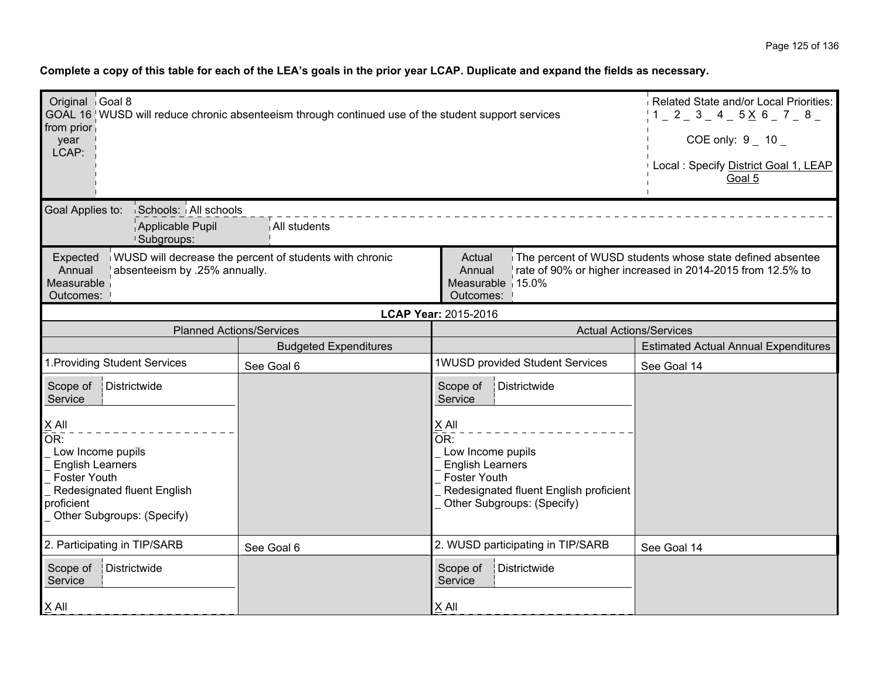| Original Goal 8<br>GOAL 16 WUSD will reduce chronic absenteeism through continued use of the student support services<br>from prior<br>year                           | Related State and/or Local Priorities:<br>$1 - 2 - 3 - 4 - 5 \times 6 - 7 - 8$<br>COE only: $9 - 10 -$                                                                                                                                                                      |                                                                                                                                                                                    |                                             |  |  |  |
|-----------------------------------------------------------------------------------------------------------------------------------------------------------------------|-----------------------------------------------------------------------------------------------------------------------------------------------------------------------------------------------------------------------------------------------------------------------------|------------------------------------------------------------------------------------------------------------------------------------------------------------------------------------|---------------------------------------------|--|--|--|
| LCAP:<br>Local : Specify District Goal 1, LEAP<br>Goal 5                                                                                                              |                                                                                                                                                                                                                                                                             |                                                                                                                                                                                    |                                             |  |  |  |
| Schools: All schools<br>Goal Applies to:<br>Applicable Pupil<br><sup>1</sup> Subgroups:                                                                               | All students                                                                                                                                                                                                                                                                |                                                                                                                                                                                    |                                             |  |  |  |
| Expected<br>Annual<br>Measurable<br>Outcomes:                                                                                                                         | WUSD will decrease the percent of students with chronic<br>Actual<br>The percent of WUSD students whose state defined absentee<br>absenteeism by .25% annually.<br>Annual<br>rate of 90% or higher increased in 2014-2015 from 12.5% to<br>Measurable $15.0\%$<br>Outcomes: |                                                                                                                                                                                    |                                             |  |  |  |
| LCAP Year: 2015-2016                                                                                                                                                  |                                                                                                                                                                                                                                                                             |                                                                                                                                                                                    |                                             |  |  |  |
| <b>Planned Actions/Services</b><br><b>Actual Actions/Services</b>                                                                                                     |                                                                                                                                                                                                                                                                             |                                                                                                                                                                                    |                                             |  |  |  |
|                                                                                                                                                                       | <b>Budgeted Expenditures</b>                                                                                                                                                                                                                                                |                                                                                                                                                                                    | <b>Estimated Actual Annual Expenditures</b> |  |  |  |
| 1. Providing Student Services                                                                                                                                         | See Goal 6                                                                                                                                                                                                                                                                  | 1WUSD provided Student Services                                                                                                                                                    | See Goal 14                                 |  |  |  |
| Scope of<br>Districtwide<br>Service                                                                                                                                   |                                                                                                                                                                                                                                                                             | Scope of<br>Districtwide<br>Service                                                                                                                                                |                                             |  |  |  |
| $\times$ All<br>OR:<br>Low Income pupils<br><b>English Learners</b><br><b>Foster Youth</b><br>Redesignated fluent English<br>proficient<br>Other Subgroups: (Specify) |                                                                                                                                                                                                                                                                             | X All<br>$\overline{\mathsf{OR}}$ :<br>Low Income pupils<br><b>English Learners</b><br><b>Foster Youth</b><br>Redesignated fluent English proficient<br>Other Subgroups: (Specify) |                                             |  |  |  |
| 2. Participating in TIP/SARB                                                                                                                                          | See Goal 6                                                                                                                                                                                                                                                                  | 2. WUSD participating in TIP/SARB                                                                                                                                                  | See Goal 14                                 |  |  |  |
| Districtwide<br>Scope of<br>Service                                                                                                                                   |                                                                                                                                                                                                                                                                             | Districtwide<br>Scope of<br>Service                                                                                                                                                |                                             |  |  |  |
| $\underline{X}$ All                                                                                                                                                   |                                                                                                                                                                                                                                                                             | X All                                                                                                                                                                              |                                             |  |  |  |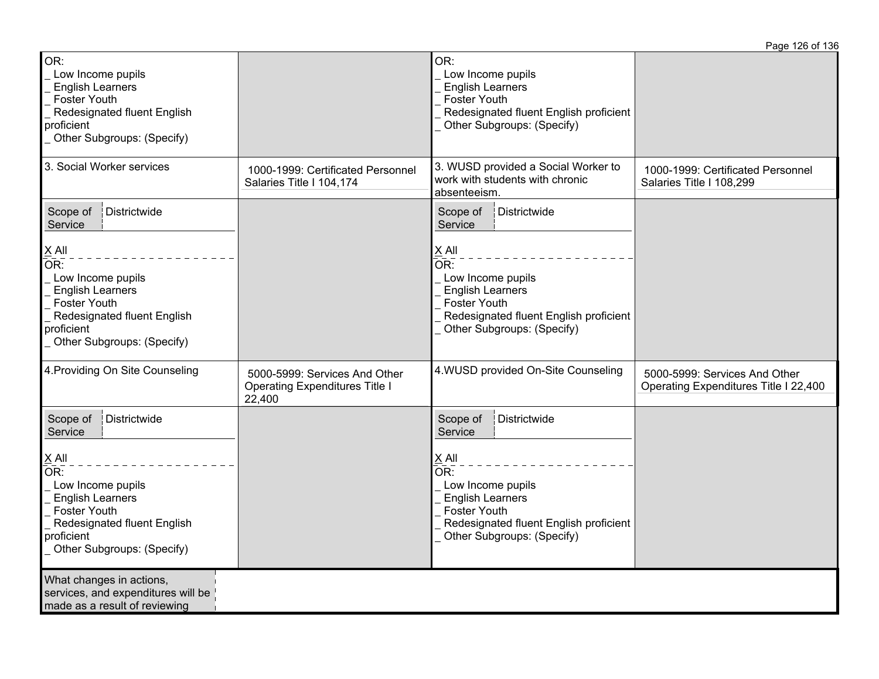|                                                                                                                                                                                                       |                                                                                  |                                                                                                                                                                                                             | Page 126 of 136                                                        |
|-------------------------------------------------------------------------------------------------------------------------------------------------------------------------------------------------------|----------------------------------------------------------------------------------|-------------------------------------------------------------------------------------------------------------------------------------------------------------------------------------------------------------|------------------------------------------------------------------------|
| OR:<br>Low Income pupils<br><b>English Learners</b><br><b>Foster Youth</b><br>Redesignated fluent English<br>proficient<br>Other Subgroups: (Specify)                                                 |                                                                                  | OR:<br>Low Income pupils<br><b>English Learners</b><br><b>Foster Youth</b><br>Redesignated fluent English proficient<br>Other Subgroups: (Specify)                                                          |                                                                        |
| 3. Social Worker services                                                                                                                                                                             | 1000-1999: Certificated Personnel<br>Salaries Title I 104,174                    | 3. WUSD provided a Social Worker to<br>work with students with chronic<br>absenteeism.                                                                                                                      | 1000-1999: Certificated Personnel<br>Salaries Title I 108,299          |
| Districtwide<br>Scope of<br>Service                                                                                                                                                                   |                                                                                  | Scope of<br>Districtwide<br>Service                                                                                                                                                                         |                                                                        |
| $\times$ All<br>OR:<br>Low Income pupils<br><b>English Learners</b><br>Foster Youth<br>Redesignated fluent English<br>proficient<br>Other Subgroups: (Specify)                                        |                                                                                  | X All<br>OR:<br>Low Income pupils<br><b>English Learners</b><br><b>Foster Youth</b><br>Redesignated fluent English proficient<br>Other Subgroups: (Specify)                                                 |                                                                        |
| 4. Providing On Site Counseling                                                                                                                                                                       | 5000-5999: Services And Other<br><b>Operating Expenditures Title I</b><br>22,400 | 4. WUSD provided On-Site Counseling                                                                                                                                                                         | 5000-5999: Services And Other<br>Operating Expenditures Title I 22,400 |
| Districtwide<br>Scope of<br>Service<br>$\times$ All<br>OR:<br>Low Income pupils<br><b>English Learners</b><br>Foster Youth<br>Redesignated fluent English<br>proficient<br>Other Subgroups: (Specify) |                                                                                  | Districtwide<br>Scope of<br>Service<br>$X$ All<br>$\overline{OR}$ :<br>Low Income pupils<br><b>English Learners</b><br>Foster Youth<br>Redesignated fluent English proficient<br>Other Subgroups: (Specify) |                                                                        |
| What changes in actions,<br>services, and expenditures will be<br>made as a result of reviewing                                                                                                       |                                                                                  |                                                                                                                                                                                                             |                                                                        |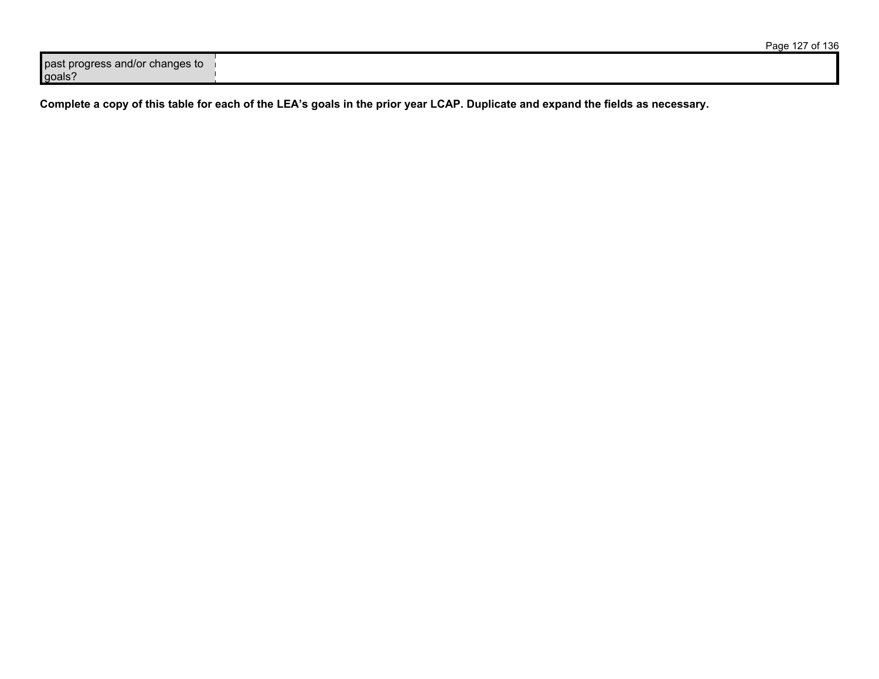| past progress and/or changes to |  |
|---------------------------------|--|
| goals?                          |  |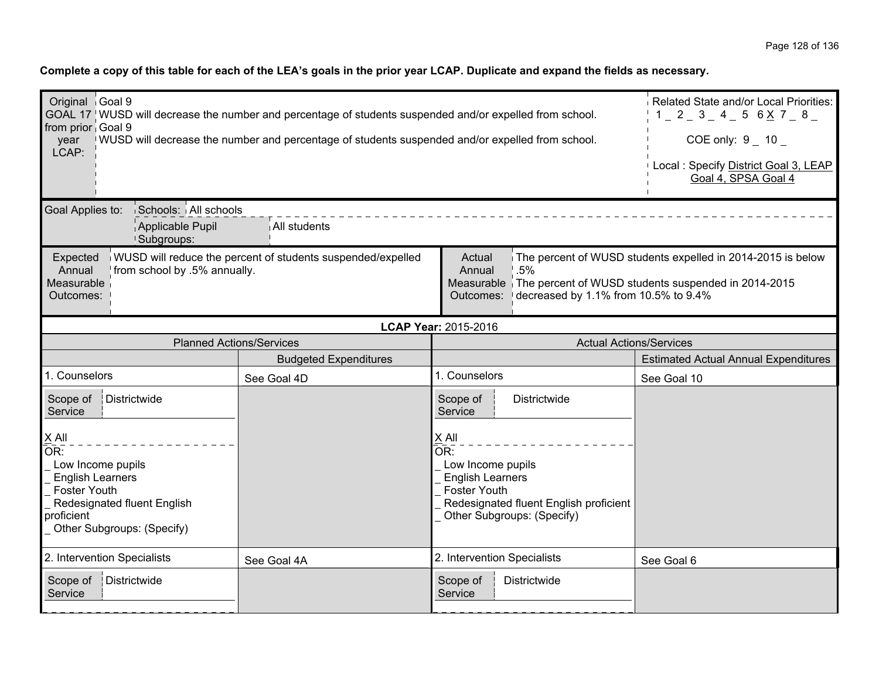| Original Goal 9<br>GOAL 17 WUSD will decrease the number and percentage of students suspended and/or expelled from school.                           | Related State and/or Local Priorities:<br>$1 - 2 - 3 - 4 - 5 6 \times 7 - 8$                                              |                                                               |              |                                                             |  |  |
|------------------------------------------------------------------------------------------------------------------------------------------------------|---------------------------------------------------------------------------------------------------------------------------|---------------------------------------------------------------|--------------|-------------------------------------------------------------|--|--|
| from prior Goal 9<br>WUSD will decrease the number and percentage of students suspended and/or expelled from school.<br>COE only: $9 - 10 -$<br>year |                                                                                                                           |                                                               |              |                                                             |  |  |
| LCAP:<br>Local : Specify District Goal 3, LEAP<br>Goal 4, SPSA Goal 4                                                                                |                                                                                                                           |                                                               |              |                                                             |  |  |
| Goal Applies to:<br>Schools: All schools                                                                                                             |                                                                                                                           |                                                               |              |                                                             |  |  |
| Applicable Pupil<br>Subgroups:                                                                                                                       | All students                                                                                                              |                                                               |              |                                                             |  |  |
| Expected                                                                                                                                             | WUSD will reduce the percent of students suspended/expelled                                                               | Actual                                                        |              | The percent of WUSD students expelled in 2014-2015 is below |  |  |
| Measurable                                                                                                                                           | from school by .5% annually.<br>Annual<br>Annual<br>.5%<br>Measurable The percent of WUSD students suspended in 2014-2015 |                                                               |              |                                                             |  |  |
| Outcomes:                                                                                                                                            |                                                                                                                           | decreased by 1.1% from 10.5% to 9.4%                          |              |                                                             |  |  |
| LCAP Year: 2015-2016                                                                                                                                 |                                                                                                                           |                                                               |              |                                                             |  |  |
| <b>Planned Actions/Services</b><br><b>Actual Actions/Services</b>                                                                                    |                                                                                                                           |                                                               |              |                                                             |  |  |
|                                                                                                                                                      | <b>Budgeted Expenditures</b>                                                                                              | <b>Estimated Actual Annual Expenditures</b>                   |              |                                                             |  |  |
| 1. Counselors                                                                                                                                        | See Goal 4D                                                                                                               | 1. Counselors                                                 |              | See Goal 10                                                 |  |  |
| Scope of<br>Districtwide<br>Service                                                                                                                  |                                                                                                                           | Scope of<br>Service                                           | Districtwide |                                                             |  |  |
| $X$ All                                                                                                                                              |                                                                                                                           | X All                                                         |              |                                                             |  |  |
| OR:                                                                                                                                                  |                                                                                                                           | $\overline{\overline{\text{OR}}}$ :                           |              |                                                             |  |  |
| Low Income pupils                                                                                                                                    |                                                                                                                           | Low Income pupils                                             |              |                                                             |  |  |
| <b>English Learners</b>                                                                                                                              |                                                                                                                           | <b>English Learners</b>                                       |              |                                                             |  |  |
| <b>Foster Youth</b><br>Redesignated fluent English                                                                                                   |                                                                                                                           | <b>Foster Youth</b><br>Redesignated fluent English proficient |              |                                                             |  |  |
| proficient                                                                                                                                           |                                                                                                                           | Other Subgroups: (Specify)                                    |              |                                                             |  |  |
| Other Subgroups: (Specify)                                                                                                                           |                                                                                                                           |                                                               |              |                                                             |  |  |
| 2. Intervention Specialists                                                                                                                          | See Goal 4A                                                                                                               | 2. Intervention Specialists                                   |              | See Goal 6                                                  |  |  |
| Districtwide<br>Scope of<br>Service                                                                                                                  |                                                                                                                           | Scope of<br>Districtwide<br>Service                           |              |                                                             |  |  |
|                                                                                                                                                      |                                                                                                                           |                                                               |              |                                                             |  |  |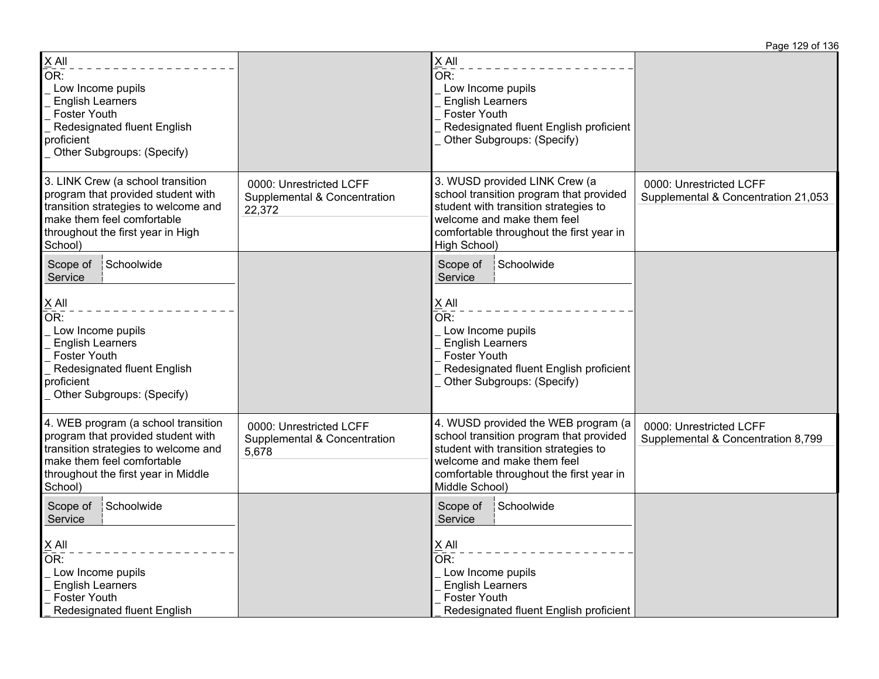|  | Page 129 of 136 |  |  |  |
|--|-----------------|--|--|--|
|--|-----------------|--|--|--|

| $\underline{X}$ All<br>OR:<br>Low Income pupils<br><b>English Learners</b><br><b>Foster Youth</b><br>Redesignated fluent English<br>proficient<br>Other Subgroups: (Specify)                          |                                                                   | $\underline{X}$ All<br>$\overline{\mathsf{OR}!}$<br>Low Income pupils<br><b>English Learners</b><br><b>Foster Youth</b><br>Redesignated fluent English proficient<br>Other Subgroups: (Specify)                     |                                                                |
|-------------------------------------------------------------------------------------------------------------------------------------------------------------------------------------------------------|-------------------------------------------------------------------|---------------------------------------------------------------------------------------------------------------------------------------------------------------------------------------------------------------------|----------------------------------------------------------------|
| 3. LINK Crew (a school transition<br>program that provided student with<br>transition strategies to welcome and<br>make them feel comfortable<br>throughout the first year in High<br>School)         | 0000: Unrestricted LCFF<br>Supplemental & Concentration<br>22,372 | 3. WUSD provided LINK Crew (a<br>school transition program that provided<br>student with transition strategies to<br>welcome and make them feel<br>comfortable throughout the first year in<br>High School)         | 0000: Unrestricted LCFF<br>Supplemental & Concentration 21,053 |
| Schoolwide<br>Scope of<br>Service<br>$X$ All<br>OR:<br>Low Income pupils<br><b>English Learners</b><br><b>Foster Youth</b><br>Redesignated fluent English<br>proficient<br>Other Subgroups: (Specify) |                                                                   | Schoolwide<br>Scope of<br>Service<br>$\times$ All<br>OR:<br>Low Income pupils<br><b>English Learners</b><br><b>Foster Youth</b><br>Redesignated fluent English proficient<br>Other Subgroups: (Specify)             |                                                                |
| 4. WEB program (a school transition<br>program that provided student with<br>transition strategies to welcome and<br>make them feel comfortable<br>throughout the first year in Middle<br>School)     | 0000: Unrestricted LCFF<br>Supplemental & Concentration<br>5,678  | 4. WUSD provided the WEB program (a<br>school transition program that provided<br>student with transition strategies to<br>welcome and make them feel<br>comfortable throughout the first year in<br>Middle School) | 0000: Unrestricted LCFF<br>Supplemental & Concentration 8,799  |
| Schoolwide<br>Scope of<br>Service<br>$\underline{X}$ All<br>OR:<br>Low Income pupils<br><b>English Learners</b><br><b>Foster Youth</b><br><b>Redesignated fluent English</b>                          |                                                                   | Schoolwide<br>Scope of<br>Service<br>$X$ All<br>OR:<br>Low Income pupils<br><b>English Learners</b><br><b>Foster Youth</b><br>Redesignated fluent English proficient                                                |                                                                |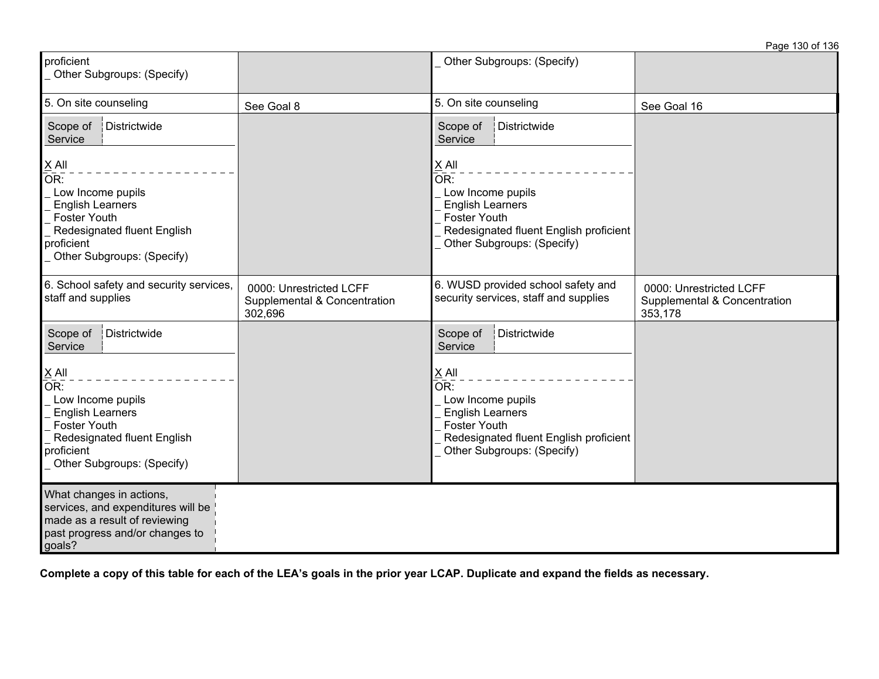| Page 130 of 136 |  |  |
|-----------------|--|--|
|                 |  |  |

| proficient<br>Other Subgroups: (Specify)                                                                                                                         |                                                                    | Other Subgroups: (Specify)                                                                                                                                                                  |                                                                    |
|------------------------------------------------------------------------------------------------------------------------------------------------------------------|--------------------------------------------------------------------|---------------------------------------------------------------------------------------------------------------------------------------------------------------------------------------------|--------------------------------------------------------------------|
| 5. On site counseling                                                                                                                                            | See Goal 8                                                         | 5. On site counseling                                                                                                                                                                       | See Goal 16                                                        |
| Districtwide<br>Scope of<br>Service                                                                                                                              |                                                                    | Districtwide<br>Scope of<br>Service                                                                                                                                                         |                                                                    |
| $X$ All<br>OR:<br>Low Income pupils<br><b>English Learners</b><br><b>Foster Youth</b><br>Redesignated fluent English<br>proficient<br>Other Subgroups: (Specify) |                                                                    | $\underline{X}$ All<br>$\overline{\overline{OR}}$ :<br>Low Income pupils<br><b>English Learners</b><br>Foster Youth<br>Redesignated fluent English proficient<br>Other Subgroups: (Specify) |                                                                    |
| 6. School safety and security services,<br>staff and supplies                                                                                                    | 0000: Unrestricted LCFF<br>Supplemental & Concentration<br>302,696 | 6. WUSD provided school safety and<br>security services, staff and supplies                                                                                                                 | 0000: Unrestricted LCFF<br>Supplemental & Concentration<br>353,178 |
| Scope of<br>Districtwide<br>Service                                                                                                                              |                                                                    | Scope of<br>Districtwide<br>Service                                                                                                                                                         |                                                                    |
| $X$ All<br>OR:<br>Low Income pupils<br><b>English Learners</b><br><b>Foster Youth</b><br>Redesignated fluent English<br>proficient<br>Other Subgroups: (Specify) |                                                                    | X All<br>$\overline{\mathsf{OR}}$ :<br>Low Income pupils<br><b>English Learners</b><br><b>Foster Youth</b><br>Redesignated fluent English proficient<br>Other Subgroups: (Specify)          |                                                                    |
| What changes in actions,<br>services, and expenditures will be<br>made as a result of reviewing<br>past progress and/or changes to<br>goals?                     |                                                                    |                                                                                                                                                                                             |                                                                    |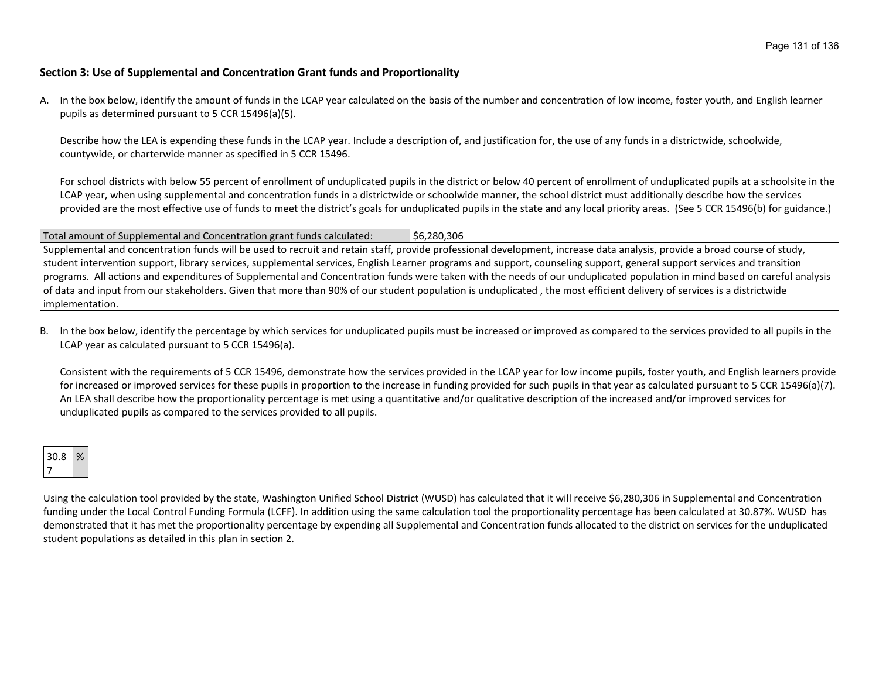## **Section 3: Use of Supplemental and Concentration Grant funds and Proportionality**

A. In the box below, identify the amount of funds in the LCAP year calculated on the basis of the number and concentration of low income, foster youth, and English learner pupils as determined pursuant to 5 CCR 15496(a)(5).

Describe how the LEA is expending these funds in the LCAP year. Include a description of, and justification for, the use of any funds in a districtwide, schoolwide, countywide, or charterwide manner as specified in 5 CCR 15496.

For school districts with below 55 percent of enrollment of unduplicated pupils in the district or below 40 percent of enrollment of unduplicated pupils at a schoolsite in the LCAP year, when using supplemental and concentration funds in a districtwide or schoolwide manner, the school district must additionally describe how the services provided are the most effective use of funds to meet the district's goals for unduplicated pupils in the state and any local priority areas. (See 5 CCR 15496(b) for guidance.)

Total amount of Supplemental and Concentration grant funds calculated: \$6,280,306 Supplemental and concentration funds will be used to recruit and retain staff, provide professional development, increase data analysis, provide a broad course of study, student intervention support, library services, supplemental services, English Learner programs and support, counseling support, general support services and transition programs. All actions and expenditures of Supplemental and Concentration funds were taken with the needs of our unduplicated population in mind based on careful analysis of data and input from our stakeholders. Given that more than 90% of our student population is unduplicated , the most efficient delivery of services is a districtwide implementation.

B. In the box below, identify the percentage by which services for unduplicated pupils must be increased or improved as compared to the services provided to all pupils in the LCAP year as calculated pursuant to 5 CCR 15496(a).

Consistent with the requirements of 5 CCR 15496, demonstrate how the services provided in the LCAP year for low income pupils, foster youth, and English learners provide for increased or improved services for these pupils in proportion to the increase in funding provided for such pupils in that year as calculated pursuant to 5 CCR 15496(a)(7). An LEA shall describe how the proportionality percentage is met using a quantitative and/or qualitative description of the increased and/or improved services for unduplicated pupils as compared to the services provided to all pupils.

## 30.8 % 7

Using the calculation tool provided by the state, Washington Unified School District (WUSD) has calculated that it will receive \$6,280,306 in Supplemental and Concentration funding under the Local Control Funding Formula (LCFF). In addition using the same calculation tool the proportionality percentage has been calculated at 30.87%. WUSD has demonstrated that it has met the proportionality percentage by expending all Supplemental and Concentration funds allocated to the district on services for the unduplicated student populations as detailed in this plan in section 2.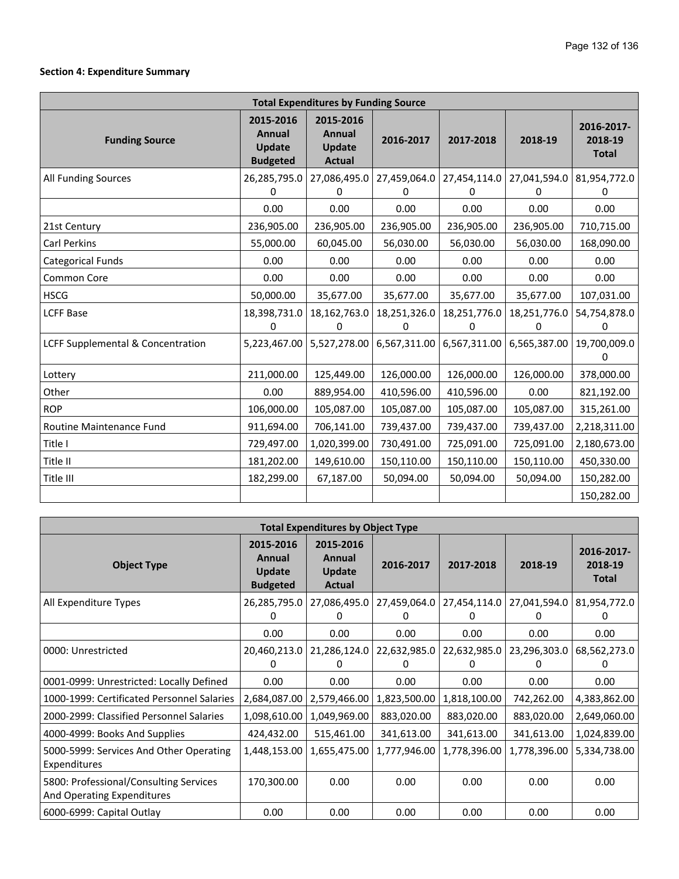## **Section 4: Expenditure Summary**

| <b>Total Expenditures by Funding Source</b> |                                                                |                                                              |                          |                          |                          |                                       |  |
|---------------------------------------------|----------------------------------------------------------------|--------------------------------------------------------------|--------------------------|--------------------------|--------------------------|---------------------------------------|--|
| <b>Funding Source</b>                       | 2015-2016<br><b>Annual</b><br><b>Update</b><br><b>Budgeted</b> | 2015-2016<br><b>Annual</b><br><b>Update</b><br><b>Actual</b> | 2016-2017                | 2017-2018                | 2018-19                  | 2016-2017-<br>2018-19<br><b>Total</b> |  |
| All Funding Sources                         | 26,285,795.0<br>0                                              | 27,086,495.0<br>0                                            | 27,459,064.0<br>0        | 27,454,114.0<br>0        | 27,041,594.0<br>0        | 81,954,772.0<br>0                     |  |
|                                             | 0.00                                                           | 0.00                                                         | 0.00                     | 0.00                     | 0.00                     | 0.00                                  |  |
| 21st Century                                | 236,905.00                                                     | 236,905.00                                                   | 236,905.00               | 236,905.00               | 236,905.00               | 710,715.00                            |  |
| Carl Perkins                                | 55,000.00                                                      | 60,045.00                                                    | 56,030.00                | 56,030.00                | 56,030.00                | 168,090.00                            |  |
| <b>Categorical Funds</b>                    | 0.00                                                           | 0.00                                                         | 0.00                     | 0.00                     | 0.00                     | 0.00                                  |  |
| Common Core                                 | 0.00                                                           | 0.00                                                         | 0.00                     | 0.00                     | 0.00                     | 0.00                                  |  |
| <b>HSCG</b>                                 | 50,000.00                                                      | 35,677.00                                                    | 35,677.00                | 35,677.00                | 35,677.00                | 107,031.00                            |  |
| <b>LCFF Base</b>                            | 18,398,731.0<br>0                                              | 18,162,763.0<br>$\Omega$                                     | 18,251,326.0<br>$\Omega$ | 18,251,776.0<br>$\Omega$ | 18,251,776.0<br>$\Omega$ | 54,754,878.0<br>$\Omega$              |  |
| LCFF Supplemental & Concentration           | 5,223,467.00                                                   | 5,527,278.00                                                 | 6,567,311.00             | 6,567,311.00             | 6,565,387.00             | 19,700,009.0<br>0                     |  |
| Lottery                                     | 211,000.00                                                     | 125,449.00                                                   | 126,000.00               | 126,000.00               | 126,000.00               | 378,000.00                            |  |
| Other                                       | 0.00                                                           | 889,954.00                                                   | 410,596.00               | 410,596.00               | 0.00                     | 821,192.00                            |  |
| <b>ROP</b>                                  | 106,000.00                                                     | 105,087.00                                                   | 105,087.00               | 105,087.00               | 105,087.00               | 315,261.00                            |  |
| Routine Maintenance Fund                    | 911,694.00                                                     | 706,141.00                                                   | 739,437.00               | 739,437.00               | 739,437.00               | 2,218,311.00                          |  |
| Title I                                     | 729,497.00                                                     | 1,020,399.00                                                 | 730,491.00               | 725,091.00               | 725,091.00               | 2,180,673.00                          |  |
| Title II                                    | 181,202.00                                                     | 149,610.00                                                   | 150,110.00               | 150,110.00               | 150,110.00               | 450,330.00                            |  |
| Title III                                   | 182,299.00                                                     | 67,187.00                                                    | 50,094.00                | 50,094.00                | 50,094.00                | 150,282.00                            |  |
|                                             |                                                                |                                                              |                          |                          |                          | 150,282.00                            |  |

| <b>Total Expenditures by Object Type</b>                             |                                                  |                                                |                   |                   |                   |                                       |  |
|----------------------------------------------------------------------|--------------------------------------------------|------------------------------------------------|-------------------|-------------------|-------------------|---------------------------------------|--|
| <b>Object Type</b>                                                   | 2015-2016<br>Annual<br>Update<br><b>Budgeted</b> | 2015-2016<br>Annual<br><b>Update</b><br>Actual | 2016-2017         | 2017-2018         | 2018-19           | 2016-2017-<br>2018-19<br><b>Total</b> |  |
| All Expenditure Types                                                | 26,285,795.0<br>0                                | 27,086,495.0<br>0                              | 27,459,064.0<br>0 | 27,454,114.0<br>0 | 27,041,594.0<br>0 | 81,954,772.0<br>0                     |  |
|                                                                      | 0.00                                             | 0.00                                           | 0.00              | 0.00              | 0.00              | 0.00                                  |  |
| 0000: Unrestricted                                                   | 20,460,213.0<br>0                                | 21,286,124.0<br>0                              | 22,632,985.0<br>0 | 22,632,985.0<br>0 | 23,296,303.0<br>0 | 68,562,273.0<br>0                     |  |
| 0001-0999: Unrestricted: Locally Defined                             | 0.00                                             | 0.00                                           | 0.00              | 0.00              | 0.00              | 0.00                                  |  |
| 1000-1999: Certificated Personnel Salaries                           | 2,684,087.00                                     | 2,579,466.00                                   | 1,823,500.00      | 1,818,100.00      | 742,262.00        | 4,383,862.00                          |  |
| 2000-2999: Classified Personnel Salaries                             | 1,098,610.00                                     | 1,049,969.00                                   | 883,020.00        | 883,020.00        | 883,020.00        | 2,649,060.00                          |  |
| 4000-4999: Books And Supplies                                        | 424,432.00                                       | 515,461.00                                     | 341,613.00        | 341,613.00        | 341,613.00        | 1,024,839.00                          |  |
| 5000-5999: Services And Other Operating<br>Expenditures              | 1,448,153.00                                     | 1,655,475.00                                   | 1,777,946.00      | 1,778,396.00      | 1,778,396.00      | 5,334,738.00                          |  |
| 5800: Professional/Consulting Services<br>And Operating Expenditures | 170,300.00                                       | 0.00                                           | 0.00              | 0.00              | 0.00              | 0.00                                  |  |
| 6000-6999: Capital Outlay                                            | 0.00                                             | 0.00                                           | 0.00              | 0.00              | 0.00              | 0.00                                  |  |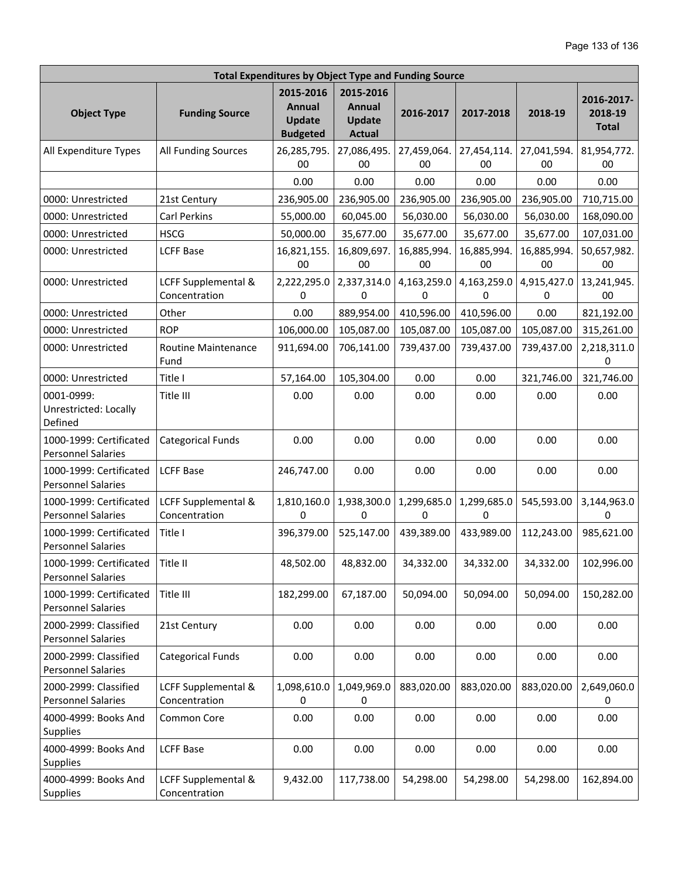| <b>Total Expenditures by Object Type and Funding Source</b> |                                      |                                                         |                                                       |                   |                   |                   |                                       |  |  |  |  |  |
|-------------------------------------------------------------|--------------------------------------|---------------------------------------------------------|-------------------------------------------------------|-------------------|-------------------|-------------------|---------------------------------------|--|--|--|--|--|
| <b>Object Type</b>                                          | <b>Funding Source</b>                | 2015-2016<br>Annual<br><b>Update</b><br><b>Budgeted</b> | 2015-2016<br><b>Annual</b><br>Update<br><b>Actual</b> | 2016-2017         | 2017-2018         | 2018-19           | 2016-2017-<br>2018-19<br><b>Total</b> |  |  |  |  |  |
| All Expenditure Types                                       | All Funding Sources                  | 26,285,795.<br>00                                       | 27,086,495.<br>00                                     | 27,459,064.<br>00 | 27,454,114.<br>00 | 27,041,594.<br>00 | 81,954,772.<br>00                     |  |  |  |  |  |
|                                                             |                                      | 0.00                                                    | 0.00                                                  | 0.00              | 0.00              | 0.00              | 0.00                                  |  |  |  |  |  |
| 0000: Unrestricted                                          | 21st Century                         | 236,905.00                                              | 236,905.00                                            | 236,905.00        | 236,905.00        | 236,905.00        | 710,715.00                            |  |  |  |  |  |
| 0000: Unrestricted                                          | <b>Carl Perkins</b>                  | 55,000.00                                               | 60,045.00                                             | 56,030.00         | 56,030.00         | 56,030.00         | 168,090.00                            |  |  |  |  |  |
| 0000: Unrestricted                                          | <b>HSCG</b>                          | 50,000.00                                               | 35,677.00                                             | 35,677.00         | 35,677.00         | 35,677.00         | 107,031.00                            |  |  |  |  |  |
| 0000: Unrestricted                                          | <b>LCFF Base</b>                     | 16,821,155.<br>00                                       | 16,809,697.<br>00                                     | 16,885,994.<br>00 | 16,885,994.<br>00 | 16,885,994.<br>00 | 50,657,982.<br>$00\,$                 |  |  |  |  |  |
| 0000: Unrestricted                                          | LCFF Supplemental &<br>Concentration | 2,222,295.0<br>0                                        | 2,337,314.0<br>0                                      | 4,163,259.0<br>0  | 4,163,259.0<br>0  | 4,915,427.0<br>0  | 13,241,945.<br>00                     |  |  |  |  |  |
| 0000: Unrestricted                                          | Other                                | 0.00                                                    | 889,954.00                                            | 410,596.00        | 410,596.00        | 0.00              | 821,192.00                            |  |  |  |  |  |
| 0000: Unrestricted                                          | <b>ROP</b>                           | 106,000.00                                              | 105,087.00                                            | 105,087.00        | 105,087.00        | 105,087.00        | 315,261.00                            |  |  |  |  |  |
| 0000: Unrestricted                                          | Routine Maintenance<br>Fund          | 911,694.00                                              | 706,141.00                                            | 739,437.00        | 739,437.00        | 739,437.00        | 2,218,311.0<br>0                      |  |  |  |  |  |
| 0000: Unrestricted                                          | Title I                              | 57,164.00                                               | 105,304.00                                            | 0.00              | 0.00              | 321,746.00        | 321,746.00                            |  |  |  |  |  |
| 0001-0999:<br>Unrestricted: Locally<br>Defined              | Title III                            | 0.00                                                    | 0.00                                                  | 0.00              | 0.00              | 0.00              | 0.00                                  |  |  |  |  |  |
| 1000-1999: Certificated<br><b>Personnel Salaries</b>        | <b>Categorical Funds</b>             | 0.00                                                    | 0.00                                                  | 0.00              | 0.00              | 0.00              | 0.00                                  |  |  |  |  |  |
| 1000-1999: Certificated<br><b>Personnel Salaries</b>        | <b>LCFF Base</b>                     | 246,747.00                                              | 0.00                                                  | 0.00              | 0.00              | 0.00              | 0.00                                  |  |  |  |  |  |
| 1000-1999: Certificated<br><b>Personnel Salaries</b>        | LCFF Supplemental &<br>Concentration | 1,810,160.0<br>0                                        | 1,938,300.0<br>0                                      | 1,299,685.0<br>0  | 1,299,685.0<br>0  | 545,593.00        | 3,144,963.0<br>0                      |  |  |  |  |  |
| 1000-1999: Certificated<br><b>Personnel Salaries</b>        | Title I                              | 396,379.00                                              | 525,147.00                                            | 439,389.00        | 433,989.00        | 112,243.00        | 985,621.00                            |  |  |  |  |  |
| 1000-1999: Certificated<br><b>Personnel Salaries</b>        | Title II                             | 48,502.00                                               | 48,832.00                                             | 34,332.00         | 34,332.00         | 34,332.00         | 102,996.00                            |  |  |  |  |  |
| 1000-1999: Certificated<br><b>Personnel Salaries</b>        | Title III                            | 182,299.00                                              | 67,187.00                                             | 50,094.00         | 50,094.00         | 50,094.00         | 150,282.00                            |  |  |  |  |  |
| 2000-2999: Classified<br><b>Personnel Salaries</b>          | 21st Century                         | 0.00                                                    | 0.00                                                  | 0.00              | 0.00              | 0.00              | 0.00                                  |  |  |  |  |  |
| 2000-2999: Classified<br><b>Personnel Salaries</b>          | <b>Categorical Funds</b>             | 0.00                                                    | 0.00                                                  | 0.00              | 0.00              | 0.00              | 0.00                                  |  |  |  |  |  |
| 2000-2999: Classified<br><b>Personnel Salaries</b>          | LCFF Supplemental &<br>Concentration | 1,098,610.0<br>0                                        | 1,049,969.0<br>0                                      | 883,020.00        | 883,020.00        | 883,020.00        | 2,649,060.0<br>0                      |  |  |  |  |  |
| 4000-4999: Books And<br><b>Supplies</b>                     | Common Core                          | 0.00                                                    | 0.00                                                  | 0.00              | 0.00              | 0.00              | 0.00                                  |  |  |  |  |  |
| 4000-4999: Books And<br><b>Supplies</b>                     | <b>LCFF Base</b>                     | 0.00                                                    | 0.00                                                  | 0.00              | 0.00              | 0.00              | 0.00                                  |  |  |  |  |  |
| 4000-4999: Books And<br><b>Supplies</b>                     | LCFF Supplemental &<br>Concentration | 9,432.00                                                | 117,738.00                                            | 54,298.00         | 54,298.00         | 54,298.00         | 162,894.00                            |  |  |  |  |  |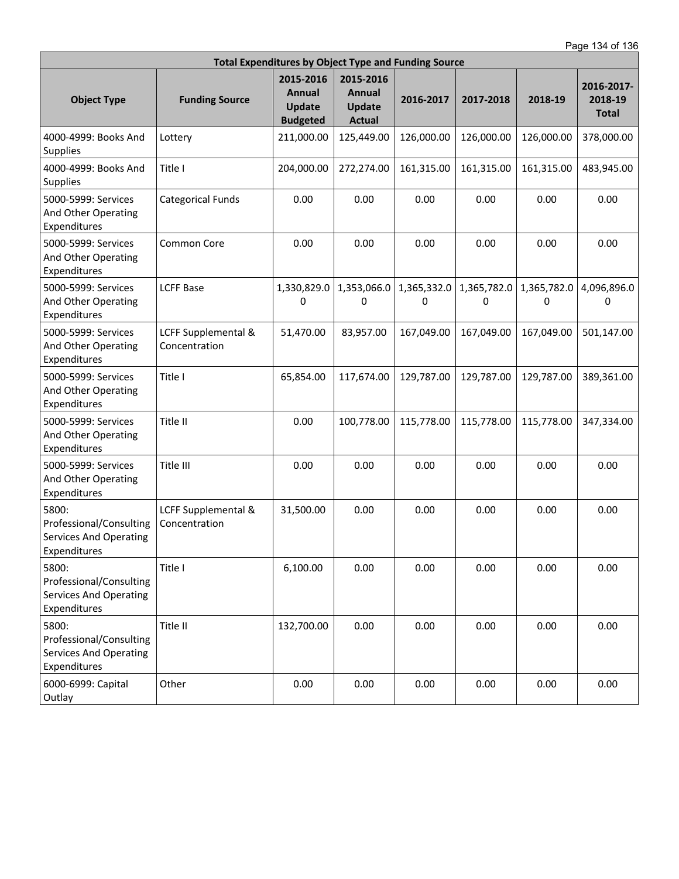| <b>Total Expenditures by Object Type and Funding Source</b>                       |                                      |                                                         |                                                              |                  |                  |                  |                                       |  |  |  |  |  |
|-----------------------------------------------------------------------------------|--------------------------------------|---------------------------------------------------------|--------------------------------------------------------------|------------------|------------------|------------------|---------------------------------------|--|--|--|--|--|
| <b>Object Type</b>                                                                | <b>Funding Source</b>                | 2015-2016<br>Annual<br><b>Update</b><br><b>Budgeted</b> | 2015-2016<br><b>Annual</b><br><b>Update</b><br><b>Actual</b> | 2016-2017        | 2017-2018        | 2018-19          | 2016-2017-<br>2018-19<br><b>Total</b> |  |  |  |  |  |
| 4000-4999: Books And<br><b>Supplies</b>                                           | Lottery                              | 211,000.00                                              | 125,449.00                                                   | 126,000.00       | 126,000.00       | 126,000.00       | 378,000.00                            |  |  |  |  |  |
| 4000-4999: Books And<br><b>Supplies</b>                                           | Title I                              | 204,000.00                                              | 272,274.00                                                   | 161,315.00       | 161,315.00       | 161,315.00       | 483,945.00                            |  |  |  |  |  |
| 5000-5999: Services<br>And Other Operating<br>Expenditures                        | <b>Categorical Funds</b>             | 0.00                                                    | 0.00                                                         | 0.00             | 0.00             | 0.00             | 0.00                                  |  |  |  |  |  |
| 5000-5999: Services<br>And Other Operating<br>Expenditures                        | Common Core                          | 0.00                                                    | 0.00                                                         | 0.00             | 0.00             | 0.00             | 0.00                                  |  |  |  |  |  |
| 5000-5999: Services<br>And Other Operating<br>Expenditures                        | <b>LCFF Base</b>                     | 1,330,829.0<br>0                                        | 1,353,066.0<br>0                                             | 1,365,332.0<br>0 | 1,365,782.0<br>0 | 1,365,782.0<br>0 | 4,096,896.0<br>0                      |  |  |  |  |  |
| 5000-5999: Services<br>And Other Operating<br>Expenditures                        | LCFF Supplemental &<br>Concentration | 51,470.00                                               | 83,957.00                                                    | 167,049.00       | 167,049.00       | 167,049.00       | 501,147.00                            |  |  |  |  |  |
| 5000-5999: Services<br>And Other Operating<br>Expenditures                        | Title I                              | 65,854.00                                               | 117,674.00                                                   | 129,787.00       | 129,787.00       | 129,787.00       | 389,361.00                            |  |  |  |  |  |
| 5000-5999: Services<br>And Other Operating<br>Expenditures                        | Title II                             | 0.00                                                    | 100,778.00                                                   | 115,778.00       | 115,778.00       | 115,778.00       | 347,334.00                            |  |  |  |  |  |
| 5000-5999: Services<br>And Other Operating<br>Expenditures                        | Title III                            | 0.00                                                    | 0.00                                                         | 0.00             | 0.00             | 0.00             | 0.00                                  |  |  |  |  |  |
| 5800:<br>Professional/Consulting<br><b>Services And Operating</b><br>Expenditures | LCFF Supplemental &<br>Concentration | 31,500.00                                               | 0.00                                                         | 0.00             | 0.00             | 0.00             | 0.00                                  |  |  |  |  |  |
| 5800:<br>Professional/Consulting<br><b>Services And Operating</b><br>Expenditures | Title I                              | 6,100.00                                                | 0.00                                                         | 0.00             | 0.00             | 0.00             | 0.00                                  |  |  |  |  |  |
| 5800:<br>Professional/Consulting<br><b>Services And Operating</b><br>Expenditures | Title II                             | 132,700.00                                              | 0.00                                                         | 0.00             | 0.00             | 0.00             | 0.00                                  |  |  |  |  |  |
| 6000-6999: Capital<br>Outlay                                                      | Other                                | 0.00                                                    | 0.00                                                         | 0.00             | 0.00             | 0.00             | 0.00                                  |  |  |  |  |  |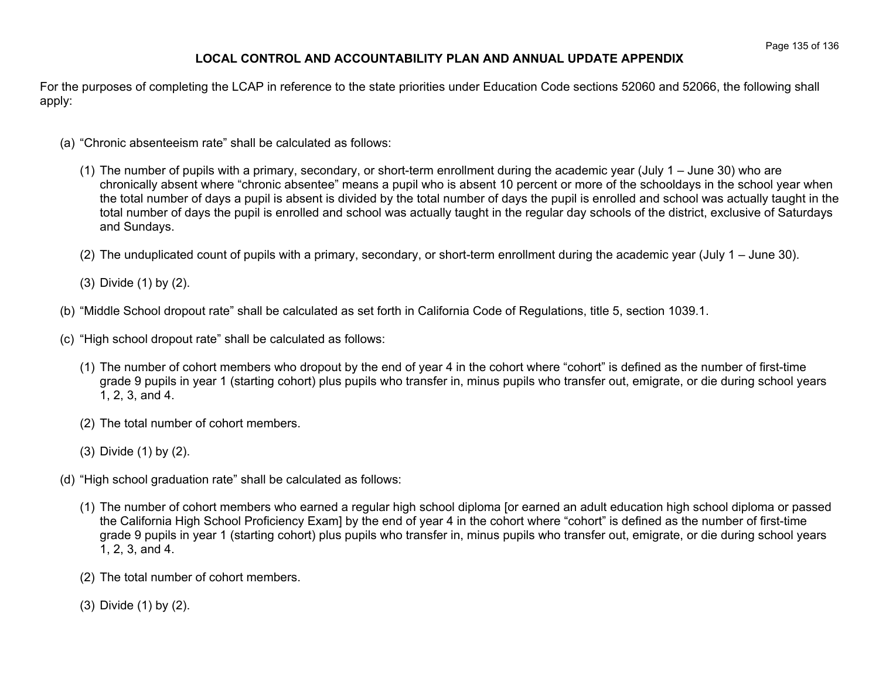## **LOCAL CONTROL AND ACCOUNTABILITY PLAN AND ANNUAL UPDATE APPENDIX**

For the purposes of completing the LCAP in reference to the state priorities under Education Code sections 52060 and 52066, the following shall apply:

- (a) "Chronic absenteeism rate" shall be calculated as follows:
	- (1) The number of pupils with a primary, secondary, or short-term enrollment during the academic year (July 1 June 30) who are chronically absent where "chronic absentee" means a pupil who is absent 10 percent or more of the schooldays in the school year when the total number of days a pupil is absent is divided by the total number of days the pupil is enrolled and school was actually taught in the total number of days the pupil is enrolled and school was actually taught in the regular day schools of the district, exclusive of Saturdays and Sundays.
	- (2) The unduplicated count of pupils with a primary, secondary, or short-term enrollment during the academic year (July 1 June 30).
	- (3) Divide (1) by (2).
- (b) "Middle School dropout rate" shall be calculated as set forth in California Code of Regulations, title 5, section 1039.1.
- (c) "High school dropout rate" shall be calculated as follows:
	- (1) The number of cohort members who dropout by the end of year 4 in the cohort where "cohort" is defined as the number of first-time grade 9 pupils in year 1 (starting cohort) plus pupils who transfer in, minus pupils who transfer out, emigrate, or die during school years 1, 2, 3, and 4.
	- (2) The total number of cohort members.
	- (3) Divide (1) by (2).
- (d) "High school graduation rate" shall be calculated as follows:
	- (1) The number of cohort members who earned a regular high school diploma [or earned an adult education high school diploma or passed the California High School Proficiency Exam] by the end of year 4 in the cohort where "cohort" is defined as the number of first-time grade 9 pupils in year 1 (starting cohort) plus pupils who transfer in, minus pupils who transfer out, emigrate, or die during school years 1, 2, 3, and 4.
	- (2) The total number of cohort members.
	- (3) Divide (1) by (2).